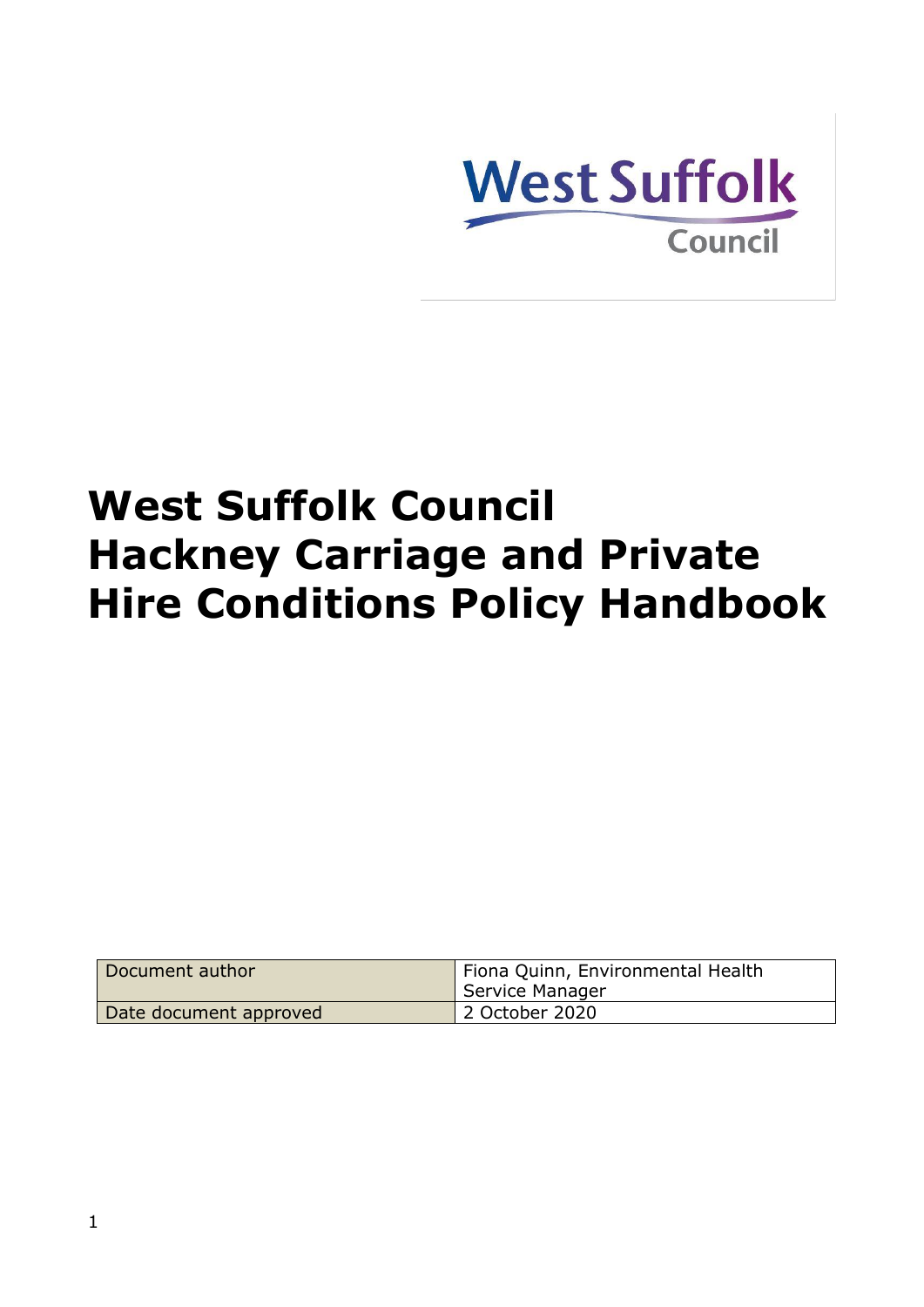

# **West Suffolk Council Hackney Carriage and Private Hire Conditions Policy Handbook**

| Document author        | Fiona Quinn, Environmental Health<br>Service Manager |
|------------------------|------------------------------------------------------|
| Date document approved | 2 October 2020                                       |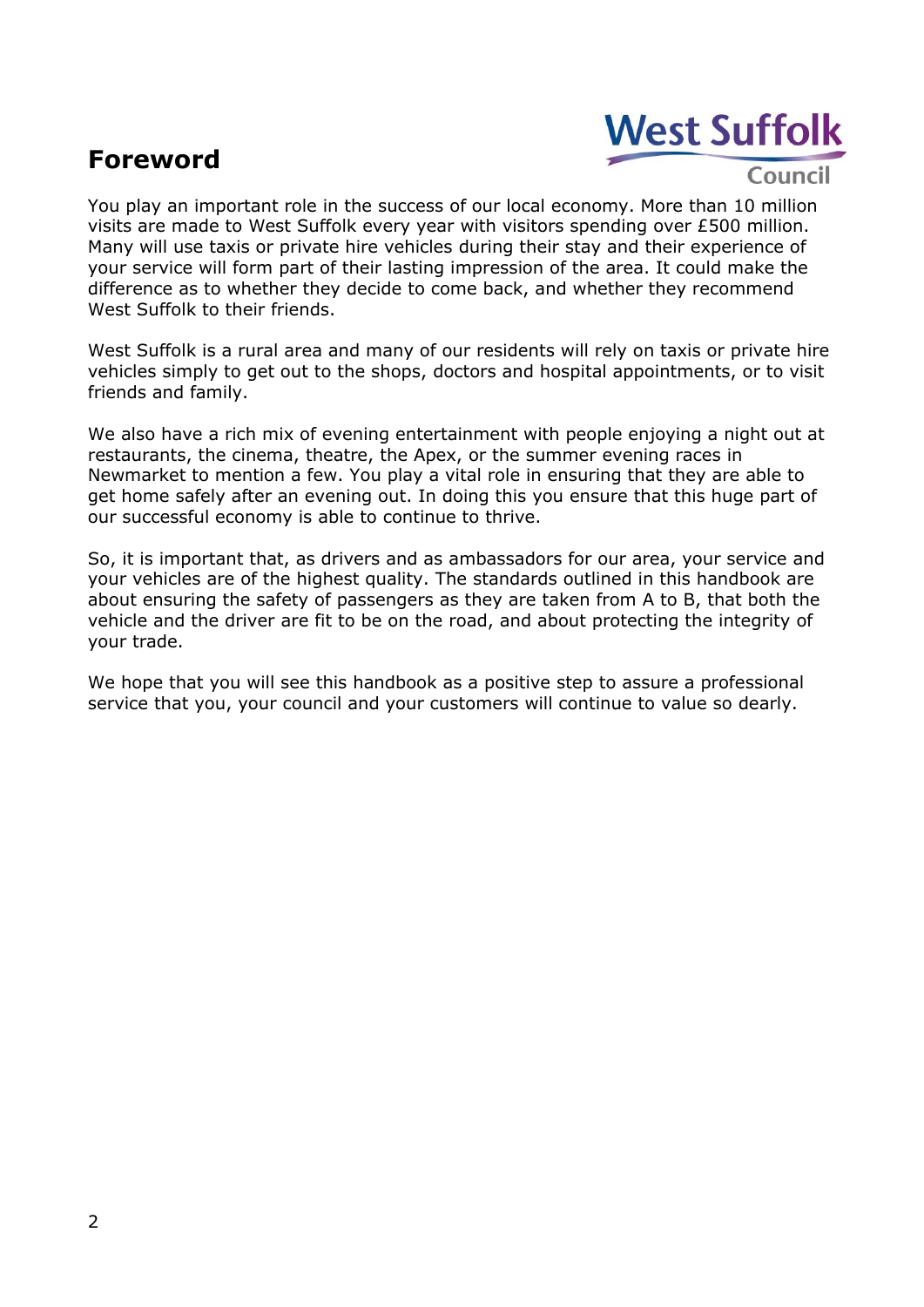# <span id="page-1-0"></span>**Foreword**



Council

You play an important role in the success of our local economy. More than 10 million visits are made to West Suffolk every year with visitors spending over £500 million. Many will use taxis or private hire vehicles during their stay and their experience of your service will form part of their lasting impression of the area. It could make the difference as to whether they decide to come back, and whether they recommend West Suffolk to their friends.

West Suffolk is a rural area and many of our residents will rely on taxis or private hire vehicles simply to get out to the shops, doctors and hospital appointments, or to visit friends and family.

We also have a rich mix of evening entertainment with people enjoying a night out at restaurants, the cinema, theatre, the Apex, or the summer evening races in Newmarket to mention a few. You play a vital role in ensuring that they are able to get home safely after an evening out. In doing this you ensure that this huge part of our successful economy is able to continue to thrive.

So, it is important that, as drivers and as ambassadors for our area, your service and your vehicles are of the highest quality. The standards outlined in this handbook are about ensuring the safety of passengers as they are taken from A to B, that both the vehicle and the driver are fit to be on the road, and about protecting the integrity of your trade.

We hope that you will see this handbook as a positive step to assure a professional service that you, your council and your customers will continue to value so dearly.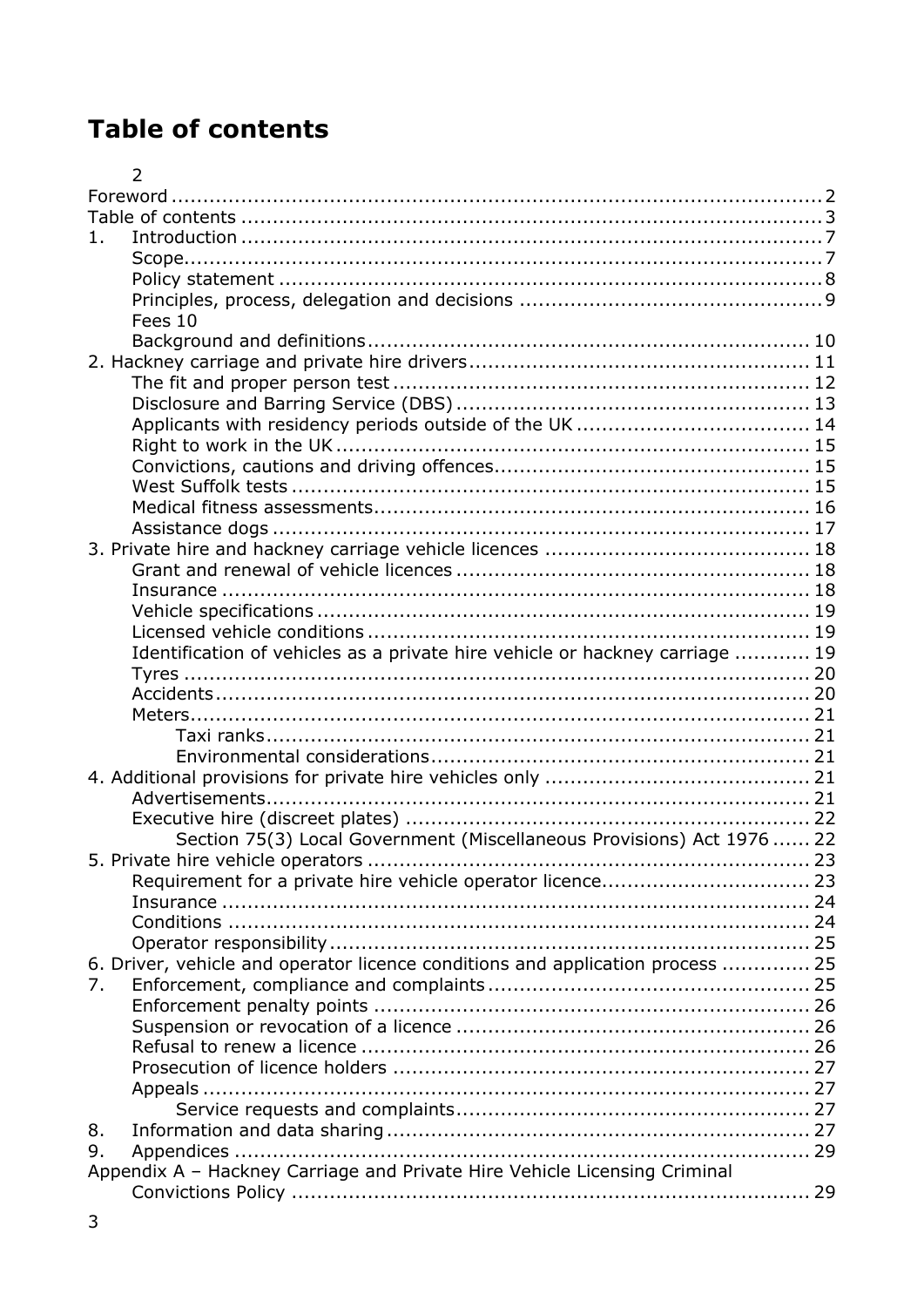# <span id="page-2-0"></span>**Table of contents**

|       | $\overline{2}$                                                                 |  |
|-------|--------------------------------------------------------------------------------|--|
|       |                                                                                |  |
|       |                                                                                |  |
| $1$ . |                                                                                |  |
|       |                                                                                |  |
|       |                                                                                |  |
|       |                                                                                |  |
|       | Fees 10                                                                        |  |
|       |                                                                                |  |
|       |                                                                                |  |
|       |                                                                                |  |
|       |                                                                                |  |
|       |                                                                                |  |
|       |                                                                                |  |
|       |                                                                                |  |
|       |                                                                                |  |
|       |                                                                                |  |
|       |                                                                                |  |
|       |                                                                                |  |
|       |                                                                                |  |
|       |                                                                                |  |
|       |                                                                                |  |
|       |                                                                                |  |
|       | Identification of vehicles as a private hire vehicle or hackney carriage  19   |  |
|       |                                                                                |  |
|       |                                                                                |  |
|       |                                                                                |  |
|       |                                                                                |  |
|       |                                                                                |  |
|       |                                                                                |  |
|       |                                                                                |  |
|       | Section 75(3) Local Government (Miscellaneous Provisions) Act 1976  22         |  |
|       |                                                                                |  |
|       |                                                                                |  |
|       |                                                                                |  |
|       |                                                                                |  |
|       |                                                                                |  |
|       | 6. Driver, vehicle and operator licence conditions and application process  25 |  |
| 7.    |                                                                                |  |
|       |                                                                                |  |
|       |                                                                                |  |
|       |                                                                                |  |
|       |                                                                                |  |
|       |                                                                                |  |
|       |                                                                                |  |
| 8.    |                                                                                |  |
| 9.    |                                                                                |  |
|       | Appendix A - Hackney Carriage and Private Hire Vehicle Licensing Criminal      |  |
|       |                                                                                |  |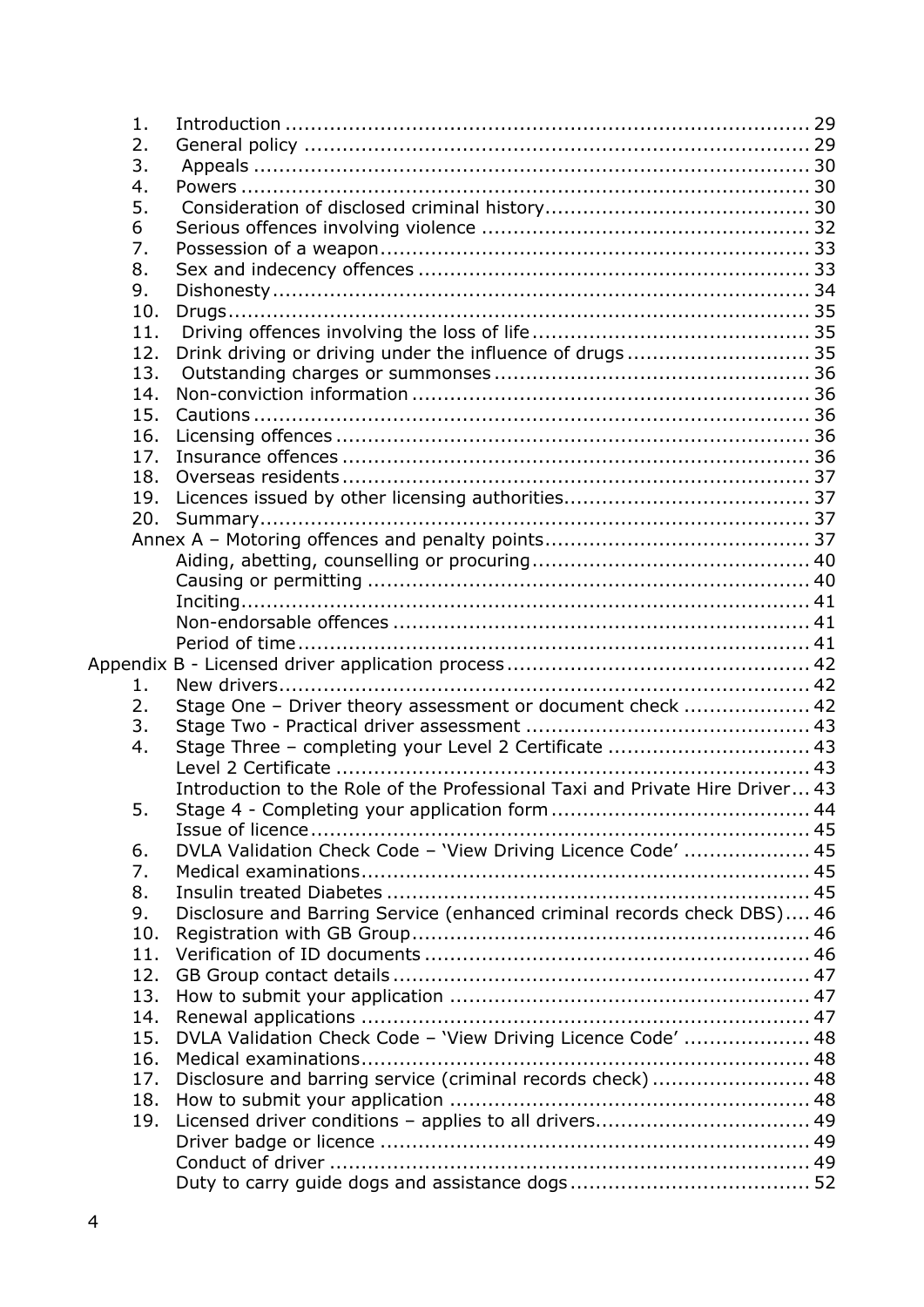| 1.  |                                                                              |  |
|-----|------------------------------------------------------------------------------|--|
| 2.  |                                                                              |  |
| 3.  |                                                                              |  |
| 4.  |                                                                              |  |
| 5.  |                                                                              |  |
| 6   |                                                                              |  |
| 7.  |                                                                              |  |
| 8.  |                                                                              |  |
| 9.  |                                                                              |  |
| 10. |                                                                              |  |
| 11. |                                                                              |  |
| 12. | Drink driving or driving under the influence of drugs 35                     |  |
| 13. |                                                                              |  |
| 14. |                                                                              |  |
| 15. |                                                                              |  |
| 16. |                                                                              |  |
| 17. |                                                                              |  |
| 18. |                                                                              |  |
| 19. |                                                                              |  |
| 20. |                                                                              |  |
|     |                                                                              |  |
|     |                                                                              |  |
|     |                                                                              |  |
|     |                                                                              |  |
|     |                                                                              |  |
|     |                                                                              |  |
| 1.  |                                                                              |  |
| 2.  |                                                                              |  |
| 3.  | Stage One - Driver theory assessment or document check  42                   |  |
| 4.  | Stage Three - completing your Level 2 Certificate  43                        |  |
|     |                                                                              |  |
|     | Introduction to the Role of the Professional Taxi and Private Hire Driver 43 |  |
| 5.  |                                                                              |  |
|     |                                                                              |  |
| 6.  | DVLA Validation Check Code - 'View Driving Licence Code'  45                 |  |
| 7.  |                                                                              |  |
| 8.  |                                                                              |  |
| 9.  | Disclosure and Barring Service (enhanced criminal records check DBS) 46      |  |
| 10. |                                                                              |  |
| 11. |                                                                              |  |
| 12. |                                                                              |  |
| 13. |                                                                              |  |
| 14. |                                                                              |  |
| 15. | DVLA Validation Check Code - 'View Driving Licence Code'  48                 |  |
| 16. |                                                                              |  |
| 17. | Disclosure and barring service (criminal records check)  48                  |  |
| 18. |                                                                              |  |
| 19. | Licensed driver conditions - applies to all drivers 49                       |  |
|     |                                                                              |  |
|     |                                                                              |  |
|     |                                                                              |  |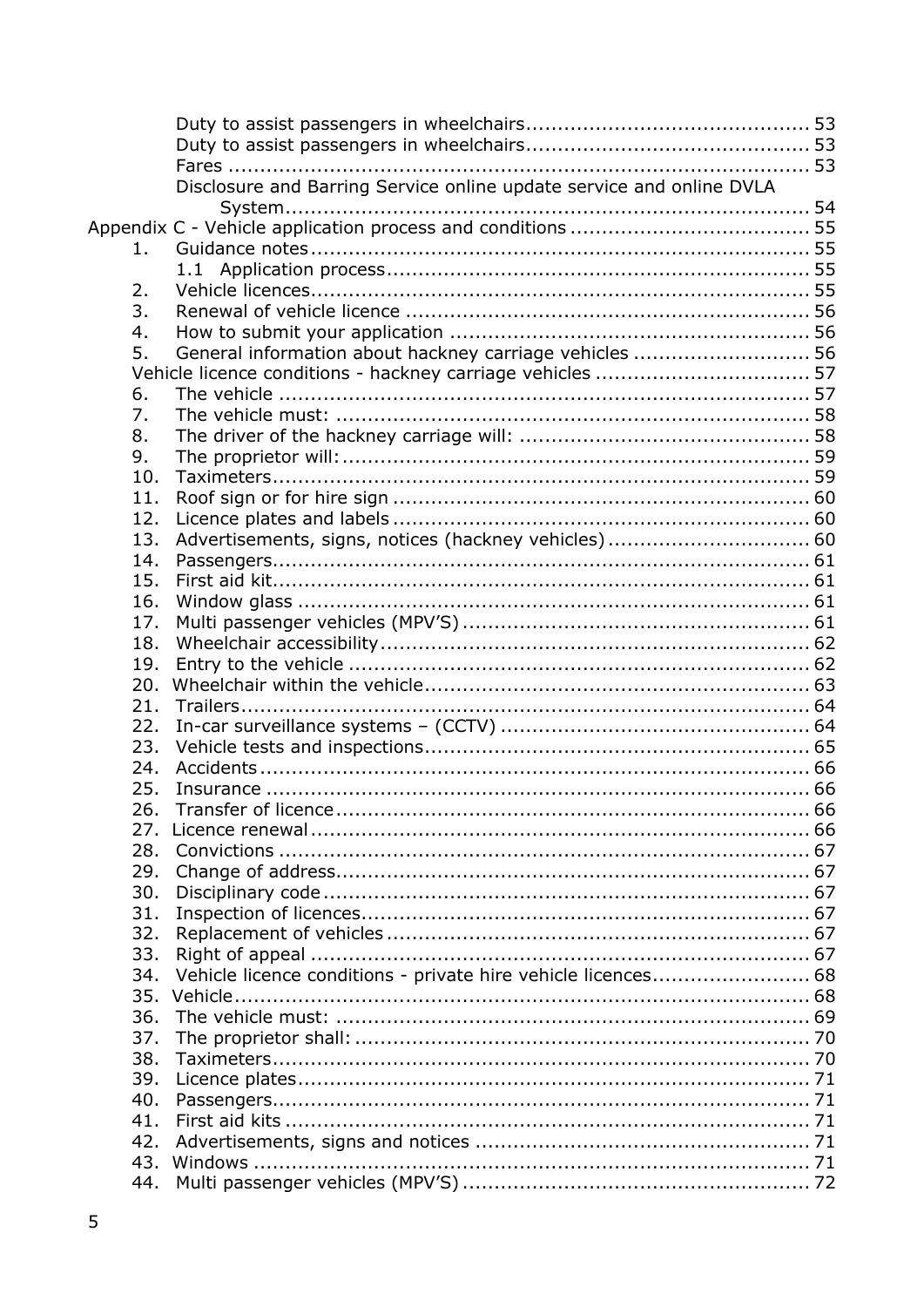|     | Disclosure and Barring Service online update service and online DVLA |  |
|-----|----------------------------------------------------------------------|--|
|     |                                                                      |  |
|     |                                                                      |  |
| 1.  |                                                                      |  |
|     |                                                                      |  |
| 2.  |                                                                      |  |
| 3.  |                                                                      |  |
| 4.  |                                                                      |  |
| 5.  | General information about hackney carriage vehicles  56              |  |
|     |                                                                      |  |
| 6.  |                                                                      |  |
| 7.  |                                                                      |  |
| 8.  |                                                                      |  |
| 9.  |                                                                      |  |
| 10. |                                                                      |  |
| 11. |                                                                      |  |
| 12. |                                                                      |  |
| 13. |                                                                      |  |
| 14. |                                                                      |  |
| 15. |                                                                      |  |
| 16. |                                                                      |  |
| 17. |                                                                      |  |
| 18. |                                                                      |  |
| 19. |                                                                      |  |
| 20. |                                                                      |  |
| 21. |                                                                      |  |
| 22. |                                                                      |  |
| 23. |                                                                      |  |
| 24. |                                                                      |  |
| 25. |                                                                      |  |
| 26. |                                                                      |  |
| 27. |                                                                      |  |
| 28. |                                                                      |  |
| 29. |                                                                      |  |
| 30. |                                                                      |  |
| 31. |                                                                      |  |
| 32. |                                                                      |  |
| 33. |                                                                      |  |
| 34. | Vehicle licence conditions - private hire vehicle licences 68        |  |
| 35. |                                                                      |  |
| 36. |                                                                      |  |
| 37. |                                                                      |  |
| 38. |                                                                      |  |
| 39. |                                                                      |  |
| 40. |                                                                      |  |
| 41. |                                                                      |  |
| 42. |                                                                      |  |
| 43. |                                                                      |  |
| 44. |                                                                      |  |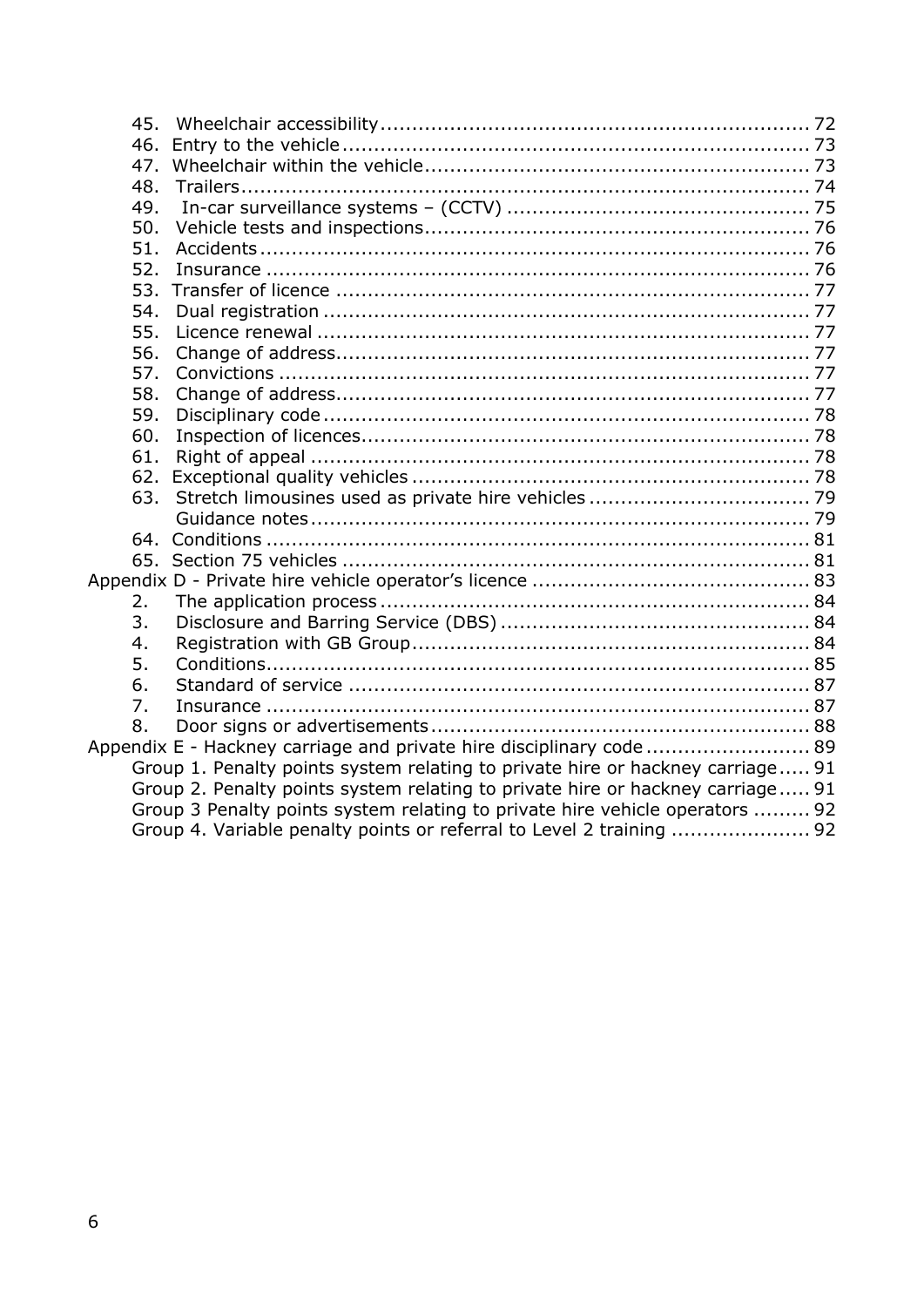| 45. |                                                                                |  |
|-----|--------------------------------------------------------------------------------|--|
| 46. |                                                                                |  |
| 47. |                                                                                |  |
| 48. |                                                                                |  |
| 49. |                                                                                |  |
| 50. |                                                                                |  |
| 51. |                                                                                |  |
| 52. |                                                                                |  |
| 53. |                                                                                |  |
| 54. |                                                                                |  |
| 55. |                                                                                |  |
| 56. |                                                                                |  |
| 57. |                                                                                |  |
| 58. |                                                                                |  |
| 59. |                                                                                |  |
| 60. |                                                                                |  |
| 61. |                                                                                |  |
| 62. |                                                                                |  |
| 63. |                                                                                |  |
|     |                                                                                |  |
|     |                                                                                |  |
|     |                                                                                |  |
|     |                                                                                |  |
| 2.  |                                                                                |  |
| 3.  |                                                                                |  |
| 4.  |                                                                                |  |
| 5.  |                                                                                |  |
| 6.  |                                                                                |  |
| 7.  |                                                                                |  |
| 8.  |                                                                                |  |
|     | Appendix E - Hackney carriage and private hire disciplinary code 89            |  |
|     | Group 1. Penalty points system relating to private hire or hackney carriage 91 |  |
|     | Group 2. Penalty points system relating to private hire or hackney carriage 91 |  |
|     | Group 3 Penalty points system relating to private hire vehicle operators  92   |  |
|     | Group 4. Variable penalty points or referral to Level 2 training  92           |  |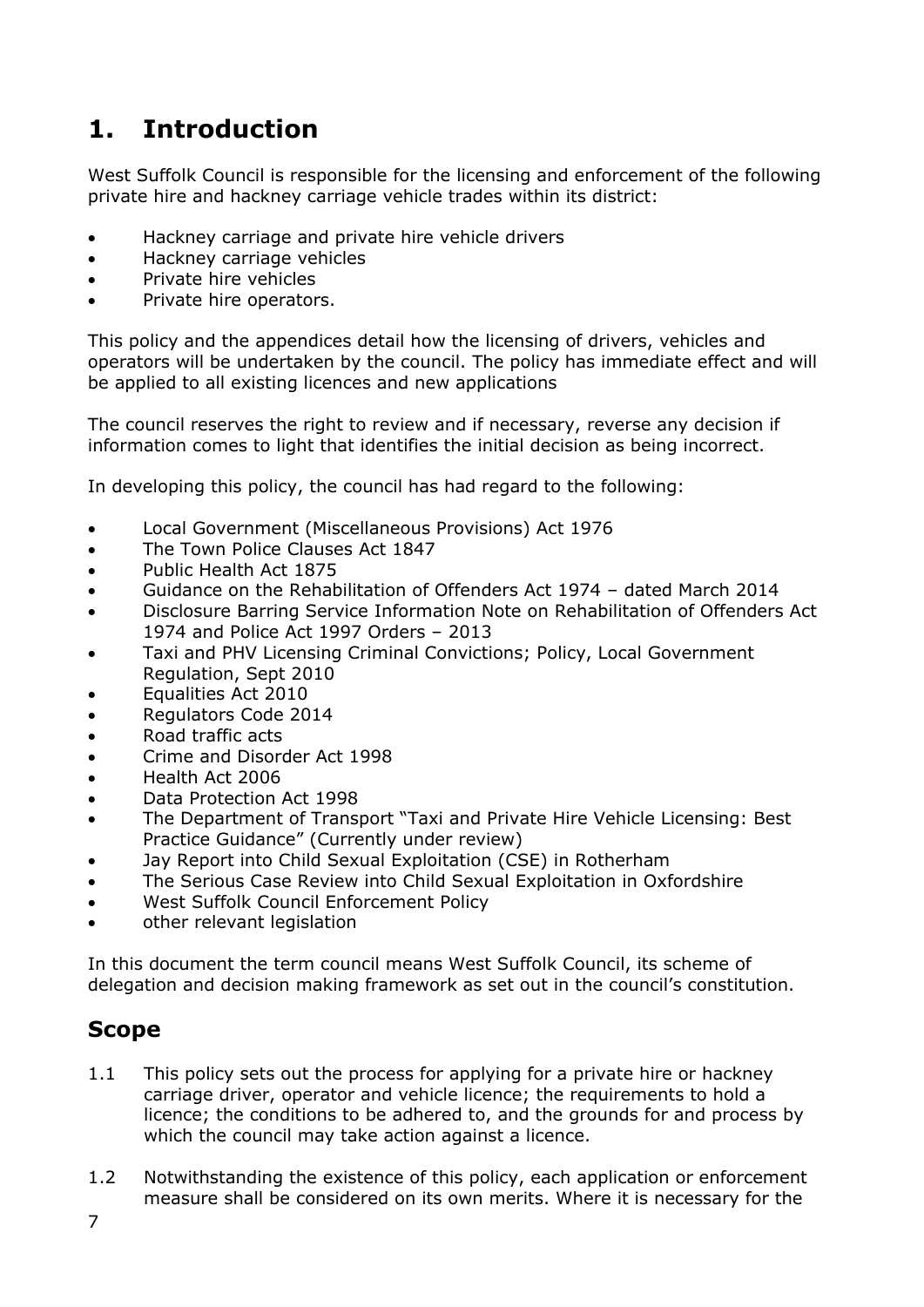# <span id="page-6-0"></span>**1. Introduction**

West Suffolk Council is responsible for the licensing and enforcement of the following private hire and hackney carriage vehicle trades within its district:

- Hackney carriage and private hire vehicle drivers
- Hackney carriage vehicles
- Private hire vehicles
- Private hire operators.

This policy and the appendices detail how the licensing of drivers, vehicles and operators will be undertaken by the council. The policy has immediate effect and will be applied to all existing licences and new applications

The council reserves the right to review and if necessary, reverse any decision if information comes to light that identifies the initial decision as being incorrect.

In developing this policy, the council has had regard to the following:

- Local Government (Miscellaneous Provisions) Act 1976
- The Town Police Clauses Act 1847
- Public Health Act 1875
- Guidance on the Rehabilitation of Offenders Act 1974 dated March 2014
- Disclosure Barring Service Information Note on Rehabilitation of Offenders Act 1974 and Police Act 1997 Orders – 2013
- Taxi and PHV Licensing Criminal Convictions; Policy, Local Government Regulation, Sept 2010
- Equalities Act 2010
- Regulators Code 2014
- Road traffic acts
- Crime and Disorder Act 1998
- Health Act 2006
- Data Protection Act 1998
- The Department of Transport "Taxi and Private Hire Vehicle Licensing: Best Practice Guidance" (Currently under review)
- Jay Report into Child Sexual Exploitation (CSE) in Rotherham
- The Serious Case Review into Child Sexual Exploitation in Oxfordshire
- West Suffolk Council Enforcement Policy
- other relevant legislation

In this document the term council means West Suffolk Council, its scheme of delegation and decision making framework as set out in the council's constitution.

### <span id="page-6-1"></span>**Scope**

- 1.1 This policy sets out the process for applying for a private hire or hackney carriage driver, operator and vehicle licence; the requirements to hold a licence; the conditions to be adhered to, and the grounds for and process by which the council may take action against a licence.
- 1.2 Notwithstanding the existence of this policy, each application or enforcement measure shall be considered on its own merits. Where it is necessary for the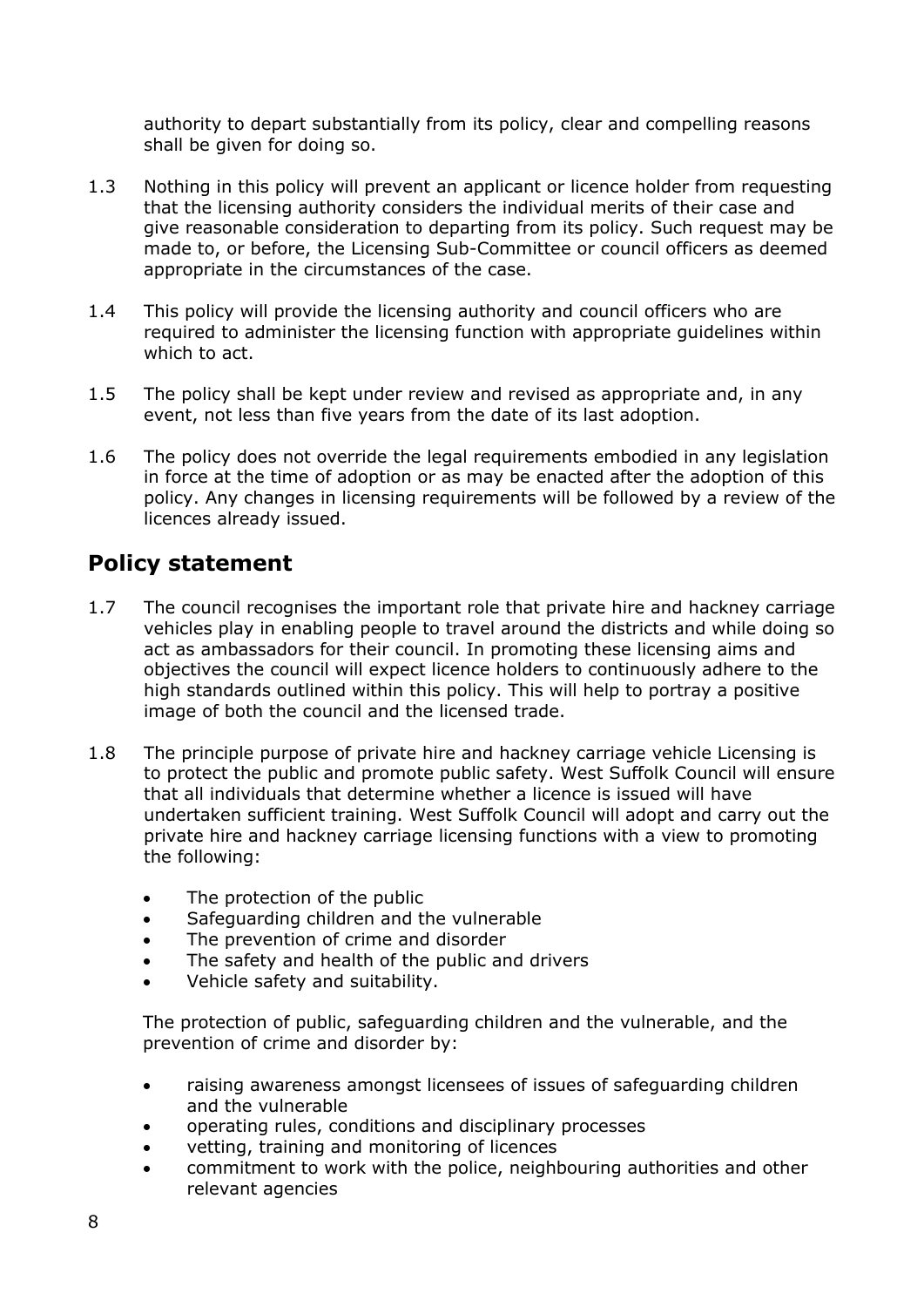authority to depart substantially from its policy, clear and compelling reasons shall be given for doing so.

- 1.3 Nothing in this policy will prevent an applicant or licence holder from requesting that the licensing authority considers the individual merits of their case and give reasonable consideration to departing from its policy. Such request may be made to, or before, the Licensing Sub-Committee or council officers as deemed appropriate in the circumstances of the case.
- 1.4 This policy will provide the licensing authority and council officers who are required to administer the licensing function with appropriate guidelines within which to act.
- 1.5 The policy shall be kept under review and revised as appropriate and, in any event, not less than five years from the date of its last adoption.
- 1.6 The policy does not override the legal requirements embodied in any legislation in force at the time of adoption or as may be enacted after the adoption of this policy. Any changes in licensing requirements will be followed by a review of the licences already issued.

# <span id="page-7-0"></span>**Policy statement**

- 1.7 The council recognises the important role that private hire and hackney carriage vehicles play in enabling people to travel around the districts and while doing so act as ambassadors for their council. In promoting these licensing aims and objectives the council will expect licence holders to continuously adhere to the high standards outlined within this policy. This will help to portray a positive image of both the council and the licensed trade.
- 1.8 The principle purpose of private hire and hackney carriage vehicle Licensing is to protect the public and promote public safety. West Suffolk Council will ensure that all individuals that determine whether a licence is issued will have undertaken sufficient training. West Suffolk Council will adopt and carry out the private hire and hackney carriage licensing functions with a view to promoting the following:
	- The protection of the public
	- Safeguarding children and the vulnerable
	- The prevention of crime and disorder
	- The safety and health of the public and drivers
	- Vehicle safety and suitability.

The protection of public, safeguarding children and the vulnerable, and the prevention of crime and disorder by:

- raising awareness amongst licensees of issues of safeguarding children and the vulnerable
- operating rules, conditions and disciplinary processes
- vetting, training and monitoring of licences
- commitment to work with the police, neighbouring authorities and other relevant agencies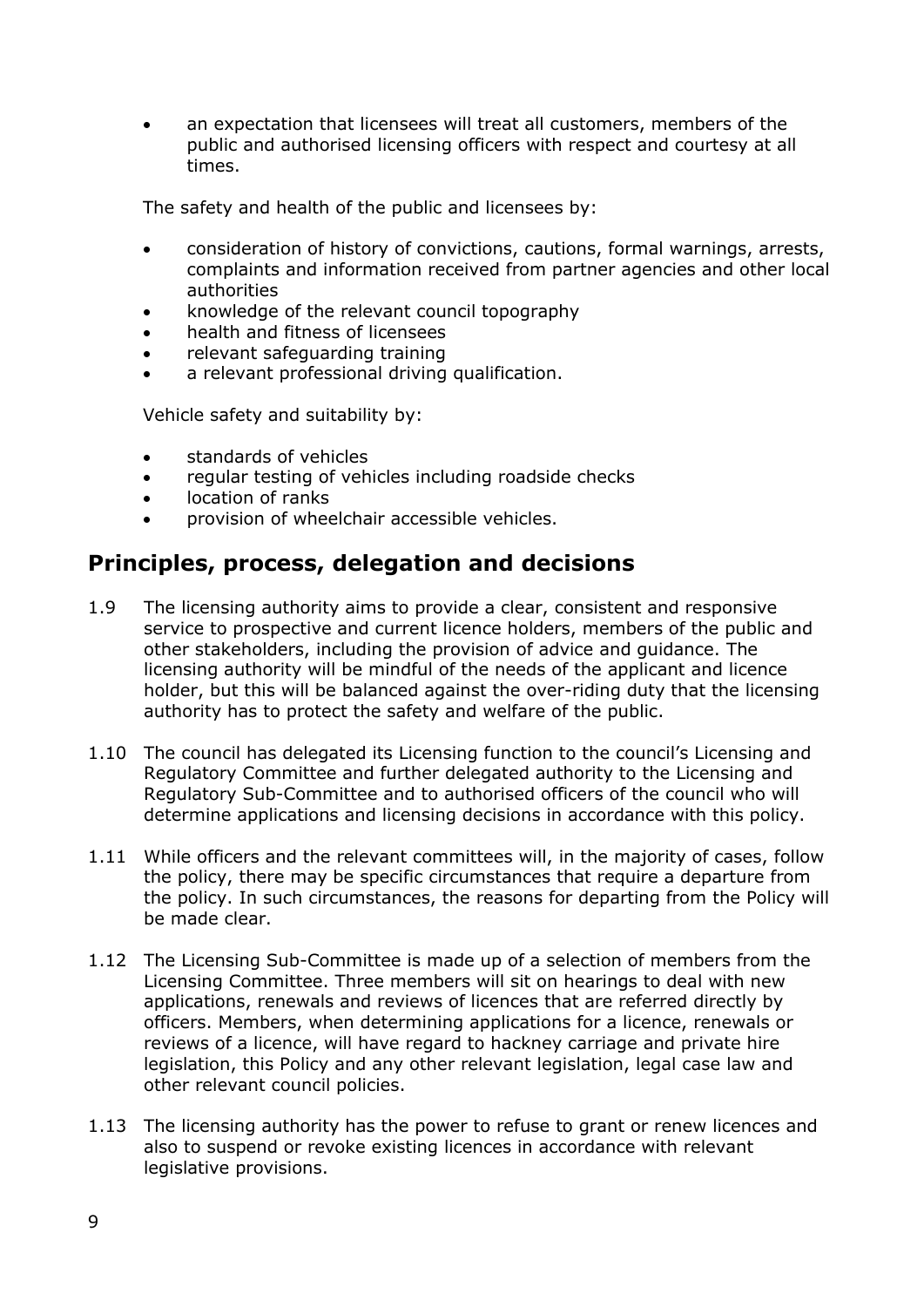• an expectation that licensees will treat all customers, members of the public and authorised licensing officers with respect and courtesy at all times.

The safety and health of the public and licensees by:

- consideration of history of convictions, cautions, formal warnings, arrests, complaints and information received from partner agencies and other local authorities
- knowledge of the relevant council topography
- health and fitness of licensees
- relevant safeguarding training
- a relevant professional driving qualification.

Vehicle safety and suitability by:

- standards of vehicles
- regular testing of vehicles including roadside checks
- location of ranks
- provision of wheelchair accessible vehicles.

# <span id="page-8-0"></span>**Principles, process, delegation and decisions**

- 1.9 The licensing authority aims to provide a clear, consistent and responsive service to prospective and current licence holders, members of the public and other stakeholders, including the provision of advice and guidance. The licensing authority will be mindful of the needs of the applicant and licence holder, but this will be balanced against the over-riding duty that the licensing authority has to protect the safety and welfare of the public.
- 1.10 The council has delegated its Licensing function to the council's Licensing and Regulatory Committee and further delegated authority to the Licensing and Regulatory Sub-Committee and to authorised officers of the council who will determine applications and licensing decisions in accordance with this policy.
- 1.11 While officers and the relevant committees will, in the majority of cases, follow the policy, there may be specific circumstances that require a departure from the policy. In such circumstances, the reasons for departing from the Policy will be made clear.
- 1.12 The Licensing Sub-Committee is made up of a selection of members from the Licensing Committee. Three members will sit on hearings to deal with new applications, renewals and reviews of licences that are referred directly by officers. Members, when determining applications for a licence, renewals or reviews of a licence, will have regard to hackney carriage and private hire legislation, this Policy and any other relevant legislation, legal case law and other relevant council policies.
- 1.13 The licensing authority has the power to refuse to grant or renew licences and also to suspend or revoke existing licences in accordance with relevant legislative provisions.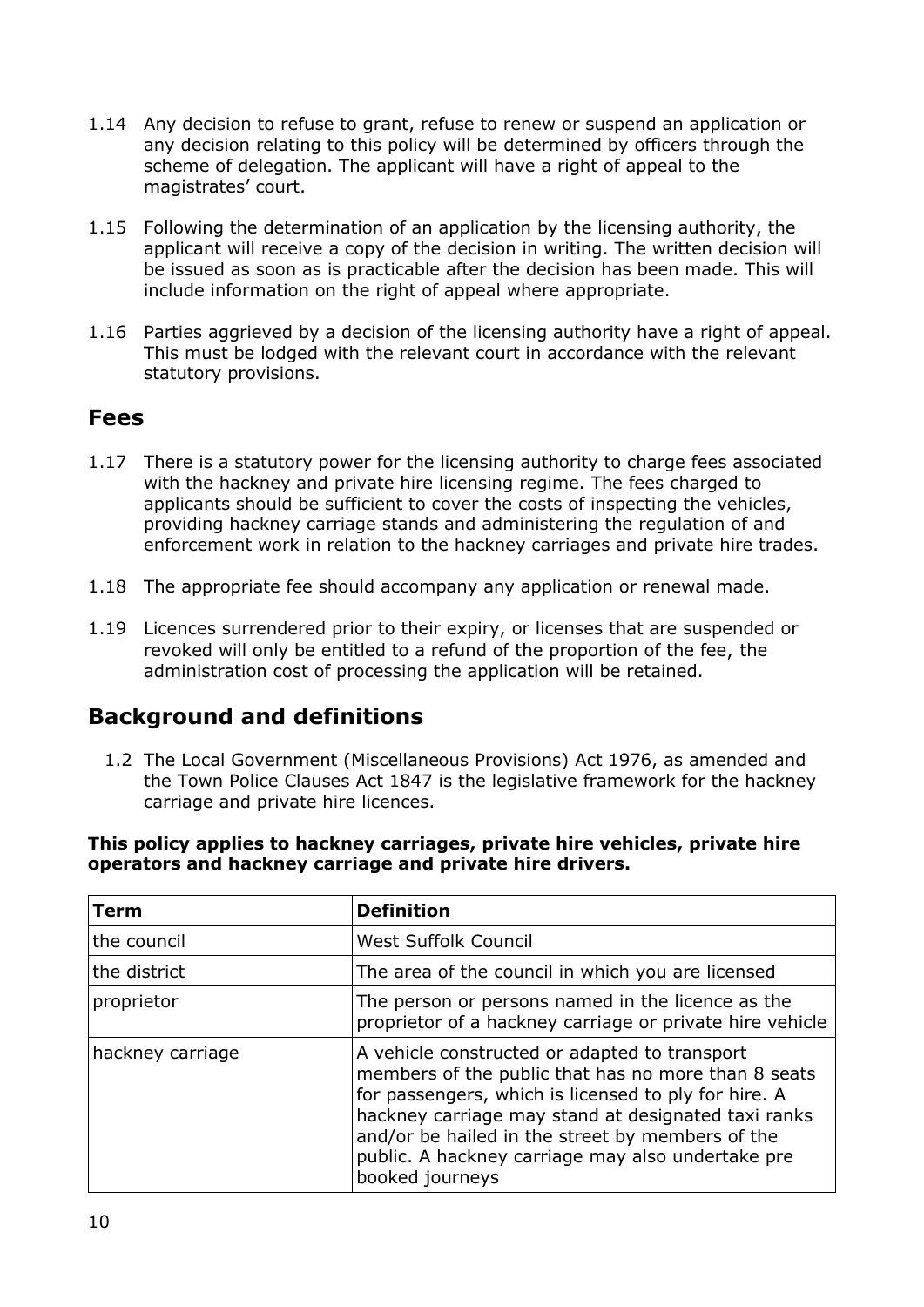- 1.14 Any decision to refuse to grant, refuse to renew or suspend an application or any decision relating to this policy will be determined by officers through the scheme of delegation. The applicant will have a right of appeal to the magistrates' court.
- 1.15 Following the determination of an application by the licensing authority, the applicant will receive a copy of the decision in writing. The written decision will be issued as soon as is practicable after the decision has been made. This will include information on the right of appeal where appropriate.
- 1.16 Parties aggrieved by a decision of the licensing authority have a right of appeal. This must be lodged with the relevant court in accordance with the relevant statutory provisions.

### <span id="page-9-0"></span>**Fees**

- 1.17 There is a statutory power for the licensing authority to charge fees associated with the hackney and private hire licensing regime. The fees charged to applicants should be sufficient to cover the costs of inspecting the vehicles, providing hackney carriage stands and administering the regulation of and enforcement work in relation to the hackney carriages and private hire trades.
- 1.18 The appropriate fee should accompany any application or renewal made.
- 1.19 Licences surrendered prior to their expiry, or licenses that are suspended or revoked will only be entitled to a refund of the proportion of the fee, the administration cost of processing the application will be retained.

# <span id="page-9-1"></span>**Background and definitions**

1.2 The Local Government (Miscellaneous Provisions) Act 1976, as amended and the Town Police Clauses Act 1847 is the legislative framework for the hackney carriage and private hire licences.

#### **This policy applies to hackney carriages, private hire vehicles, private hire operators and hackney carriage and private hire drivers.**

| Term             | <b>Definition</b>                                                                                                                                                                                                                                                                                                                               |
|------------------|-------------------------------------------------------------------------------------------------------------------------------------------------------------------------------------------------------------------------------------------------------------------------------------------------------------------------------------------------|
| the council      | <b>West Suffolk Council</b>                                                                                                                                                                                                                                                                                                                     |
| the district     | The area of the council in which you are licensed                                                                                                                                                                                                                                                                                               |
| proprietor       | The person or persons named in the licence as the<br>proprietor of a hackney carriage or private hire vehicle                                                                                                                                                                                                                                   |
| hackney carriage | A vehicle constructed or adapted to transport<br>members of the public that has no more than 8 seats<br>for passengers, which is licensed to ply for hire. A<br>hackney carriage may stand at designated taxi ranks<br>and/or be hailed in the street by members of the<br>public. A hackney carriage may also undertake pre<br>booked journeys |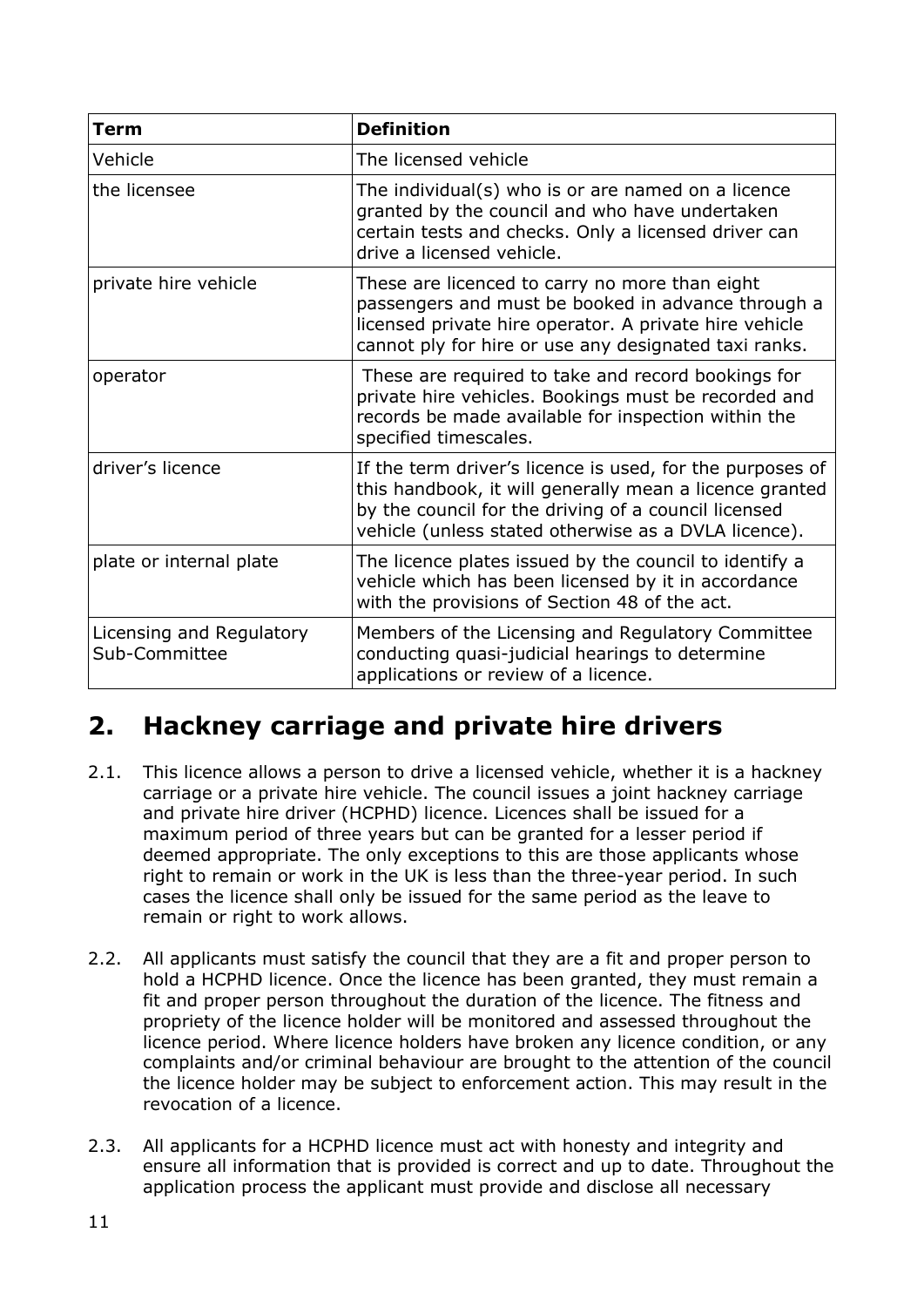| Term                                      | <b>Definition</b>                                                                                                                                                                                                                    |
|-------------------------------------------|--------------------------------------------------------------------------------------------------------------------------------------------------------------------------------------------------------------------------------------|
| Vehicle                                   | The licensed vehicle                                                                                                                                                                                                                 |
| the licensee                              | The individual(s) who is or are named on a licence<br>granted by the council and who have undertaken<br>certain tests and checks. Only a licensed driver can<br>drive a licensed vehicle.                                            |
| private hire vehicle                      | These are licenced to carry no more than eight<br>passengers and must be booked in advance through a<br>licensed private hire operator. A private hire vehicle<br>cannot ply for hire or use any designated taxi ranks.              |
| operator                                  | These are required to take and record bookings for<br>private hire vehicles. Bookings must be recorded and<br>records be made available for inspection within the<br>specified timescales.                                           |
| driver's licence                          | If the term driver's licence is used, for the purposes of<br>this handbook, it will generally mean a licence granted<br>by the council for the driving of a council licensed<br>vehicle (unless stated otherwise as a DVLA licence). |
| plate or internal plate                   | The licence plates issued by the council to identify a<br>vehicle which has been licensed by it in accordance<br>with the provisions of Section 48 of the act.                                                                       |
| Licensing and Regulatory<br>Sub-Committee | Members of the Licensing and Regulatory Committee<br>conducting quasi-judicial hearings to determine<br>applications or review of a licence.                                                                                         |

# <span id="page-10-0"></span>**2. Hackney carriage and private hire drivers**

- 2.1. This licence allows a person to drive a licensed vehicle, whether it is a hackney carriage or a private hire vehicle. The council issues a joint hackney carriage and private hire driver (HCPHD) licence. Licences shall be issued for a maximum period of three years but can be granted for a lesser period if deemed appropriate. The only exceptions to this are those applicants whose right to remain or work in the UK is less than the three-year period. In such cases the licence shall only be issued for the same period as the leave to remain or right to work allows.
- 2.2. All applicants must satisfy the council that they are a fit and proper person to hold a HCPHD licence. Once the licence has been granted, they must remain a fit and proper person throughout the duration of the licence. The fitness and propriety of the licence holder will be monitored and assessed throughout the licence period. Where licence holders have broken any licence condition, or any complaints and/or criminal behaviour are brought to the attention of the council the licence holder may be subject to enforcement action. This may result in the revocation of a licence.
- 2.3. All applicants for a HCPHD licence must act with honesty and integrity and ensure all information that is provided is correct and up to date. Throughout the application process the applicant must provide and disclose all necessary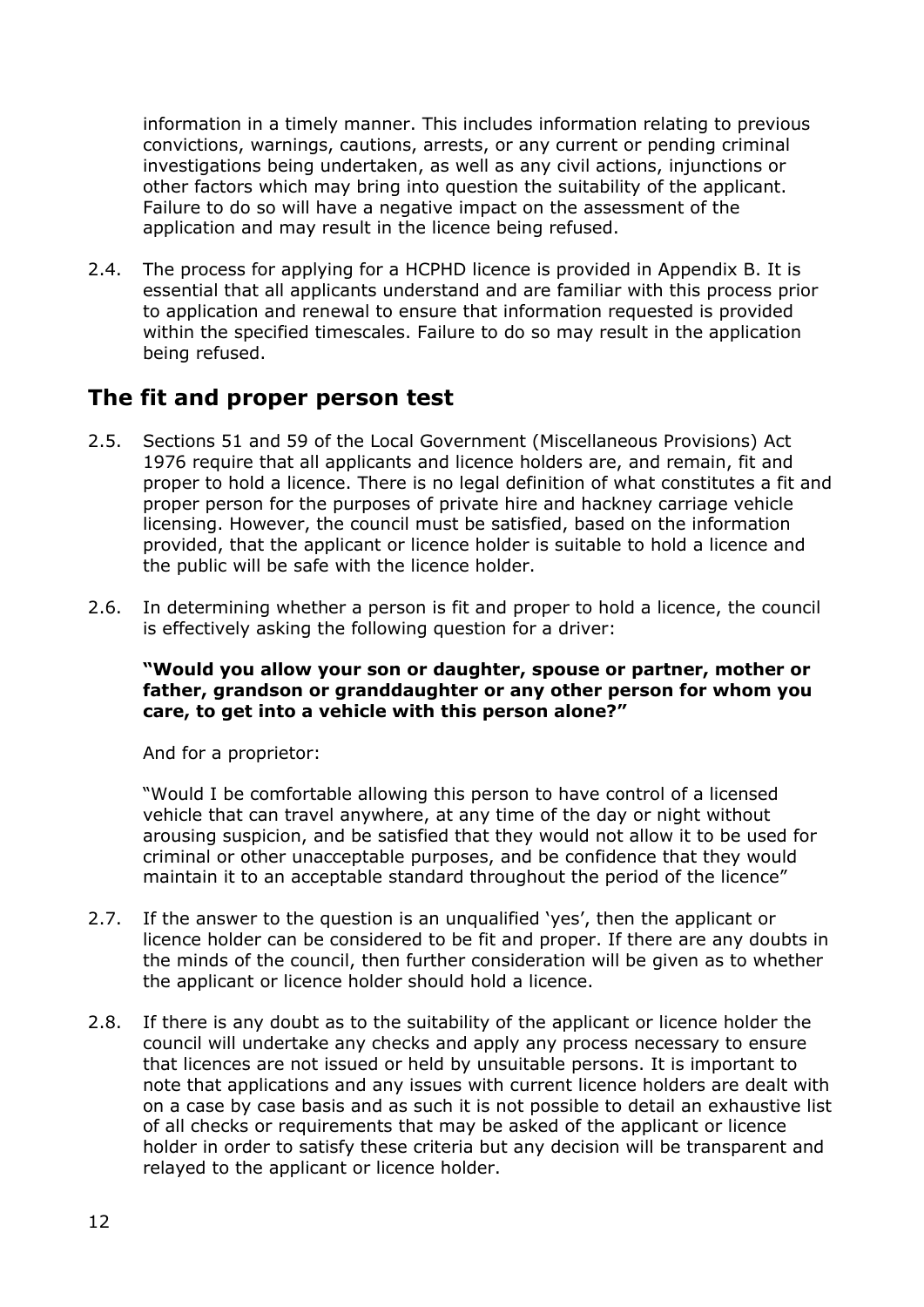information in a timely manner. This includes information relating to previous convictions, warnings, cautions, arrests, or any current or pending criminal investigations being undertaken, as well as any civil actions, injunctions or other factors which may bring into question the suitability of the applicant. Failure to do so will have a negative impact on the assessment of the application and may result in the licence being refused.

2.4. The process for applying for a HCPHD licence is provided in Appendix B. It is essential that all applicants understand and are familiar with this process prior to application and renewal to ensure that information requested is provided within the specified timescales. Failure to do so may result in the application being refused.

# <span id="page-11-0"></span>**The fit and proper person test**

- 2.5. Sections 51 and 59 of the Local Government (Miscellaneous Provisions) Act 1976 require that all applicants and licence holders are, and remain, fit and proper to hold a licence. There is no legal definition of what constitutes a fit and proper person for the purposes of private hire and hackney carriage vehicle licensing. However, the council must be satisfied, based on the information provided, that the applicant or licence holder is suitable to hold a licence and the public will be safe with the licence holder.
- 2.6. In determining whether a person is fit and proper to hold a licence, the council is effectively asking the following question for a driver:

#### **"Would you allow your son or daughter, spouse or partner, mother or father, grandson or granddaughter or any other person for whom you care, to get into a vehicle with this person alone?"**

And for a proprietor:

"Would I be comfortable allowing this person to have control of a licensed vehicle that can travel anywhere, at any time of the day or night without arousing suspicion, and be satisfied that they would not allow it to be used for criminal or other unacceptable purposes, and be confidence that they would maintain it to an acceptable standard throughout the period of the licence"

- 2.7. If the answer to the question is an unqualified 'yes', then the applicant or licence holder can be considered to be fit and proper. If there are any doubts in the minds of the council, then further consideration will be given as to whether the applicant or licence holder should hold a licence.
- 2.8. If there is any doubt as to the suitability of the applicant or licence holder the council will undertake any checks and apply any process necessary to ensure that licences are not issued or held by unsuitable persons. It is important to note that applications and any issues with current licence holders are dealt with on a case by case basis and as such it is not possible to detail an exhaustive list of all checks or requirements that may be asked of the applicant or licence holder in order to satisfy these criteria but any decision will be transparent and relayed to the applicant or licence holder.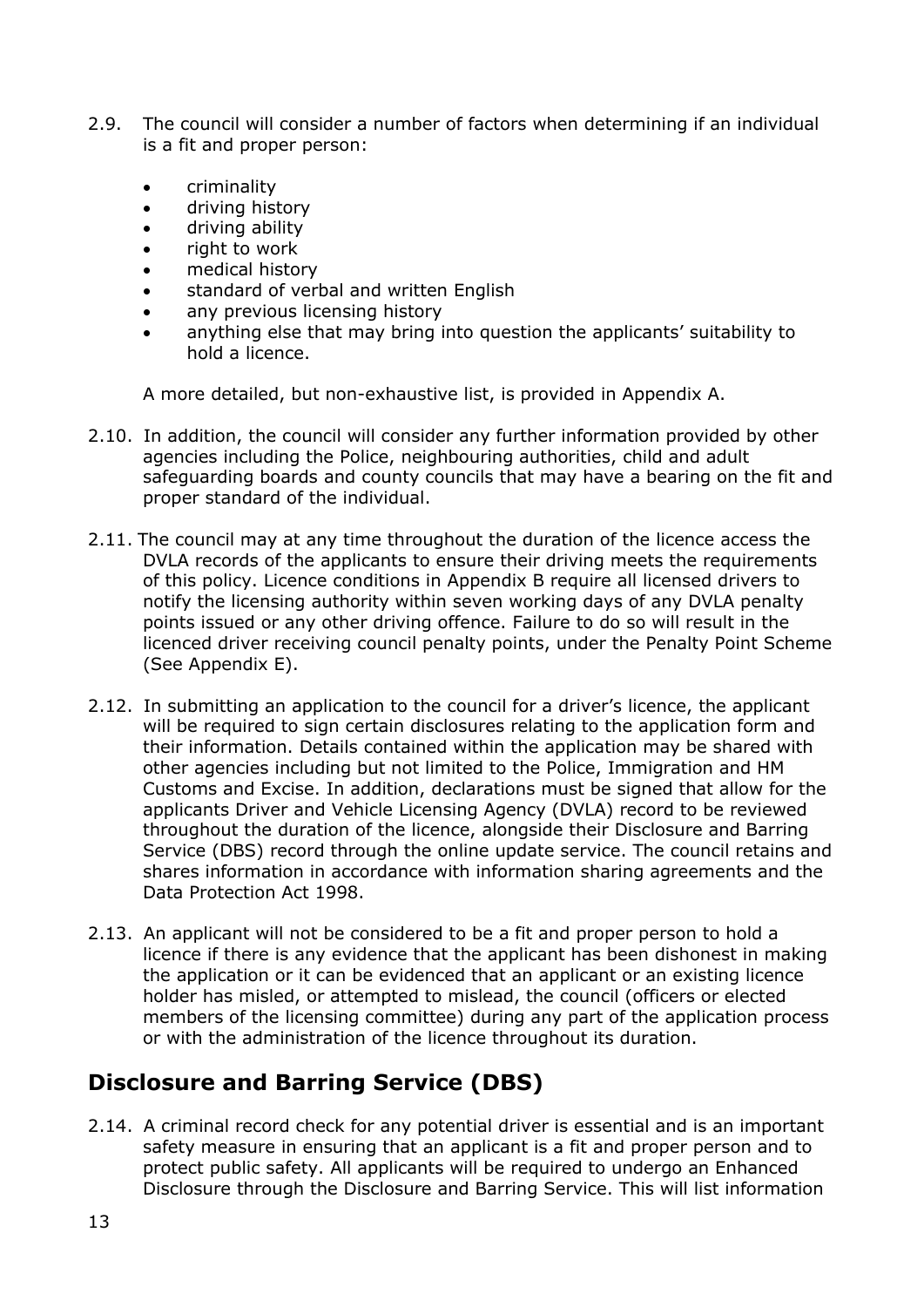- 2.9. The council will consider a number of factors when determining if an individual is a fit and proper person:
	- criminality
	- driving history
	- driving ability
	- right to work
	- medical history
	- standard of verbal and written English
	- any previous licensing history
	- anything else that may bring into question the applicants' suitability to hold a licence.

A more detailed, but non-exhaustive list, is provided in Appendix A.

- 2.10. In addition, the council will consider any further information provided by other agencies including the Police, neighbouring authorities, child and adult safeguarding boards and county councils that may have a bearing on the fit and proper standard of the individual.
- 2.11. The council may at any time throughout the duration of the licence access the DVLA records of the applicants to ensure their driving meets the requirements of this policy. Licence conditions in Appendix B require all licensed drivers to notify the licensing authority within seven working days of any DVLA penalty points issued or any other driving offence. Failure to do so will result in the licenced driver receiving council penalty points, under the Penalty Point Scheme (See Appendix E).
- 2.12. In submitting an application to the council for a driver's licence, the applicant will be required to sign certain disclosures relating to the application form and their information. Details contained within the application may be shared with other agencies including but not limited to the Police, Immigration and HM Customs and Excise. In addition, declarations must be signed that allow for the applicants Driver and Vehicle Licensing Agency (DVLA) record to be reviewed throughout the duration of the licence, alongside their Disclosure and Barring Service (DBS) record through the online update service. The council retains and shares information in accordance with information sharing agreements and the Data Protection Act 1998.
- 2.13. An applicant will not be considered to be a fit and proper person to hold a licence if there is any evidence that the applicant has been dishonest in making the application or it can be evidenced that an applicant or an existing licence holder has misled, or attempted to mislead, the council (officers or elected members of the licensing committee) during any part of the application process or with the administration of the licence throughout its duration.

# <span id="page-12-0"></span>**Disclosure and Barring Service (DBS)**

2.14. A criminal record check for any potential driver is essential and is an important safety measure in ensuring that an applicant is a fit and proper person and to protect public safety. All applicants will be required to undergo an Enhanced Disclosure through the Disclosure and Barring Service. This will list information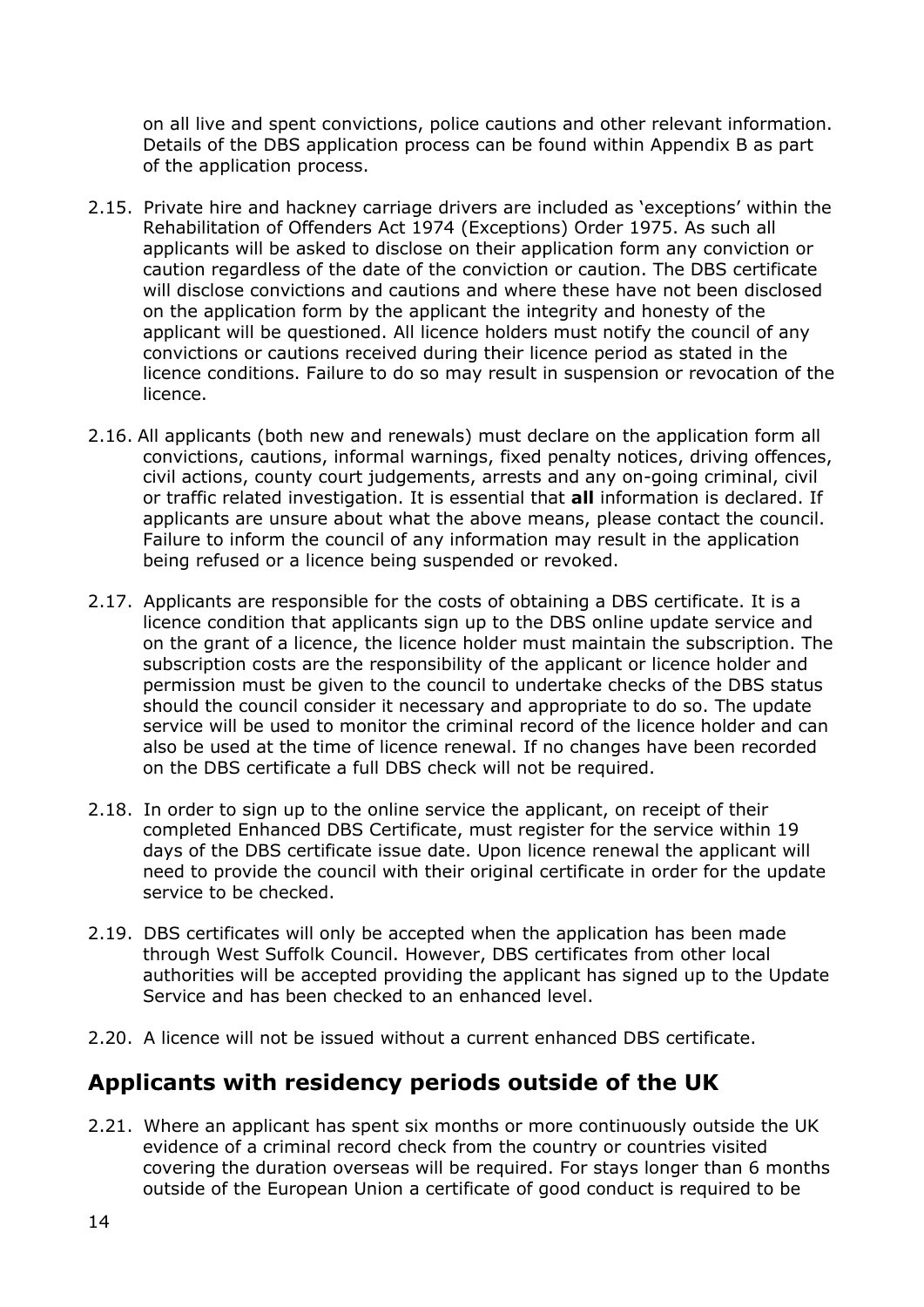on all live and spent convictions, police cautions and other relevant information. Details of the DBS application process can be found within Appendix B as part of the application process.

- 2.15. Private hire and hackney carriage drivers are included as 'exceptions' within the Rehabilitation of Offenders Act 1974 (Exceptions) Order 1975. As such all applicants will be asked to disclose on their application form any conviction or caution regardless of the date of the conviction or caution. The DBS certificate will disclose convictions and cautions and where these have not been disclosed on the application form by the applicant the integrity and honesty of the applicant will be questioned. All licence holders must notify the council of any convictions or cautions received during their licence period as stated in the licence conditions. Failure to do so may result in suspension or revocation of the licence.
- 2.16. All applicants (both new and renewals) must declare on the application form all convictions, cautions, informal warnings, fixed penalty notices, driving offences, civil actions, county court judgements, arrests and any on-going criminal, civil or traffic related investigation. It is essential that **all** information is declared. If applicants are unsure about what the above means, please contact the council. Failure to inform the council of any information may result in the application being refused or a licence being suspended or revoked.
- 2.17. Applicants are responsible for the costs of obtaining a DBS certificate. It is a licence condition that applicants sign up to the DBS online update service and on the grant of a licence, the licence holder must maintain the subscription. The subscription costs are the responsibility of the applicant or licence holder and permission must be given to the council to undertake checks of the DBS status should the council consider it necessary and appropriate to do so. The update service will be used to monitor the criminal record of the licence holder and can also be used at the time of licence renewal. If no changes have been recorded on the DBS certificate a full DBS check will not be required.
- 2.18. In order to sign up to the online service the applicant, on receipt of their completed Enhanced DBS Certificate, must register for the service within 19 days of the DBS certificate issue date. Upon licence renewal the applicant will need to provide the council with their original certificate in order for the update service to be checked.
- 2.19. DBS certificates will only be accepted when the application has been made through West Suffolk Council. However, DBS certificates from other local authorities will be accepted providing the applicant has signed up to the Update Service and has been checked to an enhanced level.
- 2.20. A licence will not be issued without a current enhanced DBS certificate.

# <span id="page-13-0"></span>**Applicants with residency periods outside of the UK**

2.21. Where an applicant has spent six months or more continuously outside the UK evidence of a criminal record check from the country or countries visited covering the duration overseas will be required. For stays longer than 6 months outside of the European Union a certificate of good conduct is required to be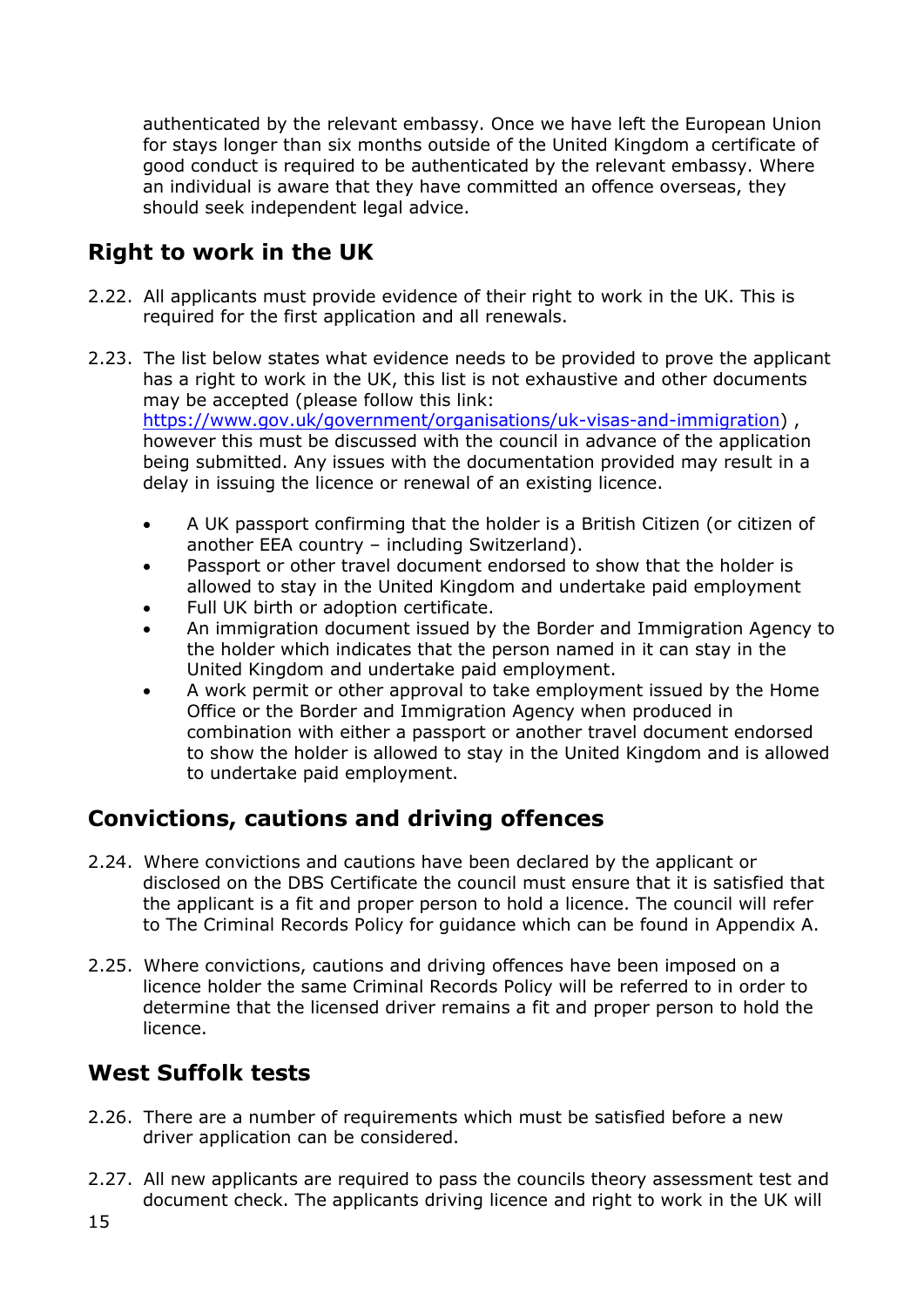authenticated by the relevant embassy. Once we have left the European Union for stays longer than six months outside of the United Kingdom a certificate of good conduct is required to be authenticated by the relevant embassy. Where an individual is aware that they have committed an offence overseas, they should seek independent legal advice.

# <span id="page-14-0"></span>**Right to work in the UK**

- 2.22. All applicants must provide evidence of their right to work in the UK. This is required for the first application and all renewals.
- 2.23. The list below states what evidence needs to be provided to prove the applicant has a right to work in the UK, this list is not exhaustive and other documents may be accepted (please follow this link: [https://www.gov.uk/government/organisations/uk-visas-and-immigration\)](https://www.gov.uk/government/organisations/uk-visas-and-immigration), however this must be discussed with the council in advance of the application being submitted. Any issues with the documentation provided may result in a delay in issuing the licence or renewal of an existing licence.
	- A UK passport confirming that the holder is a British Citizen (or citizen of another EEA country – including Switzerland).
	- Passport or other travel document endorsed to show that the holder is allowed to stay in the United Kingdom and undertake paid employment
	- Full UK birth or adoption certificate.
	- An immigration document issued by the Border and Immigration Agency to the holder which indicates that the person named in it can stay in the United Kingdom and undertake paid employment.
	- A work permit or other approval to take employment issued by the Home Office or the Border and Immigration Agency when produced in combination with either a passport or another travel document endorsed to show the holder is allowed to stay in the United Kingdom and is allowed to undertake paid employment.

# <span id="page-14-1"></span>**Convictions, cautions and driving offences**

- 2.24. Where convictions and cautions have been declared by the applicant or disclosed on the DBS Certificate the council must ensure that it is satisfied that the applicant is a fit and proper person to hold a licence. The council will refer to The Criminal Records Policy for guidance which can be found in Appendix A.
- 2.25. Where convictions, cautions and driving offences have been imposed on a licence holder the same Criminal Records Policy will be referred to in order to determine that the licensed driver remains a fit and proper person to hold the licence.

# <span id="page-14-2"></span>**West Suffolk tests**

- 2.26. There are a number of requirements which must be satisfied before a new driver application can be considered.
- 2.27. All new applicants are required to pass the councils theory assessment test and document check. The applicants driving licence and right to work in the UK will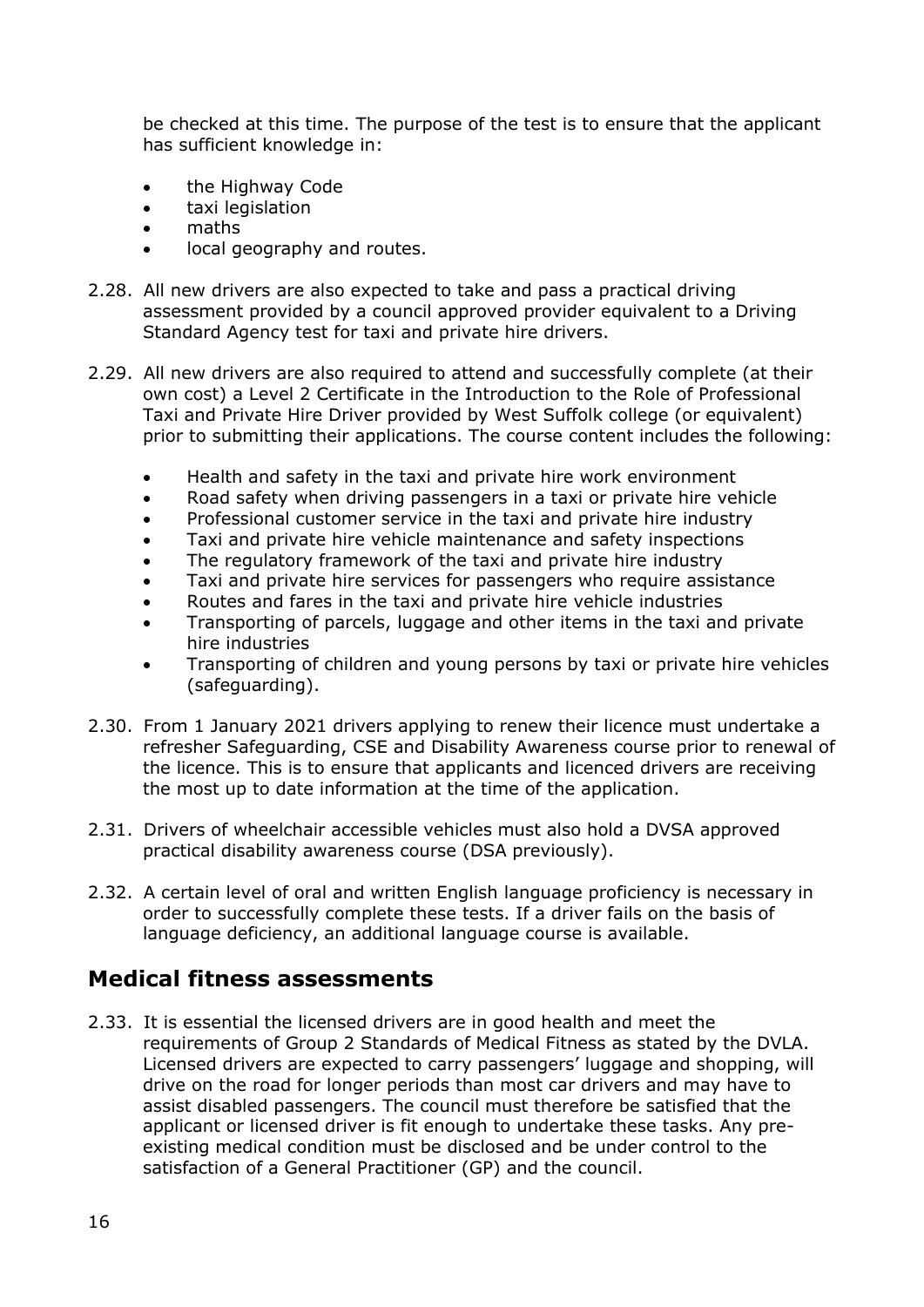be checked at this time. The purpose of the test is to ensure that the applicant has sufficient knowledge in:

- the Highway Code
- taxi legislation
- maths
- local geography and routes.
- 2.28. All new drivers are also expected to take and pass a practical driving assessment provided by a council approved provider equivalent to a Driving Standard Agency test for taxi and private hire drivers.
- 2.29. All new drivers are also required to attend and successfully complete (at their own cost) a Level 2 Certificate in the Introduction to the Role of Professional Taxi and Private Hire Driver provided by West Suffolk college (or equivalent) prior to submitting their applications. The course content includes the following:
	- Health and safety in the taxi and private hire work environment
	- Road safety when driving passengers in a taxi or private hire vehicle
	- Professional customer service in the taxi and private hire industry
	- Taxi and private hire vehicle maintenance and safety inspections
	- The regulatory framework of the taxi and private hire industry
	- Taxi and private hire services for passengers who require assistance
	- Routes and fares in the taxi and private hire vehicle industries
	- Transporting of parcels, luggage and other items in the taxi and private hire industries
	- Transporting of children and young persons by taxi or private hire vehicles (safeguarding).
- 2.30. From 1 January 2021 drivers applying to renew their licence must undertake a refresher Safeguarding, CSE and Disability Awareness course prior to renewal of the licence. This is to ensure that applicants and licenced drivers are receiving the most up to date information at the time of the application.
- 2.31. Drivers of wheelchair accessible vehicles must also hold a DVSA approved practical disability awareness course (DSA previously).
- 2.32. A certain level of oral and written English language proficiency is necessary in order to successfully complete these tests. If a driver fails on the basis of language deficiency, an additional language course is available.

# <span id="page-15-0"></span>**Medical fitness assessments**

2.33. It is essential the licensed drivers are in good health and meet the requirements of Group 2 Standards of Medical Fitness as stated by the DVLA. Licensed drivers are expected to carry passengers' luggage and shopping, will drive on the road for longer periods than most car drivers and may have to assist disabled passengers. The council must therefore be satisfied that the applicant or licensed driver is fit enough to undertake these tasks. Any preexisting medical condition must be disclosed and be under control to the satisfaction of a General Practitioner (GP) and the council.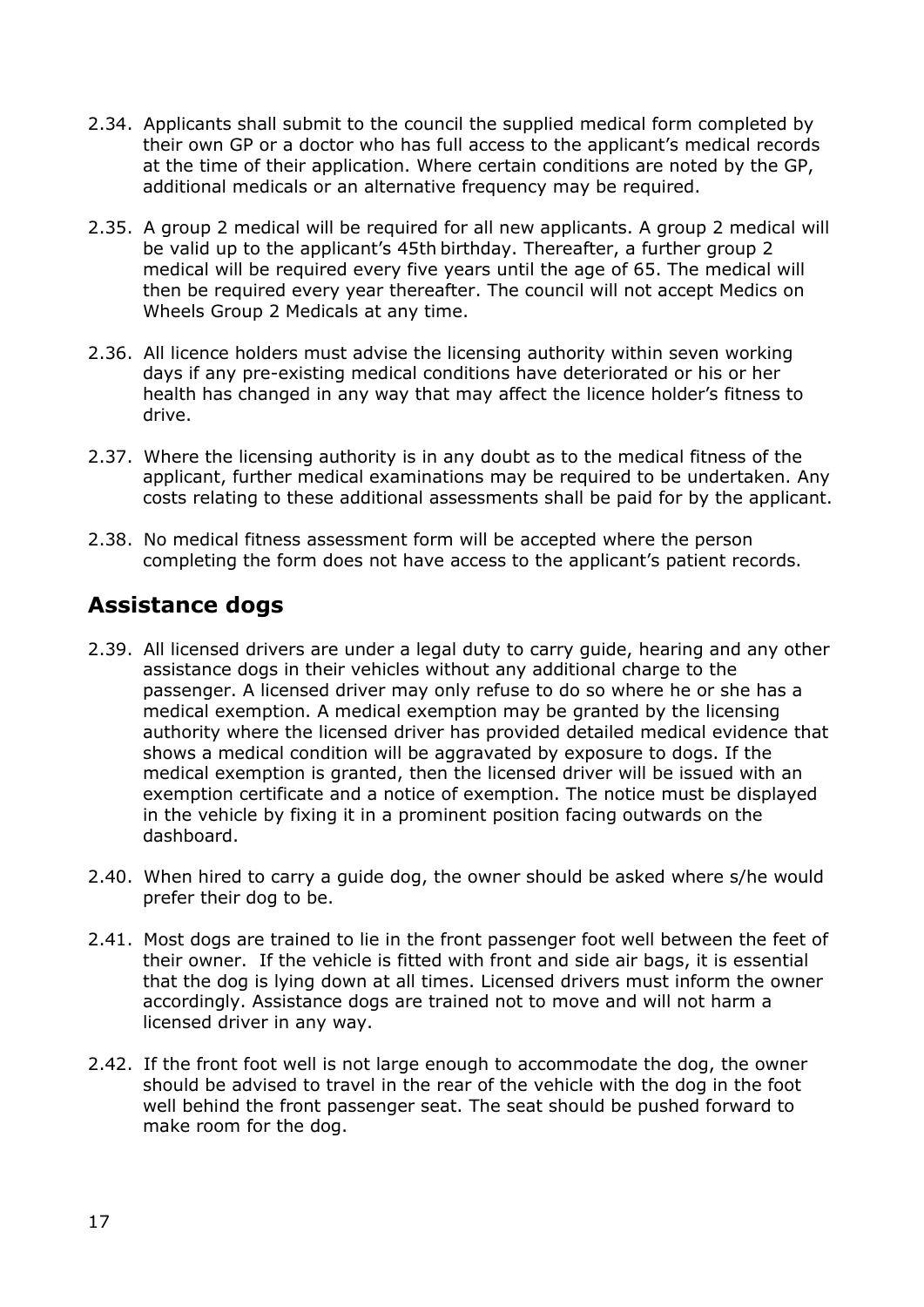- 2.34. Applicants shall submit to the council the supplied medical form completed by their own GP or a doctor who has full access to the applicant's medical records at the time of their application. Where certain conditions are noted by the GP, additional medicals or an alternative frequency may be required.
- 2.35. A group 2 medical will be required for all new applicants. A group 2 medical will be valid up to the applicant's 45th birthday. Thereafter, a further group 2 medical will be required every five years until the age of 65. The medical will then be required every year thereafter. The council will not accept Medics on Wheels Group 2 Medicals at any time.
- 2.36. All licence holders must advise the licensing authority within seven working days if any pre-existing medical conditions have deteriorated or his or her health has changed in any way that may affect the licence holder's fitness to drive.
- 2.37. Where the licensing authority is in any doubt as to the medical fitness of the applicant, further medical examinations may be required to be undertaken. Any costs relating to these additional assessments shall be paid for by the applicant.
- 2.38. No medical fitness assessment form will be accepted where the person completing the form does not have access to the applicant's patient records.

# <span id="page-16-0"></span>**Assistance dogs**

- 2.39. All licensed drivers are under a legal duty to carry guide, hearing and any other assistance dogs in their vehicles without any additional charge to the passenger. A licensed driver may only refuse to do so where he or she has a medical exemption. A medical exemption may be granted by the licensing authority where the licensed driver has provided detailed medical evidence that shows a medical condition will be aggravated by exposure to dogs. If the medical exemption is granted, then the licensed driver will be issued with an exemption certificate and a notice of exemption. The notice must be displayed in the vehicle by fixing it in a prominent position facing outwards on the dashboard.
- 2.40. When hired to carry a guide dog, the owner should be asked where s/he would prefer their dog to be.
- 2.41. Most dogs are trained to lie in the front passenger foot well between the feet of their owner. If the vehicle is fitted with front and side air bags, it is essential that the dog is lying down at all times. Licensed drivers must inform the owner accordingly. Assistance dogs are trained not to move and will not harm a licensed driver in any way.
- 2.42. If the front foot well is not large enough to accommodate the dog, the owner should be advised to travel in the rear of the vehicle with the dog in the foot well behind the front passenger seat. The seat should be pushed forward to make room for the dog.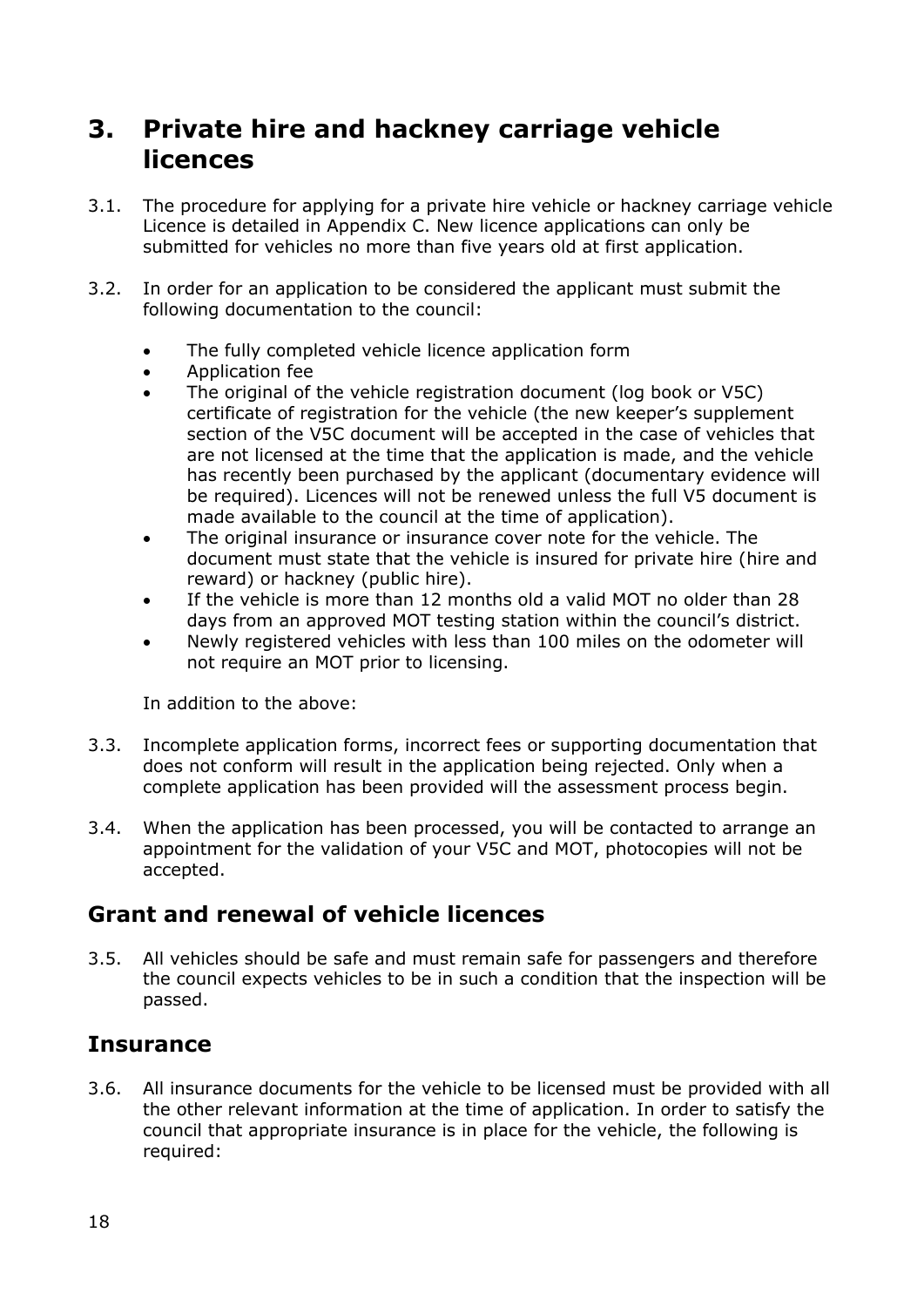# <span id="page-17-0"></span>**3. Private hire and hackney carriage vehicle licences**

- 3.1. The procedure for applying for a private hire vehicle or hackney carriage vehicle Licence is detailed in Appendix C. New licence applications can only be submitted for vehicles no more than five years old at first application.
- 3.2. In order for an application to be considered the applicant must submit the following documentation to the council:
	- The fully completed vehicle licence application form
	- Application fee
	- The original of the vehicle registration document (log book or V5C) certificate of registration for the vehicle (the new keeper's supplement section of the V5C document will be accepted in the case of vehicles that are not licensed at the time that the application is made, and the vehicle has recently been purchased by the applicant (documentary evidence will be required). Licences will not be renewed unless the full V5 document is made available to the council at the time of application).
	- The original insurance or insurance cover note for the vehicle. The document must state that the vehicle is insured for private hire (hire and reward) or hackney (public hire).
	- If the vehicle is more than 12 months old a valid MOT no older than 28 days from an approved MOT testing station within the council's district.
	- Newly registered vehicles with less than 100 miles on the odometer will not require an MOT prior to licensing.

In addition to the above:

- 3.3. Incomplete application forms, incorrect fees or supporting documentation that does not conform will result in the application being rejected. Only when a complete application has been provided will the assessment process begin.
- 3.4. When the application has been processed, you will be contacted to arrange an appointment for the validation of your V5C and MOT, photocopies will not be accepted.

# <span id="page-17-1"></span>**Grant and renewal of vehicle licences**

3.5. All vehicles should be safe and must remain safe for passengers and therefore the council expects vehicles to be in such a condition that the inspection will be passed.

### <span id="page-17-2"></span>**Insurance**

3.6. All insurance documents for the vehicle to be licensed must be provided with all the other relevant information at the time of application. In order to satisfy the council that appropriate insurance is in place for the vehicle, the following is required: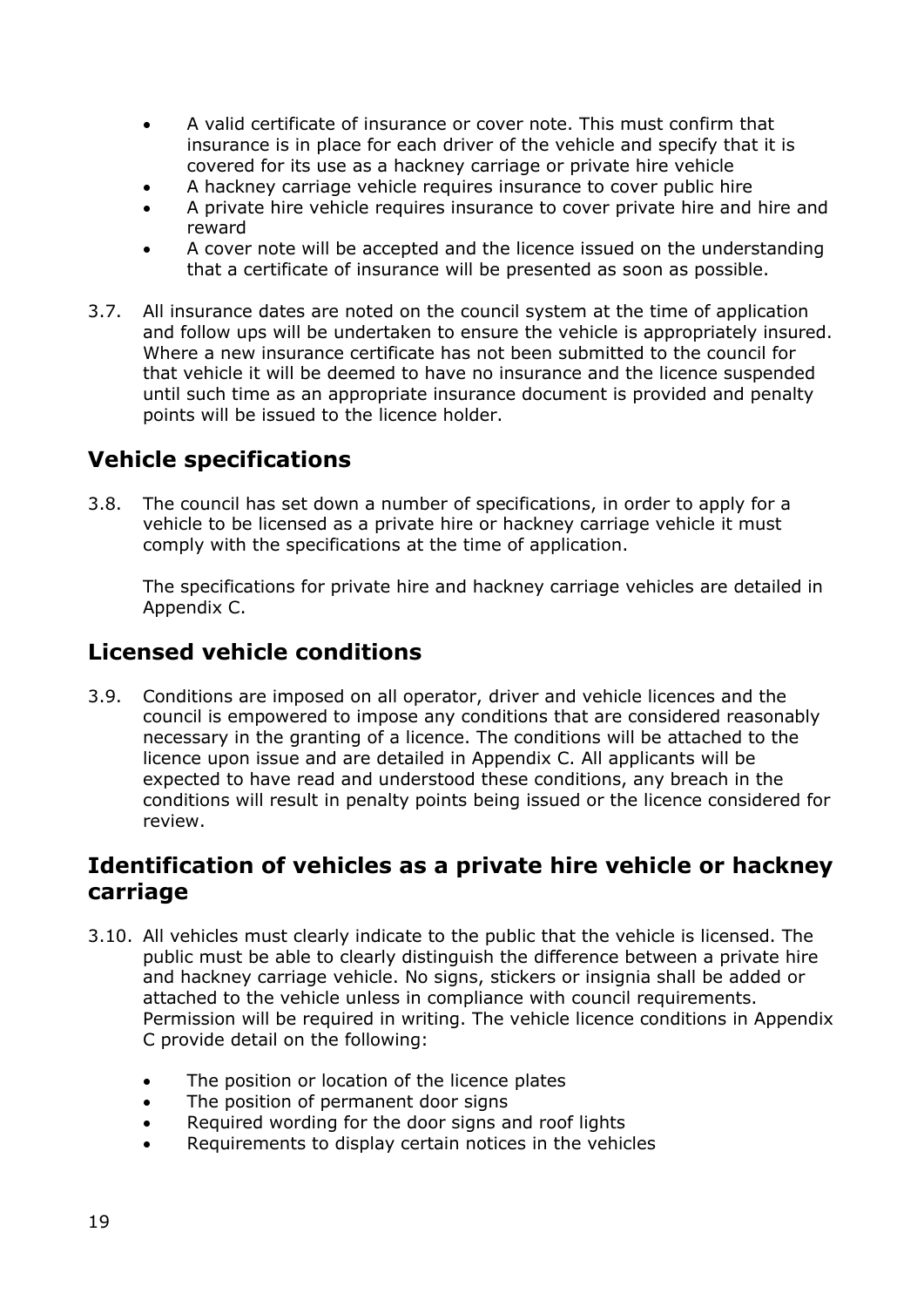- A valid certificate of insurance or cover note. This must confirm that insurance is in place for each driver of the vehicle and specify that it is covered for its use as a hackney carriage or private hire vehicle
- A hackney carriage vehicle requires insurance to cover public hire
- A private hire vehicle requires insurance to cover private hire and hire and reward
- A cover note will be accepted and the licence issued on the understanding that a certificate of insurance will be presented as soon as possible.
- 3.7. All insurance dates are noted on the council system at the time of application and follow ups will be undertaken to ensure the vehicle is appropriately insured. Where a new insurance certificate has not been submitted to the council for that vehicle it will be deemed to have no insurance and the licence suspended until such time as an appropriate insurance document is provided and penalty points will be issued to the licence holder.

# <span id="page-18-0"></span>**Vehicle specifications**

3.8. The council has set down a number of specifications, in order to apply for a vehicle to be licensed as a private hire or hackney carriage vehicle it must comply with the specifications at the time of application.

The specifications for private hire and hackney carriage vehicles are detailed in Appendix C.

# <span id="page-18-1"></span>**Licensed vehicle conditions**

3.9. Conditions are imposed on all operator, driver and vehicle licences and the council is empowered to impose any conditions that are considered reasonably necessary in the granting of a licence. The conditions will be attached to the licence upon issue and are detailed in Appendix C. All applicants will be expected to have read and understood these conditions, any breach in the conditions will result in penalty points being issued or the licence considered for review.

### <span id="page-18-2"></span>**Identification of vehicles as a private hire vehicle or hackney carriage**

- 3.10. All vehicles must clearly indicate to the public that the vehicle is licensed. The public must be able to clearly distinguish the difference between a private hire and hackney carriage vehicle. No signs, stickers or insignia shall be added or attached to the vehicle unless in compliance with council requirements. Permission will be required in writing. The vehicle licence conditions in Appendix C provide detail on the following:
	- The position or location of the licence plates
	- The position of permanent door signs
	- Required wording for the door signs and roof lights
	- Requirements to display certain notices in the vehicles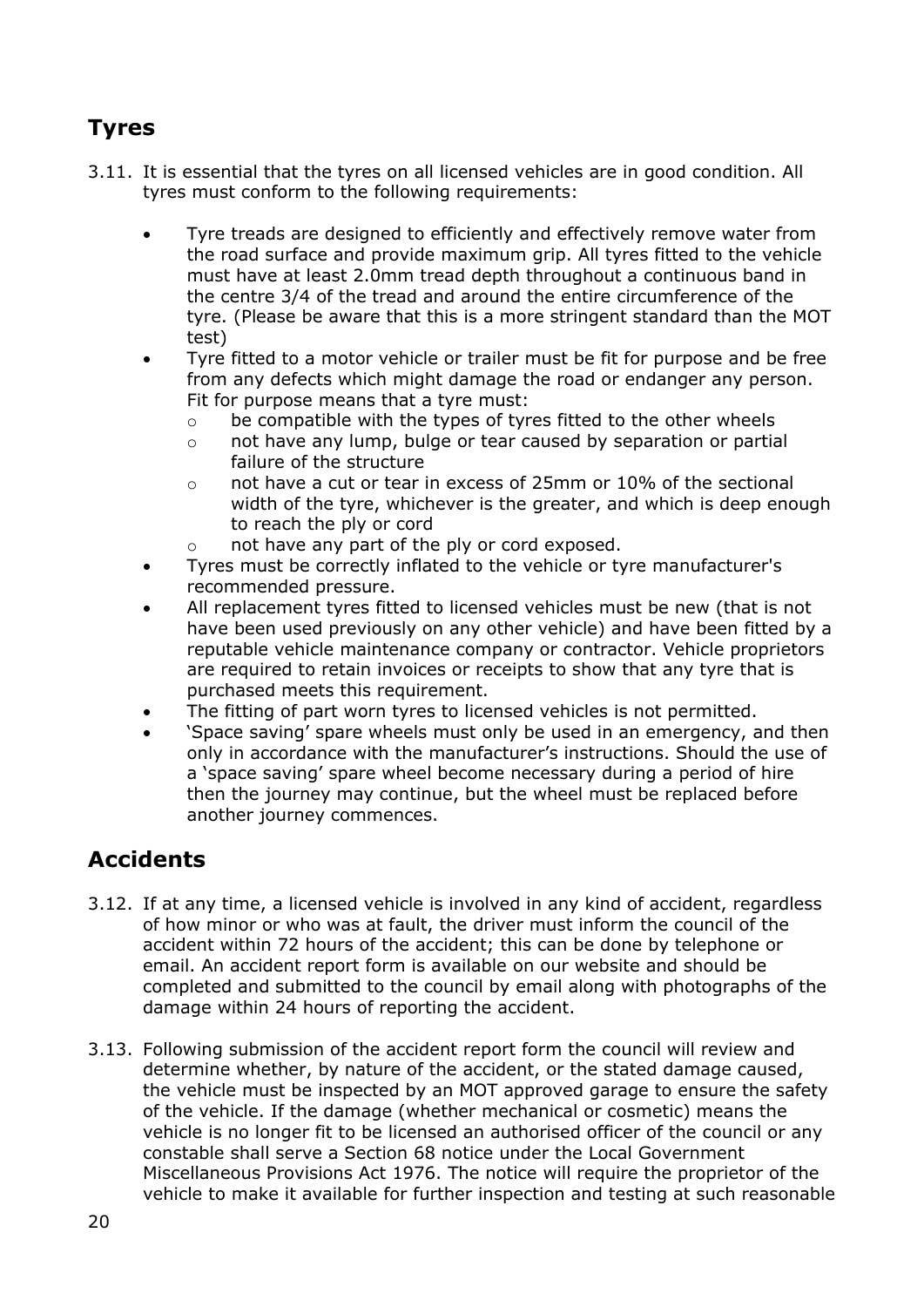# <span id="page-19-0"></span>**Tyres**

- 3.11. It is essential that the tyres on all licensed vehicles are in good condition. All tyres must conform to the following requirements:
	- Tyre treads are designed to efficiently and effectively remove water from the road surface and provide maximum grip. All tyres fitted to the vehicle must have at least 2.0mm tread depth throughout a continuous band in the centre 3/4 of the tread and around the entire circumference of the tyre. (Please be aware that this is a more stringent standard than the MOT test)
	- Tyre fitted to a motor vehicle or trailer must be fit for purpose and be free from any defects which might damage the road or endanger any person. Fit for purpose means that a tyre must:
		- o be compatible with the types of tyres fitted to the other wheels
		- o not have any lump, bulge or tear caused by separation or partial failure of the structure
		- $\circ$  not have a cut or tear in excess of 25mm or 10% of the sectional width of the tyre, whichever is the greater, and which is deep enough to reach the ply or cord
		- o not have any part of the ply or cord exposed.
	- Tyres must be correctly inflated to the vehicle or tyre manufacturer's recommended pressure.
	- All replacement tyres fitted to licensed vehicles must be new (that is not have been used previously on any other vehicle) and have been fitted by a reputable vehicle maintenance company or contractor. Vehicle proprietors are required to retain invoices or receipts to show that any tyre that is purchased meets this requirement.
	- The fitting of part worn tyres to licensed vehicles is not permitted.
	- 'Space saving' spare wheels must only be used in an emergency, and then only in accordance with the manufacturer's instructions. Should the use of a 'space saving' spare wheel become necessary during a period of hire then the journey may continue, but the wheel must be replaced before another journey commences.

# <span id="page-19-1"></span>**Accidents**

- 3.12. If at any time, a licensed vehicle is involved in any kind of accident, regardless of how minor or who was at fault, the driver must inform the council of the accident within 72 hours of the accident; this can be done by telephone or email. An accident report form is available on our website and should be completed and submitted to the council by email along with photographs of the damage within 24 hours of reporting the accident.
- 3.13. Following submission of the accident report form the council will review and determine whether, by nature of the accident, or the stated damage caused, the vehicle must be inspected by an MOT approved garage to ensure the safety of the vehicle. If the damage (whether mechanical or cosmetic) means the vehicle is no longer fit to be licensed an authorised officer of the council or any constable shall serve a Section 68 notice under the Local Government Miscellaneous Provisions Act 1976. The notice will require the proprietor of the vehicle to make it available for further inspection and testing at such reasonable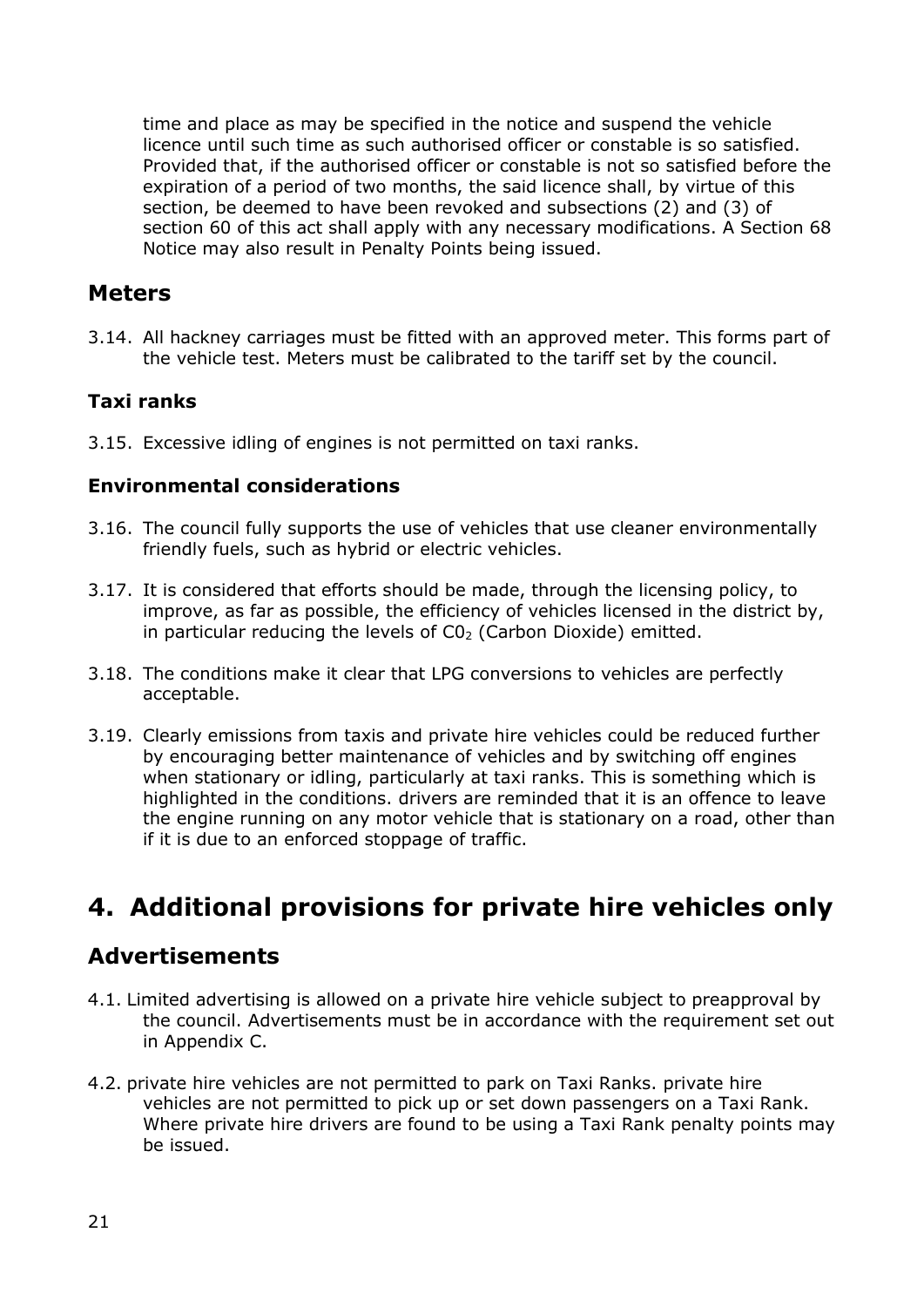time and place as may be specified in the notice and suspend the vehicle licence until such time as such authorised officer or constable is so satisfied. Provided that, if the authorised officer or constable is not so satisfied before the expiration of a period of two months, the said licence shall, by virtue of this section, be deemed to have been revoked and subsections (2) and (3) of section 60 of this act shall apply with any necessary modifications. A Section 68 Notice may also result in Penalty Points being issued.

### <span id="page-20-0"></span>**Meters**

3.14. All hackney carriages must be fitted with an approved meter. This forms part of the vehicle test. Meters must be calibrated to the tariff set by the council.

### <span id="page-20-1"></span>**Taxi ranks**

3.15. Excessive idling of engines is not permitted on taxi ranks.

#### <span id="page-20-2"></span>**Environmental considerations**

- 3.16. The council fully supports the use of vehicles that use cleaner environmentally friendly fuels, such as hybrid or electric vehicles.
- 3.17. It is considered that efforts should be made, through the licensing policy, to improve, as far as possible, the efficiency of vehicles licensed in the district by, in particular reducing the levels of  $CO<sub>2</sub>$  (Carbon Dioxide) emitted.
- 3.18. The conditions make it clear that LPG conversions to vehicles are perfectly acceptable.
- 3.19. Clearly emissions from taxis and private hire vehicles could be reduced further by encouraging better maintenance of vehicles and by switching off engines when stationary or idling, particularly at taxi ranks. This is something which is highlighted in the conditions. drivers are reminded that it is an offence to leave the engine running on any motor vehicle that is stationary on a road, other than if it is due to an enforced stoppage of traffic.

# <span id="page-20-3"></span>**4. Additional provisions for private hire vehicles only**

### <span id="page-20-4"></span>**Advertisements**

- 4.1. Limited advertising is allowed on a private hire vehicle subject to preapproval by the council. Advertisements must be in accordance with the requirement set out in Appendix C.
- 4.2. private hire vehicles are not permitted to park on Taxi Ranks. private hire vehicles are not permitted to pick up or set down passengers on a Taxi Rank. Where private hire drivers are found to be using a Taxi Rank penalty points may be issued.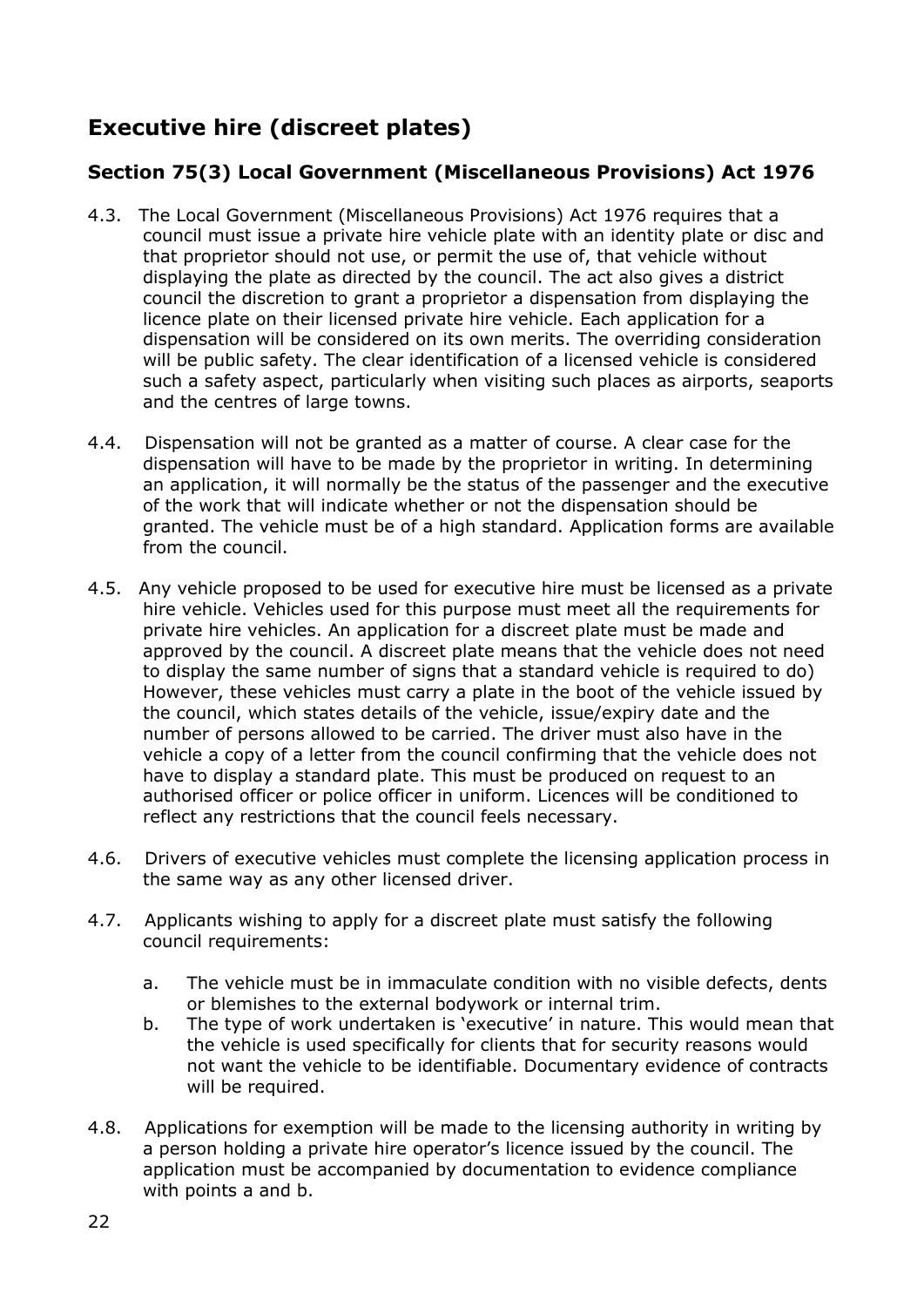# <span id="page-21-0"></span>**Executive hire (discreet plates)**

### <span id="page-21-1"></span>**Section 75(3) Local Government (Miscellaneous Provisions) Act 1976**

- 4.3. The Local Government (Miscellaneous Provisions) Act 1976 requires that a council must issue a private hire vehicle plate with an identity plate or disc and that proprietor should not use, or permit the use of, that vehicle without displaying the plate as directed by the council. The act also gives a district council the discretion to grant a proprietor a dispensation from displaying the licence plate on their licensed private hire vehicle. Each application for a dispensation will be considered on its own merits. The overriding consideration will be public safety. The clear identification of a licensed vehicle is considered such a safety aspect, particularly when visiting such places as airports, seaports and the centres of large towns.
- 4.4. Dispensation will not be granted as a matter of course. A clear case for the dispensation will have to be made by the proprietor in writing. In determining an application, it will normally be the status of the passenger and the executive of the work that will indicate whether or not the dispensation should be granted. The vehicle must be of a high standard. Application forms are available from the council.
- 4.5. Any vehicle proposed to be used for executive hire must be licensed as a private hire vehicle. Vehicles used for this purpose must meet all the requirements for private hire vehicles. An application for a discreet plate must be made and approved by the council. A discreet plate means that the vehicle does not need to display the same number of signs that a standard vehicle is required to do) However, these vehicles must carry a plate in the boot of the vehicle issued by the council, which states details of the vehicle, issue/expiry date and the number of persons allowed to be carried. The driver must also have in the vehicle a copy of a letter from the council confirming that the vehicle does not have to display a standard plate. This must be produced on request to an authorised officer or police officer in uniform. Licences will be conditioned to reflect any restrictions that the council feels necessary.
- 4.6. Drivers of executive vehicles must complete the licensing application process in the same way as any other licensed driver.
- 4.7. Applicants wishing to apply for a discreet plate must satisfy the following council requirements:
	- a. The vehicle must be in immaculate condition with no visible defects, dents or blemishes to the external bodywork or internal trim.
	- b. The type of work undertaken is 'executive' in nature. This would mean that the vehicle is used specifically for clients that for security reasons would not want the vehicle to be identifiable. Documentary evidence of contracts will be required.
- 4.8. Applications for exemption will be made to the licensing authority in writing by a person holding a private hire operator's licence issued by the council. The application must be accompanied by documentation to evidence compliance with points a and b.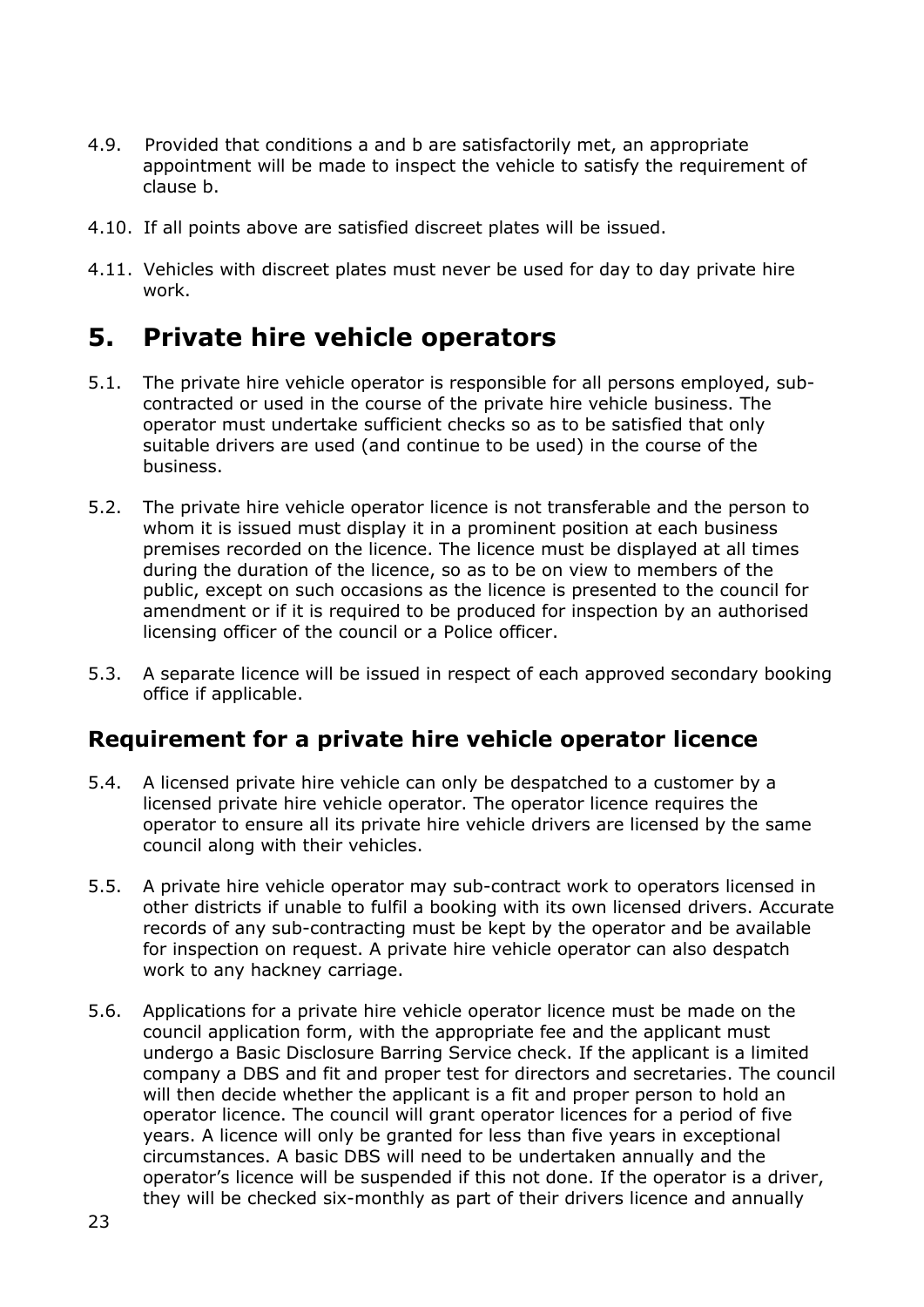- 4.9. Provided that conditions a and b are satisfactorily met, an appropriate appointment will be made to inspect the vehicle to satisfy the requirement of clause b.
- 4.10. If all points above are satisfied discreet plates will be issued.
- 4.11. Vehicles with discreet plates must never be used for day to day private hire work.

# <span id="page-22-0"></span>**5. Private hire vehicle operators**

- 5.1. The private hire vehicle operator is responsible for all persons employed, subcontracted or used in the course of the private hire vehicle business. The operator must undertake sufficient checks so as to be satisfied that only suitable drivers are used (and continue to be used) in the course of the business.
- 5.2. The private hire vehicle operator licence is not transferable and the person to whom it is issued must display it in a prominent position at each business premises recorded on the licence. The licence must be displayed at all times during the duration of the licence, so as to be on view to members of the public, except on such occasions as the licence is presented to the council for amendment or if it is required to be produced for inspection by an authorised licensing officer of the council or a Police officer.
- 5.3. A separate licence will be issued in respect of each approved secondary booking office if applicable.

### <span id="page-22-1"></span>**Requirement for a private hire vehicle operator licence**

- 5.4. A licensed private hire vehicle can only be despatched to a customer by a licensed private hire vehicle operator. The operator licence requires the operator to ensure all its private hire vehicle drivers are licensed by the same council along with their vehicles.
- 5.5. A private hire vehicle operator may sub-contract work to operators licensed in other districts if unable to fulfil a booking with its own licensed drivers. Accurate records of any sub-contracting must be kept by the operator and be available for inspection on request. A private hire vehicle operator can also despatch work to any hackney carriage.
- 5.6. Applications for a private hire vehicle operator licence must be made on the council application form, with the appropriate fee and the applicant must undergo a Basic Disclosure Barring Service check. If the applicant is a limited company a DBS and fit and proper test for directors and secretaries. The council will then decide whether the applicant is a fit and proper person to hold an operator licence. The council will grant operator licences for a period of five years. A licence will only be granted for less than five years in exceptional circumstances. A basic DBS will need to be undertaken annually and the operator's licence will be suspended if this not done. If the operator is a driver, they will be checked six-monthly as part of their drivers licence and annually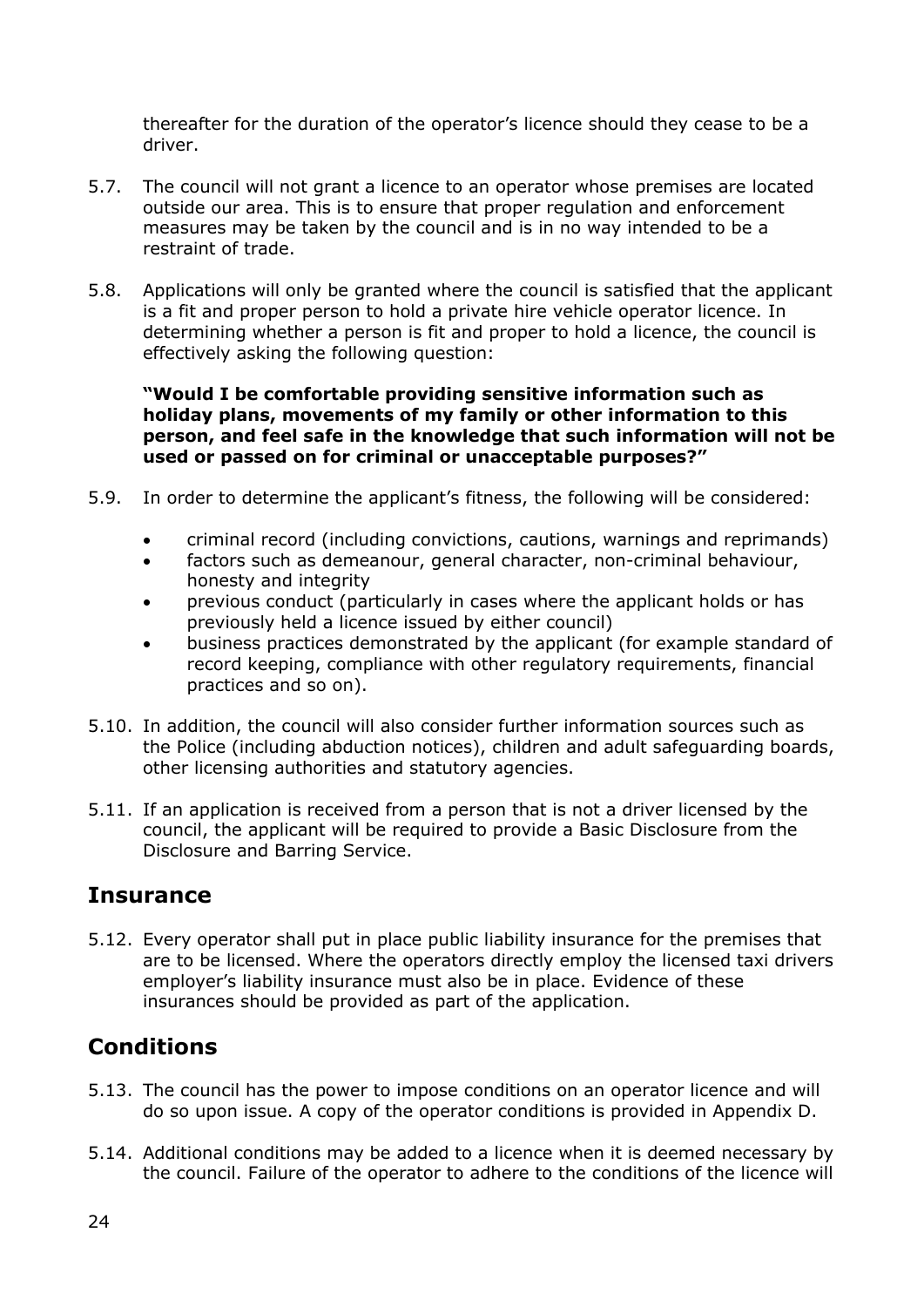thereafter for the duration of the operator's licence should they cease to be a driver.

- 5.7. The council will not grant a licence to an operator whose premises are located outside our area. This is to ensure that proper regulation and enforcement measures may be taken by the council and is in no way intended to be a restraint of trade.
- 5.8. Applications will only be granted where the council is satisfied that the applicant is a fit and proper person to hold a private hire vehicle operator licence. In determining whether a person is fit and proper to hold a licence, the council is effectively asking the following question:

**"Would I be comfortable providing sensitive information such as holiday plans, movements of my family or other information to this person, and feel safe in the knowledge that such information will not be used or passed on for criminal or unacceptable purposes?"**

- 5.9. In order to determine the applicant's fitness, the following will be considered:
	- criminal record (including convictions, cautions, warnings and reprimands)
	- factors such as demeanour, general character, non-criminal behaviour, honesty and integrity
	- previous conduct (particularly in cases where the applicant holds or has previously held a licence issued by either council)
	- business practices demonstrated by the applicant (for example standard of record keeping, compliance with other regulatory requirements, financial practices and so on).
- 5.10. In addition, the council will also consider further information sources such as the Police (including abduction notices), children and adult safeguarding boards, other licensing authorities and statutory agencies.
- 5.11. If an application is received from a person that is not a driver licensed by the council, the applicant will be required to provide a Basic Disclosure from the Disclosure and Barring Service.

### <span id="page-23-0"></span>**Insurance**

5.12. Every operator shall put in place public liability insurance for the premises that are to be licensed. Where the operators directly employ the licensed taxi drivers employer's liability insurance must also be in place. Evidence of these insurances should be provided as part of the application.

# <span id="page-23-1"></span>**Conditions**

- 5.13. The council has the power to impose conditions on an operator licence and will do so upon issue. A copy of the operator conditions is provided in Appendix D.
- 5.14. Additional conditions may be added to a licence when it is deemed necessary by the council. Failure of the operator to adhere to the conditions of the licence will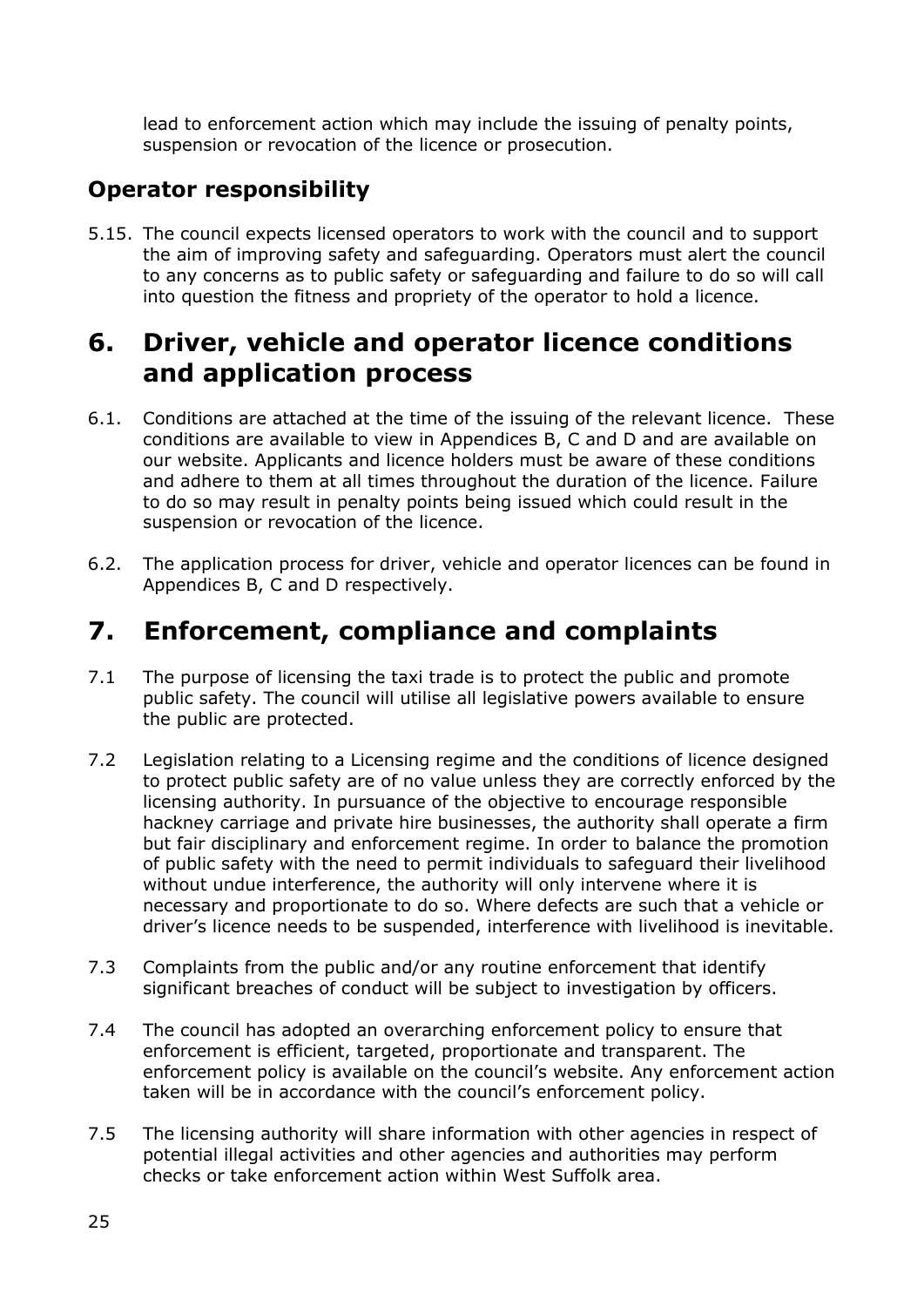lead to enforcement action which may include the issuing of penalty points, suspension or revocation of the licence or prosecution.

# <span id="page-24-0"></span>**Operator responsibility**

5.15. The council expects licensed operators to work with the council and to support the aim of improving safety and safeguarding. Operators must alert the council to any concerns as to public safety or safeguarding and failure to do so will call into question the fitness and propriety of the operator to hold a licence.

# <span id="page-24-1"></span>**6. Driver, vehicle and operator licence conditions and application process**

- 6.1. Conditions are attached at the time of the issuing of the relevant licence. These conditions are available to view in Appendices B, C and D and are available on our website. Applicants and licence holders must be aware of these conditions and adhere to them at all times throughout the duration of the licence. Failure to do so may result in penalty points being issued which could result in the suspension or revocation of the licence.
- 6.2. The application process for driver, vehicle and operator licences can be found in Appendices B, C and D respectively.

# <span id="page-24-2"></span>**7. Enforcement, compliance and complaints**

- 7.1 The purpose of licensing the taxi trade is to protect the public and promote public safety. The council will utilise all legislative powers available to ensure the public are protected.
- 7.2 Legislation relating to a Licensing regime and the conditions of licence designed to protect public safety are of no value unless they are correctly enforced by the licensing authority. In pursuance of the objective to encourage responsible hackney carriage and private hire businesses, the authority shall operate a firm but fair disciplinary and enforcement regime. In order to balance the promotion of public safety with the need to permit individuals to safeguard their livelihood without undue interference, the authority will only intervene where it is necessary and proportionate to do so. Where defects are such that a vehicle or driver's licence needs to be suspended, interference with livelihood is inevitable.
- 7.3 Complaints from the public and/or any routine enforcement that identify significant breaches of conduct will be subject to investigation by officers.
- 7.4 The council has adopted an overarching enforcement policy to ensure that enforcement is efficient, targeted, proportionate and transparent. The enforcement policy is available on the council's website. Any enforcement action taken will be in accordance with the council's enforcement policy.
- 7.5 The licensing authority will share information with other agencies in respect of potential illegal activities and other agencies and authorities may perform checks or take enforcement action within West Suffolk area.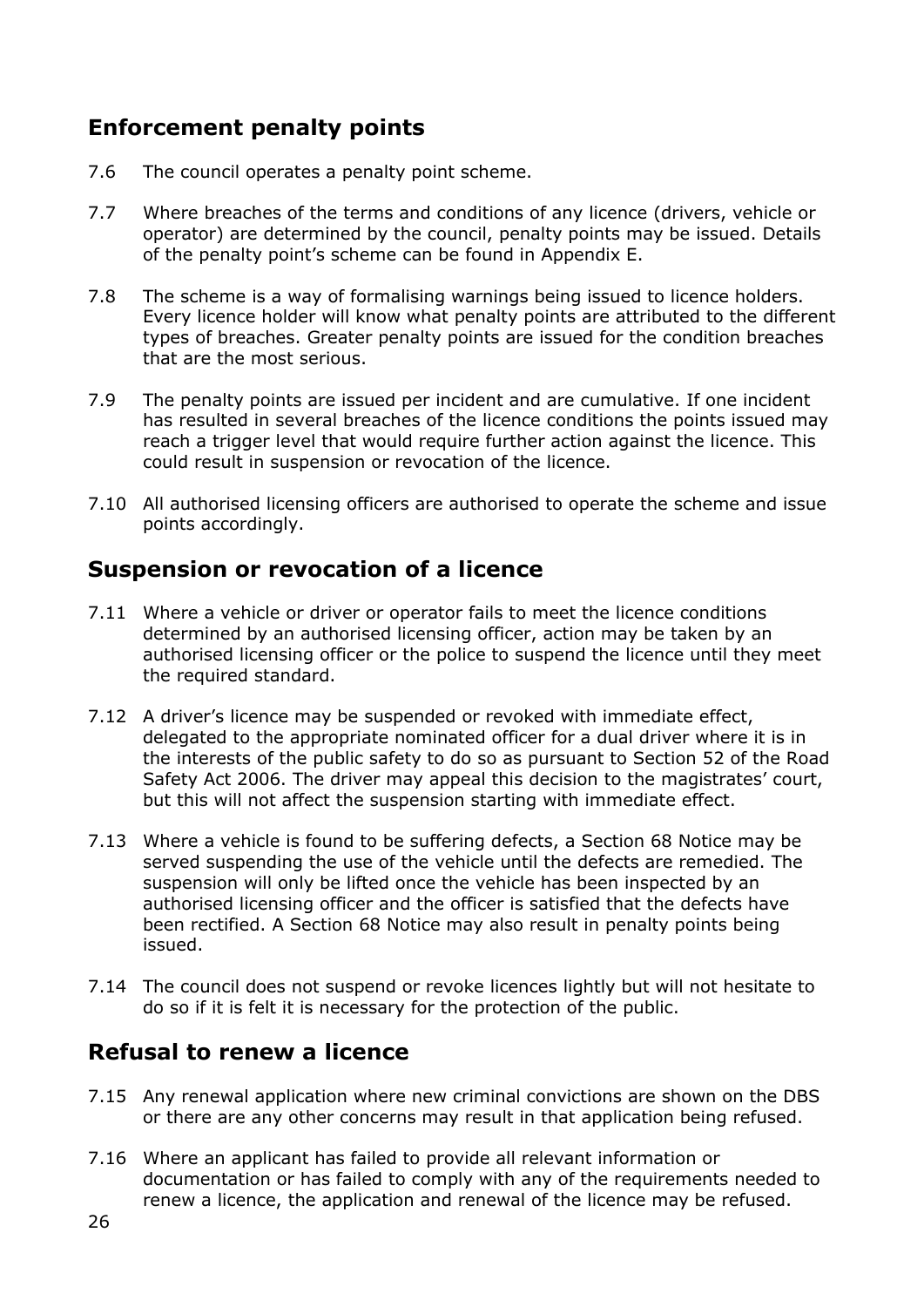# <span id="page-25-0"></span>**Enforcement penalty points**

- 7.6 The council operates a penalty point scheme.
- 7.7 Where breaches of the terms and conditions of any licence (drivers, vehicle or operator) are determined by the council, penalty points may be issued. Details of the penalty point's scheme can be found in Appendix E.
- 7.8 The scheme is a way of formalising warnings being issued to licence holders. Every licence holder will know what penalty points are attributed to the different types of breaches. Greater penalty points are issued for the condition breaches that are the most serious.
- 7.9 The penalty points are issued per incident and are cumulative. If one incident has resulted in several breaches of the licence conditions the points issued may reach a trigger level that would require further action against the licence. This could result in suspension or revocation of the licence.
- 7.10 All authorised licensing officers are authorised to operate the scheme and issue points accordingly.

### <span id="page-25-1"></span>**Suspension or revocation of a licence**

- 7.11 Where a vehicle or driver or operator fails to meet the licence conditions determined by an authorised licensing officer, action may be taken by an authorised licensing officer or the police to suspend the licence until they meet the required standard.
- 7.12 A driver's licence may be suspended or revoked with immediate effect, delegated to the appropriate nominated officer for a dual driver where it is in the interests of the public safety to do so as pursuant to Section 52 of the Road Safety Act 2006. The driver may appeal this decision to the magistrates' court, but this will not affect the suspension starting with immediate effect.
- 7.13 Where a vehicle is found to be suffering defects, a Section 68 Notice may be served suspending the use of the vehicle until the defects are remedied. The suspension will only be lifted once the vehicle has been inspected by an authorised licensing officer and the officer is satisfied that the defects have been rectified. A Section 68 Notice may also result in penalty points being issued.
- 7.14 The council does not suspend or revoke licences lightly but will not hesitate to do so if it is felt it is necessary for the protection of the public.

# <span id="page-25-2"></span>**Refusal to renew a licence**

- 7.15 Any renewal application where new criminal convictions are shown on the DBS or there are any other concerns may result in that application being refused.
- 7.16 Where an applicant has failed to provide all relevant information or documentation or has failed to comply with any of the requirements needed to renew a licence, the application and renewal of the licence may be refused.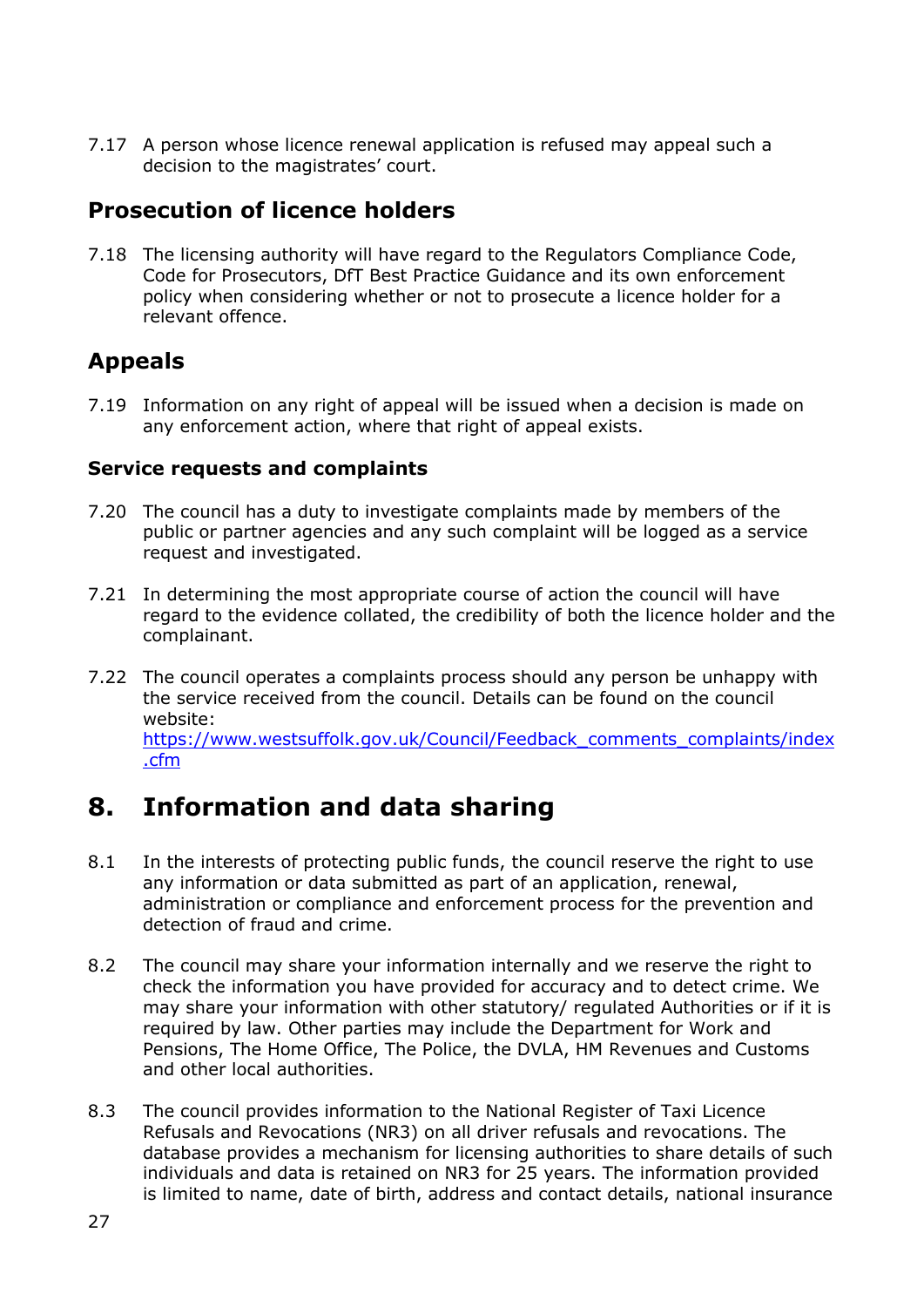7.17 A person whose licence renewal application is refused may appeal such a decision to the magistrates' court.

# <span id="page-26-0"></span>**Prosecution of licence holders**

7.18 The licensing authority will have regard to the Regulators Compliance Code, Code for Prosecutors, DfT Best Practice Guidance and its own enforcement policy when considering whether or not to prosecute a licence holder for a relevant offence.

# <span id="page-26-1"></span>**Appeals**

7.19 Information on any right of appeal will be issued when a decision is made on any enforcement action, where that right of appeal exists.

#### <span id="page-26-2"></span>**Service requests and complaints**

- 7.20 The council has a duty to investigate complaints made by members of the public or partner agencies and any such complaint will be logged as a service request and investigated.
- 7.21 In determining the most appropriate course of action the council will have regard to the evidence collated, the credibility of both the licence holder and the complainant.
- 7.22 The council operates a complaints process should any person be unhappy with the service received from the council. Details can be found on the council website: [https://www.westsuffolk.gov.uk/Council/Feedback\\_comments\\_complaints/index](https://www.westsuffolk.gov.uk/Council/Feedback_comments_complaints/index.cfm) [.cfm](https://www.westsuffolk.gov.uk/Council/Feedback_comments_complaints/index.cfm)

# <span id="page-26-3"></span>**8. Information and data sharing**

- 8.1 In the interests of protecting public funds, the council reserve the right to use any information or data submitted as part of an application, renewal, administration or compliance and enforcement process for the prevention and detection of fraud and crime.
- 8.2 The council may share your information internally and we reserve the right to check the information you have provided for accuracy and to detect crime. We may share your information with other statutory/ regulated Authorities or if it is required by law. Other parties may include the Department for Work and Pensions, The Home Office, The Police, the DVLA, HM Revenues and Customs and other local authorities.
- 8.3 The council provides information to the National Register of Taxi Licence Refusals and Revocations (NR3) on all driver refusals and revocations. The database provides a mechanism for licensing authorities to share details of such individuals and data is retained on NR3 for 25 years. The information provided is limited to name, date of birth, address and contact details, national insurance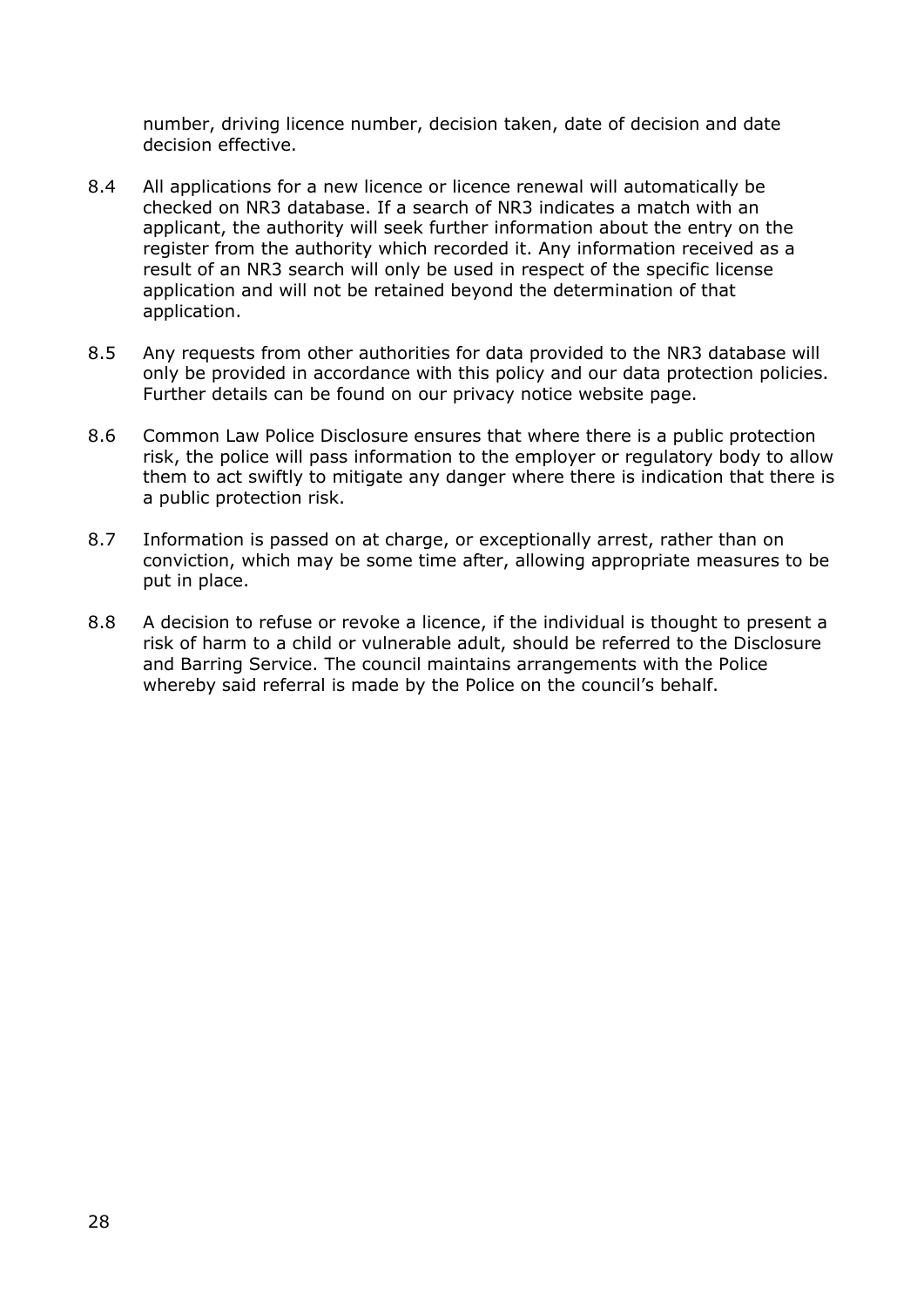number, driving licence number, decision taken, date of decision and date decision effective.

- 8.4 All applications for a new licence or licence renewal will automatically be checked on NR3 database. If a search of NR3 indicates a match with an applicant, the authority will seek further information about the entry on the register from the authority which recorded it. Any information received as a result of an NR3 search will only be used in respect of the specific license application and will not be retained beyond the determination of that application.
- 8.5 Any requests from other authorities for data provided to the NR3 database will only be provided in accordance with this policy and our data protection policies. Further details can be found on our privacy notice website page.
- 8.6 Common Law Police Disclosure ensures that where there is a public protection risk, the police will pass information to the employer or regulatory body to allow them to act swiftly to mitigate any danger where there is indication that there is a public protection risk.
- 8.7 Information is passed on at charge, or exceptionally arrest, rather than on conviction, which may be some time after, allowing appropriate measures to be put in place.
- 8.8 A decision to refuse or revoke a licence, if the individual is thought to present a risk of harm to a child or vulnerable adult, should be referred to the Disclosure and Barring Service. The council maintains arrangements with the Police whereby said referral is made by the Police on the council's behalf.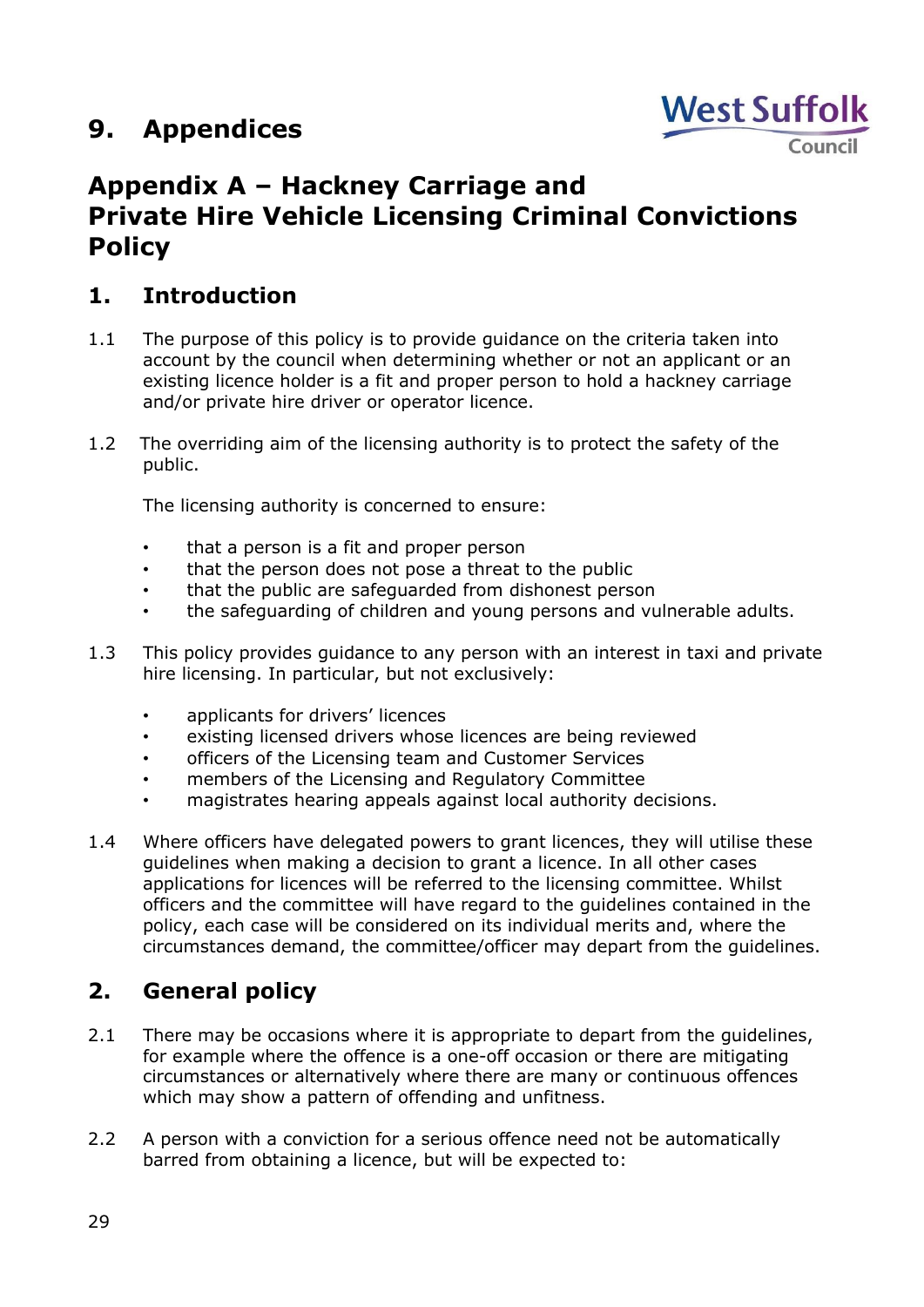# <span id="page-28-0"></span>**9. Appendices**



# <span id="page-28-1"></span>**Appendix A – Hackney Carriage and Private Hire Vehicle Licensing Criminal Convictions Policy**

# <span id="page-28-2"></span>**1. Introduction**

- 1.1 The purpose of this policy is to provide guidance on the criteria taken into account by the council when determining whether or not an applicant or an existing licence holder is a fit and proper person to hold a hackney carriage and/or private hire driver or operator licence.
- 1.2 The overriding aim of the licensing authority is to protect the safety of the public.

The licensing authority is concerned to ensure:

- that a person is a fit and proper person
- that the person does not pose a threat to the public
- that the public are safeguarded from dishonest person
- the safeguarding of children and young persons and vulnerable adults.
- 1.3 This policy provides guidance to any person with an interest in taxi and private hire licensing. In particular, but not exclusively:
	- applicants for drivers' licences
	- existing licensed drivers whose licences are being reviewed
	- officers of the Licensing team and Customer Services
	- members of the Licensing and Regulatory Committee
	- magistrates hearing appeals against local authority decisions.
- 1.4 Where officers have delegated powers to grant licences, they will utilise these guidelines when making a decision to grant a licence. In all other cases applications for licences will be referred to the licensing committee. Whilst officers and the committee will have regard to the guidelines contained in the policy, each case will be considered on its individual merits and, where the circumstances demand, the committee/officer may depart from the guidelines.

# <span id="page-28-3"></span>**2. General policy**

- 2.1 There may be occasions where it is appropriate to depart from the quidelines, for example where the offence is a one-off occasion or there are mitigating circumstances or alternatively where there are many or continuous offences which may show a pattern of offending and unfitness.
- 2.2 A person with a conviction for a serious offence need not be automatically barred from obtaining a licence, but will be expected to: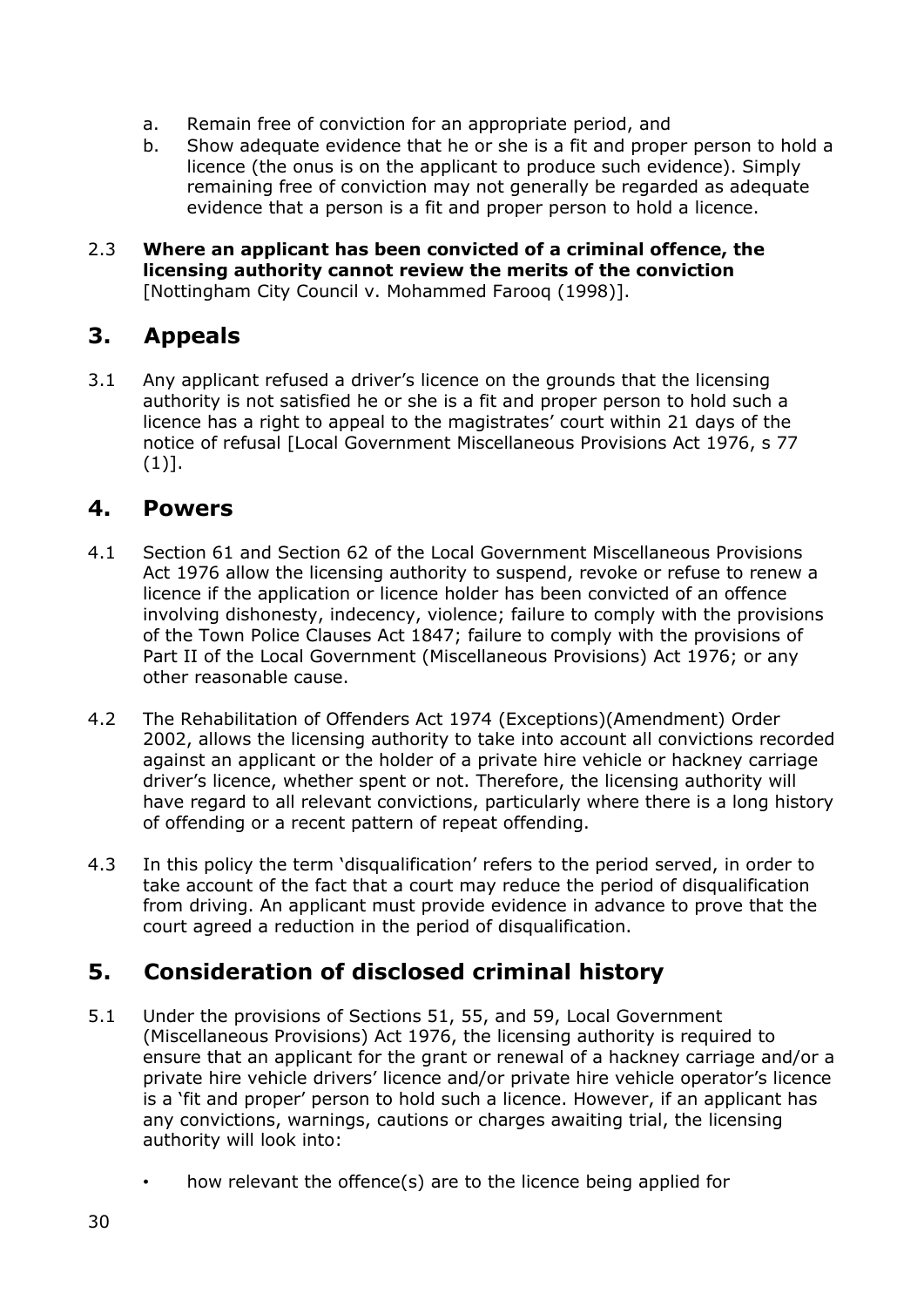- a. Remain free of conviction for an appropriate period, and
- b. Show adequate evidence that he or she is a fit and proper person to hold a licence (the onus is on the applicant to produce such evidence). Simply remaining free of conviction may not generally be regarded as adequate evidence that a person is a fit and proper person to hold a licence.
- 2.3 **Where an applicant has been convicted of a criminal offence, the licensing authority cannot review the merits of the conviction** [Nottingham City Council v. Mohammed Farooq (1998)].

# <span id="page-29-0"></span>**3. Appeals**

3.1 Any applicant refused a driver's licence on the grounds that the licensing authority is not satisfied he or she is a fit and proper person to hold such a licence has a right to appeal to the magistrates' court within 21 days of the notice of refusal [Local Government Miscellaneous Provisions Act 1976, s 77 (1)].

### <span id="page-29-1"></span>**4. Powers**

- 4.1 Section 61 and Section 62 of the Local Government Miscellaneous Provisions Act 1976 allow the licensing authority to suspend, revoke or refuse to renew a licence if the application or licence holder has been convicted of an offence involving dishonesty, indecency, violence; failure to comply with the provisions of the Town Police Clauses Act 1847; failure to comply with the provisions of Part II of the Local Government (Miscellaneous Provisions) Act 1976; or any other reasonable cause.
- 4.2 The Rehabilitation of Offenders Act 1974 (Exceptions)(Amendment) Order 2002, allows the licensing authority to take into account all convictions recorded against an applicant or the holder of a private hire vehicle or hackney carriage driver's licence, whether spent or not. Therefore, the licensing authority will have regard to all relevant convictions, particularly where there is a long history of offending or a recent pattern of repeat offending.
- 4.3 In this policy the term 'disqualification' refers to the period served, in order to take account of the fact that a court may reduce the period of disqualification from driving. An applicant must provide evidence in advance to prove that the court agreed a reduction in the period of disqualification.

# <span id="page-29-2"></span>**5. Consideration of disclosed criminal history**

- 5.1 Under the provisions of Sections 51, 55, and 59, Local Government (Miscellaneous Provisions) Act 1976, the licensing authority is required to ensure that an applicant for the grant or renewal of a hackney carriage and/or a private hire vehicle drivers' licence and/or private hire vehicle operator's licence is a 'fit and proper' person to hold such a licence. However, if an applicant has any convictions, warnings, cautions or charges awaiting trial, the licensing authority will look into:
	- how relevant the offence(s) are to the licence being applied for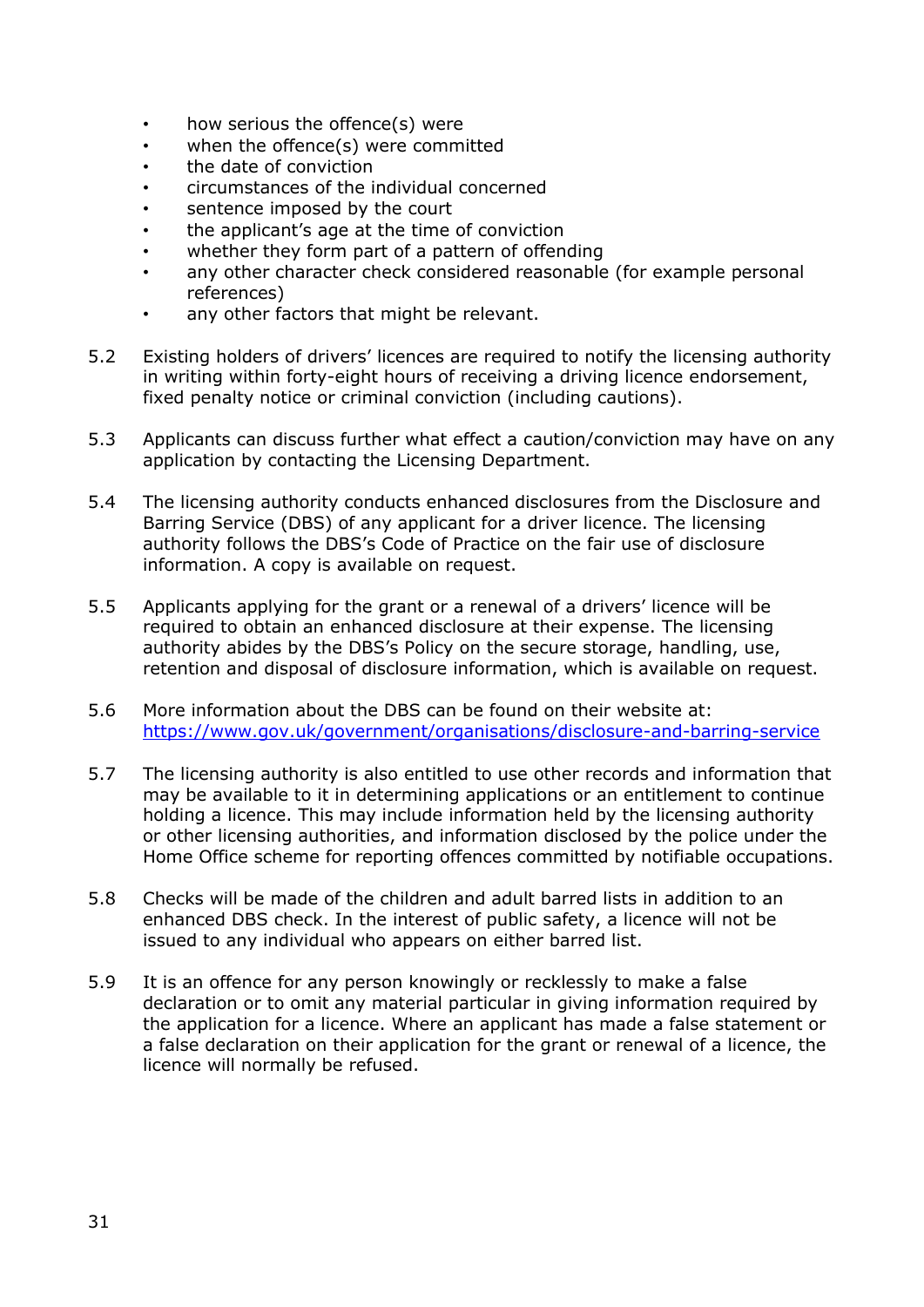- how serious the offence $(s)$  were
- when the offence(s) were committed
- the date of conviction
- circumstances of the individual concerned
- sentence imposed by the court
- the applicant's age at the time of conviction
- whether they form part of a pattern of offending
- any other character check considered reasonable (for example personal references)
- any other factors that might be relevant.
- 5.2 Existing holders of drivers' licences are required to notify the licensing authority in writing within forty-eight hours of receiving a driving licence endorsement, fixed penalty notice or criminal conviction (including cautions).
- 5.3 Applicants can discuss further what effect a caution/conviction may have on any application by contacting the Licensing Department.
- 5.4 The licensing authority conducts enhanced disclosures from the Disclosure and Barring Service (DBS) of any applicant for a driver licence. The licensing authority follows the DBS's Code of Practice on the fair use of disclosure information. A copy is available on request.
- 5.5 Applicants applying for the grant or a renewal of a drivers' licence will be required to obtain an enhanced disclosure at their expense. The licensing authority abides by the DBS's Policy on the secure storage, handling, use, retention and disposal of disclosure information, which is available on request.
- 5.6 More information about the DBS can be found on their website at: <https://www.gov.uk/government/organisations/disclosure-and-barring-service>
- 5.7 The licensing authority is also entitled to use other records and information that may be available to it in determining applications or an entitlement to continue holding a licence. This may include information held by the licensing authority or other licensing authorities, and information disclosed by the police under the Home Office scheme for reporting offences committed by notifiable occupations.
- 5.8 Checks will be made of the children and adult barred lists in addition to an enhanced DBS check. In the interest of public safety, a licence will not be issued to any individual who appears on either barred list.
- 5.9 It is an offence for any person knowingly or recklessly to make a false declaration or to omit any material particular in giving information required by the application for a licence. Where an applicant has made a false statement or a false declaration on their application for the grant or renewal of a licence, the licence will normally be refused.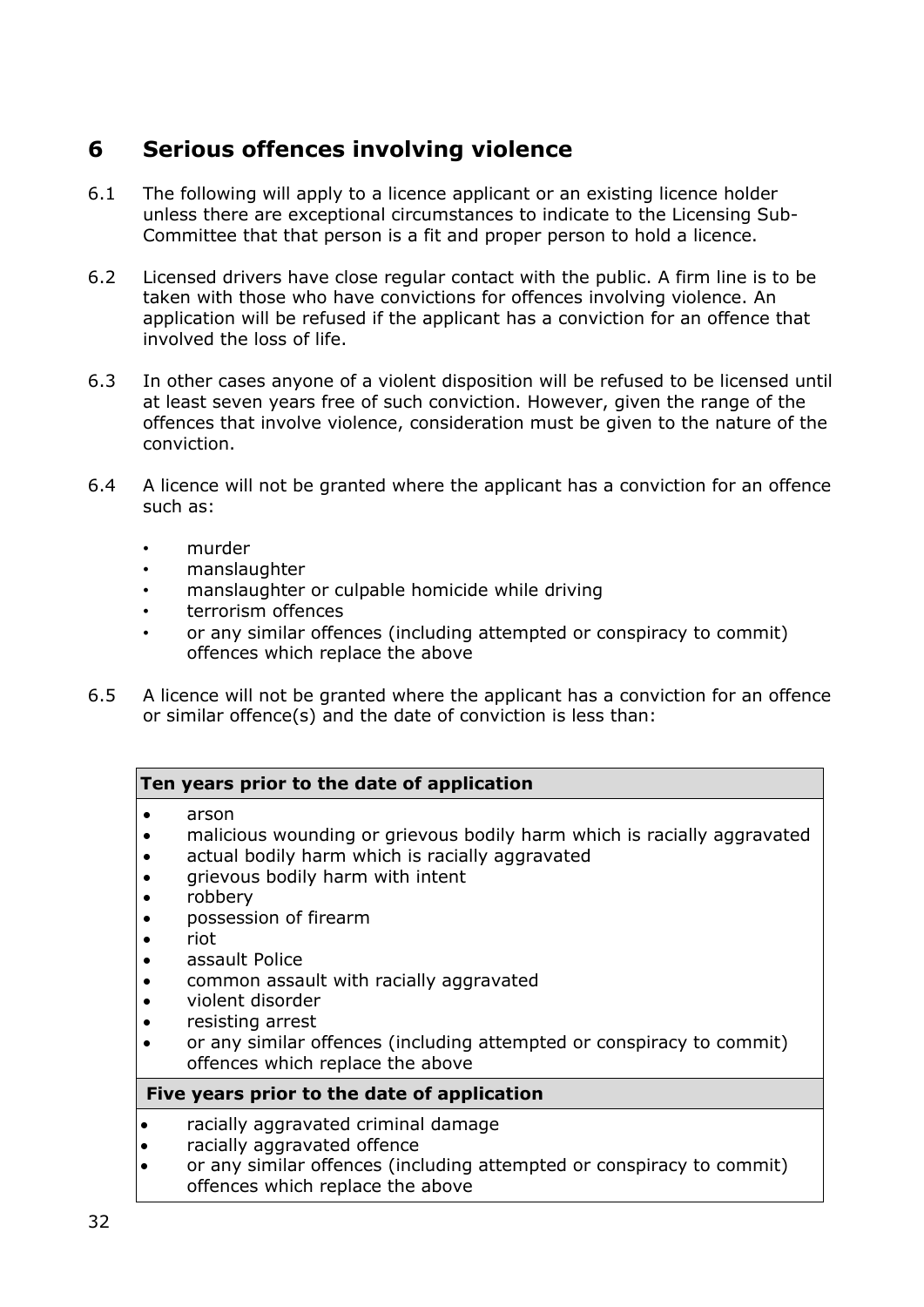# <span id="page-31-0"></span>**6 Serious offences involving violence**

- 6.1 The following will apply to a licence applicant or an existing licence holder unless there are exceptional circumstances to indicate to the Licensing Sub-Committee that that person is a fit and proper person to hold a licence.
- 6.2 Licensed drivers have close regular contact with the public. A firm line is to be taken with those who have convictions for offences involving violence. An application will be refused if the applicant has a conviction for an offence that involved the loss of life.
- 6.3 In other cases anyone of a violent disposition will be refused to be licensed until at least seven years free of such conviction. However, given the range of the offences that involve violence, consideration must be given to the nature of the conviction.
- 6.4 A licence will not be granted where the applicant has a conviction for an offence such as:
	- murder
	- manslaughter
	- manslaughter or culpable homicide while driving
	- terrorism offences
	- or any similar offences (including attempted or conspiracy to commit) offences which replace the above
- 6.5 A licence will not be granted where the applicant has a conviction for an offence or similar offence(s) and the date of conviction is less than:

#### **Ten years prior to the date of application**

- arson
- malicious wounding or grievous bodily harm which is racially aggravated
- actual bodily harm which is racially aggravated
- grievous bodily harm with intent
- robbery
- possession of firearm
- riot
- assault Police
- common assault with racially aggravated
- violent disorder
- resisting arrest
- or any similar offences (including attempted or conspiracy to commit) offences which replace the above

#### **Five years prior to the date of application**

- racially aggravated criminal damage
- racially aggravated offence
- or any similar offences (including attempted or conspiracy to commit) offences which replace the above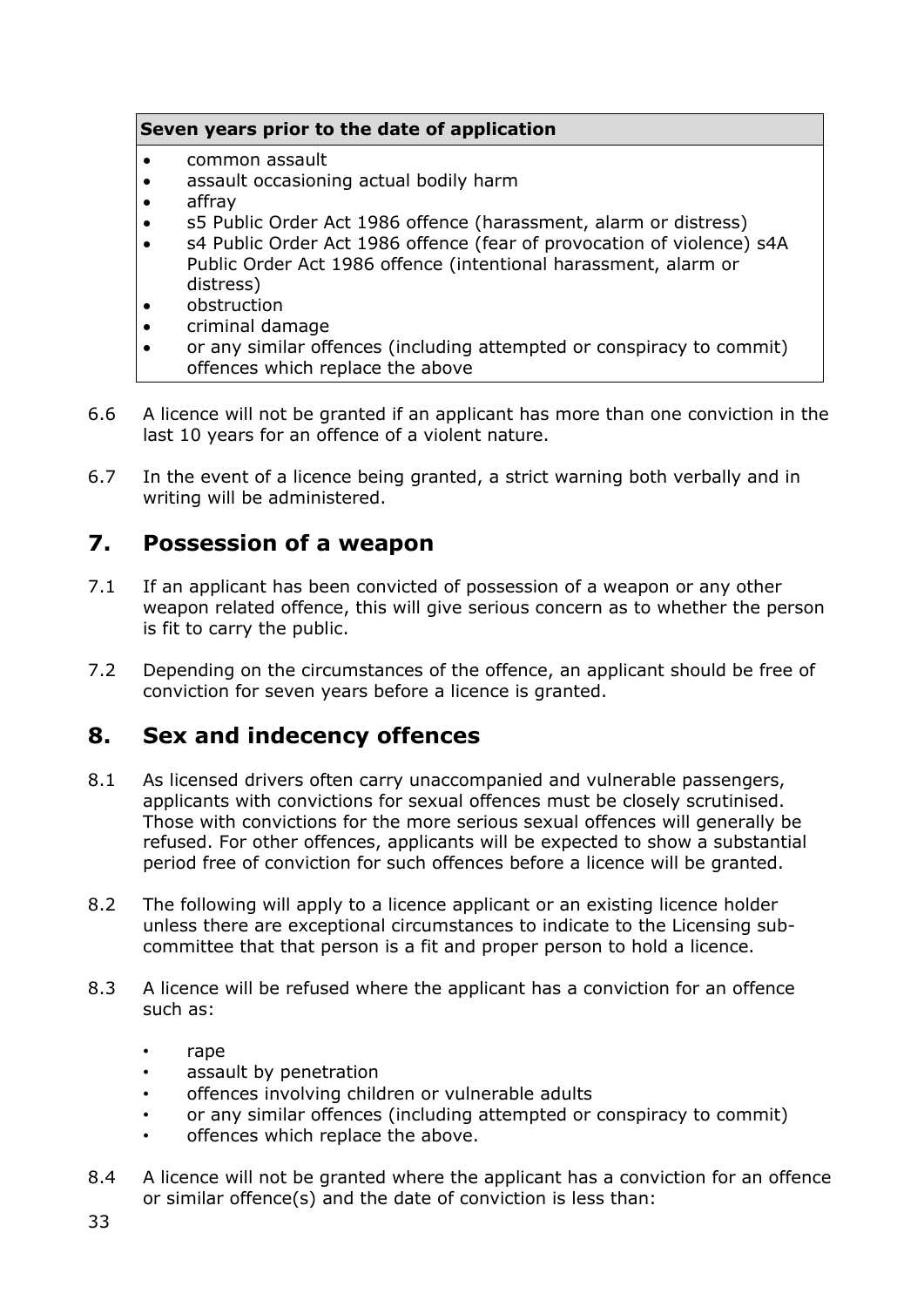#### **Seven years prior to the date of application**

- common assault
- assault occasioning actual bodily harm
- affray
- s5 Public Order Act 1986 offence (harassment, alarm or distress)
- s4 Public Order Act 1986 offence (fear of provocation of violence) s4A Public Order Act 1986 offence (intentional harassment, alarm or distress)
- obstruction
- criminal damage
- or any similar offences (including attempted or conspiracy to commit) offences which replace the above
- 6.6 A licence will not be granted if an applicant has more than one conviction in the last 10 years for an offence of a violent nature.
- 6.7 In the event of a licence being granted, a strict warning both verbally and in writing will be administered.

# <span id="page-32-0"></span>**7. Possession of a weapon**

- 7.1 If an applicant has been convicted of possession of a weapon or any other weapon related offence, this will give serious concern as to whether the person is fit to carry the public.
- 7.2 Depending on the circumstances of the offence, an applicant should be free of conviction for seven years before a licence is granted.

# <span id="page-32-1"></span>**8. Sex and indecency offences**

- 8.1 As licensed drivers often carry unaccompanied and vulnerable passengers, applicants with convictions for sexual offences must be closely scrutinised. Those with convictions for the more serious sexual offences will generally be refused. For other offences, applicants will be expected to show a substantial period free of conviction for such offences before a licence will be granted.
- 8.2 The following will apply to a licence applicant or an existing licence holder unless there are exceptional circumstances to indicate to the Licensing subcommittee that that person is a fit and proper person to hold a licence.
- 8.3 A licence will be refused where the applicant has a conviction for an offence such as:
	- rape
	- assault by penetration
	- offences involving children or vulnerable adults
	- or any similar offences (including attempted or conspiracy to commit)
	- offences which replace the above.
- 8.4 A licence will not be granted where the applicant has a conviction for an offence or similar offence(s) and the date of conviction is less than: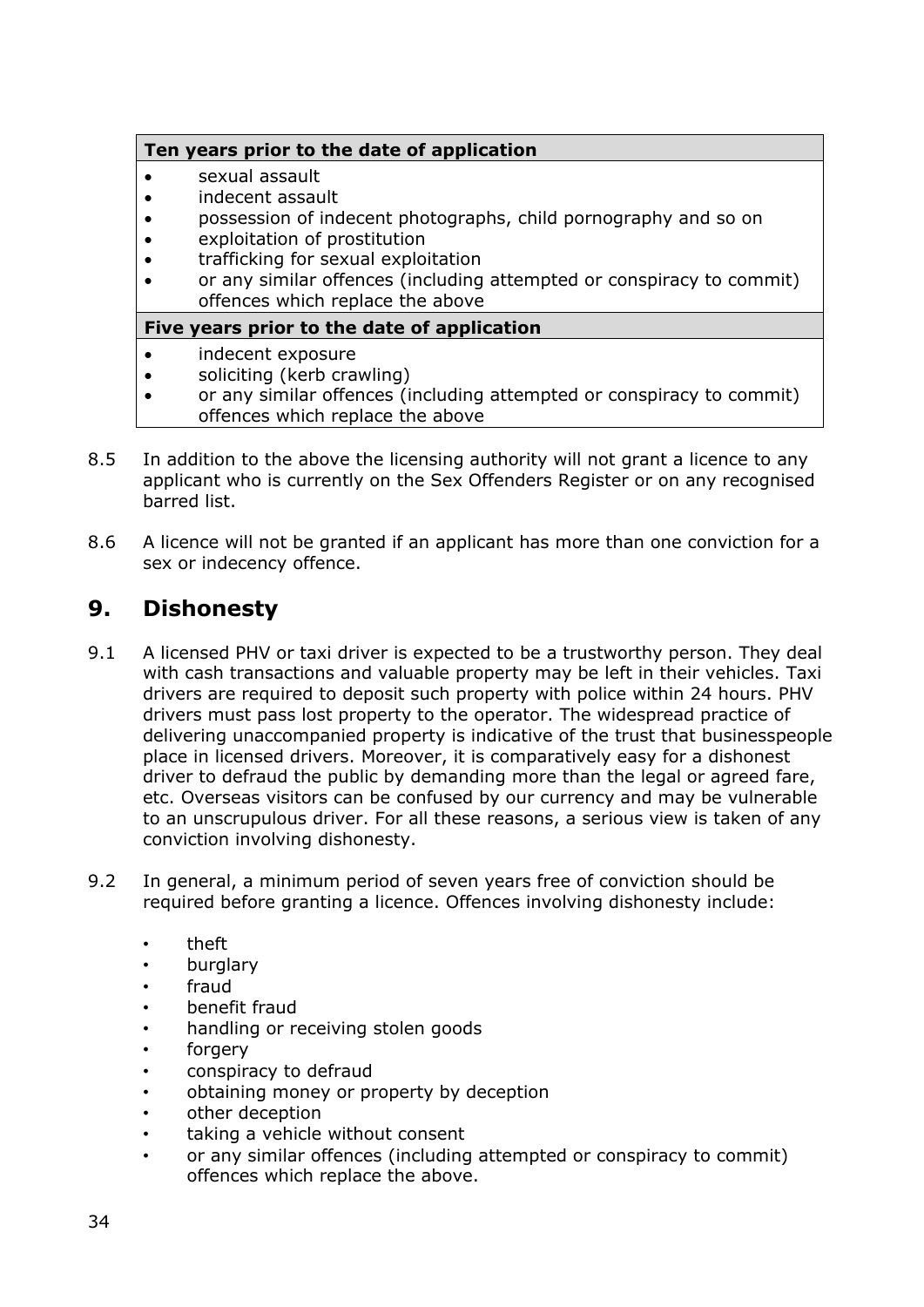#### **Ten years prior to the date of application**

- sexual assault
- indecent assault
- possession of indecent photographs, child pornography and so on
- exploitation of prostitution
- trafficking for sexual exploitation
- or any similar offences (including attempted or conspiracy to commit) offences which replace the above

#### **Five years prior to the date of application**

- indecent exposure
- soliciting (kerb crawling)
- or any similar offences (including attempted or conspiracy to commit) offences which replace the above
- 8.5 In addition to the above the licensing authority will not grant a licence to any applicant who is currently on the Sex Offenders Register or on any recognised barred list.
- 8.6 A licence will not be granted if an applicant has more than one conviction for a sex or indecency offence.

# <span id="page-33-0"></span>**9. Dishonesty**

- 9.1 A licensed PHV or taxi driver is expected to be a trustworthy person. They deal with cash transactions and valuable property may be left in their vehicles. Taxi drivers are required to deposit such property with police within 24 hours. PHV drivers must pass lost property to the operator. The widespread practice of delivering unaccompanied property is indicative of the trust that businesspeople place in licensed drivers. Moreover, it is comparatively easy for a dishonest driver to defraud the public by demanding more than the legal or agreed fare, etc. Overseas visitors can be confused by our currency and may be vulnerable to an unscrupulous driver. For all these reasons, a serious view is taken of any conviction involving dishonesty.
- 9.2 In general, a minimum period of seven years free of conviction should be required before granting a licence. Offences involving dishonesty include:
	- theft
	- burglary
	- fraud
	- benefit fraud
	- handling or receiving stolen goods
	- forgery
	- conspiracy to defraud
	- obtaining money or property by deception
	- other deception
	- taking a vehicle without consent
	- or any similar offences (including attempted or conspiracy to commit) offences which replace the above.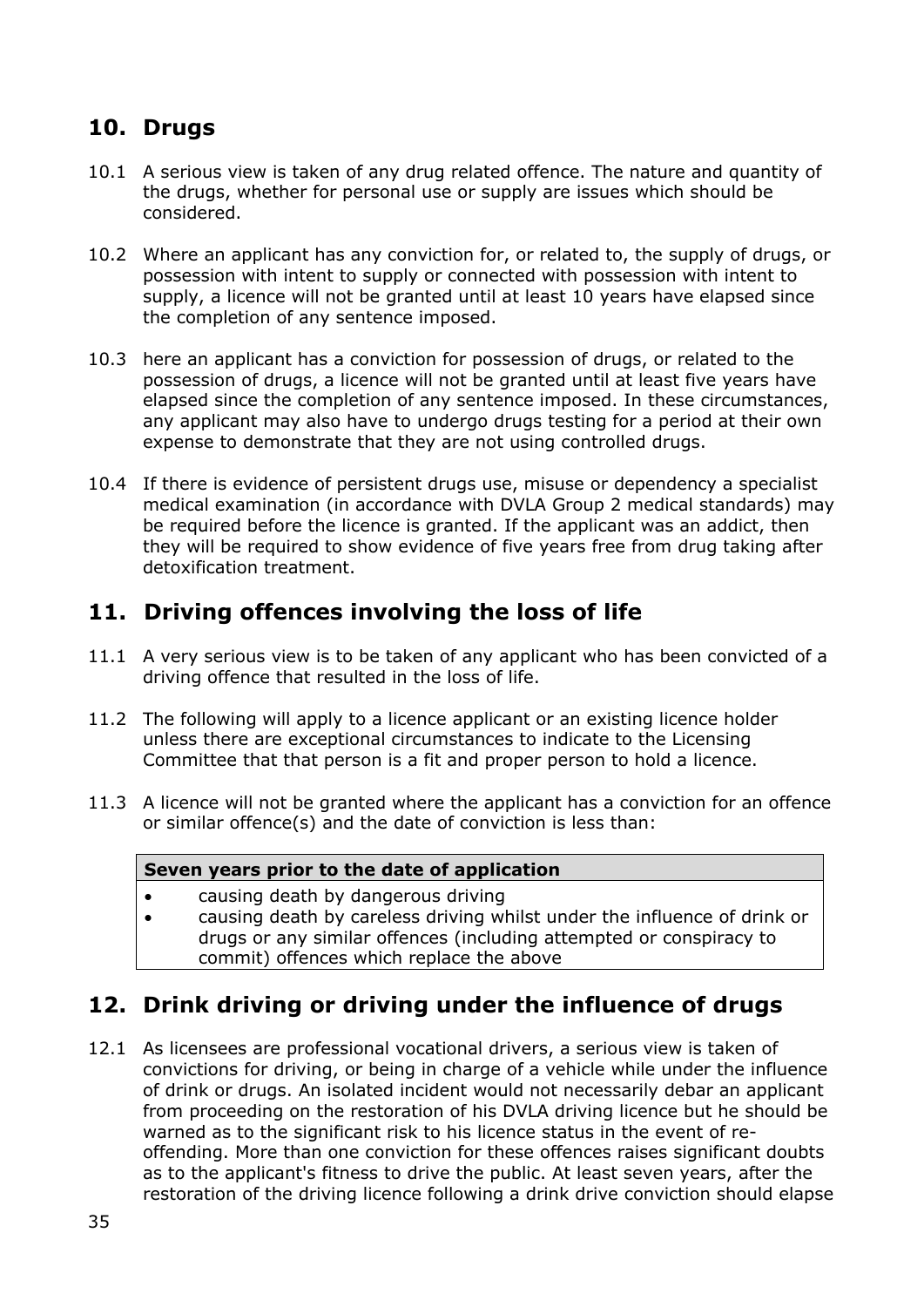# <span id="page-34-0"></span>**10. Drugs**

- 10.1 A serious view is taken of any drug related offence. The nature and quantity of the drugs, whether for personal use or supply are issues which should be considered.
- 10.2 Where an applicant has any conviction for, or related to, the supply of drugs, or possession with intent to supply or connected with possession with intent to supply, a licence will not be granted until at least 10 years have elapsed since the completion of any sentence imposed.
- 10.3 here an applicant has a conviction for possession of drugs, or related to the possession of drugs, a licence will not be granted until at least five years have elapsed since the completion of any sentence imposed. In these circumstances, any applicant may also have to undergo drugs testing for a period at their own expense to demonstrate that they are not using controlled drugs.
- 10.4 If there is evidence of persistent drugs use, misuse or dependency a specialist medical examination (in accordance with DVLA Group 2 medical standards) may be required before the licence is granted. If the applicant was an addict, then they will be required to show evidence of five years free from drug taking after detoxification treatment.

# <span id="page-34-1"></span>**11. Driving offences involving the loss of life**

- 11.1 A very serious view is to be taken of any applicant who has been convicted of a driving offence that resulted in the loss of life.
- 11.2 The following will apply to a licence applicant or an existing licence holder unless there are exceptional circumstances to indicate to the Licensing Committee that that person is a fit and proper person to hold a licence.
- 11.3 A licence will not be granted where the applicant has a conviction for an offence or similar offence(s) and the date of conviction is less than:

#### **Seven years prior to the date of application**

- causing death by dangerous driving
- causing death by careless driving whilst under the influence of drink or drugs or any similar offences (including attempted or conspiracy to commit) offences which replace the above

### <span id="page-34-2"></span>**12. Drink driving or driving under the influence of drugs**

12.1 As licensees are professional vocational drivers, a serious view is taken of convictions for driving, or being in charge of a vehicle while under the influence of drink or drugs. An isolated incident would not necessarily debar an applicant from proceeding on the restoration of his DVLA driving licence but he should be warned as to the significant risk to his licence status in the event of reoffending. More than one conviction for these offences raises significant doubts as to the applicant's fitness to drive the public. At least seven years, after the restoration of the driving licence following a drink drive conviction should elapse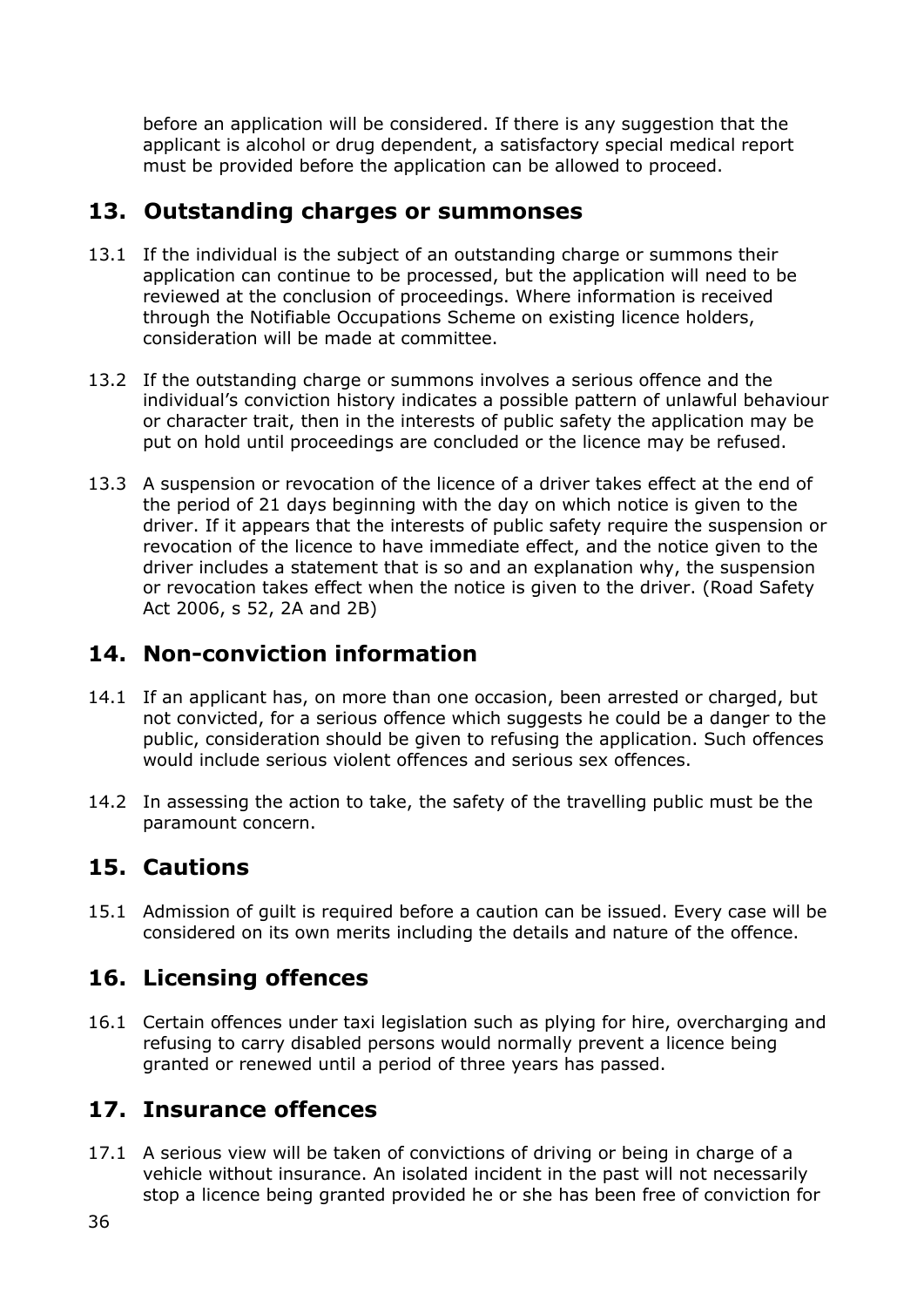before an application will be considered. If there is any suggestion that the applicant is alcohol or drug dependent, a satisfactory special medical report must be provided before the application can be allowed to proceed.

# <span id="page-35-0"></span>**13. Outstanding charges or summonses**

- 13.1 If the individual is the subject of an outstanding charge or summons their application can continue to be processed, but the application will need to be reviewed at the conclusion of proceedings. Where information is received through the Notifiable Occupations Scheme on existing licence holders, consideration will be made at committee.
- 13.2 If the outstanding charge or summons involves a serious offence and the individual's conviction history indicates a possible pattern of unlawful behaviour or character trait, then in the interests of public safety the application may be put on hold until proceedings are concluded or the licence may be refused.
- 13.3 A suspension or revocation of the licence of a driver takes effect at the end of the period of 21 days beginning with the day on which notice is given to the driver. If it appears that the interests of public safety require the suspension or revocation of the licence to have immediate effect, and the notice given to the driver includes a statement that is so and an explanation why, the suspension or revocation takes effect when the notice is given to the driver. (Road Safety Act 2006, s 52, 2A and 2B)

# <span id="page-35-1"></span>**14. Non-conviction information**

- 14.1 If an applicant has, on more than one occasion, been arrested or charged, but not convicted, for a serious offence which suggests he could be a danger to the public, consideration should be given to refusing the application. Such offences would include serious violent offences and serious sex offences.
- 14.2 In assessing the action to take, the safety of the travelling public must be the paramount concern.

# <span id="page-35-2"></span>**15. Cautions**

15.1 Admission of guilt is required before a caution can be issued. Every case will be considered on its own merits including the details and nature of the offence.

# <span id="page-35-3"></span>**16. Licensing offences**

16.1 Certain offences under taxi legislation such as plying for hire, overcharging and refusing to carry disabled persons would normally prevent a licence being granted or renewed until a period of three years has passed.

# <span id="page-35-4"></span>**17. Insurance offences**

17.1 A serious view will be taken of convictions of driving or being in charge of a vehicle without insurance. An isolated incident in the past will not necessarily stop a licence being granted provided he or she has been free of conviction for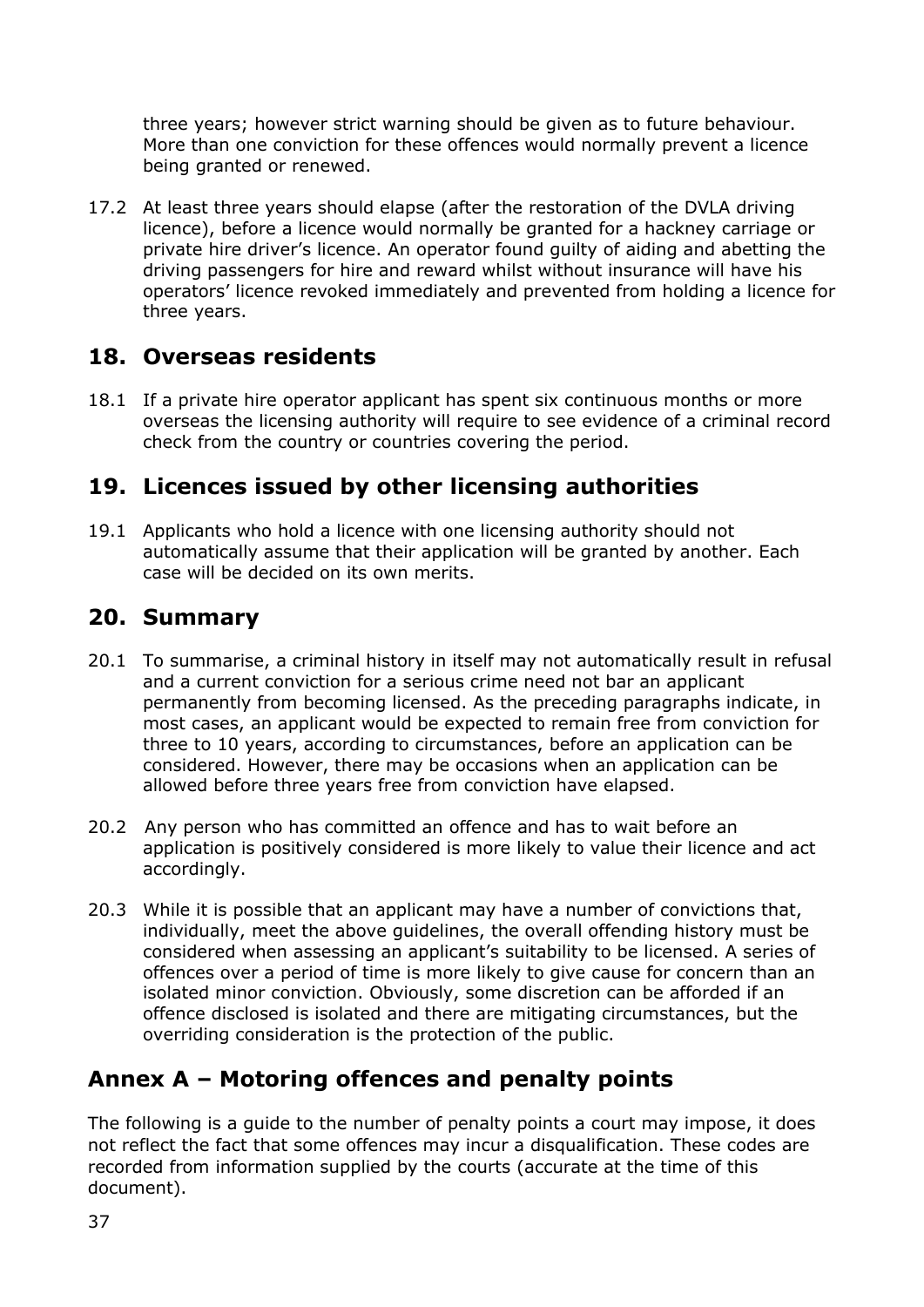three years; however strict warning should be given as to future behaviour. More than one conviction for these offences would normally prevent a licence being granted or renewed.

17.2 At least three years should elapse (after the restoration of the DVLA driving licence), before a licence would normally be granted for a hackney carriage or private hire driver's licence. An operator found guilty of aiding and abetting the driving passengers for hire and reward whilst without insurance will have his operators' licence revoked immediately and prevented from holding a licence for three years.

### **18. Overseas residents**

18.1 If a private hire operator applicant has spent six continuous months or more overseas the licensing authority will require to see evidence of a criminal record check from the country or countries covering the period.

## **19. Licences issued by other licensing authorities**

19.1 Applicants who hold a licence with one licensing authority should not automatically assume that their application will be granted by another. Each case will be decided on its own merits.

### **20. Summary**

- 20.1 To summarise, a criminal history in itself may not automatically result in refusal and a current conviction for a serious crime need not bar an applicant permanently from becoming licensed. As the preceding paragraphs indicate, in most cases, an applicant would be expected to remain free from conviction for three to 10 years, according to circumstances, before an application can be considered. However, there may be occasions when an application can be allowed before three years free from conviction have elapsed.
- 20.2 Any person who has committed an offence and has to wait before an application is positively considered is more likely to value their licence and act accordingly.
- 20.3 While it is possible that an applicant may have a number of convictions that, individually, meet the above guidelines, the overall offending history must be considered when assessing an applicant's suitability to be licensed. A series of offences over a period of time is more likely to give cause for concern than an isolated minor conviction. Obviously, some discretion can be afforded if an offence disclosed is isolated and there are mitigating circumstances, but the overriding consideration is the protection of the public.

## **Annex A – Motoring offences and penalty points**

The following is a guide to the number of penalty points a court may impose, it does not reflect the fact that some offences may incur a disqualification. These codes are recorded from information supplied by the courts (accurate at the time of this document).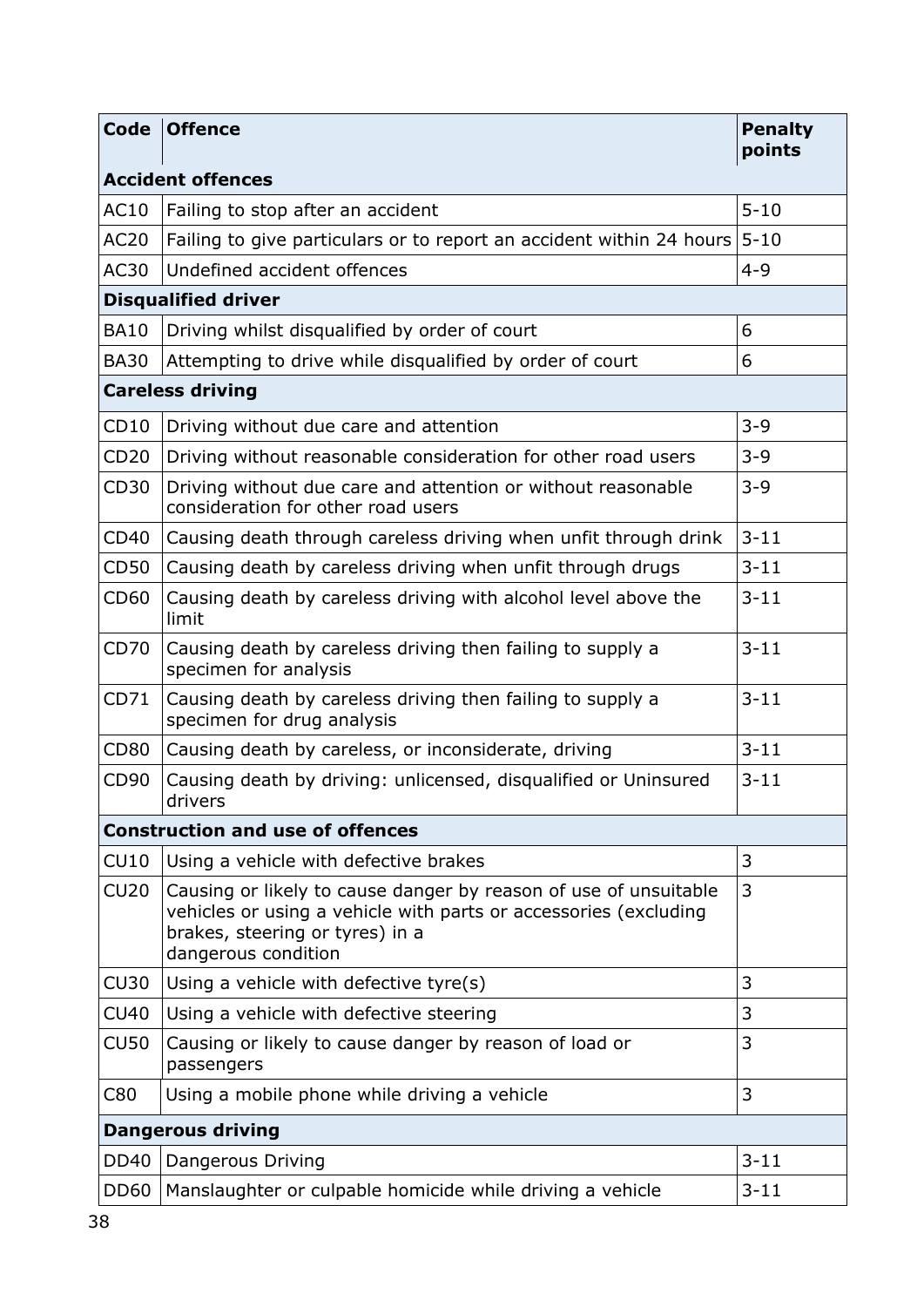| <b>Code</b>                             | <b>Offence</b>                                                                                                                                                                                 | <b>Penalty</b><br>points |  |  |
|-----------------------------------------|------------------------------------------------------------------------------------------------------------------------------------------------------------------------------------------------|--------------------------|--|--|
| <b>Accident offences</b>                |                                                                                                                                                                                                |                          |  |  |
| AC10                                    | Failing to stop after an accident                                                                                                                                                              | $5 - 10$                 |  |  |
| <b>AC20</b>                             | Failing to give particulars or to report an accident within 24 hours                                                                                                                           | $5 - 10$                 |  |  |
| <b>AC30</b>                             | Undefined accident offences                                                                                                                                                                    | $4 - 9$                  |  |  |
| <b>Disqualified driver</b>              |                                                                                                                                                                                                |                          |  |  |
| <b>BA10</b>                             | Driving whilst disqualified by order of court                                                                                                                                                  | 6                        |  |  |
| <b>BA30</b>                             | Attempting to drive while disqualified by order of court                                                                                                                                       | 6                        |  |  |
|                                         | <b>Careless driving</b>                                                                                                                                                                        |                          |  |  |
| CD10                                    | Driving without due care and attention                                                                                                                                                         | $3 - 9$                  |  |  |
| CD20                                    | Driving without reasonable consideration for other road users                                                                                                                                  | $3 - 9$                  |  |  |
| CD30                                    | Driving without due care and attention or without reasonable<br>consideration for other road users                                                                                             | $3 - 9$                  |  |  |
| CD40                                    | Causing death through careless driving when unfit through drink                                                                                                                                | $3 - 11$                 |  |  |
| <b>CD50</b>                             | Causing death by careless driving when unfit through drugs                                                                                                                                     | $3 - 11$                 |  |  |
| CD60                                    | Causing death by careless driving with alcohol level above the<br>limit                                                                                                                        | $3 - 11$                 |  |  |
| CD70                                    | Causing death by careless driving then failing to supply a<br>specimen for analysis                                                                                                            | $3 - 11$                 |  |  |
| CD71                                    | Causing death by careless driving then failing to supply a<br>specimen for drug analysis                                                                                                       | $3 - 11$                 |  |  |
| <b>CD80</b>                             | Causing death by careless, or inconsiderate, driving                                                                                                                                           | $3 - 11$                 |  |  |
| CD90                                    | Causing death by driving: unlicensed, disqualified or Uninsured<br>drivers                                                                                                                     | $3 - 11$                 |  |  |
| <b>Construction and use of offences</b> |                                                                                                                                                                                                |                          |  |  |
| CU10                                    | Using a vehicle with defective brakes                                                                                                                                                          | 3                        |  |  |
| CU20                                    | Causing or likely to cause danger by reason of use of unsuitable<br>vehicles or using a vehicle with parts or accessories (excluding<br>brakes, steering or tyres) in a<br>dangerous condition | 3                        |  |  |
| <b>CU30</b>                             | Using a vehicle with defective tyre(s)                                                                                                                                                         | 3                        |  |  |
| <b>CU40</b>                             | Using a vehicle with defective steering                                                                                                                                                        | 3                        |  |  |
| <b>CU50</b>                             | Causing or likely to cause danger by reason of load or<br>passengers                                                                                                                           | 3                        |  |  |
| C80                                     | Using a mobile phone while driving a vehicle                                                                                                                                                   | 3                        |  |  |
| <b>Dangerous driving</b>                |                                                                                                                                                                                                |                          |  |  |
| <b>DD40</b>                             | Dangerous Driving                                                                                                                                                                              | $3 - 11$                 |  |  |
| <b>DD60</b>                             | Manslaughter or culpable homicide while driving a vehicle                                                                                                                                      | $3 - 11$                 |  |  |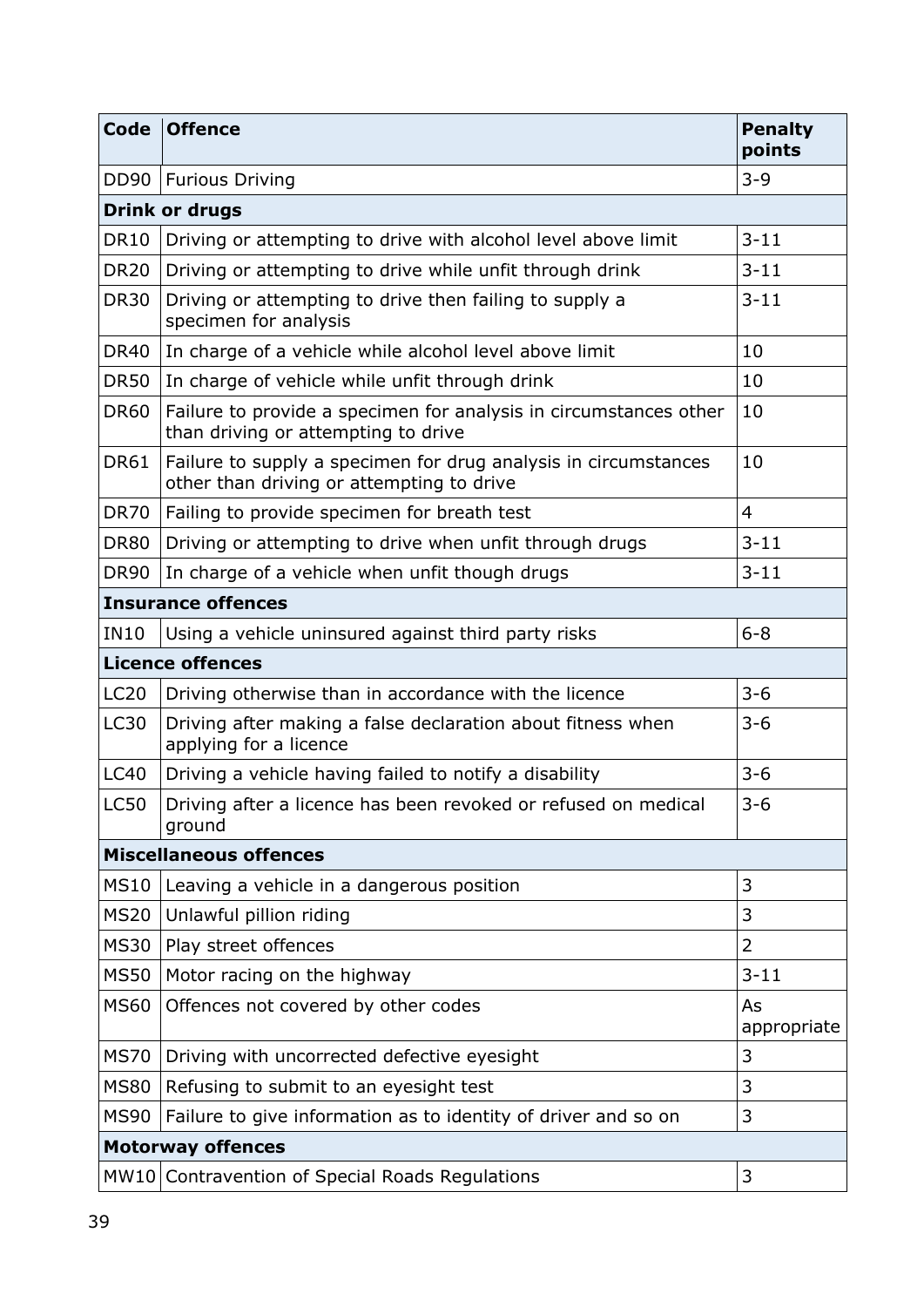| Code                          | <b>Offence</b>                                                                                               | <b>Penalty</b><br>points |  |  |
|-------------------------------|--------------------------------------------------------------------------------------------------------------|--------------------------|--|--|
|                               | DD90   Furious Driving                                                                                       | $3 - 9$                  |  |  |
| <b>Drink or drugs</b>         |                                                                                                              |                          |  |  |
| <b>DR10</b>                   | Driving or attempting to drive with alcohol level above limit                                                | $3 - 11$                 |  |  |
| <b>DR20</b>                   | Driving or attempting to drive while unfit through drink                                                     | $3 - 11$                 |  |  |
| <b>DR30</b>                   | Driving or attempting to drive then failing to supply a<br>specimen for analysis                             | $3 - 11$                 |  |  |
| <b>DR40</b>                   | In charge of a vehicle while alcohol level above limit                                                       | 10                       |  |  |
| <b>DR50</b>                   | In charge of vehicle while unfit through drink                                                               | 10                       |  |  |
| <b>DR60</b>                   | Failure to provide a specimen for analysis in circumstances other<br>than driving or attempting to drive     | 10                       |  |  |
| <b>DR61</b>                   | Failure to supply a specimen for drug analysis in circumstances<br>other than driving or attempting to drive | 10                       |  |  |
| <b>DR70</b>                   | Failing to provide specimen for breath test                                                                  | $\overline{4}$           |  |  |
| <b>DR80</b>                   | Driving or attempting to drive when unfit through drugs                                                      | $3 - 11$                 |  |  |
| <b>DR90</b>                   | In charge of a vehicle when unfit though drugs                                                               | $3 - 11$                 |  |  |
| <b>Insurance offences</b>     |                                                                                                              |                          |  |  |
| <b>IN10</b>                   | Using a vehicle uninsured against third party risks                                                          | $6 - 8$                  |  |  |
|                               | <b>Licence offences</b>                                                                                      |                          |  |  |
| <b>LC20</b>                   | Driving otherwise than in accordance with the licence                                                        | $3 - 6$                  |  |  |
| <b>LC30</b>                   | Driving after making a false declaration about fitness when<br>applying for a licence                        | $3 - 6$                  |  |  |
| <b>LC40</b>                   | Driving a vehicle having failed to notify a disability                                                       | $3 - 6$                  |  |  |
| <b>LC50</b>                   | Driving after a licence has been revoked or refused on medical<br>ground                                     | $3 - 6$                  |  |  |
| <b>Miscellaneous offences</b> |                                                                                                              |                          |  |  |
| <b>MS10</b>                   | Leaving a vehicle in a dangerous position                                                                    | 3                        |  |  |
| <b>MS20</b>                   | Unlawful pillion riding                                                                                      | 3                        |  |  |
| <b>MS30</b>                   | Play street offences                                                                                         | $\overline{2}$           |  |  |
| <b>MS50</b>                   | Motor racing on the highway                                                                                  | $3 - 11$                 |  |  |
| <b>MS60</b>                   | Offences not covered by other codes                                                                          | As<br>appropriate        |  |  |
| <b>MS70</b>                   | Driving with uncorrected defective eyesight                                                                  | 3                        |  |  |
| <b>MS80</b>                   | Refusing to submit to an eyesight test                                                                       | 3                        |  |  |
| <b>MS90</b>                   | Failure to give information as to identity of driver and so on                                               | 3                        |  |  |
| <b>Motorway offences</b>      |                                                                                                              |                          |  |  |
|                               | MW10 Contravention of Special Roads Regulations                                                              | 3                        |  |  |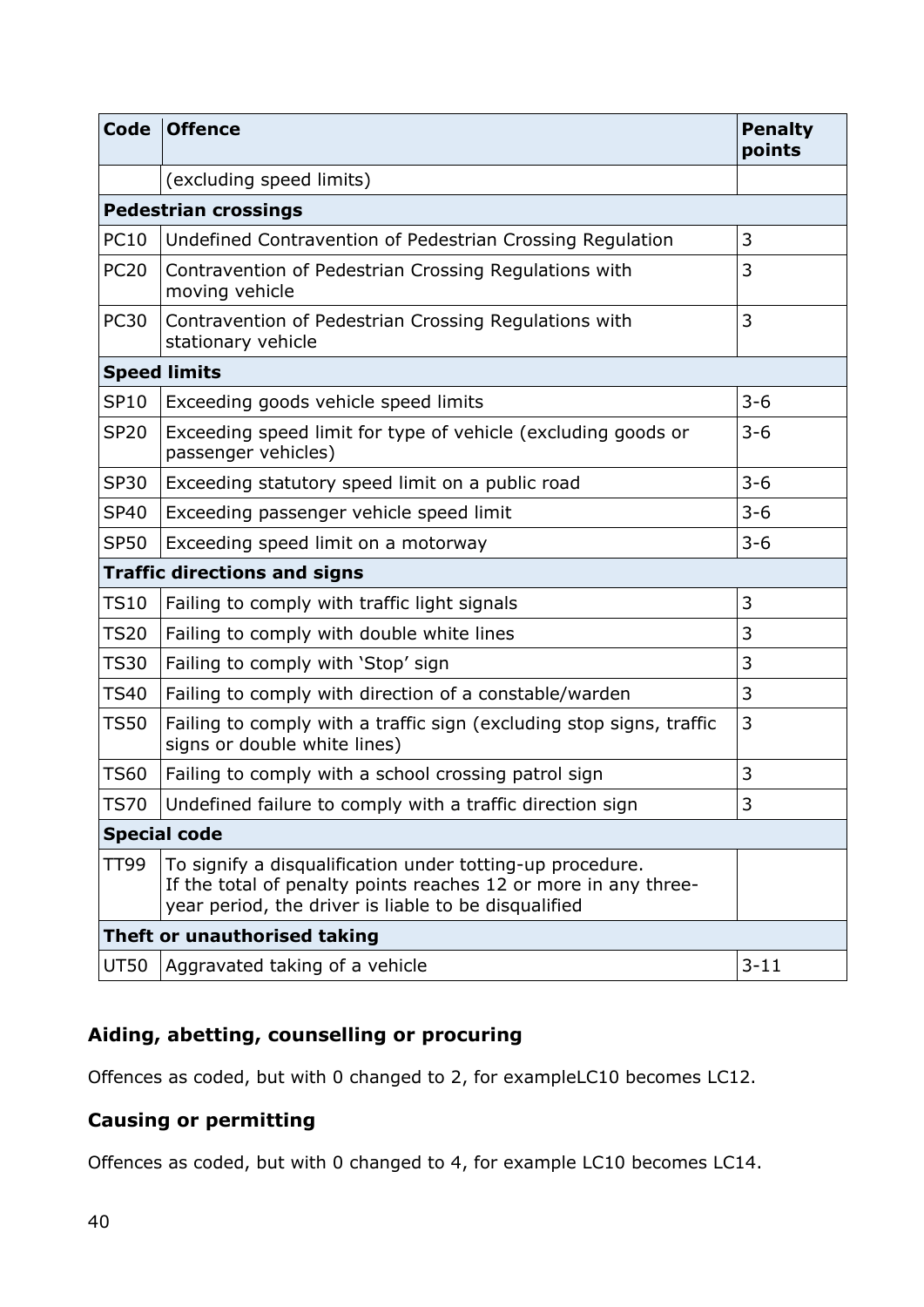| Code                                | <b>Offence</b>                                                                                                                                                                       | <b>Penalty</b><br>points |  |  |
|-------------------------------------|--------------------------------------------------------------------------------------------------------------------------------------------------------------------------------------|--------------------------|--|--|
|                                     | (excluding speed limits)                                                                                                                                                             |                          |  |  |
| <b>Pedestrian crossings</b>         |                                                                                                                                                                                      |                          |  |  |
| <b>PC10</b>                         | Undefined Contravention of Pedestrian Crossing Regulation                                                                                                                            | 3                        |  |  |
| <b>PC20</b>                         | Contravention of Pedestrian Crossing Regulations with<br>moving vehicle                                                                                                              | 3                        |  |  |
| <b>PC30</b>                         | Contravention of Pedestrian Crossing Regulations with<br>stationary vehicle                                                                                                          | 3                        |  |  |
| <b>Speed limits</b>                 |                                                                                                                                                                                      |                          |  |  |
| <b>SP10</b>                         | Exceeding goods vehicle speed limits                                                                                                                                                 | $3 - 6$                  |  |  |
| <b>SP20</b>                         | Exceeding speed limit for type of vehicle (excluding goods or<br>passenger vehicles)                                                                                                 | $3 - 6$                  |  |  |
| <b>SP30</b>                         | Exceeding statutory speed limit on a public road                                                                                                                                     | $3 - 6$                  |  |  |
| <b>SP40</b>                         | Exceeding passenger vehicle speed limit                                                                                                                                              | $3 - 6$                  |  |  |
| <b>SP50</b>                         | Exceeding speed limit on a motorway                                                                                                                                                  | $3 - 6$                  |  |  |
| <b>Traffic directions and signs</b> |                                                                                                                                                                                      |                          |  |  |
| <b>TS10</b>                         | Failing to comply with traffic light signals                                                                                                                                         | 3                        |  |  |
| <b>TS20</b>                         | Failing to comply with double white lines                                                                                                                                            | 3                        |  |  |
| <b>TS30</b>                         | Failing to comply with 'Stop' sign                                                                                                                                                   | 3                        |  |  |
| <b>TS40</b>                         | Failing to comply with direction of a constable/warden                                                                                                                               | 3                        |  |  |
| <b>TS50</b>                         | Failing to comply with a traffic sign (excluding stop signs, traffic<br>signs or double white lines)                                                                                 | 3                        |  |  |
| <b>TS60</b>                         | Failing to comply with a school crossing patrol sign                                                                                                                                 | 3                        |  |  |
| <b>TS70</b>                         | Undefined failure to comply with a traffic direction sign                                                                                                                            | 3                        |  |  |
| <b>Special code</b>                 |                                                                                                                                                                                      |                          |  |  |
| TT99                                | To signify a disqualification under totting-up procedure.<br>If the total of penalty points reaches 12 or more in any three-<br>year period, the driver is liable to be disqualified |                          |  |  |
| Theft or unauthorised taking        |                                                                                                                                                                                      |                          |  |  |
| UT50                                | Aggravated taking of a vehicle                                                                                                                                                       | $3 - 11$                 |  |  |

#### **Aiding, abetting, counselling or procuring**

Offences as coded, but with 0 changed to 2, for exampleLC10 becomes LC12.

#### **Causing or permitting**

Offences as coded, but with 0 changed to 4, for example LC10 becomes LC14.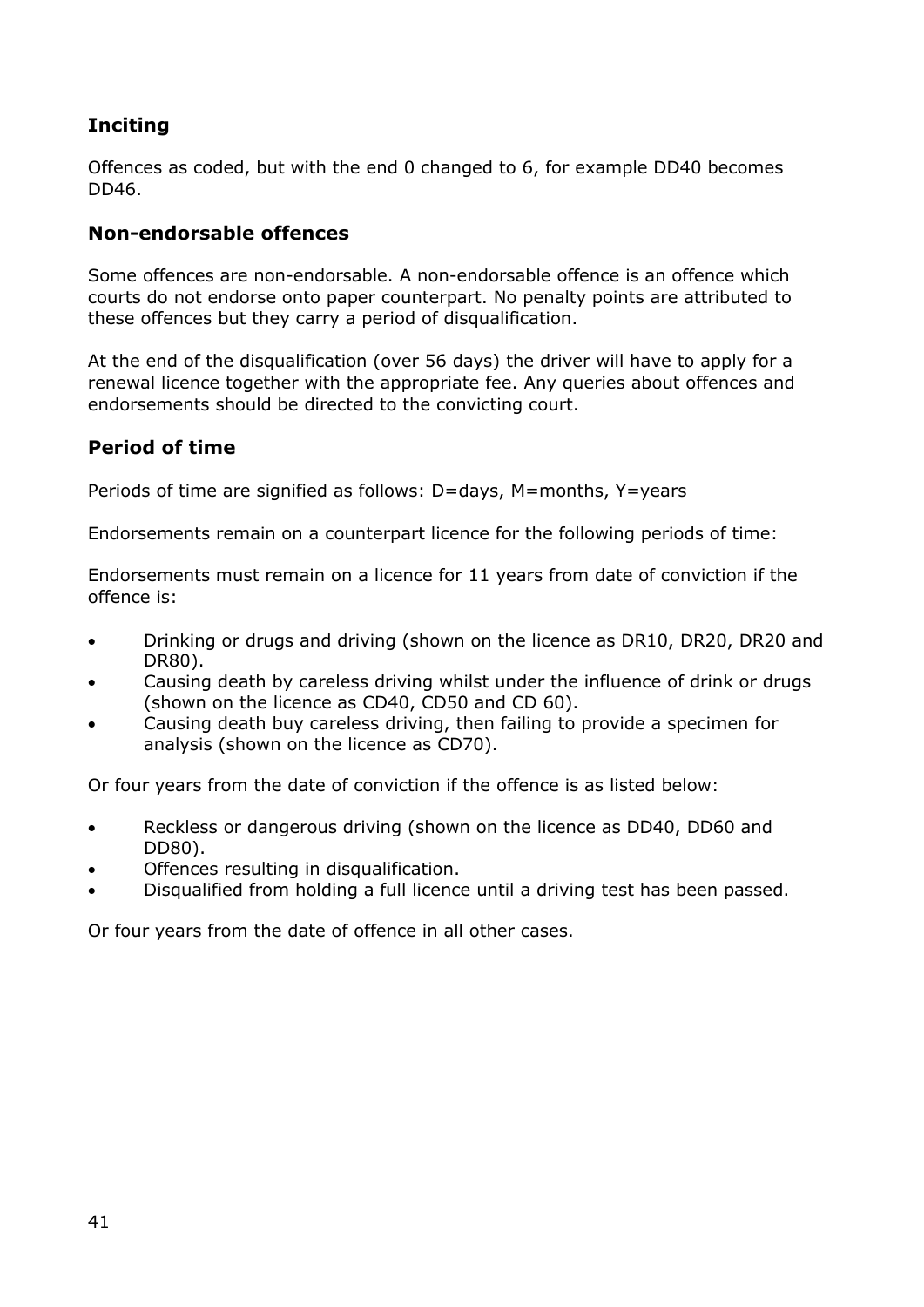#### **Inciting**

Offences as coded, but with the end 0 changed to 6, for example DD40 becomes DD46.

#### **Non-endorsable offences**

Some offences are non-endorsable. A non-endorsable offence is an offence which courts do not endorse onto paper counterpart. No penalty points are attributed to these offences but they carry a period of disqualification.

At the end of the disqualification (over 56 days) the driver will have to apply for a renewal licence together with the appropriate fee. Any queries about offences and endorsements should be directed to the convicting court.

#### **Period of time**

Periods of time are signified as follows: D=days, M=months, Y=years

Endorsements remain on a counterpart licence for the following periods of time:

Endorsements must remain on a licence for 11 years from date of conviction if the offence is:

- Drinking or drugs and driving (shown on the licence as DR10, DR20, DR20 and DR80).
- Causing death by careless driving whilst under the influence of drink or drugs (shown on the licence as CD40, CD50 and CD 60).
- Causing death buy careless driving, then failing to provide a specimen for analysis (shown on the licence as CD70).

Or four years from the date of conviction if the offence is as listed below:

- Reckless or dangerous driving (shown on the licence as DD40, DD60 and DD80).
- Offences resulting in disqualification.
- Disqualified from holding a full licence until a driving test has been passed.

Or four years from the date of offence in all other cases.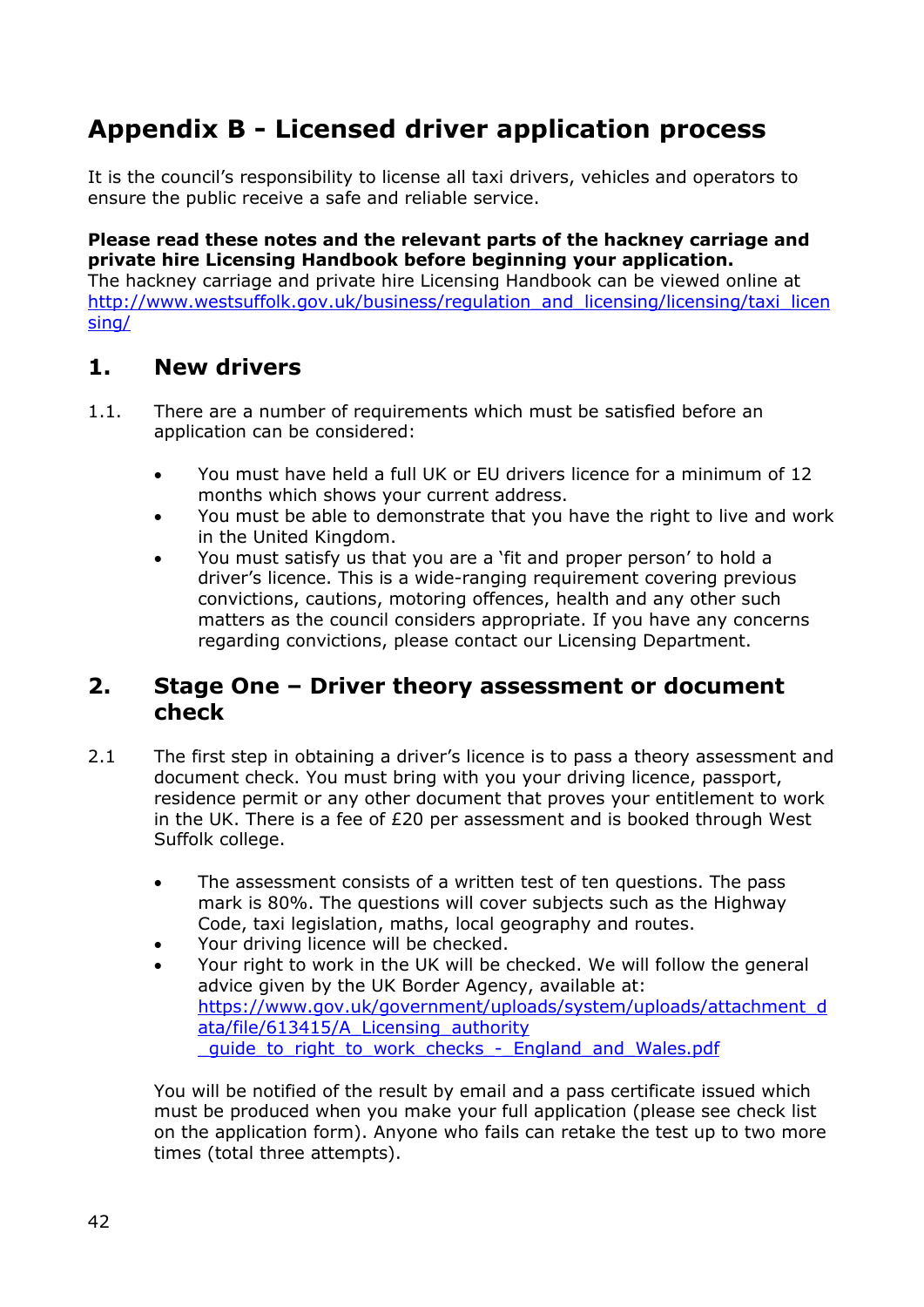# **Appendix B - Licensed driver application process**

It is the council's responsibility to license all taxi drivers, vehicles and operators to ensure the public receive a safe and reliable service.

**Please read these notes and the relevant parts of the hackney carriage and private hire Licensing Handbook before beginning your application.** 

The hackney carriage and private hire Licensing Handbook can be viewed online at [http://www.westsuffolk.gov.uk/business/regulation\\_and\\_licensing/licensing/taxi\\_licen](http://www.westsuffolk.gov.uk/business/regulation_and_licensing/licensing/taxi_licensing/) [sing/](http://www.westsuffolk.gov.uk/business/regulation_and_licensing/licensing/taxi_licensing/)

## **1. New drivers**

- 1.1. There are a number of requirements which must be satisfied before an application can be considered:
	- You must have held a full UK or EU drivers licence for a minimum of 12 months which shows your current address.
	- You must be able to demonstrate that you have the right to live and work in the United Kingdom.
	- You must satisfy us that you are a 'fit and proper person' to hold a driver's licence. This is a wide-ranging requirement covering previous convictions, cautions, motoring offences, health and any other such matters as the council considers appropriate. If you have any concerns regarding convictions, please contact our Licensing Department.

### **2. Stage One – Driver theory assessment or document check**

- 2.1 The first step in obtaining a driver's licence is to pass a theory assessment and document check. You must bring with you your driving licence, passport, residence permit or any other document that proves your entitlement to work in the UK. There is a fee of  $E20$  per assessment and is booked through West Suffolk college.
	- The assessment consists of a written test of ten questions. The pass mark is 80%. The questions will cover subjects such as the Highway Code, taxi legislation, maths, local geography and routes.
	- Your driving licence will be checked.
	- Your right to work in the UK will be checked. We will follow the general advice given by the UK Border Agency, available at: [https://www.gov.uk/government/uploads/system/uploads/attachment\\_d](https://www.gov.uk/government/uploads/system/uploads/attachment_data/file/613415/A_Licensing_authority%20_guide_to_right_to_work_checks_-_England_and_Wales.pdf) [ata/file/613415/A\\_Licensing\\_authority](https://www.gov.uk/government/uploads/system/uploads/attachment_data/file/613415/A_Licensing_authority%20_guide_to_right_to_work_checks_-_England_and_Wales.pdf)  quide to right to work checks - England and Wales.pdf

You will be notified of the result by email and a pass certificate issued which must be produced when you make your full application (please see check list on the application form). Anyone who fails can retake the test up to two more times (total three attempts).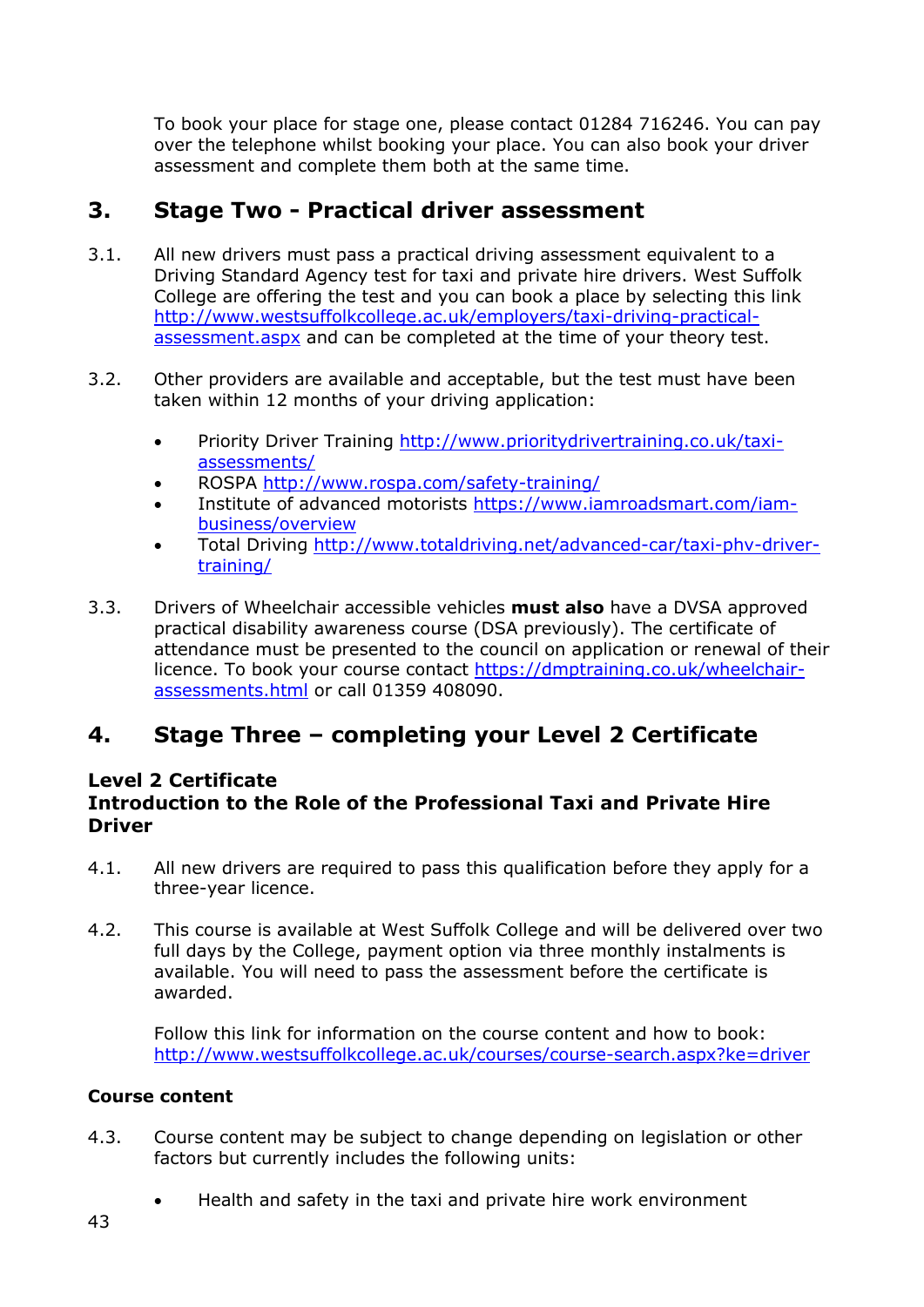To book your place for stage one, please contact 01284 716246. You can pay over the telephone whilst booking your place. You can also book your driver assessment and complete them both at the same time.

### **3. Stage Two - Practical driver assessment**

- 3.1. All new drivers must pass a practical driving assessment equivalent to a Driving Standard Agency test for taxi and private hire drivers. West Suffolk College are offering the test and you can book a place by selecting this link [http://www.westsuffolkcollege.ac.uk/employers/taxi-driving-practical](http://www.westsuffolkcollege.ac.uk/employers/taxi-driving-practical-assessment.aspx)[assessment.aspx](http://www.westsuffolkcollege.ac.uk/employers/taxi-driving-practical-assessment.aspx) and can be completed at the time of your theory test.
- 3.2. Other providers are available and acceptable, but the test must have been taken within 12 months of your driving application:
	- Priority Driver Training [http://www.prioritydrivertraining.co.uk/taxi](http://www.prioritydrivertraining.co.uk/taxi-assessments/)[assessments/](http://www.prioritydrivertraining.co.uk/taxi-assessments/)
	- ROSPA<http://www.rospa.com/safety-training/>
	- Institute of advanced motorists [https://www.iamroadsmart.com/iam](https://www.iamroadsmart.com/iam-business/overview)[business/overview](https://www.iamroadsmart.com/iam-business/overview)
	- Total Driving [http://www.totaldriving.net/advanced-car/taxi-phv-driver](http://www.totaldriving.net/advanced-car/taxi-phv-driver-training/)[training/](http://www.totaldriving.net/advanced-car/taxi-phv-driver-training/)
- 3.3. Drivers of Wheelchair accessible vehicles **must also** have a DVSA approved practical disability awareness course (DSA previously). The certificate of attendance must be presented to the council on application or renewal of their licence. To book your course contact [https://dmptraining.co.uk/wheelchair](https://dmptraining.co.uk/wheelchair-assessments.html)[assessments.html](https://dmptraining.co.uk/wheelchair-assessments.html) or call 01359 408090.

## **4. Stage Three – completing your Level 2 Certificate**

#### **Level 2 Certificate Introduction to the Role of the Professional Taxi and Private Hire Driver**

- 4.1. All new drivers are required to pass this qualification before they apply for a three-year licence.
- 4.2. This course is available at West Suffolk College and will be delivered over two full days by the College, payment option via three monthly instalments is available. You will need to pass the assessment before the certificate is awarded.

Follow this link for information on the course content and how to book: <http://www.westsuffolkcollege.ac.uk/courses/course-search.aspx?ke=driver>

#### **Course content**

- 4.3. Course content may be subject to change depending on legislation or other factors but currently includes the following units:
	- Health and safety in the taxi and private hire work environment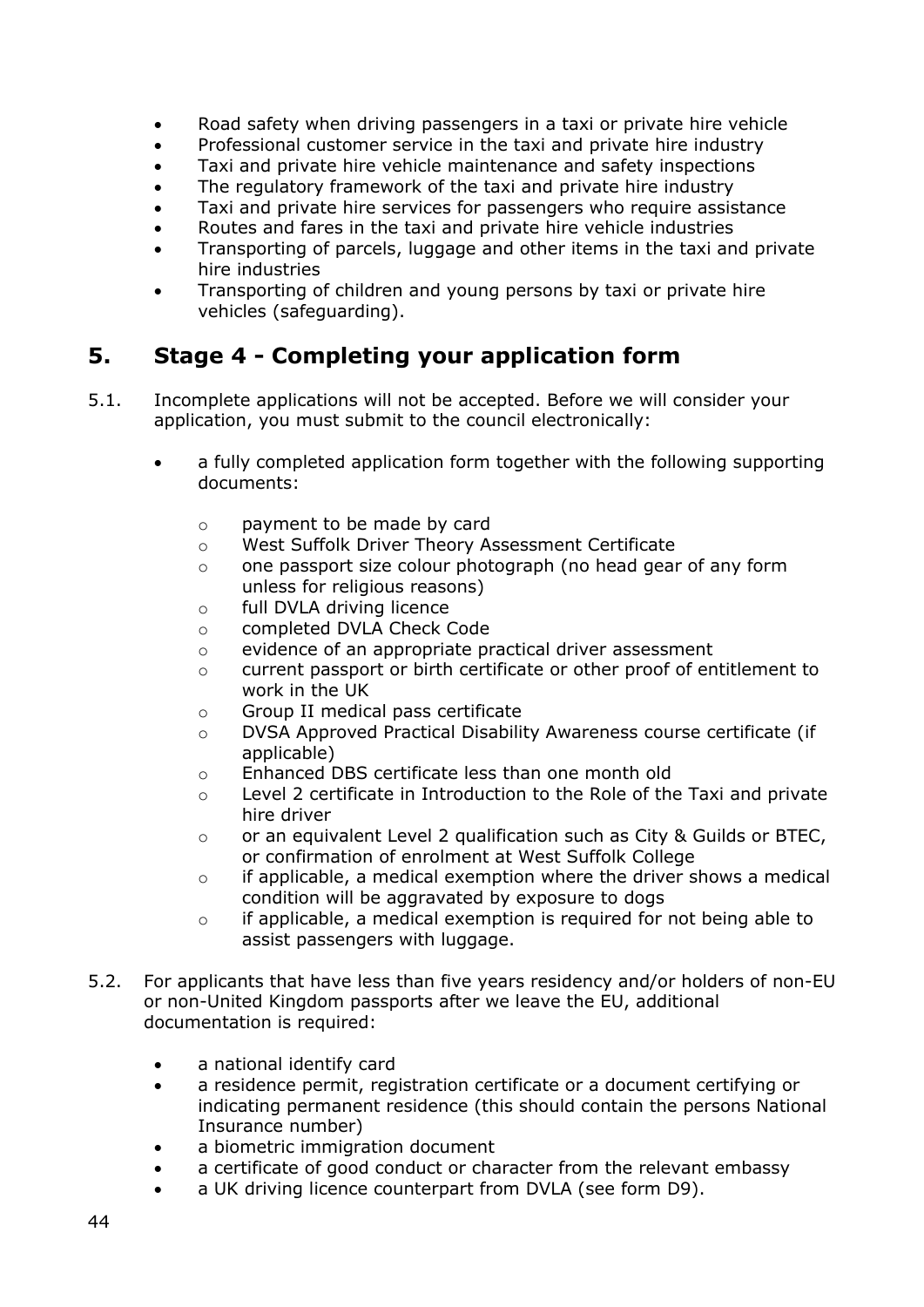- Road safety when driving passengers in a taxi or private hire vehicle
- Professional customer service in the taxi and private hire industry
- Taxi and private hire vehicle maintenance and safety inspections
- The regulatory framework of the taxi and private hire industry
- Taxi and private hire services for passengers who require assistance
- Routes and fares in the taxi and private hire vehicle industries
- Transporting of parcels, luggage and other items in the taxi and private hire industries
- Transporting of children and young persons by taxi or private hire vehicles (safeguarding).

## **5. Stage 4 - Completing your application form**

- 5.1. Incomplete applications will not be accepted. Before we will consider your application, you must submit to the council electronically:
	- a fully completed application form together with the following supporting documents:
		- o payment to be made by card
		- o West Suffolk Driver Theory Assessment Certificate
		- $\circ$  one passport size colour photograph (no head gear of any form unless for religious reasons)
		- o full DVLA driving licence
		- o completed DVLA Check Code
		- o evidence of an appropriate practical driver assessment
		- o current passport or birth certificate or other proof of entitlement to work in the UK
		- o Group II medical pass certificate
		- o DVSA Approved Practical Disability Awareness course certificate (if applicable)
		- o Enhanced DBS certificate less than one month old
		- o Level 2 certificate in Introduction to the Role of the Taxi and private hire driver
		- $\circ$  or an equivalent Level 2 qualification such as City & Guilds or BTEC, or confirmation of enrolment at West Suffolk College
		- o if applicable, a medical exemption where the driver shows a medical condition will be aggravated by exposure to dogs
		- $\circ$  if applicable, a medical exemption is required for not being able to assist passengers with luggage.
- 5.2. For applicants that have less than five years residency and/or holders of non-EU or non-United Kingdom passports after we leave the EU, additional documentation is required:
	- a national identify card
	- a residence permit, registration certificate or a document certifying or indicating permanent residence (this should contain the persons National Insurance number)
	- a biometric immigration document
	- a certificate of good conduct or character from the relevant embassy
	- a UK driving licence counterpart from DVLA (see form D9).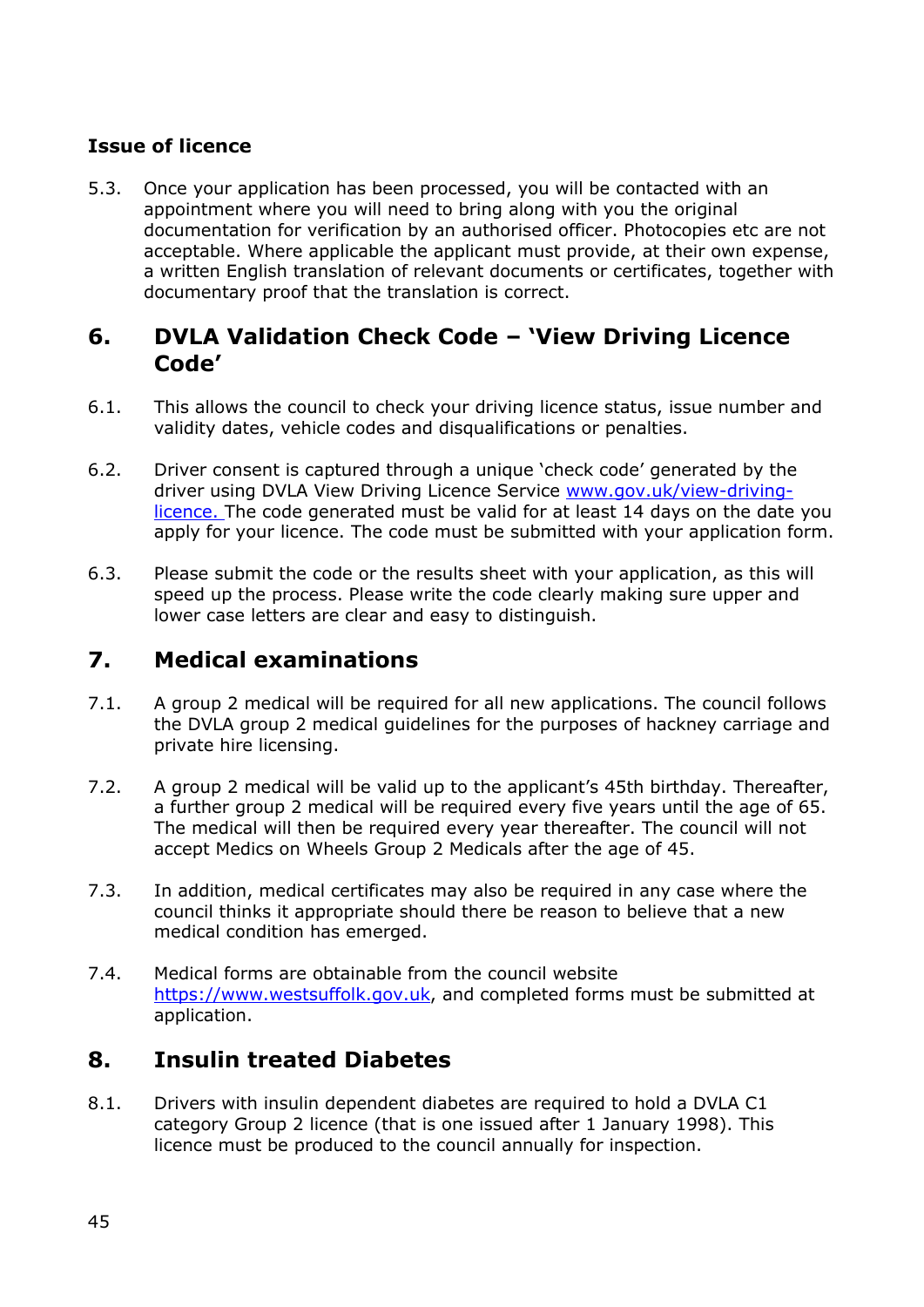#### **Issue of licence**

5.3. Once your application has been processed, you will be contacted with an appointment where you will need to bring along with you the original documentation for verification by an authorised officer. Photocopies etc are not acceptable. Where applicable the applicant must provide, at their own expense, a written English translation of relevant documents or certificates, together with documentary proof that the translation is correct.

### **6. DVLA Validation Check Code – 'View Driving Licence Code'**

- 6.1. This allows the council to check your driving licence status, issue number and validity dates, vehicle codes and disqualifications or penalties.
- 6.2. Driver consent is captured through a unique 'check code' generated by the driver using DVLA View Driving Licence Service [www.gov.uk/view-driving](http://www.gov.uk/view-driving-licence)[licence.](http://www.gov.uk/view-driving-licence) The code generated must be valid for at least 14 days on the date you apply for your licence. The code must be submitted with your application form.
- 6.3. Please submit the code or the results sheet with your application, as this will speed up the process. Please write the code clearly making sure upper and lower case letters are clear and easy to distinguish.

## **7. Medical examinations**

- 7.1. A group 2 medical will be required for all new applications. The council follows the DVLA group 2 medical guidelines for the purposes of hackney carriage and private hire licensing.
- 7.2. A group 2 medical will be valid up to the applicant's 45th birthday. Thereafter, a further group 2 medical will be required every five years until the age of 65. The medical will then be required every year thereafter. The council will not accept Medics on Wheels Group 2 Medicals after the age of 45.
- 7.3. In addition, medical certificates may also be required in any case where the council thinks it appropriate should there be reason to believe that a new medical condition has emerged.
- 7.4. Medical forms are obtainable from the council website [https://www.westsuffolk.gov.uk,](https://www.westsuffolk.gov.uk/) and completed forms must be submitted at application.

## **8. Insulin treated Diabetes**

8.1. Drivers with insulin dependent diabetes are required to hold a DVLA C1 category Group 2 licence (that is one issued after 1 January 1998). This licence must be produced to the council annually for inspection.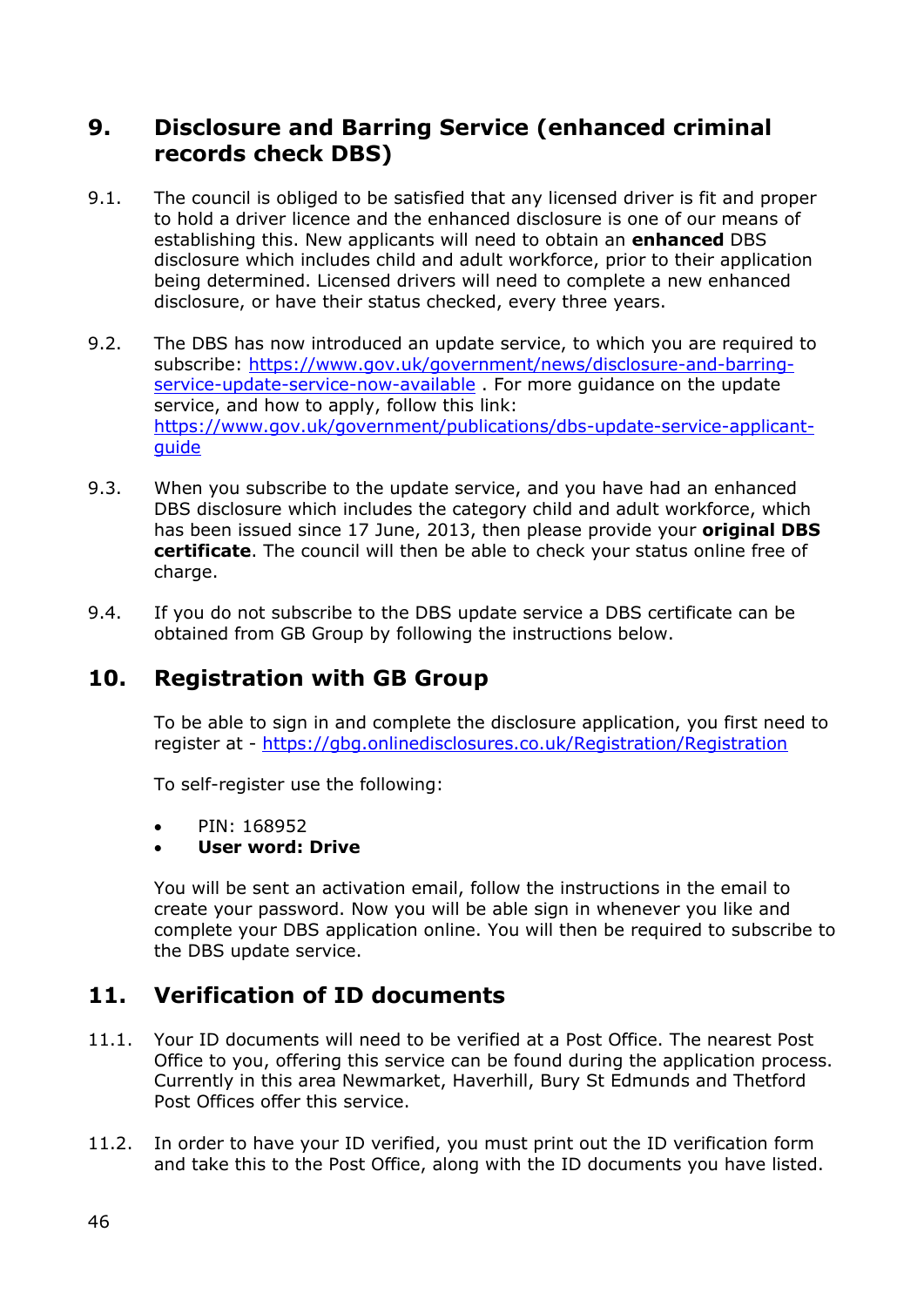## **9. Disclosure and Barring Service (enhanced criminal records check DBS)**

- 9.1. The council is obliged to be satisfied that any licensed driver is fit and proper to hold a driver licence and the enhanced disclosure is one of our means of establishing this. New applicants will need to obtain an **enhanced** DBS disclosure which includes child and adult workforce, prior to their application being determined. Licensed drivers will need to complete a new enhanced disclosure, or have their status checked, every three years.
- 9.2. The DBS has now introduced an update service, to which you are required to subscribe: [https://www.gov.uk/government/news/disclosure-and-barring](https://www.gov.uk/government/news/disclosure-and-barring-service-update-service-now-available)[service-update-service-now-available](https://www.gov.uk/government/news/disclosure-and-barring-service-update-service-now-available) . For more guidance on the update service, and how to apply, follow this link: [https://www.gov.uk/government/publications/dbs-update-service-applicant](https://www.gov.uk/government/publications/dbs-update-service-applicant-guide)[guide](https://www.gov.uk/government/publications/dbs-update-service-applicant-guide)
- 9.3. When you subscribe to the update service, and you have had an enhanced DBS disclosure which includes the category child and adult workforce, which has been issued since 17 June, 2013, then please provide your **original DBS certificate**. The council will then be able to check your status online free of charge.
- 9.4. If you do not subscribe to the DBS update service a DBS certificate can be obtained from GB Group by following the instructions below.

## **10. Registration with GB Group**

To be able to sign in and complete the disclosure application, you first need to register at - <https://gbg.onlinedisclosures.co.uk/Registration/Registration>

To self-register use the following:

• PIN: 168952

#### • **User word: Drive**

You will be sent an activation email, follow the instructions in the email to create your password. Now you will be able sign in whenever you like and complete your DBS application online. You will then be required to subscribe to the DBS update service.

## **11. Verification of ID documents**

- 11.1. Your ID documents will need to be verified at a Post Office. The nearest Post Office to you, offering this service can be found during the application process. Currently in this area Newmarket, Haverhill, Bury St Edmunds and Thetford Post Offices offer this service.
- 11.2. In order to have your ID verified, you must print out the ID verification form and take this to the Post Office, along with the ID documents you have listed.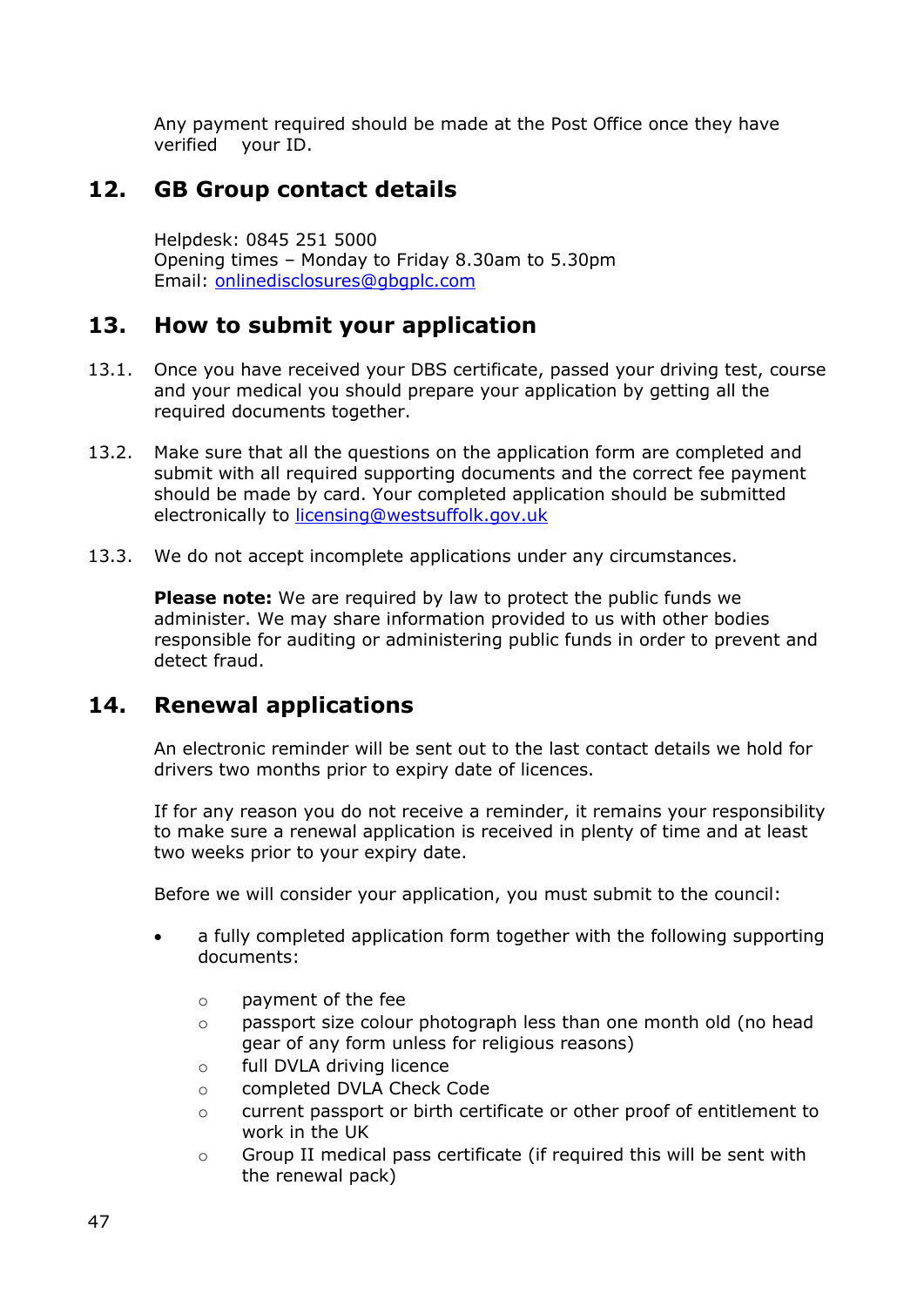Any payment required should be made at the Post Office once they have verified your ID.

### **12. GB Group contact details**

Helpdesk: 0845 251 5000 Opening times – Monday to Friday 8.30am to 5.30pm Email: [onlinedisclosures@gbgplc.com](mailto:onlinedisclosures@gbgplc.com)

## **13. How to submit your application**

- 13.1. Once you have received your DBS certificate, passed your driving test, course and your medical you should prepare your application by getting all the required documents together.
- 13.2. Make sure that all the questions on the application form are completed and submit with all required supporting documents and the correct fee payment should be made by card. Your completed application should be submitted electronically to licensing@westsuffolk.gov.uk
- 13.3. We do not accept incomplete applications under any circumstances.

**Please note:** We are required by law to protect the public funds we administer. We may share information provided to us with other bodies responsible for auditing or administering public funds in order to prevent and detect fraud.

## **14. Renewal applications**

An electronic reminder will be sent out to the last contact details we hold for drivers two months prior to expiry date of licences.

If for any reason you do not receive a reminder, it remains your responsibility to make sure a renewal application is received in plenty of time and at least two weeks prior to your expiry date.

Before we will consider your application, you must submit to the council:

- a fully completed application form together with the following supporting documents:
	- o payment of the fee
	- $\circ$  passport size colour photograph less than one month old (no head gear of any form unless for religious reasons)
	- o full DVLA driving licence
	- o completed DVLA Check Code
	- o current passport or birth certificate or other proof of entitlement to work in the UK
	- $\circ$  Group II medical pass certificate (if required this will be sent with the renewal pack)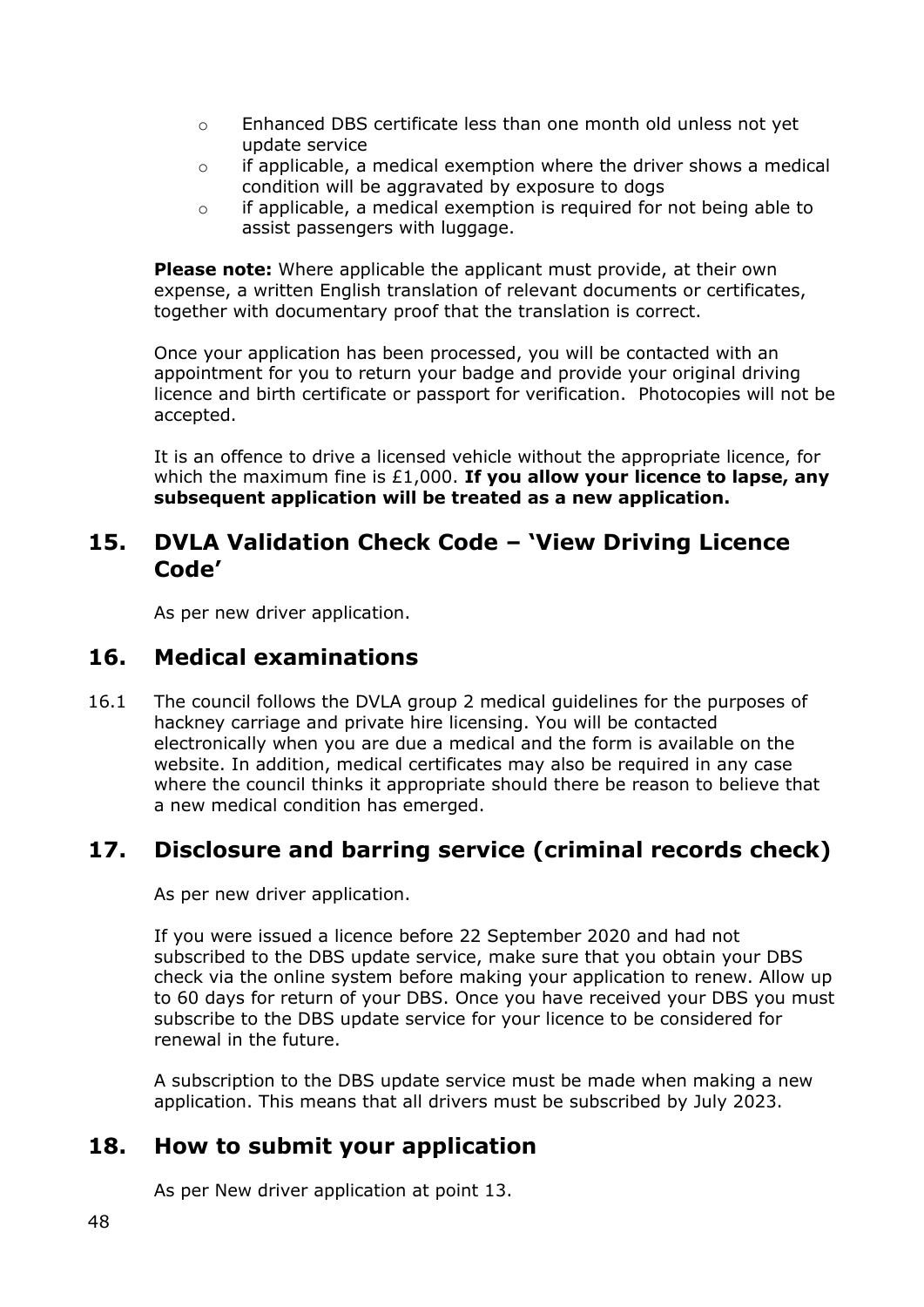- o Enhanced DBS certificate less than one month old unless not yet update service
- o if applicable, a medical exemption where the driver shows a medical condition will be aggravated by exposure to dogs
- o if applicable, a medical exemption is required for not being able to assist passengers with luggage.

**Please note:** Where applicable the applicant must provide, at their own expense, a written English translation of relevant documents or certificates, together with documentary proof that the translation is correct.

Once your application has been processed, you will be contacted with an appointment for you to return your badge and provide your original driving licence and birth certificate or passport for verification. Photocopies will not be accepted.

It is an offence to drive a licensed vehicle without the appropriate licence, for which the maximum fine is £1,000. **If you allow your licence to lapse, any subsequent application will be treated as a new application.** 

## **15. DVLA Validation Check Code – 'View Driving Licence Code'**

As per new driver application.

#### **16. Medical examinations**

16.1 The council follows the DVLA group 2 medical guidelines for the purposes of hackney carriage and private hire licensing. You will be contacted electronically when you are due a medical and the form is available on the website. In addition, medical certificates may also be required in any case where the council thinks it appropriate should there be reason to believe that a new medical condition has emerged.

## **17. Disclosure and barring service (criminal records check)**

As per new driver application.

If you were issued a licence before 22 September 2020 and had not subscribed to the DBS update service, make sure that you obtain your DBS check via the online system before making your application to renew. Allow up to 60 days for return of your DBS. Once you have received your DBS you must subscribe to the DBS update service for your licence to be considered for renewal in the future.

A subscription to the DBS update service must be made when making a new application. This means that all drivers must be subscribed by July 2023.

#### **18. How to submit your application**

As per New driver application at point 13.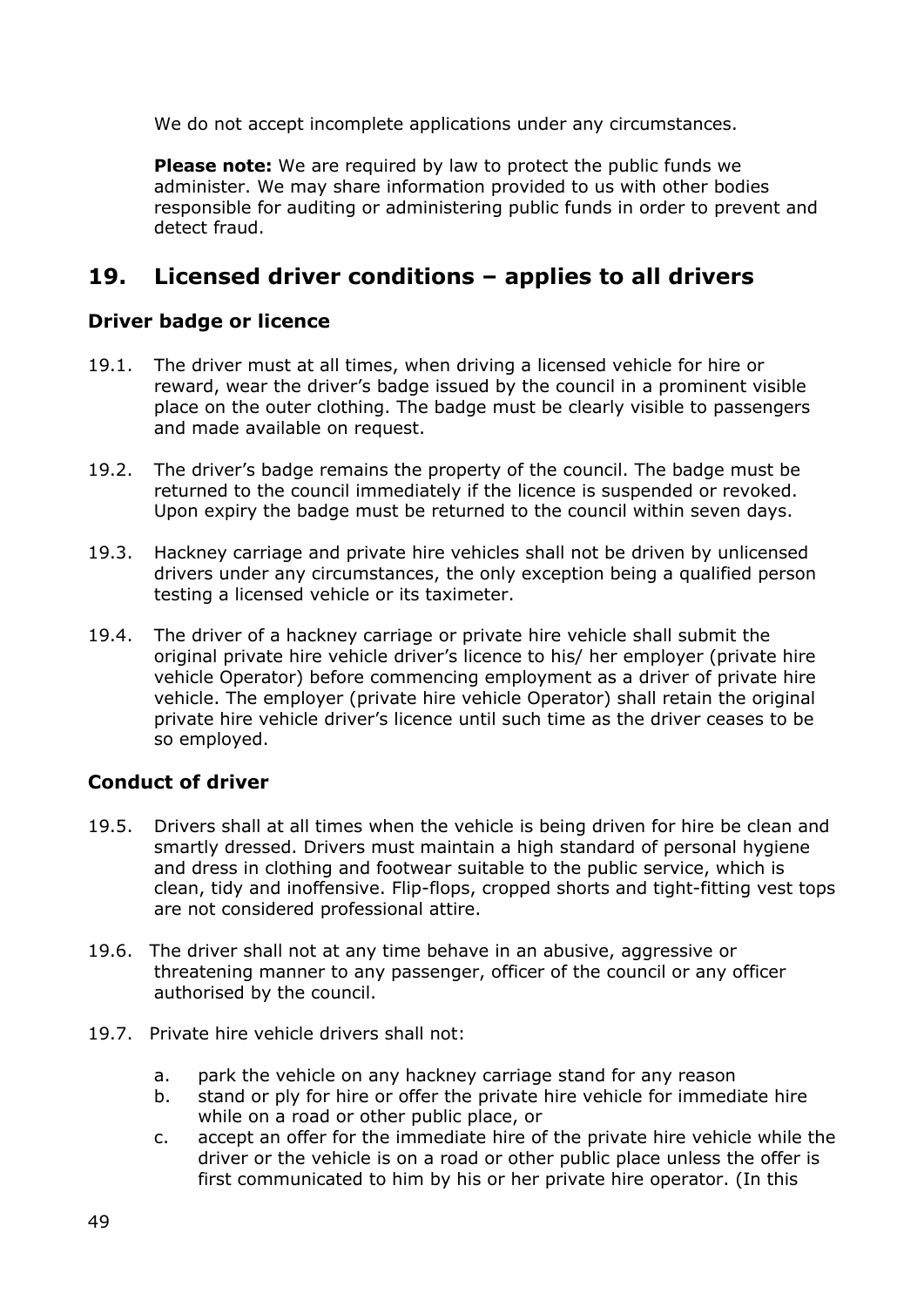We do not accept incomplete applications under any circumstances.

**Please note:** We are required by law to protect the public funds we administer. We may share information provided to us with other bodies responsible for auditing or administering public funds in order to prevent and detect fraud.

## **19. Licensed driver conditions – applies to all drivers**

#### **Driver badge or licence**

- 19.1. The driver must at all times, when driving a licensed vehicle for hire or reward, wear the driver's badge issued by the council in a prominent visible place on the outer clothing. The badge must be clearly visible to passengers and made available on request.
- 19.2. The driver's badge remains the property of the council. The badge must be returned to the council immediately if the licence is suspended or revoked. Upon expiry the badge must be returned to the council within seven days.
- 19.3. Hackney carriage and private hire vehicles shall not be driven by unlicensed drivers under any circumstances, the only exception being a qualified person testing a licensed vehicle or its taximeter.
- 19.4. The driver of a hackney carriage or private hire vehicle shall submit the original private hire vehicle driver's licence to his/ her employer (private hire vehicle Operator) before commencing employment as a driver of private hire vehicle. The employer (private hire vehicle Operator) shall retain the original private hire vehicle driver's licence until such time as the driver ceases to be so employed.

#### **Conduct of driver**

- 19.5. Drivers shall at all times when the vehicle is being driven for hire be clean and smartly dressed. Drivers must maintain a high standard of personal hygiene and dress in clothing and footwear suitable to the public service, which is clean, tidy and inoffensive. Flip-flops, cropped shorts and tight-fitting vest tops are not considered professional attire.
- 19.6. The driver shall not at any time behave in an abusive, aggressive or threatening manner to any passenger, officer of the council or any officer authorised by the council.
- 19.7. Private hire vehicle drivers shall not:
	- a. park the vehicle on any hackney carriage stand for any reason
	- b. stand or ply for hire or offer the private hire vehicle for immediate hire while on a road or other public place, or
	- c. accept an offer for the immediate hire of the private hire vehicle while the driver or the vehicle is on a road or other public place unless the offer is first communicated to him by his or her private hire operator. (In this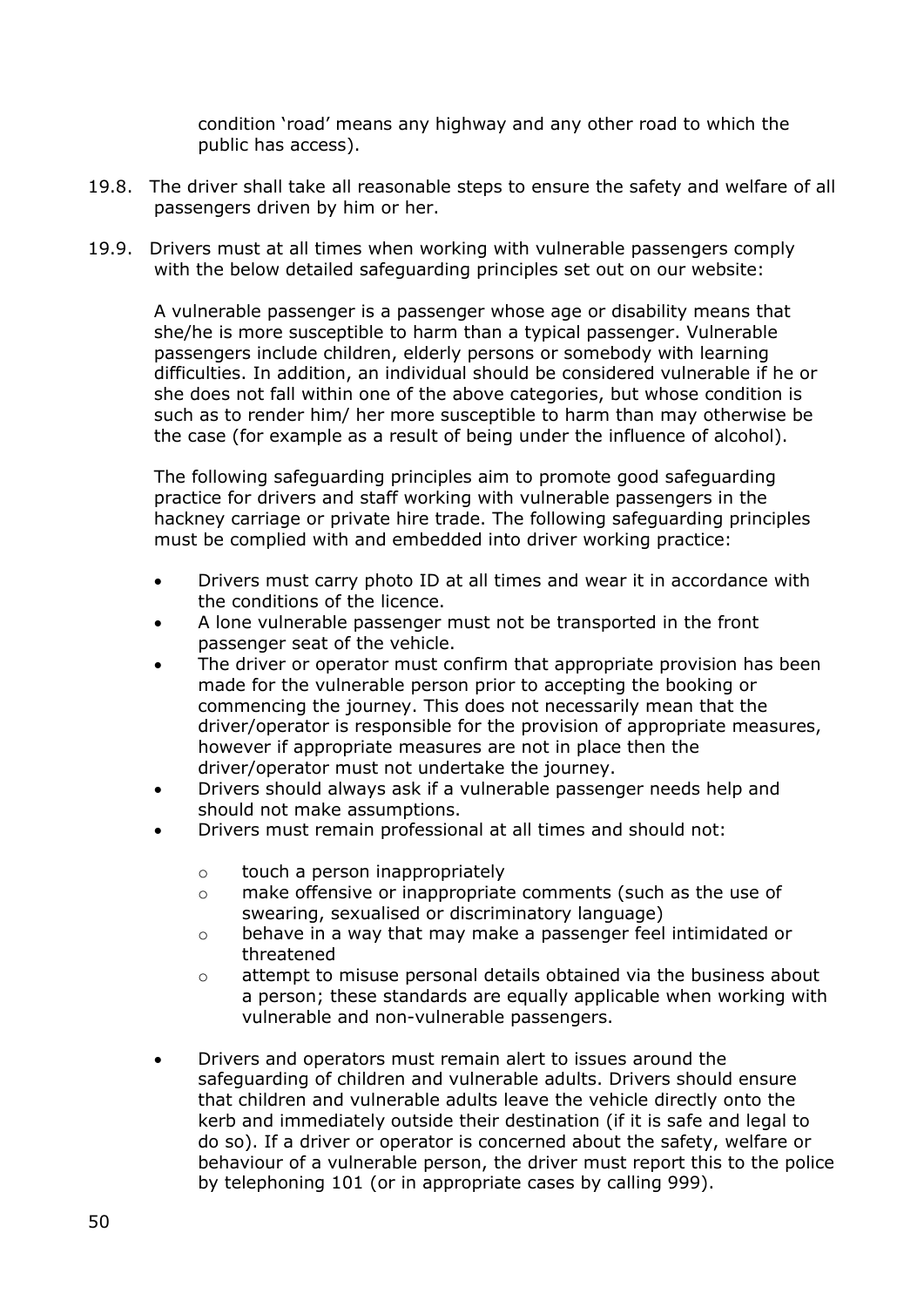condition 'road' means any highway and any other road to which the public has access).

- 19.8. The driver shall take all reasonable steps to ensure the safety and welfare of all passengers driven by him or her.
- 19.9. Drivers must at all times when working with vulnerable passengers comply with the below detailed safeguarding principles set out on our website:

A vulnerable passenger is a passenger whose age or disability means that she/he is more susceptible to harm than a typical passenger. Vulnerable passengers include children, elderly persons or somebody with learning difficulties. In addition, an individual should be considered vulnerable if he or she does not fall within one of the above categories, but whose condition is such as to render him/ her more susceptible to harm than may otherwise be the case (for example as a result of being under the influence of alcohol).

The following safeguarding principles aim to promote good safeguarding practice for drivers and staff working with vulnerable passengers in the hackney carriage or private hire trade. The following safeguarding principles must be complied with and embedded into driver working practice:

- Drivers must carry photo ID at all times and wear it in accordance with the conditions of the licence.
- A lone vulnerable passenger must not be transported in the front passenger seat of the vehicle.
- The driver or operator must confirm that appropriate provision has been made for the vulnerable person prior to accepting the booking or commencing the journey. This does not necessarily mean that the driver/operator is responsible for the provision of appropriate measures, however if appropriate measures are not in place then the driver/operator must not undertake the journey.
- Drivers should always ask if a vulnerable passenger needs help and should not make assumptions.
- Drivers must remain professional at all times and should not:
	- o touch a person inappropriately
	- o make offensive or inappropriate comments (such as the use of swearing, sexualised or discriminatory language)
	- o behave in a way that may make a passenger feel intimidated or threatened
	- $\circ$  attempt to misuse personal details obtained via the business about a person; these standards are equally applicable when working with vulnerable and non-vulnerable passengers.
- Drivers and operators must remain alert to issues around the safeguarding of children and vulnerable adults. Drivers should ensure that children and vulnerable adults leave the vehicle directly onto the kerb and immediately outside their destination (if it is safe and legal to do so). If a driver or operator is concerned about the safety, welfare or behaviour of a vulnerable person, the driver must report this to the police by telephoning 101 (or in appropriate cases by calling 999).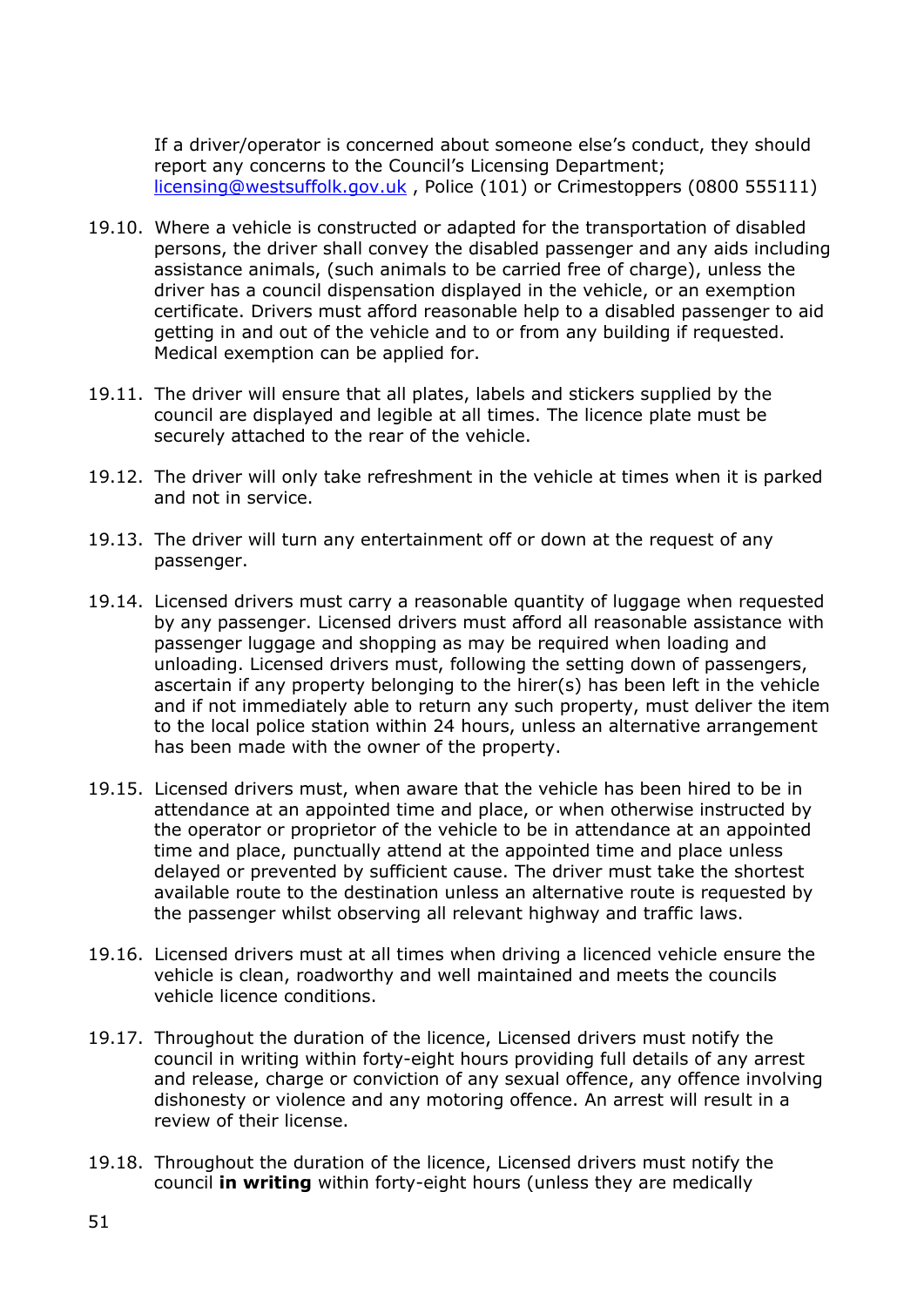If a driver/operator is concerned about someone else's conduct, they should report any concerns to the Council's Licensing Department; [licensing@westsuffolk.gov.uk](mailto:licensing@westsuffolk.gov.uk) , Police (101) or Crimestoppers (0800 555111)

- 19.10. Where a vehicle is constructed or adapted for the transportation of disabled persons, the driver shall convey the disabled passenger and any aids including assistance animals, (such animals to be carried free of charge), unless the driver has a council dispensation displayed in the vehicle, or an exemption certificate. Drivers must afford reasonable help to a disabled passenger to aid getting in and out of the vehicle and to or from any building if requested. Medical exemption can be applied for.
- 19.11. The driver will ensure that all plates, labels and stickers supplied by the council are displayed and legible at all times. The licence plate must be securely attached to the rear of the vehicle.
- 19.12. The driver will only take refreshment in the vehicle at times when it is parked and not in service.
- 19.13. The driver will turn any entertainment off or down at the request of any passenger.
- 19.14. Licensed drivers must carry a reasonable quantity of luggage when requested by any passenger. Licensed drivers must afford all reasonable assistance with passenger luggage and shopping as may be required when loading and unloading. Licensed drivers must, following the setting down of passengers, ascertain if any property belonging to the hirer(s) has been left in the vehicle and if not immediately able to return any such property, must deliver the item to the local police station within 24 hours, unless an alternative arrangement has been made with the owner of the property.
- 19.15. Licensed drivers must, when aware that the vehicle has been hired to be in attendance at an appointed time and place, or when otherwise instructed by the operator or proprietor of the vehicle to be in attendance at an appointed time and place, punctually attend at the appointed time and place unless delayed or prevented by sufficient cause. The driver must take the shortest available route to the destination unless an alternative route is requested by the passenger whilst observing all relevant highway and traffic laws.
- 19.16. Licensed drivers must at all times when driving a licenced vehicle ensure the vehicle is clean, roadworthy and well maintained and meets the councils vehicle licence conditions.
- 19.17. Throughout the duration of the licence, Licensed drivers must notify the council in writing within forty-eight hours providing full details of any arrest and release, charge or conviction of any sexual offence, any offence involving dishonesty or violence and any motoring offence. An arrest will result in a review of their license.
- 19.18. Throughout the duration of the licence, Licensed drivers must notify the council **in writing** within forty-eight hours (unless they are medically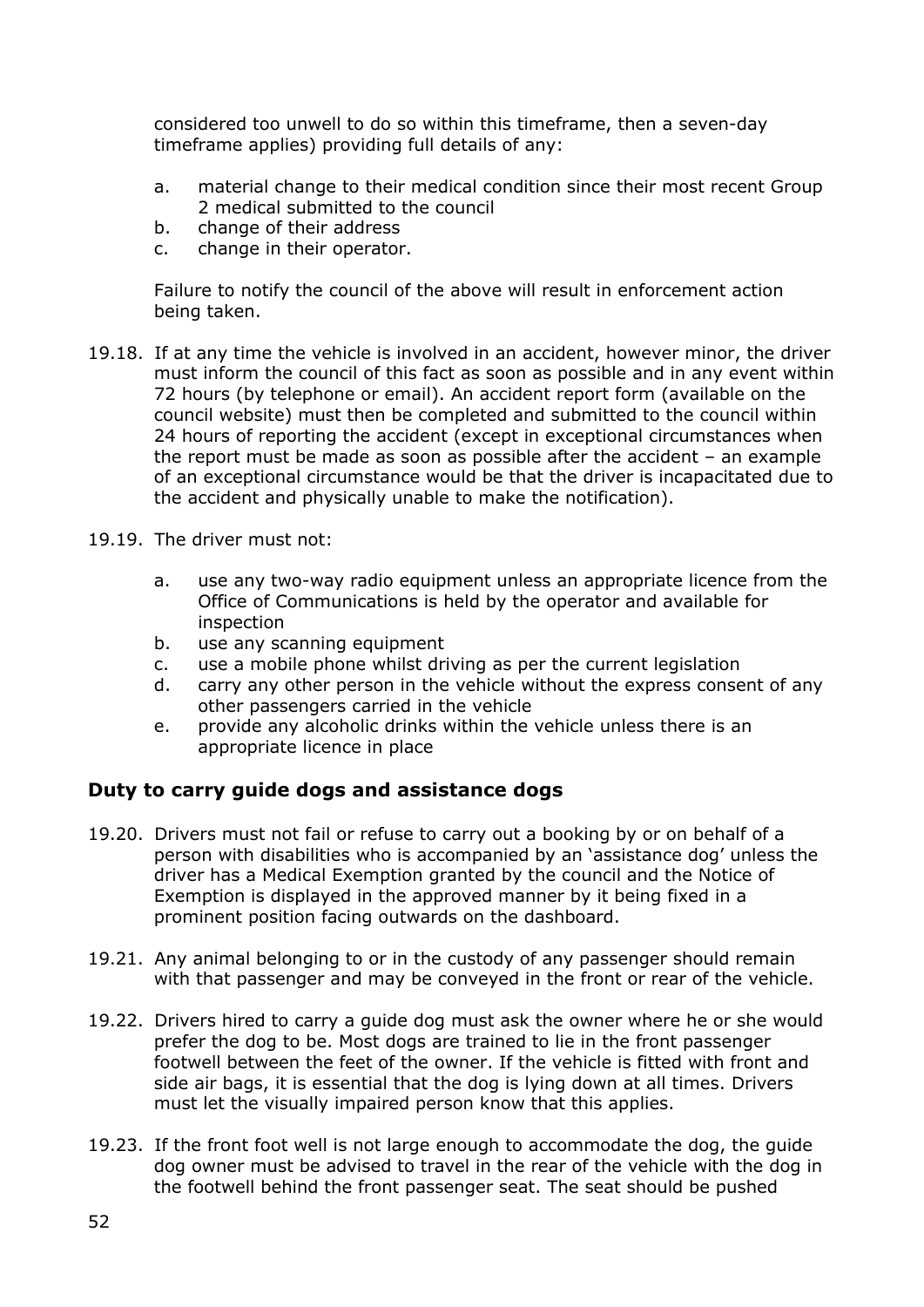considered too unwell to do so within this timeframe, then a seven-day timeframe applies) providing full details of any:

- a. material change to their medical condition since their most recent Group 2 medical submitted to the council
- b. change of their address
- c. change in their operator.

Failure to notify the council of the above will result in enforcement action being taken.

- 19.18. If at any time the vehicle is involved in an accident, however minor, the driver must inform the council of this fact as soon as possible and in any event within 72 hours (by telephone or email). An accident report form (available on the council website) must then be completed and submitted to the council within 24 hours of reporting the accident (except in exceptional circumstances when the report must be made as soon as possible after the accident – an example of an exceptional circumstance would be that the driver is incapacitated due to the accident and physically unable to make the notification).
- 19.19. The driver must not:
	- a. use any two-way radio equipment unless an appropriate licence from the Office of Communications is held by the operator and available for inspection
	- b. use any scanning equipment
	- c. use a mobile phone whilst driving as per the current legislation
	- d. carry any other person in the vehicle without the express consent of any other passengers carried in the vehicle
	- e. provide any alcoholic drinks within the vehicle unless there is an appropriate licence in place

#### **Duty to carry guide dogs and assistance dogs**

- 19.20. Drivers must not fail or refuse to carry out a booking by or on behalf of a person with disabilities who is accompanied by an 'assistance dog' unless the driver has a Medical Exemption granted by the council and the Notice of Exemption is displayed in the approved manner by it being fixed in a prominent position facing outwards on the dashboard.
- 19.21. Any animal belonging to or in the custody of any passenger should remain with that passenger and may be conveyed in the front or rear of the vehicle.
- 19.22. Drivers hired to carry a guide dog must ask the owner where he or she would prefer the dog to be. Most dogs are trained to lie in the front passenger footwell between the feet of the owner. If the vehicle is fitted with front and side air bags, it is essential that the dog is lying down at all times. Drivers must let the visually impaired person know that this applies.
- 19.23. If the front foot well is not large enough to accommodate the dog, the guide dog owner must be advised to travel in the rear of the vehicle with the dog in the footwell behind the front passenger seat. The seat should be pushed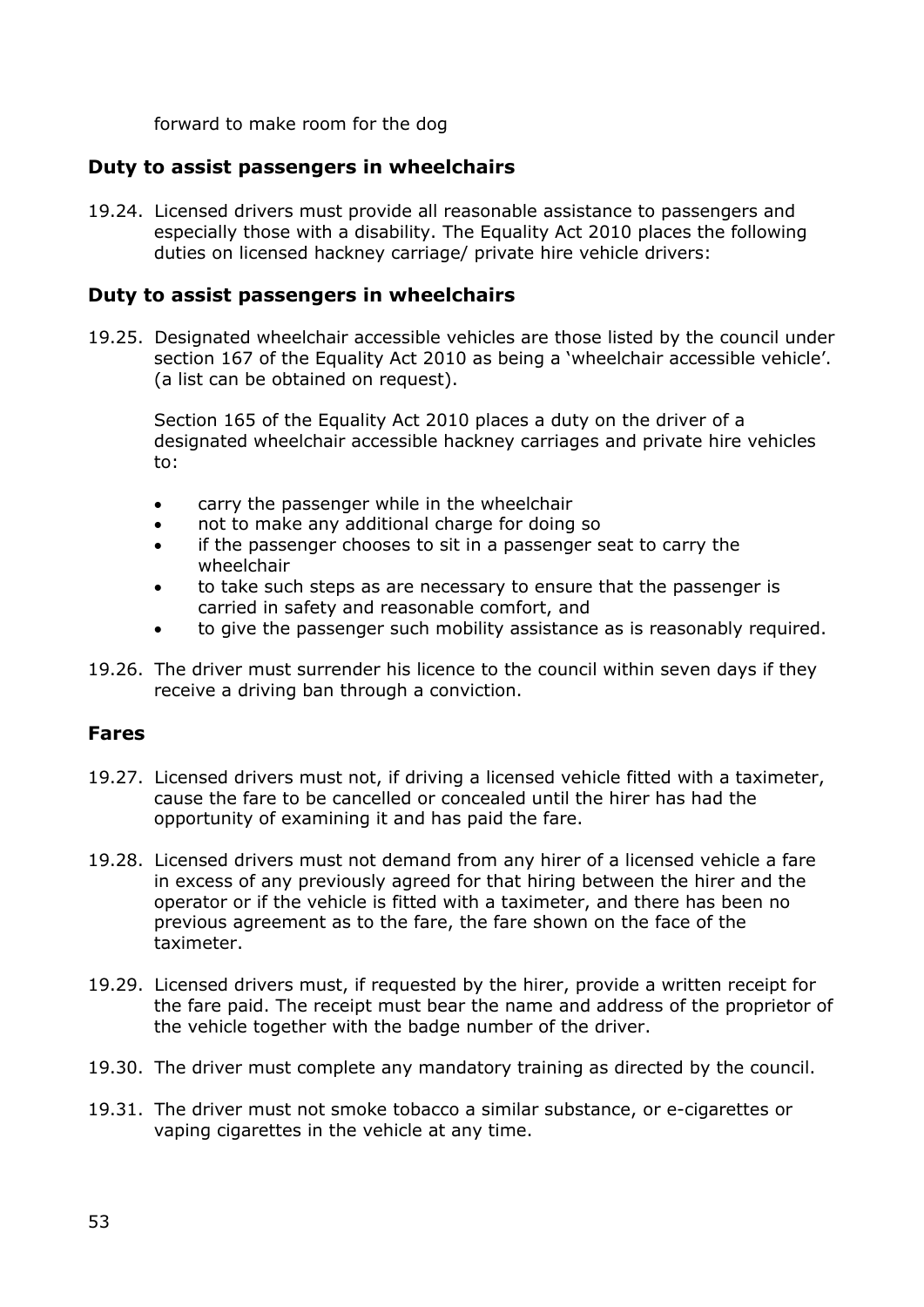forward to make room for the dog

#### **Duty to assist passengers in wheelchairs**

19.24. Licensed drivers must provide all reasonable assistance to passengers and especially those with a disability. The Equality Act 2010 places the following duties on licensed hackney carriage/ private hire vehicle drivers:

#### **Duty to assist passengers in wheelchairs**

19.25. Designated wheelchair accessible vehicles are those listed by the council under section 167 of the Equality Act 2010 as being a 'wheelchair accessible vehicle'. (a list can be obtained on request).

Section 165 of the Equality Act 2010 places a duty on the driver of a designated wheelchair accessible hackney carriages and private hire vehicles to:

- carry the passenger while in the wheelchair
- not to make any additional charge for doing so
- if the passenger chooses to sit in a passenger seat to carry the wheelchair
- to take such steps as are necessary to ensure that the passenger is carried in safety and reasonable comfort, and
- to give the passenger such mobility assistance as is reasonably required.
- 19.26. The driver must surrender his licence to the council within seven days if they receive a driving ban through a conviction.

#### **Fares**

- 19.27. Licensed drivers must not, if driving a licensed vehicle fitted with a taximeter, cause the fare to be cancelled or concealed until the hirer has had the opportunity of examining it and has paid the fare.
- 19.28. Licensed drivers must not demand from any hirer of a licensed vehicle a fare in excess of any previously agreed for that hiring between the hirer and the operator or if the vehicle is fitted with a taximeter, and there has been no previous agreement as to the fare, the fare shown on the face of the taximeter.
- 19.29. Licensed drivers must, if requested by the hirer, provide a written receipt for the fare paid. The receipt must bear the name and address of the proprietor of the vehicle together with the badge number of the driver.
- 19.30. The driver must complete any mandatory training as directed by the council.
- 19.31. The driver must not smoke tobacco a similar substance, or e-cigarettes or vaping cigarettes in the vehicle at any time.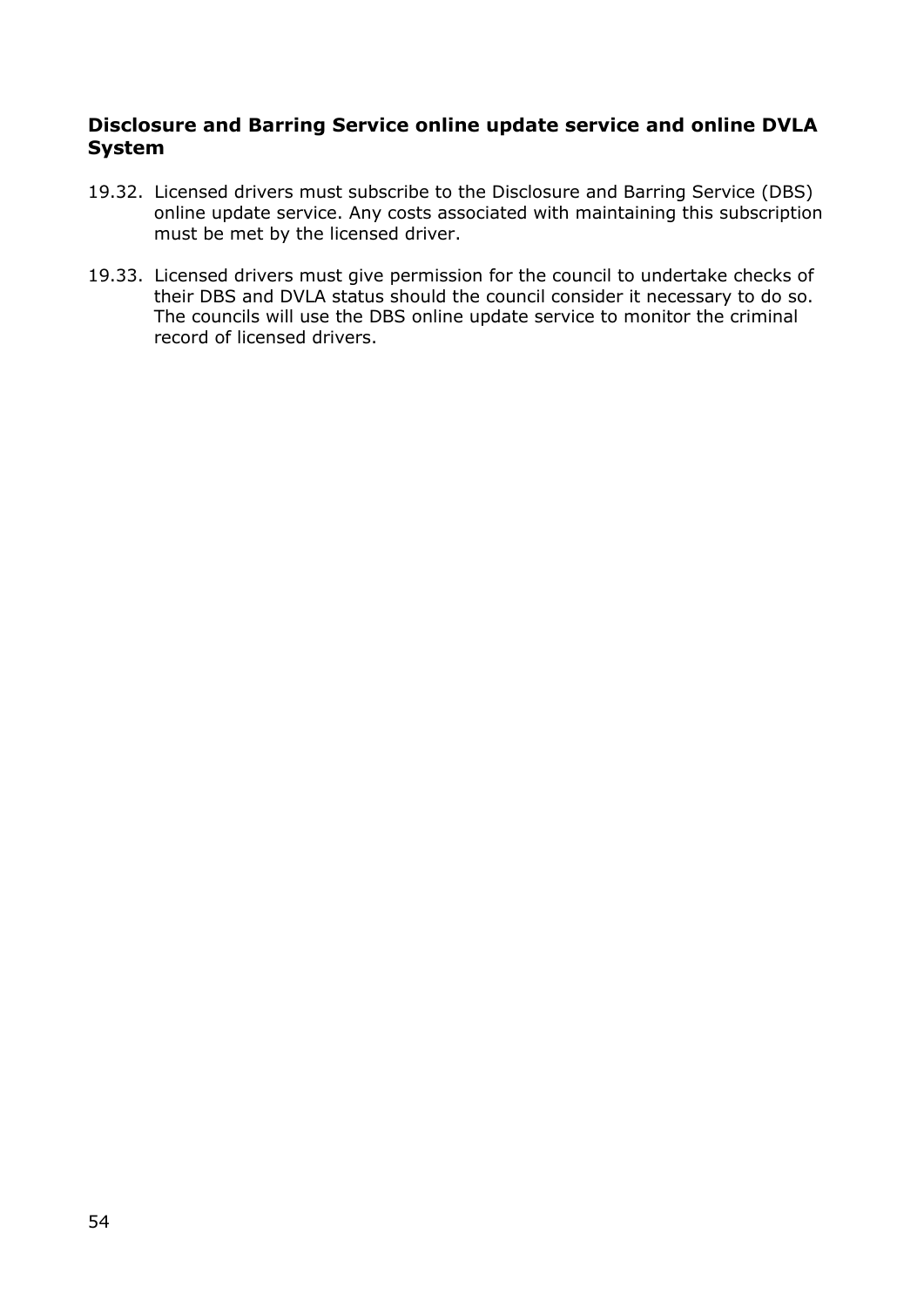#### **Disclosure and Barring Service online update service and online DVLA System**

- 19.32. Licensed drivers must subscribe to the Disclosure and Barring Service (DBS) online update service. Any costs associated with maintaining this subscription must be met by the licensed driver.
- 19.33. Licensed drivers must give permission for the council to undertake checks of their DBS and DVLA status should the council consider it necessary to do so. The councils will use the DBS online update service to monitor the criminal record of licensed drivers.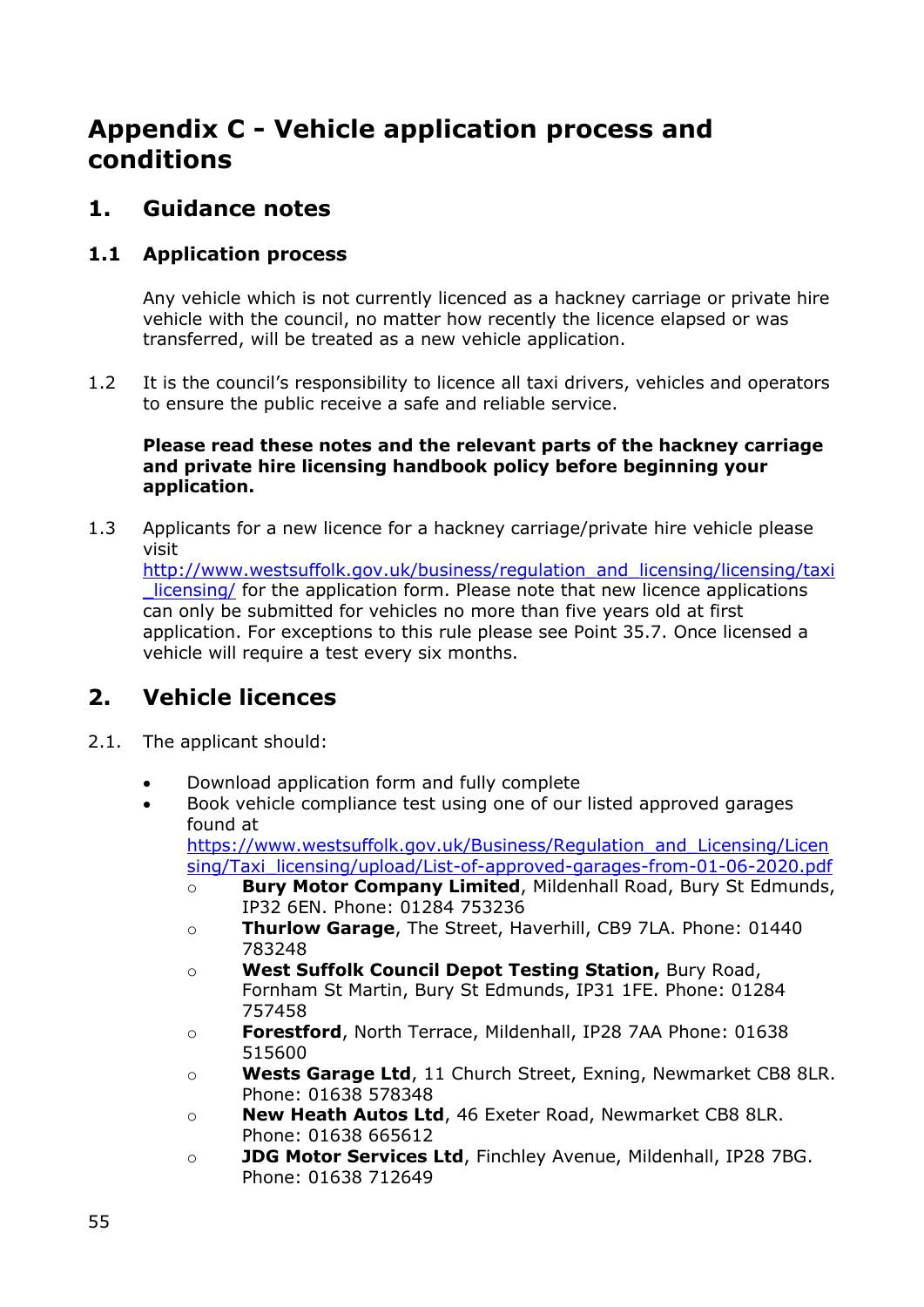# **Appendix C - Vehicle application process and conditions**

### **1. Guidance notes**

#### **1.1 Application process**

Any vehicle which is not currently licenced as a hackney carriage or private hire vehicle with the council, no matter how recently the licence elapsed or was transferred, will be treated as a new vehicle application.

1.2 It is the council's responsibility to licence all taxi drivers, vehicles and operators to ensure the public receive a safe and reliable service.

#### **Please read these notes and the relevant parts of the hackney carriage and private hire licensing handbook policy before beginning your application.**

1.3 Applicants for a new licence for a hackney carriage/private hire vehicle please visit

[http://www.westsuffolk.gov.uk/business/regulation\\_and\\_licensing/licensing/taxi](http://www.westsuffolk.gov.uk/business/regulation_and_licensing/licensing/taxi_licensing/) licensing/ for the application form. Please note that new licence applications can only be submitted for vehicles no more than five years old at first application. For exceptions to this rule please see Point 35.7. Once licensed a vehicle will require a test every six months.

## **2. Vehicle licences**

- 2.1. The applicant should:
	- Download application form and fully complete
	- Book vehicle compliance test using one of our listed approved garages found at [https://www.westsuffolk.gov.uk/Business/Regulation\\_and\\_Licensing/Licen](https://www.westsuffolk.gov.uk/Business/Regulation_and_Licensing/Licensing/Taxi_licensing/upload/List-of-approved-garages-from-01-06-2020.pdf)

[sing/Taxi\\_licensing/upload/List-of-approved-garages-from-01-06-2020.pdf](https://www.westsuffolk.gov.uk/Business/Regulation_and_Licensing/Licensing/Taxi_licensing/upload/List-of-approved-garages-from-01-06-2020.pdf)

- o **Bury Motor Company Limited**, Mildenhall Road, Bury St Edmunds, IP32 6EN. Phone: 01284 753236
- o **Thurlow Garage**, The Street, Haverhill, CB9 7LA. Phone: 01440 783248
- o **West Suffolk Council Depot Testing Station,** Bury Road, Fornham St Martin, Bury St Edmunds, IP31 1FE. Phone: 01284 757458
- o **Forestford**, North Terrace, Mildenhall, IP28 7AA Phone: 01638 515600
- o **Wests Garage Ltd**, 11 Church Street, Exning, Newmarket CB8 8LR. Phone: 01638 578348
- o **New Heath Autos Ltd**, 46 Exeter Road, Newmarket CB8 8LR. Phone: 01638 665612
- o **JDG Motor Services Ltd**, Finchley Avenue, Mildenhall, IP28 7BG. Phone: 01638 712649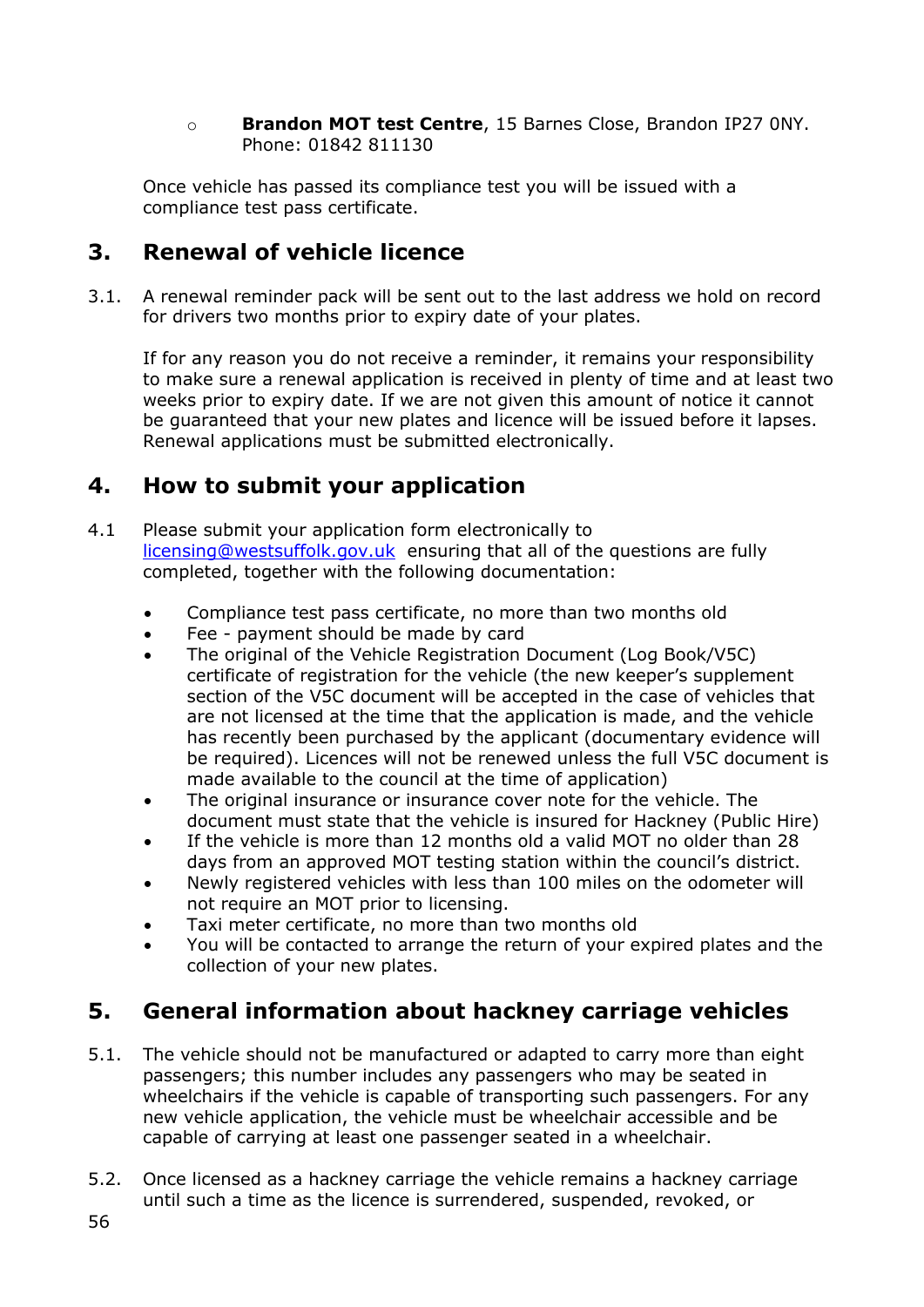#### o **Brandon MOT test Centre**, 15 Barnes Close, Brandon IP27 0NY. Phone: 01842 811130

Once vehicle has passed its compliance test you will be issued with a compliance test pass certificate.

## **3. Renewal of vehicle licence**

3.1. A renewal reminder pack will be sent out to the last address we hold on record for drivers two months prior to expiry date of your plates.

If for any reason you do not receive a reminder, it remains your responsibility to make sure a renewal application is received in plenty of time and at least two weeks prior to expiry date. If we are not given this amount of notice it cannot be guaranteed that your new plates and licence will be issued before it lapses. Renewal applications must be submitted electronically.

## **4. How to submit your application**

- 4.1 Please submit your application form electronically to [licensing@westsuffolk.gov.uk](mailto:licensing@westsuffolk.gov.uk) ensuring that all of the questions are fully completed, together with the following documentation:
	- Compliance test pass certificate, no more than two months old
	- Fee payment should be made by card
	- The original of the Vehicle Registration Document (Log Book/V5C) certificate of registration for the vehicle (the new keeper's supplement section of the V5C document will be accepted in the case of vehicles that are not licensed at the time that the application is made, and the vehicle has recently been purchased by the applicant (documentary evidence will be required). Licences will not be renewed unless the full V5C document is made available to the council at the time of application)
	- The original insurance or insurance cover note for the vehicle. The document must state that the vehicle is insured for Hackney (Public Hire)
	- If the vehicle is more than 12 months old a valid MOT no older than 28 days from an approved MOT testing station within the council's district.
	- Newly registered vehicles with less than 100 miles on the odometer will not require an MOT prior to licensing.
	- Taxi meter certificate, no more than two months old
	- You will be contacted to arrange the return of your expired plates and the collection of your new plates.

## **5. General information about hackney carriage vehicles**

- 5.1. The vehicle should not be manufactured or adapted to carry more than eight passengers; this number includes any passengers who may be seated in wheelchairs if the vehicle is capable of transporting such passengers. For any new vehicle application, the vehicle must be wheelchair accessible and be capable of carrying at least one passenger seated in a wheelchair.
- 5.2. Once licensed as a hackney carriage the vehicle remains a hackney carriage until such a time as the licence is surrendered, suspended, revoked, or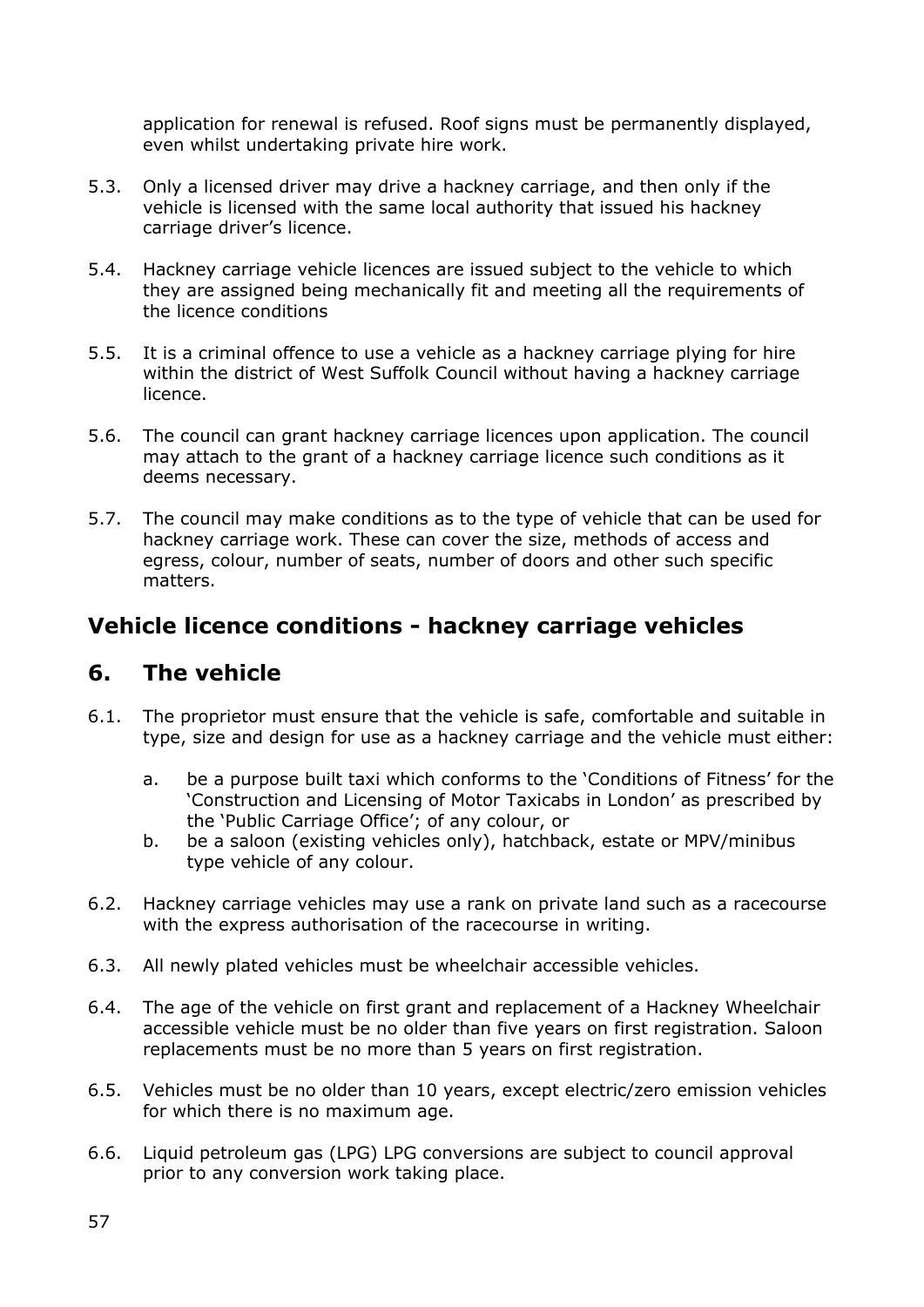application for renewal is refused. Roof signs must be permanently displayed, even whilst undertaking private hire work.

- 5.3. Only a licensed driver may drive a hackney carriage, and then only if the vehicle is licensed with the same local authority that issued his hackney carriage driver's licence.
- 5.4. Hackney carriage vehicle licences are issued subject to the vehicle to which they are assigned being mechanically fit and meeting all the requirements of the licence conditions
- 5.5. It is a criminal offence to use a vehicle as a hackney carriage plying for hire within the district of West Suffolk Council without having a hackney carriage licence.
- 5.6. The council can grant hackney carriage licences upon application. The council may attach to the grant of a hackney carriage licence such conditions as it deems necessary.
- 5.7. The council may make conditions as to the type of vehicle that can be used for hackney carriage work. These can cover the size, methods of access and egress, colour, number of seats, number of doors and other such specific matters.

### **Vehicle licence conditions - hackney carriage vehicles**

#### **6. The vehicle**

- 6.1. The proprietor must ensure that the vehicle is safe, comfortable and suitable in type, size and design for use as a hackney carriage and the vehicle must either:
	- a. be a purpose built taxi which conforms to the 'Conditions of Fitness' for the 'Construction and Licensing of Motor Taxicabs in London' as prescribed by the 'Public Carriage Office'; of any colour, or
	- b. be a saloon (existing vehicles only), hatchback, estate or MPV/minibus type vehicle of any colour.
- 6.2. Hackney carriage vehicles may use a rank on private land such as a racecourse with the express authorisation of the racecourse in writing.
- 6.3. All newly plated vehicles must be wheelchair accessible vehicles.
- 6.4. The age of the vehicle on first grant and replacement of a Hackney Wheelchair accessible vehicle must be no older than five years on first registration. Saloon replacements must be no more than 5 years on first registration.
- 6.5. Vehicles must be no older than 10 years, except electric/zero emission vehicles for which there is no maximum age.
- 6.6. Liquid petroleum gas (LPG) LPG conversions are subject to council approval prior to any conversion work taking place.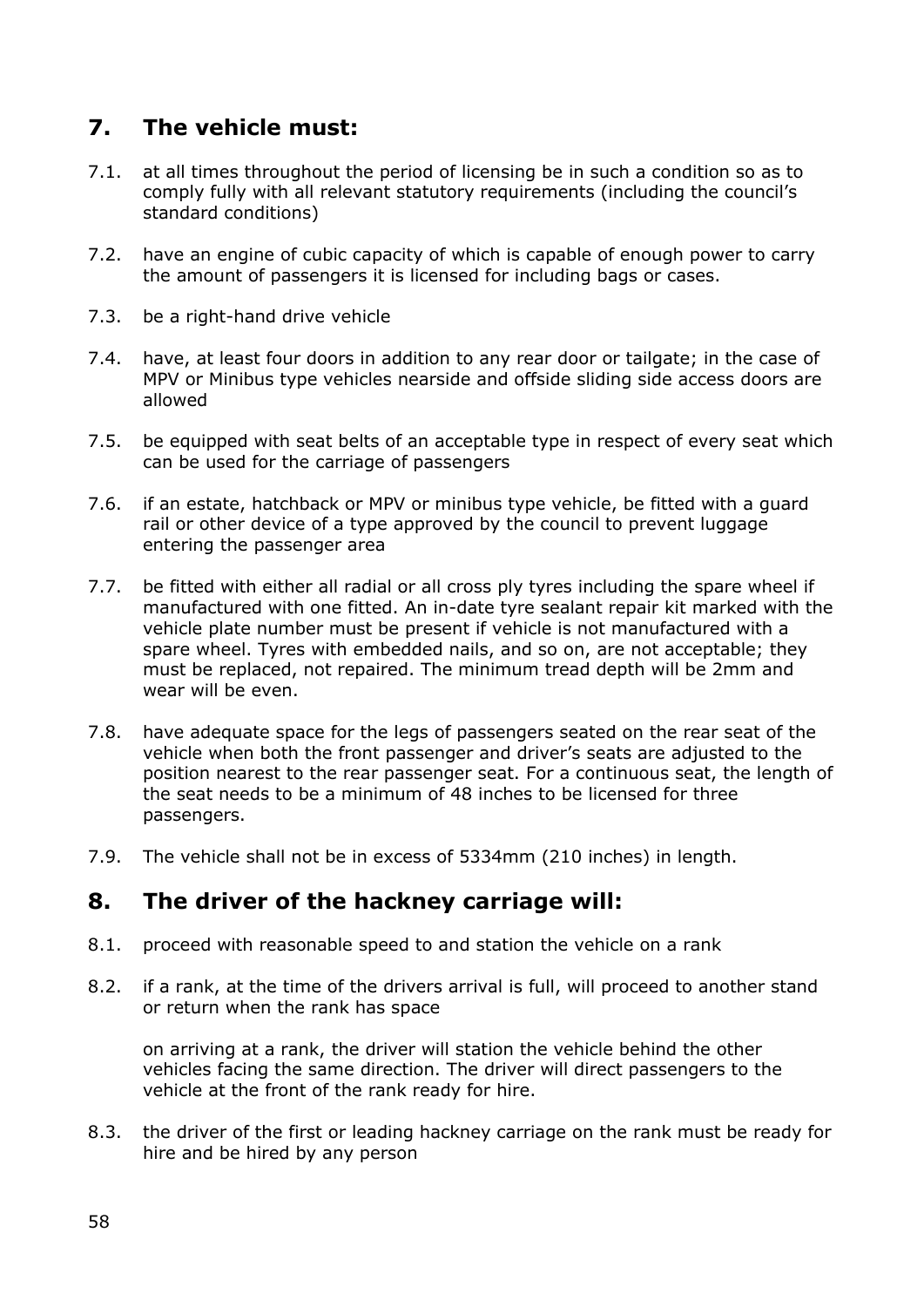## **7. The vehicle must:**

- 7.1. at all times throughout the period of licensing be in such a condition so as to comply fully with all relevant statutory requirements (including the council's standard conditions)
- 7.2. have an engine of cubic capacity of which is capable of enough power to carry the amount of passengers it is licensed for including bags or cases.
- 7.3. be a right-hand drive vehicle
- 7.4. have, at least four doors in addition to any rear door or tailgate; in the case of MPV or Minibus type vehicles nearside and offside sliding side access doors are allowed
- 7.5. be equipped with seat belts of an acceptable type in respect of every seat which can be used for the carriage of passengers
- 7.6. if an estate, hatchback or MPV or minibus type vehicle, be fitted with a guard rail or other device of a type approved by the council to prevent luggage entering the passenger area
- 7.7. be fitted with either all radial or all cross ply tyres including the spare wheel if manufactured with one fitted. An in-date tyre sealant repair kit marked with the vehicle plate number must be present if vehicle is not manufactured with a spare wheel. Tyres with embedded nails, and so on, are not acceptable; they must be replaced, not repaired. The minimum tread depth will be 2mm and wear will be even.
- 7.8. have adequate space for the legs of passengers seated on the rear seat of the vehicle when both the front passenger and driver's seats are adjusted to the position nearest to the rear passenger seat. For a continuous seat, the length of the seat needs to be a minimum of 48 inches to be licensed for three passengers.
- 7.9. The vehicle shall not be in excess of 5334mm (210 inches) in length.

#### **8. The driver of the hackney carriage will:**

- 8.1. proceed with reasonable speed to and station the vehicle on a rank
- 8.2. if a rank, at the time of the drivers arrival is full, will proceed to another stand or return when the rank has space

on arriving at a rank, the driver will station the vehicle behind the other vehicles facing the same direction. The driver will direct passengers to the vehicle at the front of the rank ready for hire.

8.3. the driver of the first or leading hackney carriage on the rank must be ready for hire and be hired by any person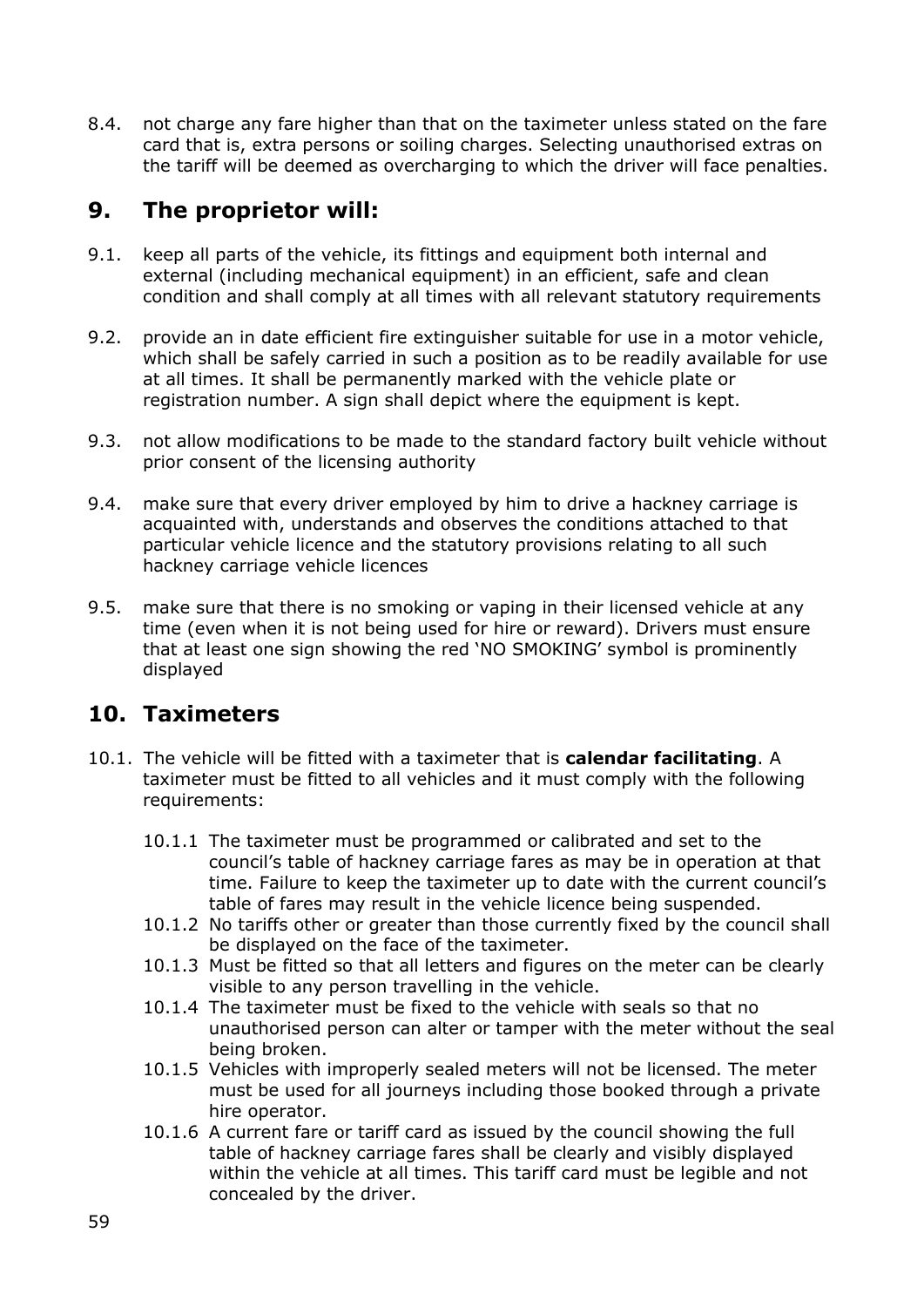8.4. not charge any fare higher than that on the taximeter unless stated on the fare card that is, extra persons or soiling charges. Selecting unauthorised extras on the tariff will be deemed as overcharging to which the driver will face penalties.

## **9. The proprietor will:**

- 9.1. keep all parts of the vehicle, its fittings and equipment both internal and external (including mechanical equipment) in an efficient, safe and clean condition and shall comply at all times with all relevant statutory requirements
- 9.2. provide an in date efficient fire extinguisher suitable for use in a motor vehicle, which shall be safely carried in such a position as to be readily available for use at all times. It shall be permanently marked with the vehicle plate or registration number. A sign shall depict where the equipment is kept.
- 9.3. not allow modifications to be made to the standard factory built vehicle without prior consent of the licensing authority
- 9.4. make sure that every driver employed by him to drive a hackney carriage is acquainted with, understands and observes the conditions attached to that particular vehicle licence and the statutory provisions relating to all such hackney carriage vehicle licences
- 9.5. make sure that there is no smoking or vaping in their licensed vehicle at any time (even when it is not being used for hire or reward). Drivers must ensure that at least one sign showing the red 'NO SMOKING' symbol is prominently displayed

## **10. Taximeters**

- 10.1. The vehicle will be fitted with a taximeter that is **calendar facilitating**. A taximeter must be fitted to all vehicles and it must comply with the following requirements:
	- 10.1.1 The taximeter must be programmed or calibrated and set to the council's table of hackney carriage fares as may be in operation at that time. Failure to keep the taximeter up to date with the current council's table of fares may result in the vehicle licence being suspended.
	- 10.1.2 No tariffs other or greater than those currently fixed by the council shall be displayed on the face of the taximeter.
	- 10.1.3 Must be fitted so that all letters and figures on the meter can be clearly visible to any person travelling in the vehicle.
	- 10.1.4 The taximeter must be fixed to the vehicle with seals so that no unauthorised person can alter or tamper with the meter without the seal being broken.
	- 10.1.5 Vehicles with improperly sealed meters will not be licensed. The meter must be used for all journeys including those booked through a private hire operator.
	- 10.1.6 A current fare or tariff card as issued by the council showing the full table of hackney carriage fares shall be clearly and visibly displayed within the vehicle at all times. This tariff card must be legible and not concealed by the driver.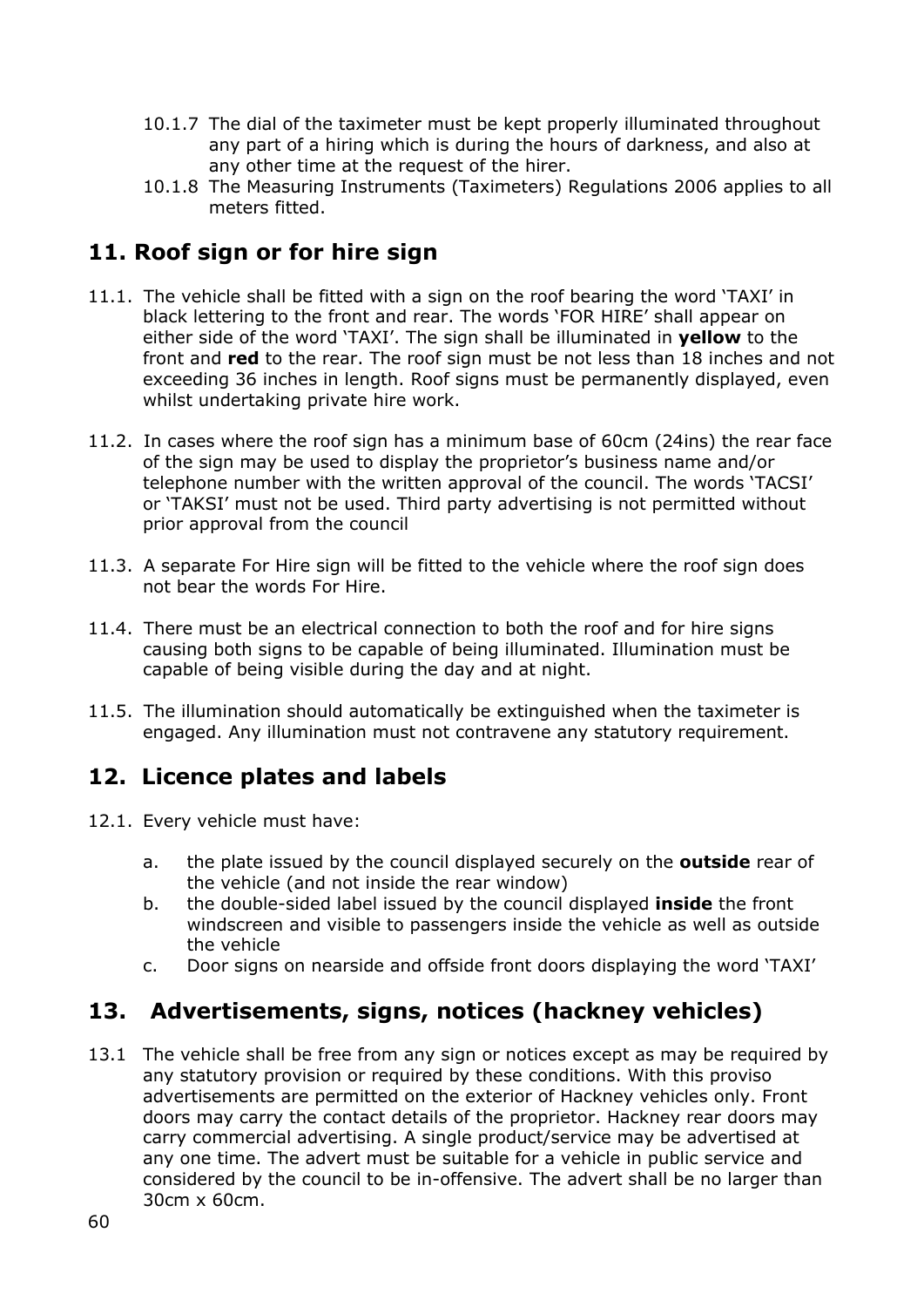- 10.1.7 The dial of the taximeter must be kept properly illuminated throughout any part of a hiring which is during the hours of darkness, and also at any other time at the request of the hirer.
- 10.1.8 The Measuring Instruments (Taximeters) Regulations 2006 applies to all meters fitted.

## **11. Roof sign or for hire sign**

- 11.1. The vehicle shall be fitted with a sign on the roof bearing the word 'TAXI' in black lettering to the front and rear. The words 'FOR HIRE' shall appear on either side of the word 'TAXI'. The sign shall be illuminated in **yellow** to the front and **red** to the rear. The roof sign must be not less than 18 inches and not exceeding 36 inches in length. Roof signs must be permanently displayed, even whilst undertaking private hire work.
- 11.2. In cases where the roof sign has a minimum base of 60cm (24ins) the rear face of the sign may be used to display the proprietor's business name and/or telephone number with the written approval of the council. The words 'TACSI' or 'TAKSI' must not be used. Third party advertising is not permitted without prior approval from the council
- 11.3. A separate For Hire sign will be fitted to the vehicle where the roof sign does not bear the words For Hire.
- 11.4. There must be an electrical connection to both the roof and for hire signs causing both signs to be capable of being illuminated. Illumination must be capable of being visible during the day and at night.
- 11.5. The illumination should automatically be extinguished when the taximeter is engaged. Any illumination must not contravene any statutory requirement.

## **12. Licence plates and labels**

- 12.1. Every vehicle must have:
	- a. the plate issued by the council displayed securely on the **outside** rear of the vehicle (and not inside the rear window)
	- b. the double-sided label issued by the council displayed **inside** the front windscreen and visible to passengers inside the vehicle as well as outside the vehicle
	- c. Door signs on nearside and offside front doors displaying the word 'TAXI'

## **13. Advertisements, signs, notices (hackney vehicles)**

13.1 The vehicle shall be free from any sign or notices except as may be required by any statutory provision or required by these conditions. With this proviso advertisements are permitted on the exterior of Hackney vehicles only. Front doors may carry the contact details of the proprietor. Hackney rear doors may carry commercial advertising. A single product/service may be advertised at any one time. The advert must be suitable for a vehicle in public service and considered by the council to be in-offensive. The advert shall be no larger than 30cm x 60cm.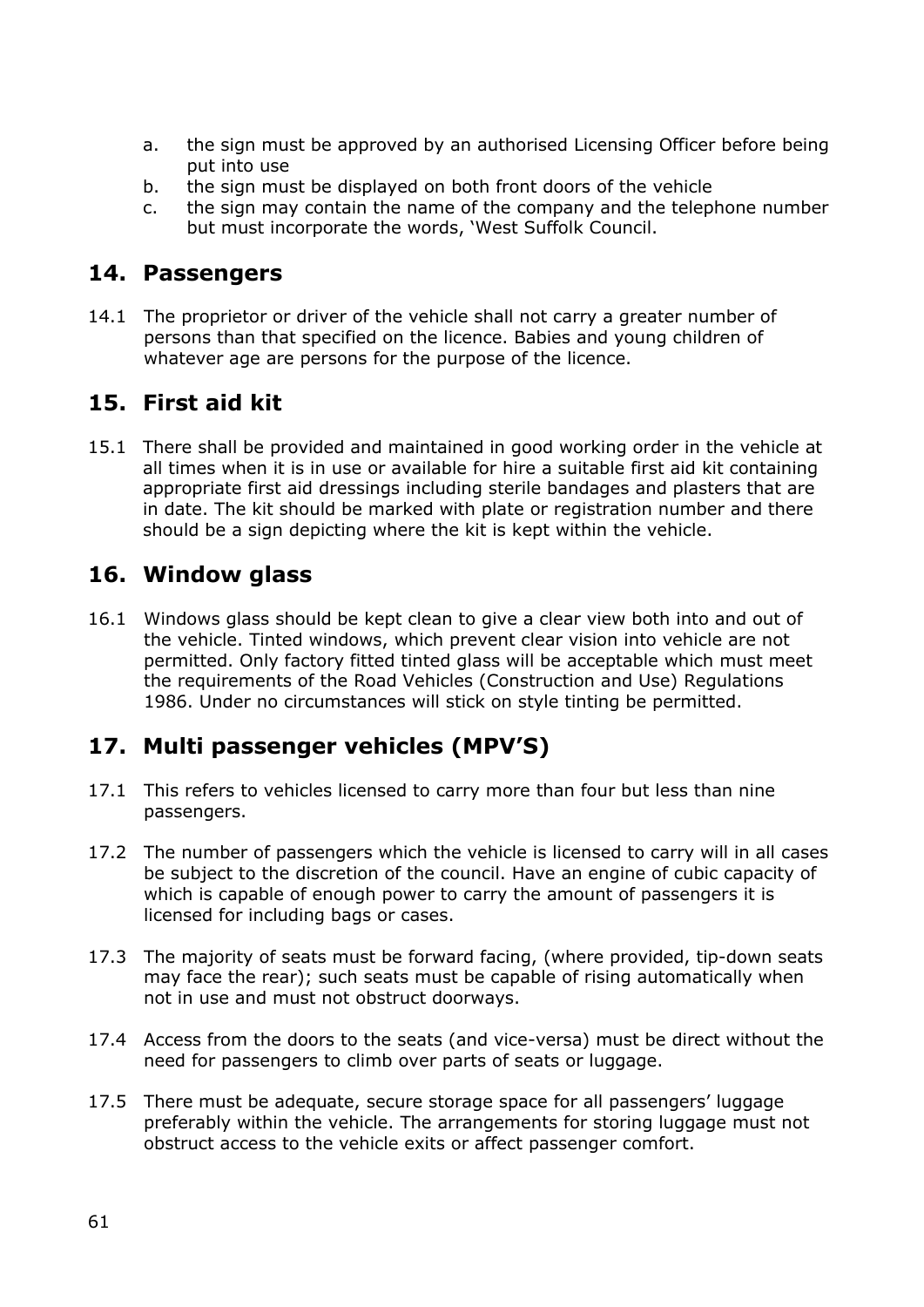- a. the sign must be approved by an authorised Licensing Officer before being put into use
- b. the sign must be displayed on both front doors of the vehicle
- c. the sign may contain the name of the company and the telephone number but must incorporate the words, 'West Suffolk Council.

#### **14. Passengers**

14.1 The proprietor or driver of the vehicle shall not carry a greater number of persons than that specified on the licence. Babies and young children of whatever age are persons for the purpose of the licence.

## **15. First aid kit**

15.1 There shall be provided and maintained in good working order in the vehicle at all times when it is in use or available for hire a suitable first aid kit containing appropriate first aid dressings including sterile bandages and plasters that are in date. The kit should be marked with plate or registration number and there should be a sign depicting where the kit is kept within the vehicle.

## **16. Window glass**

16.1 Windows glass should be kept clean to give a clear view both into and out of the vehicle. Tinted windows, which prevent clear vision into vehicle are not permitted. Only factory fitted tinted glass will be acceptable which must meet the requirements of the Road Vehicles (Construction and Use) Regulations 1986. Under no circumstances will stick on style tinting be permitted.

## **17. Multi passenger vehicles (MPV'S)**

- 17.1 This refers to vehicles licensed to carry more than four but less than nine passengers.
- 17.2 The number of passengers which the vehicle is licensed to carry will in all cases be subject to the discretion of the council. Have an engine of cubic capacity of which is capable of enough power to carry the amount of passengers it is licensed for including bags or cases.
- 17.3 The majority of seats must be forward facing, (where provided, tip-down seats may face the rear); such seats must be capable of rising automatically when not in use and must not obstruct doorways.
- 17.4 Access from the doors to the seats (and vice-versa) must be direct without the need for passengers to climb over parts of seats or luggage.
- 17.5 There must be adequate, secure storage space for all passengers' luggage preferably within the vehicle. The arrangements for storing luggage must not obstruct access to the vehicle exits or affect passenger comfort.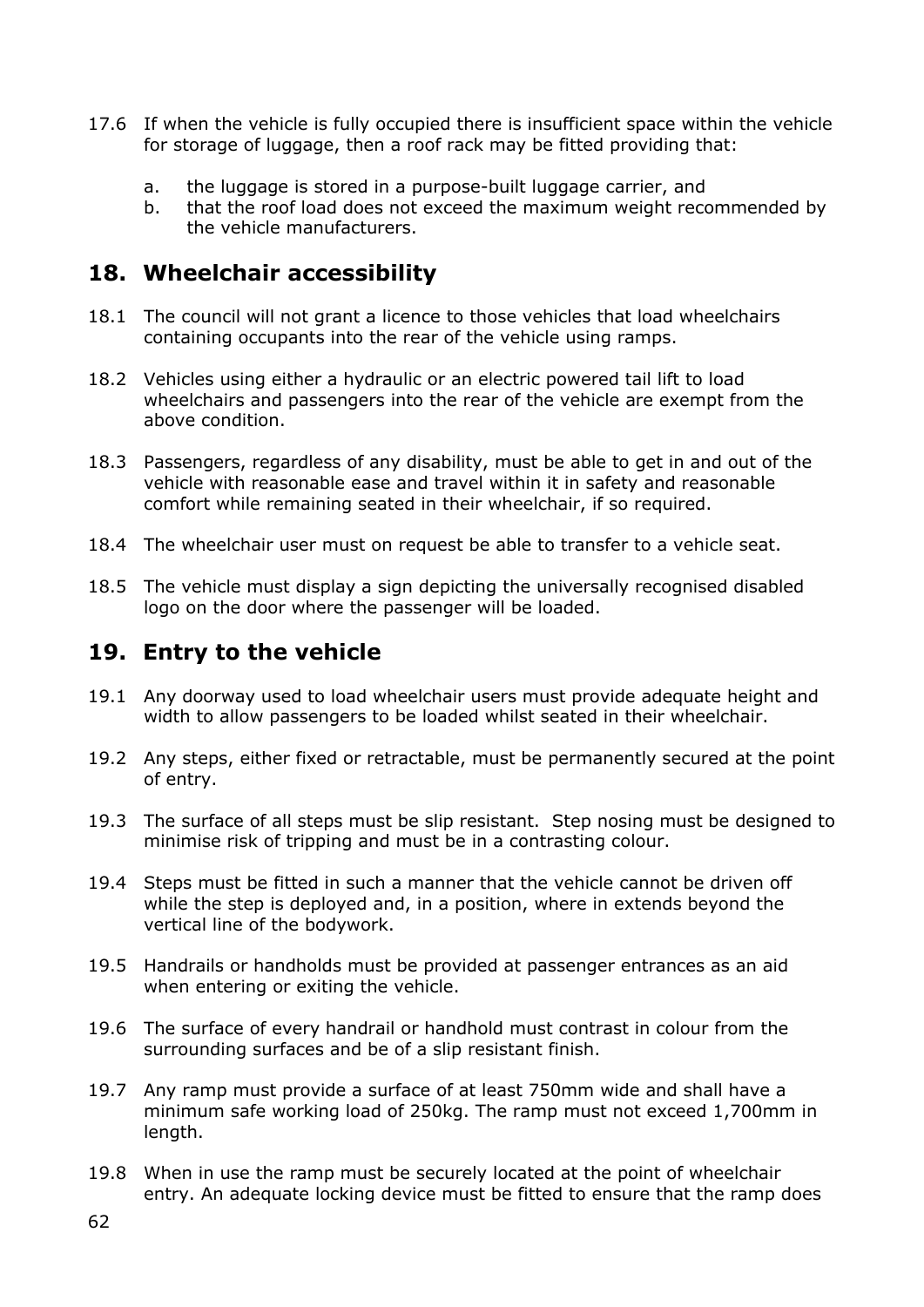- 17.6 If when the vehicle is fully occupied there is insufficient space within the vehicle for storage of luggage, then a roof rack may be fitted providing that:
	- a. the luggage is stored in a purpose-built luggage carrier, and
	- b. that the roof load does not exceed the maximum weight recommended by the vehicle manufacturers.

### **18. Wheelchair accessibility**

- 18.1 The council will not grant a licence to those vehicles that load wheelchairs containing occupants into the rear of the vehicle using ramps.
- 18.2 Vehicles using either a hydraulic or an electric powered tail lift to load wheelchairs and passengers into the rear of the vehicle are exempt from the above condition.
- 18.3 Passengers, regardless of any disability, must be able to get in and out of the vehicle with reasonable ease and travel within it in safety and reasonable comfort while remaining seated in their wheelchair, if so required.
- 18.4 The wheelchair user must on request be able to transfer to a vehicle seat.
- 18.5 The vehicle must display a sign depicting the universally recognised disabled logo on the door where the passenger will be loaded.

## **19. Entry to the vehicle**

- 19.1 Any doorway used to load wheelchair users must provide adequate height and width to allow passengers to be loaded whilst seated in their wheelchair.
- 19.2 Any steps, either fixed or retractable, must be permanently secured at the point of entry.
- 19.3 The surface of all steps must be slip resistant. Step nosing must be designed to minimise risk of tripping and must be in a contrasting colour.
- 19.4 Steps must be fitted in such a manner that the vehicle cannot be driven off while the step is deployed and, in a position, where in extends beyond the vertical line of the bodywork.
- 19.5 Handrails or handholds must be provided at passenger entrances as an aid when entering or exiting the vehicle.
- 19.6 The surface of every handrail or handhold must contrast in colour from the surrounding surfaces and be of a slip resistant finish.
- 19.7 Any ramp must provide a surface of at least 750mm wide and shall have a minimum safe working load of 250kg. The ramp must not exceed 1,700mm in length.
- 19.8 When in use the ramp must be securely located at the point of wheelchair entry. An adequate locking device must be fitted to ensure that the ramp does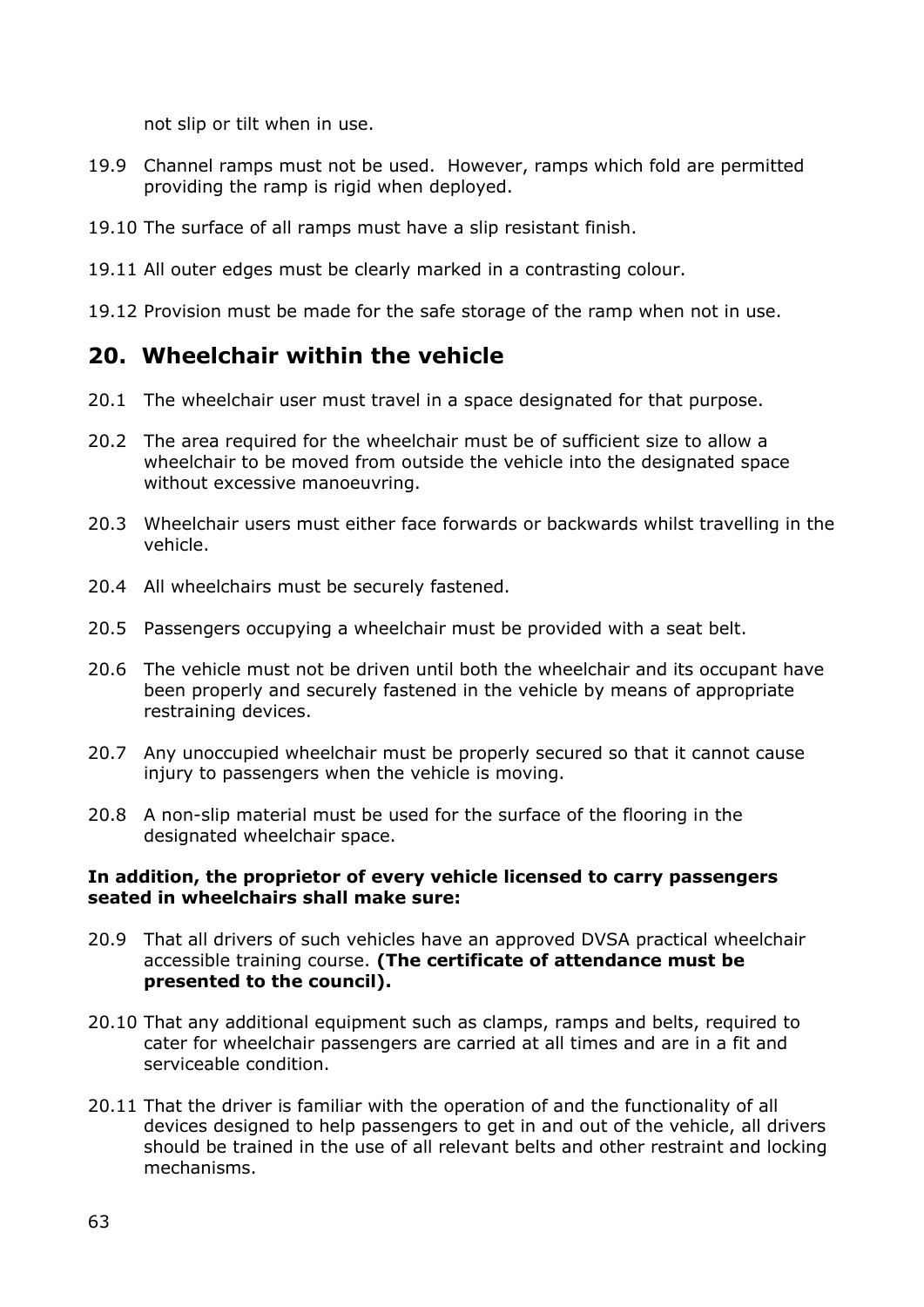not slip or tilt when in use.

- 19.9 Channel ramps must not be used. However, ramps which fold are permitted providing the ramp is rigid when deployed.
- 19.10 The surface of all ramps must have a slip resistant finish.
- 19.11 All outer edges must be clearly marked in a contrasting colour.
- 19.12 Provision must be made for the safe storage of the ramp when not in use.

### **20. Wheelchair within the vehicle**

- 20.1 The wheelchair user must travel in a space designated for that purpose.
- 20.2 The area required for the wheelchair must be of sufficient size to allow a wheelchair to be moved from outside the vehicle into the designated space without excessive manoeuvring.
- 20.3 Wheelchair users must either face forwards or backwards whilst travelling in the vehicle.
- 20.4 All wheelchairs must be securely fastened.
- 20.5 Passengers occupying a wheelchair must be provided with a seat belt.
- 20.6 The vehicle must not be driven until both the wheelchair and its occupant have been properly and securely fastened in the vehicle by means of appropriate restraining devices.
- 20.7 Any unoccupied wheelchair must be properly secured so that it cannot cause injury to passengers when the vehicle is moving.
- 20.8 A non-slip material must be used for the surface of the flooring in the designated wheelchair space.

#### **In addition, the proprietor of every vehicle licensed to carry passengers seated in wheelchairs shall make sure:**

- 20.9 That all drivers of such vehicles have an approved DVSA practical wheelchair accessible training course. **(The certificate of attendance must be presented to the council).**
- 20.10 That any additional equipment such as clamps, ramps and belts, required to cater for wheelchair passengers are carried at all times and are in a fit and serviceable condition.
- 20.11 That the driver is familiar with the operation of and the functionality of all devices designed to help passengers to get in and out of the vehicle, all drivers should be trained in the use of all relevant belts and other restraint and locking mechanisms.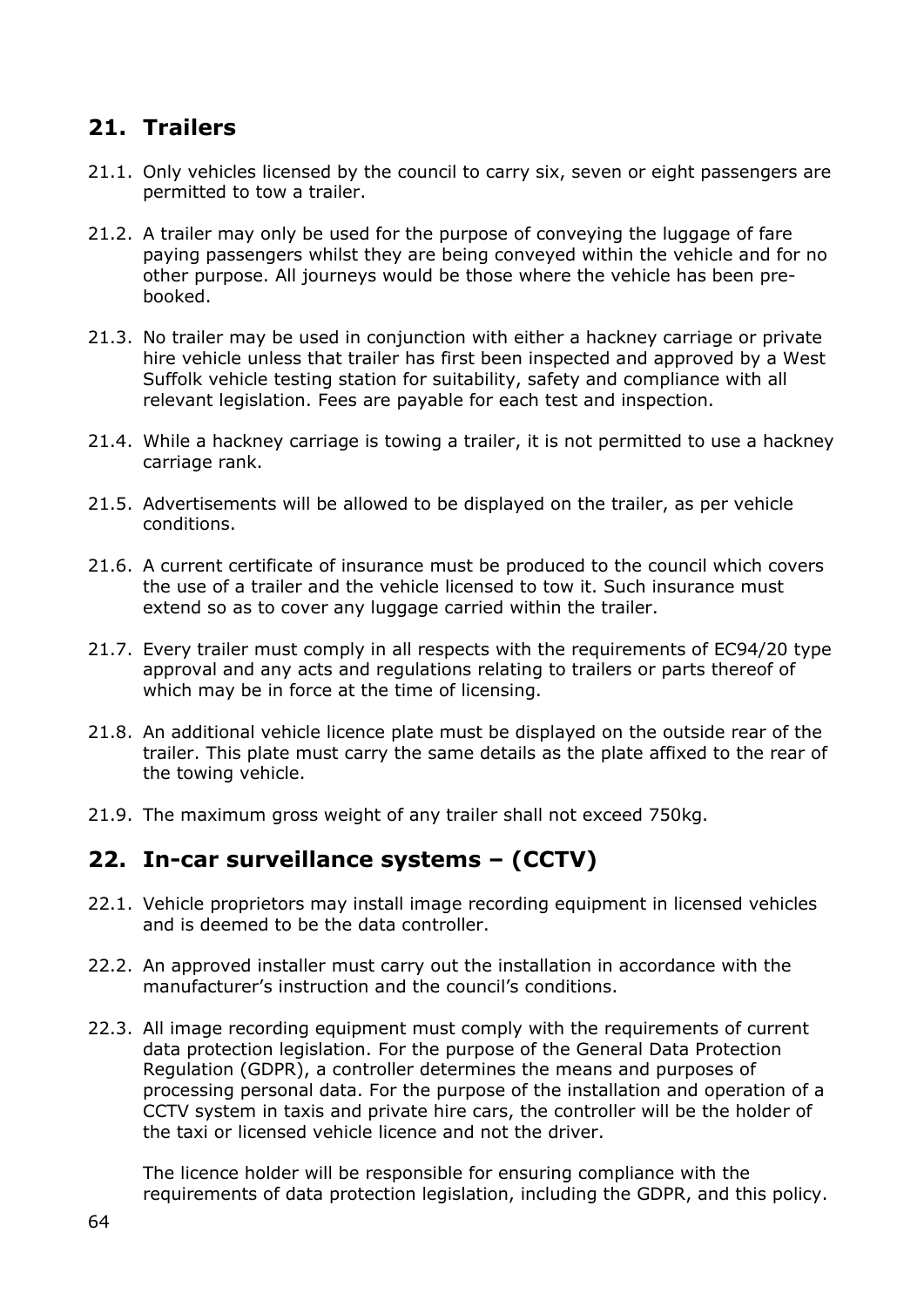### **21. Trailers**

- 21.1. Only vehicles licensed by the council to carry six, seven or eight passengers are permitted to tow a trailer.
- 21.2. A trailer may only be used for the purpose of conveying the luggage of fare paying passengers whilst they are being conveyed within the vehicle and for no other purpose. All journeys would be those where the vehicle has been prebooked.
- 21.3. No trailer may be used in conjunction with either a hackney carriage or private hire vehicle unless that trailer has first been inspected and approved by a West Suffolk vehicle testing station for suitability, safety and compliance with all relevant legislation. Fees are payable for each test and inspection.
- 21.4. While a hackney carriage is towing a trailer, it is not permitted to use a hackney carriage rank.
- 21.5. Advertisements will be allowed to be displayed on the trailer, as per vehicle conditions.
- 21.6. A current certificate of insurance must be produced to the council which covers the use of a trailer and the vehicle licensed to tow it. Such insurance must extend so as to cover any luggage carried within the trailer.
- 21.7. Every trailer must comply in all respects with the requirements of EC94/20 type approval and any acts and regulations relating to trailers or parts thereof of which may be in force at the time of licensing.
- 21.8. An additional vehicle licence plate must be displayed on the outside rear of the trailer. This plate must carry the same details as the plate affixed to the rear of the towing vehicle.
- 21.9. The maximum gross weight of any trailer shall not exceed 750kg.

#### **22. In-car surveillance systems – (CCTV)**

- 22.1. Vehicle proprietors may install image recording equipment in licensed vehicles and is deemed to be the data controller.
- 22.2. An approved installer must carry out the installation in accordance with the manufacturer's instruction and the council's conditions.
- 22.3. All image recording equipment must comply with the requirements of current data protection legislation. For the purpose of the General Data Protection Regulation (GDPR), a controller determines the means and purposes of processing personal data. For the purpose of the installation and operation of a CCTV system in taxis and private hire cars, the controller will be the holder of the taxi or licensed vehicle licence and not the driver.

The licence holder will be responsible for ensuring compliance with the requirements of data protection legislation, including the GDPR, and this policy.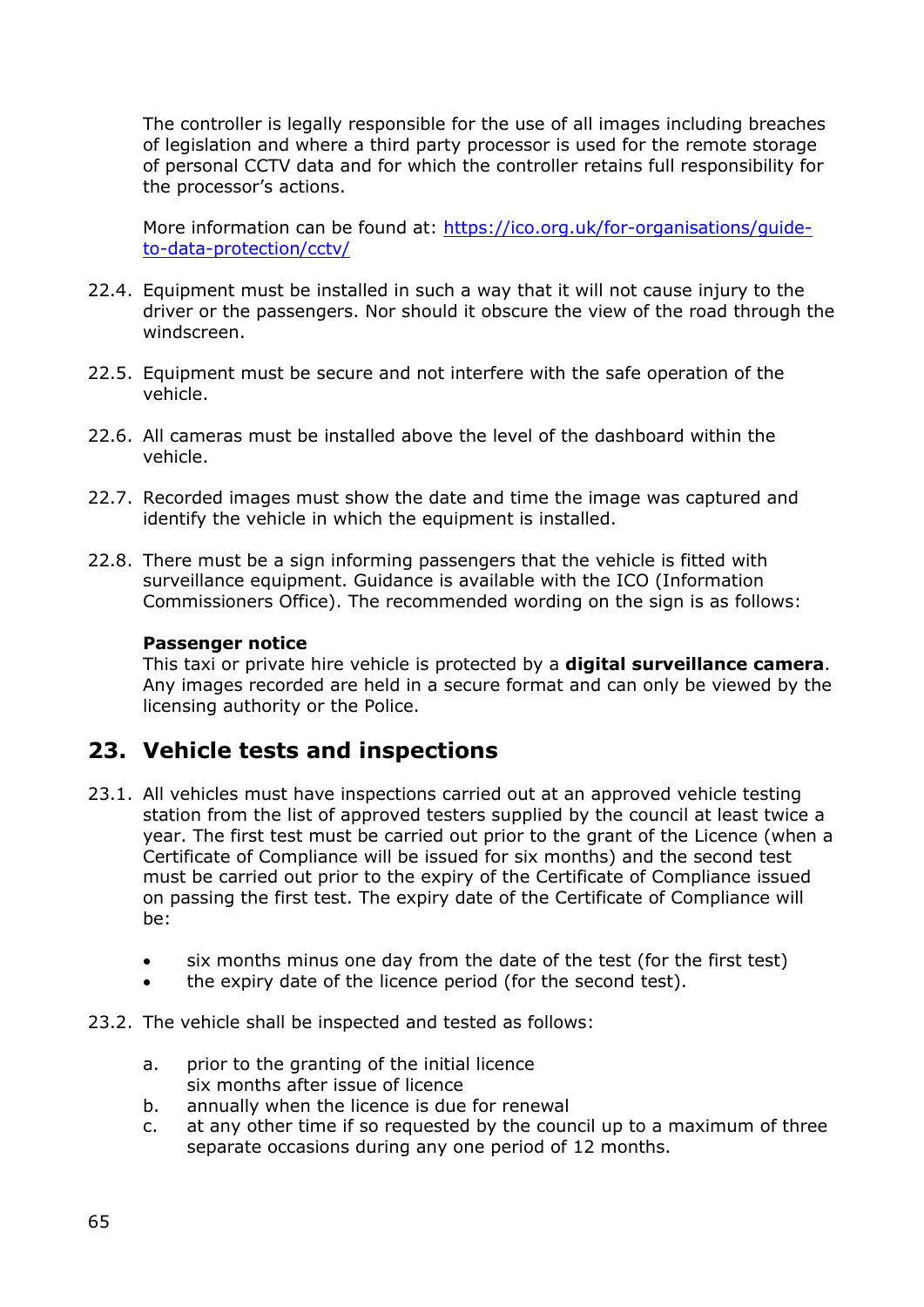The controller is legally responsible for the use of all images including breaches of legislation and where a third party processor is used for the remote storage of personal CCTV data and for which the controller retains full responsibility for the processor's actions.

More information can be found at: [https://ico.org.uk/for-organisations/guide](https://ico.org.uk/for-organisations/guide-to-data-protection/cctv/)[to-data-protection/cctv/](https://ico.org.uk/for-organisations/guide-to-data-protection/cctv/)

- 22.4. Equipment must be installed in such a way that it will not cause injury to the driver or the passengers. Nor should it obscure the view of the road through the windscreen.
- 22.5. Equipment must be secure and not interfere with the safe operation of the vehicle.
- 22.6. All cameras must be installed above the level of the dashboard within the vehicle.
- 22.7. Recorded images must show the date and time the image was captured and identify the vehicle in which the equipment is installed.
- 22.8. There must be a sign informing passengers that the vehicle is fitted with surveillance equipment. Guidance is available with the ICO (Information Commissioners Office). The recommended wording on the sign is as follows:

#### **Passenger notice**

This taxi or private hire vehicle is protected by a **digital surveillance camera**. Any images recorded are held in a secure format and can only be viewed by the licensing authority or the Police.

#### **23. Vehicle tests and inspections**

- 23.1. All vehicles must have inspections carried out at an approved vehicle testing station from the list of approved testers supplied by the council at least twice a year. The first test must be carried out prior to the grant of the Licence (when a Certificate of Compliance will be issued for six months) and the second test must be carried out prior to the expiry of the Certificate of Compliance issued on passing the first test. The expiry date of the Certificate of Compliance will be:
	- six months minus one day from the date of the test (for the first test)
	- the expiry date of the licence period (for the second test).

#### 23.2. The vehicle shall be inspected and tested as follows:

- a. prior to the granting of the initial licence six months after issue of licence
- b. annually when the licence is due for renewal
- c. at any other time if so requested by the council up to a maximum of three separate occasions during any one period of 12 months.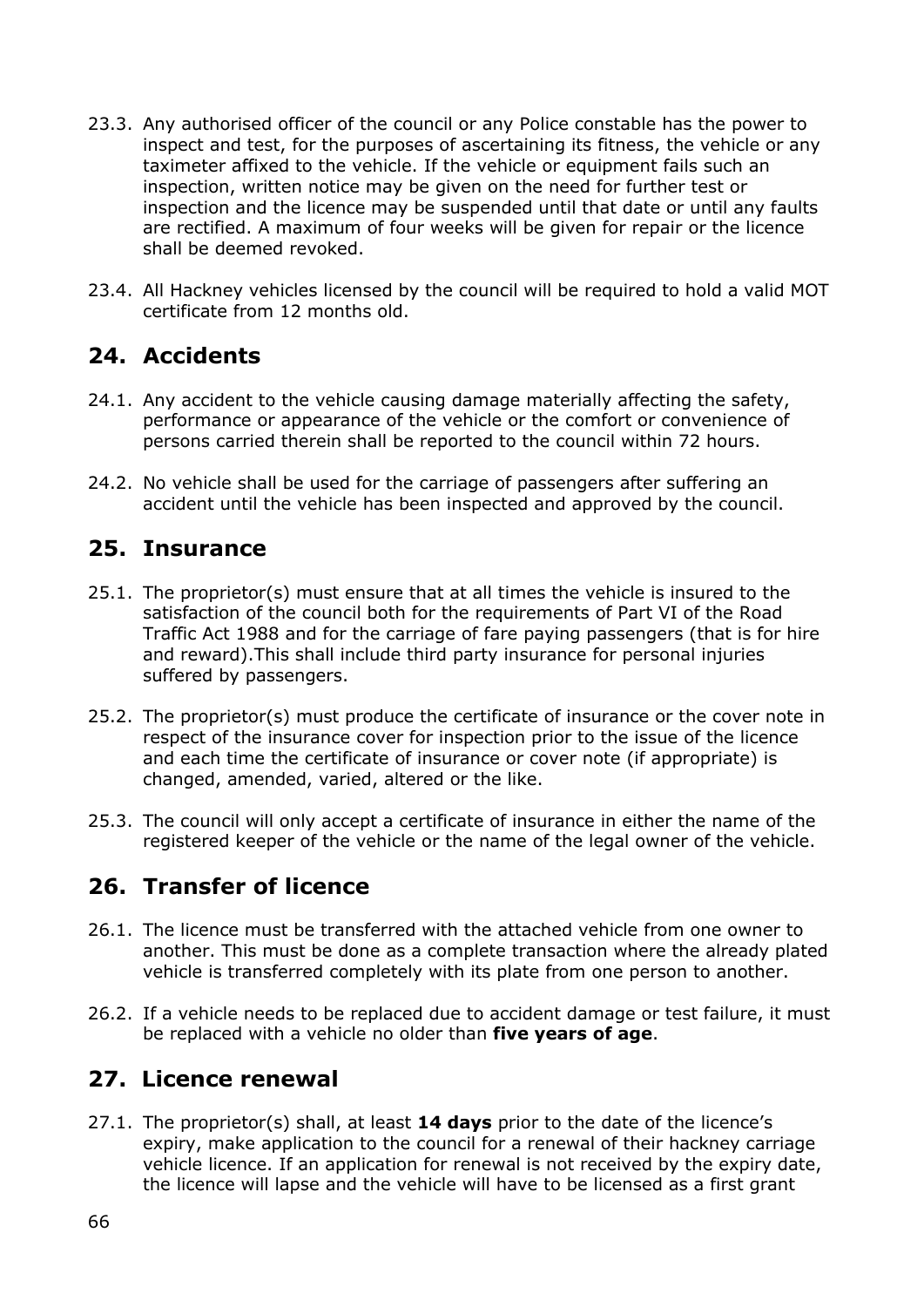- 23.3. Any authorised officer of the council or any Police constable has the power to inspect and test, for the purposes of ascertaining its fitness, the vehicle or any taximeter affixed to the vehicle. If the vehicle or equipment fails such an inspection, written notice may be given on the need for further test or inspection and the licence may be suspended until that date or until any faults are rectified. A maximum of four weeks will be given for repair or the licence shall be deemed revoked.
- 23.4. All Hackney vehicles licensed by the council will be required to hold a valid MOT certificate from 12 months old.

### **24. Accidents**

- 24.1. Any accident to the vehicle causing damage materially affecting the safety, performance or appearance of the vehicle or the comfort or convenience of persons carried therein shall be reported to the council within 72 hours.
- 24.2. No vehicle shall be used for the carriage of passengers after suffering an accident until the vehicle has been inspected and approved by the council.

### **25. Insurance**

- 25.1. The proprietor(s) must ensure that at all times the vehicle is insured to the satisfaction of the council both for the requirements of Part VI of the Road Traffic Act 1988 and for the carriage of fare paying passengers (that is for hire and reward).This shall include third party insurance for personal injuries suffered by passengers.
- 25.2. The proprietor(s) must produce the certificate of insurance or the cover note in respect of the insurance cover for inspection prior to the issue of the licence and each time the certificate of insurance or cover note (if appropriate) is changed, amended, varied, altered or the like.
- 25.3. The council will only accept a certificate of insurance in either the name of the registered keeper of the vehicle or the name of the legal owner of the vehicle.

## **26. Transfer of licence**

- 26.1. The licence must be transferred with the attached vehicle from one owner to another. This must be done as a complete transaction where the already plated vehicle is transferred completely with its plate from one person to another.
- 26.2. If a vehicle needs to be replaced due to accident damage or test failure, it must be replaced with a vehicle no older than **five years of age**.

## **27. Licence renewal**

27.1. The proprietor(s) shall, at least **14 days** prior to the date of the licence's expiry, make application to the council for a renewal of their hackney carriage vehicle licence. If an application for renewal is not received by the expiry date, the licence will lapse and the vehicle will have to be licensed as a first grant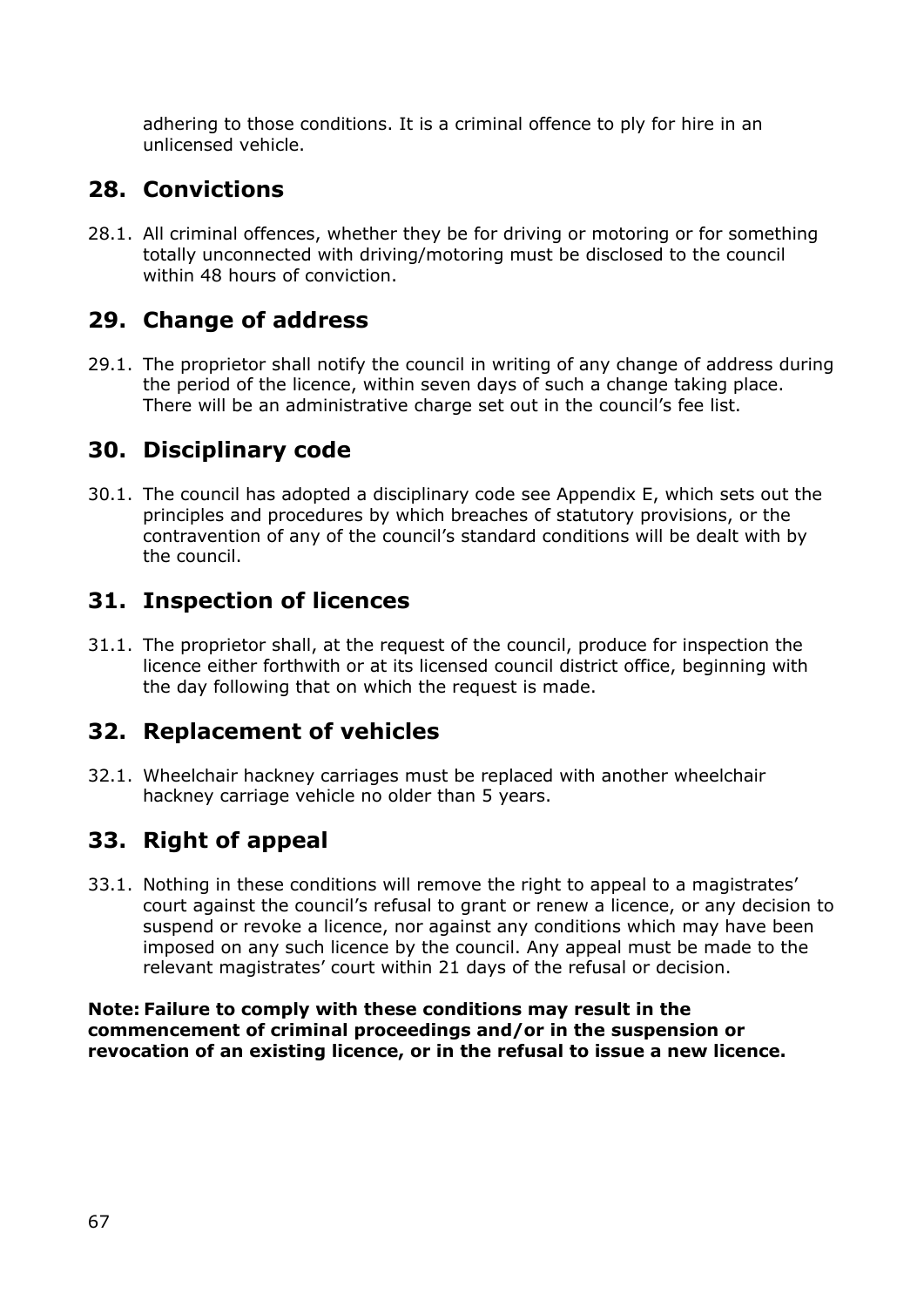adhering to those conditions. It is a criminal offence to ply for hire in an unlicensed vehicle.

# **28. Convictions**

28.1. All criminal offences, whether they be for driving or motoring or for something totally unconnected with driving/motoring must be disclosed to the council within 48 hours of conviction.

# **29. Change of address**

29.1. The proprietor shall notify the council in writing of any change of address during the period of the licence, within seven days of such a change taking place. There will be an administrative charge set out in the council's fee list.

# **30. Disciplinary code**

30.1. The council has adopted a disciplinary code see Appendix E, which sets out the principles and procedures by which breaches of statutory provisions, or the contravention of any of the council's standard conditions will be dealt with by the council.

## **31. Inspection of licences**

31.1. The proprietor shall, at the request of the council, produce for inspection the licence either forthwith or at its licensed council district office, beginning with the day following that on which the request is made.

## **32. Replacement of vehicles**

32.1. Wheelchair hackney carriages must be replaced with another wheelchair hackney carriage vehicle no older than 5 years.

# **33. Right of appeal**

33.1. Nothing in these conditions will remove the right to appeal to a magistrates' court against the council's refusal to grant or renew a licence, or any decision to suspend or revoke a licence, nor against any conditions which may have been imposed on any such licence by the council. Any appeal must be made to the relevant magistrates' court within 21 days of the refusal or decision.

**Note: Failure to comply with these conditions may result in the commencement of criminal proceedings and/or in the suspension or revocation of an existing licence, or in the refusal to issue a new licence.**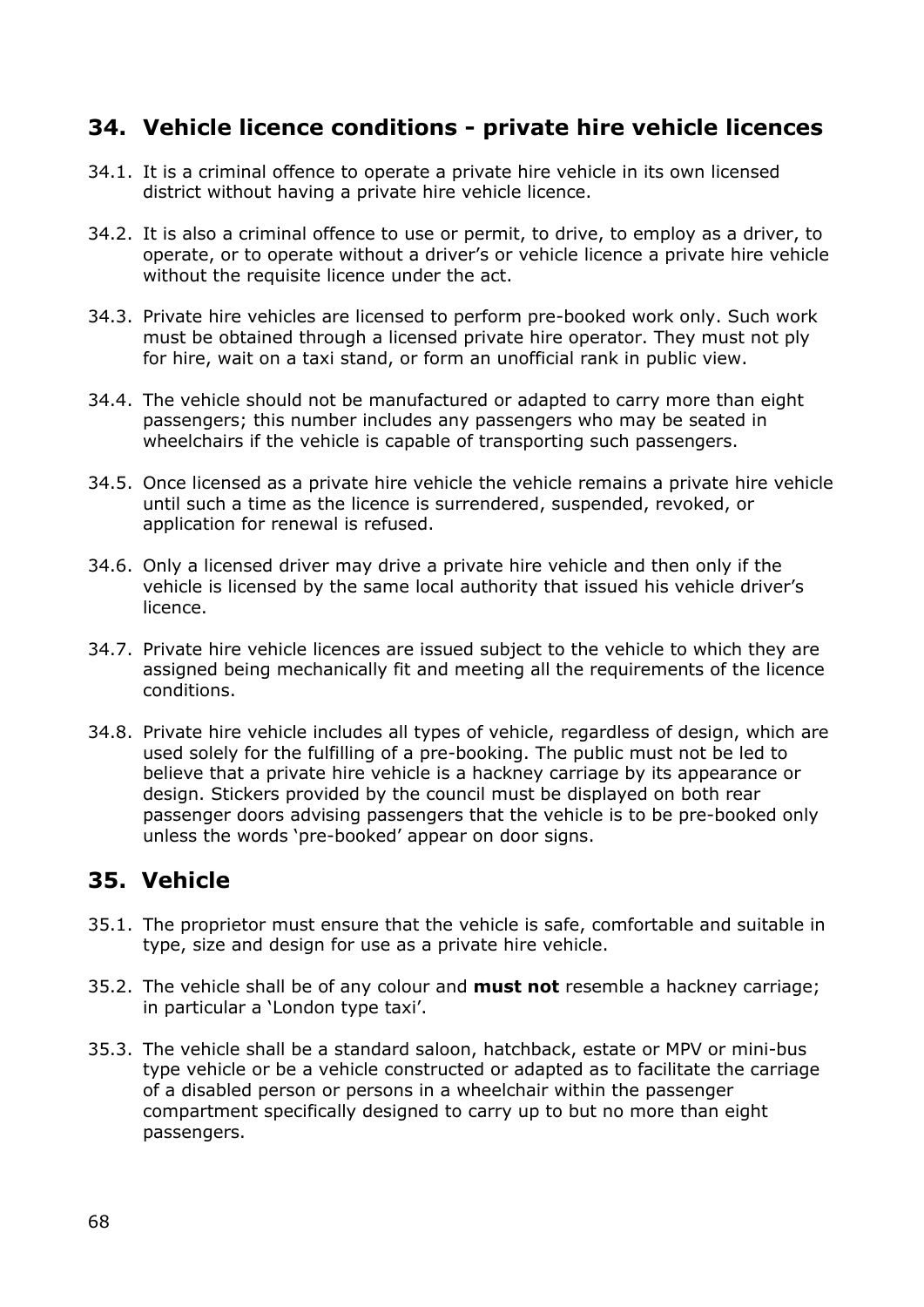### **34. Vehicle licence conditions - private hire vehicle licences**

- 34.1. It is a criminal offence to operate a private hire vehicle in its own licensed district without having a private hire vehicle licence.
- 34.2. It is also a criminal offence to use or permit, to drive, to employ as a driver, to operate, or to operate without a driver's or vehicle licence a private hire vehicle without the requisite licence under the act.
- 34.3. Private hire vehicles are licensed to perform pre-booked work only. Such work must be obtained through a licensed private hire operator. They must not ply for hire, wait on a taxi stand, or form an unofficial rank in public view.
- 34.4. The vehicle should not be manufactured or adapted to carry more than eight passengers; this number includes any passengers who may be seated in wheelchairs if the vehicle is capable of transporting such passengers.
- 34.5. Once licensed as a private hire vehicle the vehicle remains a private hire vehicle until such a time as the licence is surrendered, suspended, revoked, or application for renewal is refused.
- 34.6. Only a licensed driver may drive a private hire vehicle and then only if the vehicle is licensed by the same local authority that issued his vehicle driver's licence.
- 34.7. Private hire vehicle licences are issued subject to the vehicle to which they are assigned being mechanically fit and meeting all the requirements of the licence conditions.
- 34.8. Private hire vehicle includes all types of vehicle, regardless of design, which are used solely for the fulfilling of a pre-booking. The public must not be led to believe that a private hire vehicle is a hackney carriage by its appearance or design. Stickers provided by the council must be displayed on both rear passenger doors advising passengers that the vehicle is to be pre-booked only unless the words 'pre-booked' appear on door signs.

## **35. Vehicle**

- 35.1. The proprietor must ensure that the vehicle is safe, comfortable and suitable in type, size and design for use as a private hire vehicle.
- 35.2. The vehicle shall be of any colour and **must not** resemble a hackney carriage; in particular a 'London type taxi'.
- 35.3. The vehicle shall be a standard saloon, hatchback, estate or MPV or mini-bus type vehicle or be a vehicle constructed or adapted as to facilitate the carriage of a disabled person or persons in a wheelchair within the passenger compartment specifically designed to carry up to but no more than eight passengers.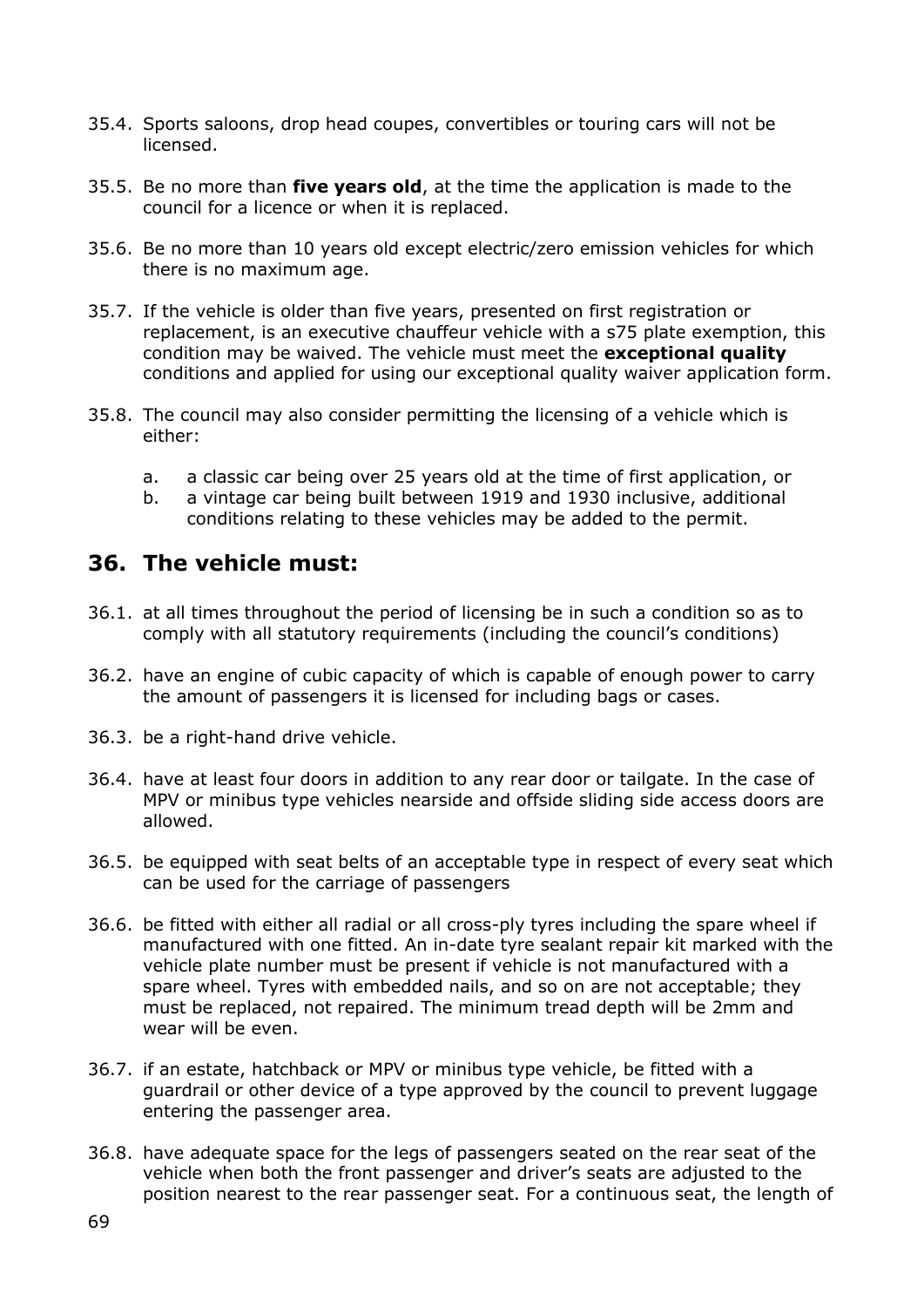- 35.4. Sports saloons, drop head coupes, convertibles or touring cars will not be licensed.
- 35.5. Be no more than **five years old**, at the time the application is made to the council for a licence or when it is replaced.
- 35.6. Be no more than 10 years old except electric/zero emission vehicles for which there is no maximum age.
- 35.7. If the vehicle is older than five years, presented on first registration or replacement, is an executive chauffeur vehicle with a s75 plate exemption, this condition may be waived. The vehicle must meet the **exceptional quality** conditions and applied for using our exceptional quality waiver application form.
- 35.8. The council may also consider permitting the licensing of a vehicle which is either:
	- a. a classic car being over 25 years old at the time of first application, or
	- b. a vintage car being built between 1919 and 1930 inclusive, additional conditions relating to these vehicles may be added to the permit.

### **36. The vehicle must:**

- 36.1. at all times throughout the period of licensing be in such a condition so as to comply with all statutory requirements (including the council's conditions)
- 36.2. have an engine of cubic capacity of which is capable of enough power to carry the amount of passengers it is licensed for including bags or cases.
- 36.3. be a right-hand drive vehicle.
- 36.4. have at least four doors in addition to any rear door or tailgate. In the case of MPV or minibus type vehicles nearside and offside sliding side access doors are allowed.
- 36.5. be equipped with seat belts of an acceptable type in respect of every seat which can be used for the carriage of passengers
- 36.6. be fitted with either all radial or all cross-ply tyres including the spare wheel if manufactured with one fitted. An in-date tyre sealant repair kit marked with the vehicle plate number must be present if vehicle is not manufactured with a spare wheel. Tyres with embedded nails, and so on are not acceptable; they must be replaced, not repaired. The minimum tread depth will be 2mm and wear will be even.
- 36.7. if an estate, hatchback or MPV or minibus type vehicle, be fitted with a guardrail or other device of a type approved by the council to prevent luggage entering the passenger area.
- 36.8. have adequate space for the legs of passengers seated on the rear seat of the vehicle when both the front passenger and driver's seats are adjusted to the position nearest to the rear passenger seat. For a continuous seat, the length of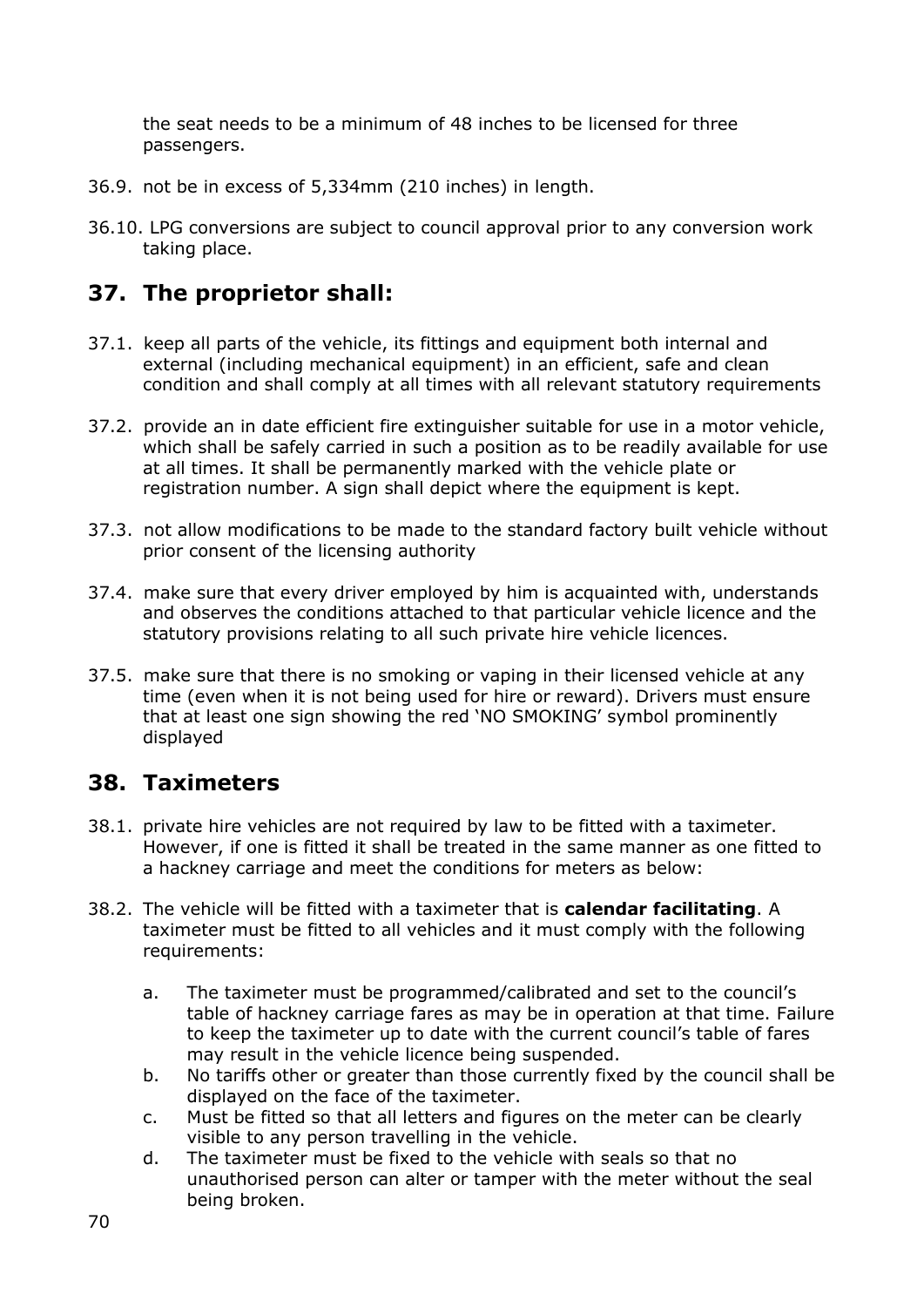the seat needs to be a minimum of 48 inches to be licensed for three passengers.

- 36.9. not be in excess of 5,334mm (210 inches) in length.
- 36.10. LPG conversions are subject to council approval prior to any conversion work taking place.

## **37. The proprietor shall:**

- 37.1. keep all parts of the vehicle, its fittings and equipment both internal and external (including mechanical equipment) in an efficient, safe and clean condition and shall comply at all times with all relevant statutory requirements
- 37.2. provide an in date efficient fire extinguisher suitable for use in a motor vehicle, which shall be safely carried in such a position as to be readily available for use at all times. It shall be permanently marked with the vehicle plate or registration number. A sign shall depict where the equipment is kept.
- 37.3. not allow modifications to be made to the standard factory built vehicle without prior consent of the licensing authority
- 37.4. make sure that every driver employed by him is acquainted with, understands and observes the conditions attached to that particular vehicle licence and the statutory provisions relating to all such private hire vehicle licences.
- 37.5. make sure that there is no smoking or vaping in their licensed vehicle at any time (even when it is not being used for hire or reward). Drivers must ensure that at least one sign showing the red 'NO SMOKING' symbol prominently displayed

## **38. Taximeters**

- 38.1. private hire vehicles are not required by law to be fitted with a taximeter. However, if one is fitted it shall be treated in the same manner as one fitted to a hackney carriage and meet the conditions for meters as below:
- 38.2. The vehicle will be fitted with a taximeter that is **calendar facilitating**. A taximeter must be fitted to all vehicles and it must comply with the following requirements:
	- a. The taximeter must be programmed/calibrated and set to the council's table of hackney carriage fares as may be in operation at that time. Failure to keep the taximeter up to date with the current council's table of fares may result in the vehicle licence being suspended.
	- b. No tariffs other or greater than those currently fixed by the council shall be displayed on the face of the taximeter.
	- c. Must be fitted so that all letters and figures on the meter can be clearly visible to any person travelling in the vehicle.
	- d. The taximeter must be fixed to the vehicle with seals so that no unauthorised person can alter or tamper with the meter without the seal being broken.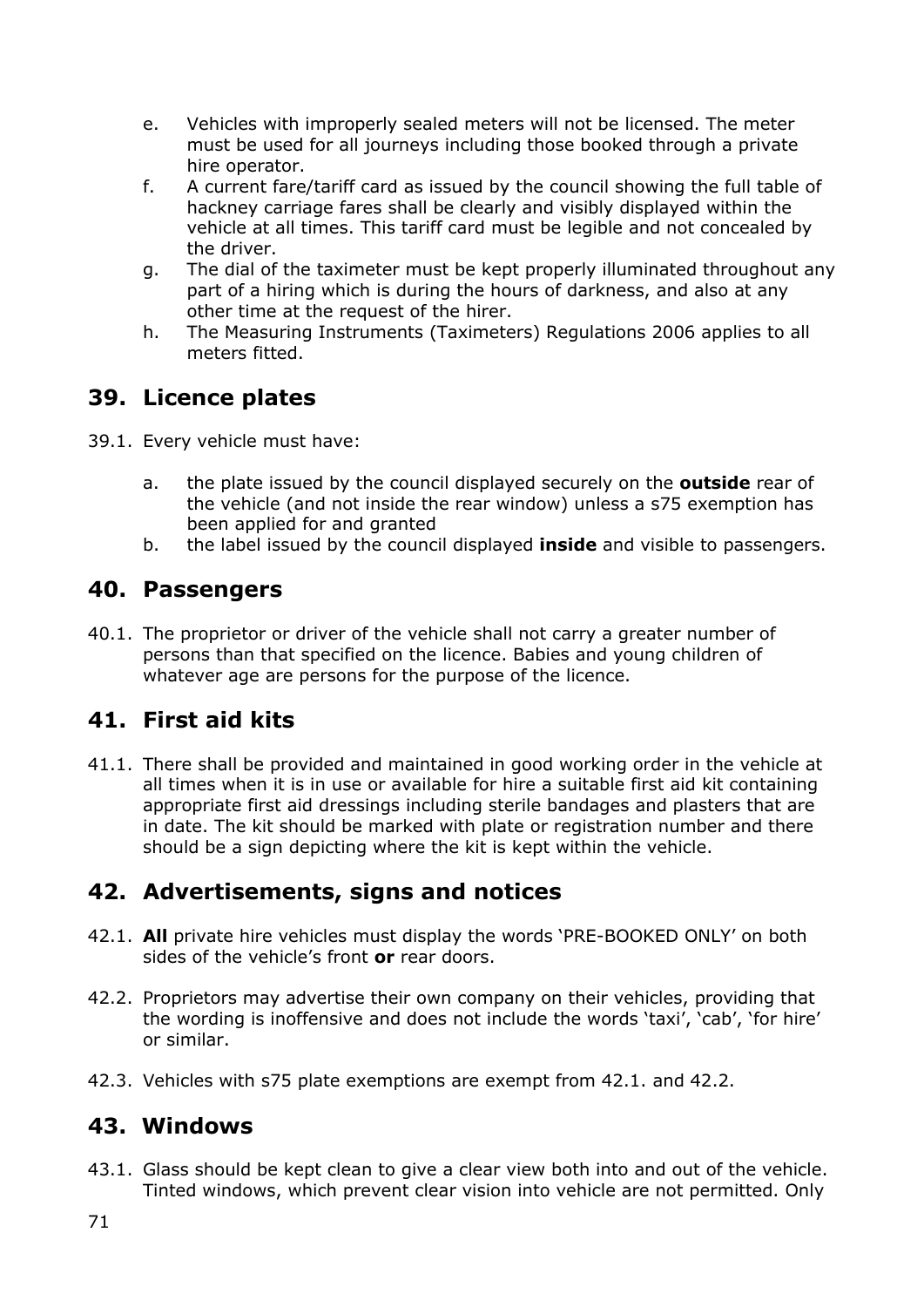- e. Vehicles with improperly sealed meters will not be licensed. The meter must be used for all journeys including those booked through a private hire operator.
- f. A current fare/tariff card as issued by the council showing the full table of hackney carriage fares shall be clearly and visibly displayed within the vehicle at all times. This tariff card must be legible and not concealed by the driver.
- g. The dial of the taximeter must be kept properly illuminated throughout any part of a hiring which is during the hours of darkness, and also at any other time at the request of the hirer.
- h. The Measuring Instruments (Taximeters) Regulations 2006 applies to all meters fitted.

## **39. Licence plates**

- 39.1. Every vehicle must have:
	- a. the plate issued by the council displayed securely on the **outside** rear of the vehicle (and not inside the rear window) unless a s75 exemption has been applied for and granted
	- b. the label issued by the council displayed **inside** and visible to passengers.

### **40. Passengers**

40.1. The proprietor or driver of the vehicle shall not carry a greater number of persons than that specified on the licence. Babies and young children of whatever age are persons for the purpose of the licence.

## **41. First aid kits**

41.1. There shall be provided and maintained in good working order in the vehicle at all times when it is in use or available for hire a suitable first aid kit containing appropriate first aid dressings including sterile bandages and plasters that are in date. The kit should be marked with plate or registration number and there should be a sign depicting where the kit is kept within the vehicle.

## **42. Advertisements, signs and notices**

- 42.1. **All** private hire vehicles must display the words 'PRE-BOOKED ONLY' on both sides of the vehicle's front **or** rear doors.
- 42.2. Proprietors may advertise their own company on their vehicles, providing that the wording is inoffensive and does not include the words 'taxi', 'cab', 'for hire' or similar.
- 42.3. Vehicles with s75 plate exemptions are exempt from 42.1. and 42.2.

## **43. Windows**

43.1. Glass should be kept clean to give a clear view both into and out of the vehicle. Tinted windows, which prevent clear vision into vehicle are not permitted. Only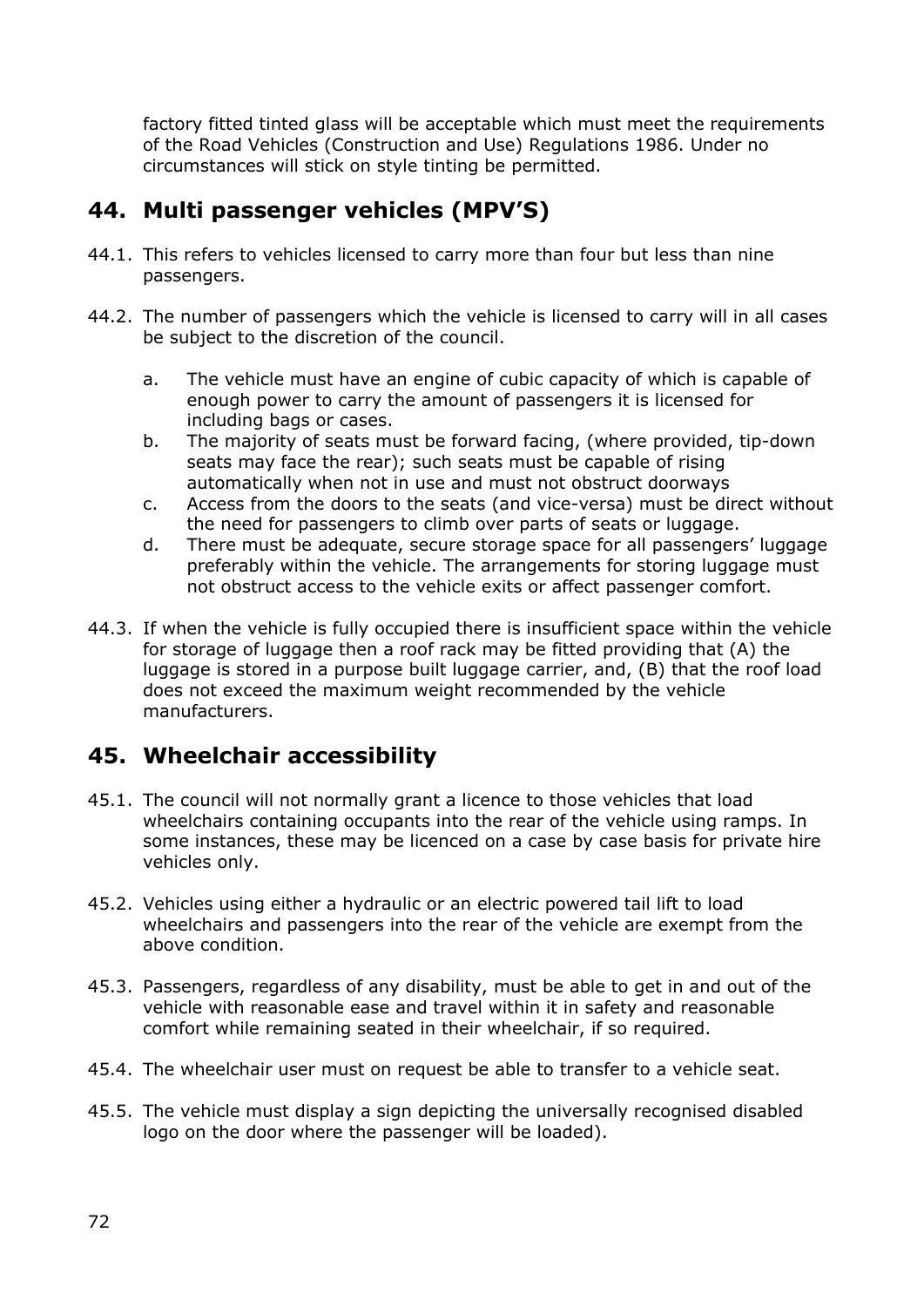factory fitted tinted glass will be acceptable which must meet the requirements of the Road Vehicles (Construction and Use) Regulations 1986. Under no circumstances will stick on style tinting be permitted.

# **44. Multi passenger vehicles (MPV'S)**

- 44.1. This refers to vehicles licensed to carry more than four but less than nine passengers.
- 44.2. The number of passengers which the vehicle is licensed to carry will in all cases be subject to the discretion of the council.
	- a. The vehicle must have an engine of cubic capacity of which is capable of enough power to carry the amount of passengers it is licensed for including bags or cases.
	- b. The majority of seats must be forward facing, (where provided, tip-down seats may face the rear); such seats must be capable of rising automatically when not in use and must not obstruct doorways
	- c. Access from the doors to the seats (and vice-versa) must be direct without the need for passengers to climb over parts of seats or luggage.
	- d. There must be adequate, secure storage space for all passengers' luggage preferably within the vehicle. The arrangements for storing luggage must not obstruct access to the vehicle exits or affect passenger comfort.
- 44.3. If when the vehicle is fully occupied there is insufficient space within the vehicle for storage of luggage then a roof rack may be fitted providing that (A) the luggage is stored in a purpose built luggage carrier, and, (B) that the roof load does not exceed the maximum weight recommended by the vehicle manufacturers.

# **45. Wheelchair accessibility**

- 45.1. The council will not normally grant a licence to those vehicles that load wheelchairs containing occupants into the rear of the vehicle using ramps. In some instances, these may be licenced on a case by case basis for private hire vehicles only.
- 45.2. Vehicles using either a hydraulic or an electric powered tail lift to load wheelchairs and passengers into the rear of the vehicle are exempt from the above condition.
- 45.3. Passengers, regardless of any disability, must be able to get in and out of the vehicle with reasonable ease and travel within it in safety and reasonable comfort while remaining seated in their wheelchair, if so required.
- 45.4. The wheelchair user must on request be able to transfer to a vehicle seat.
- 45.5. The vehicle must display a sign depicting the universally recognised disabled logo on the door where the passenger will be loaded).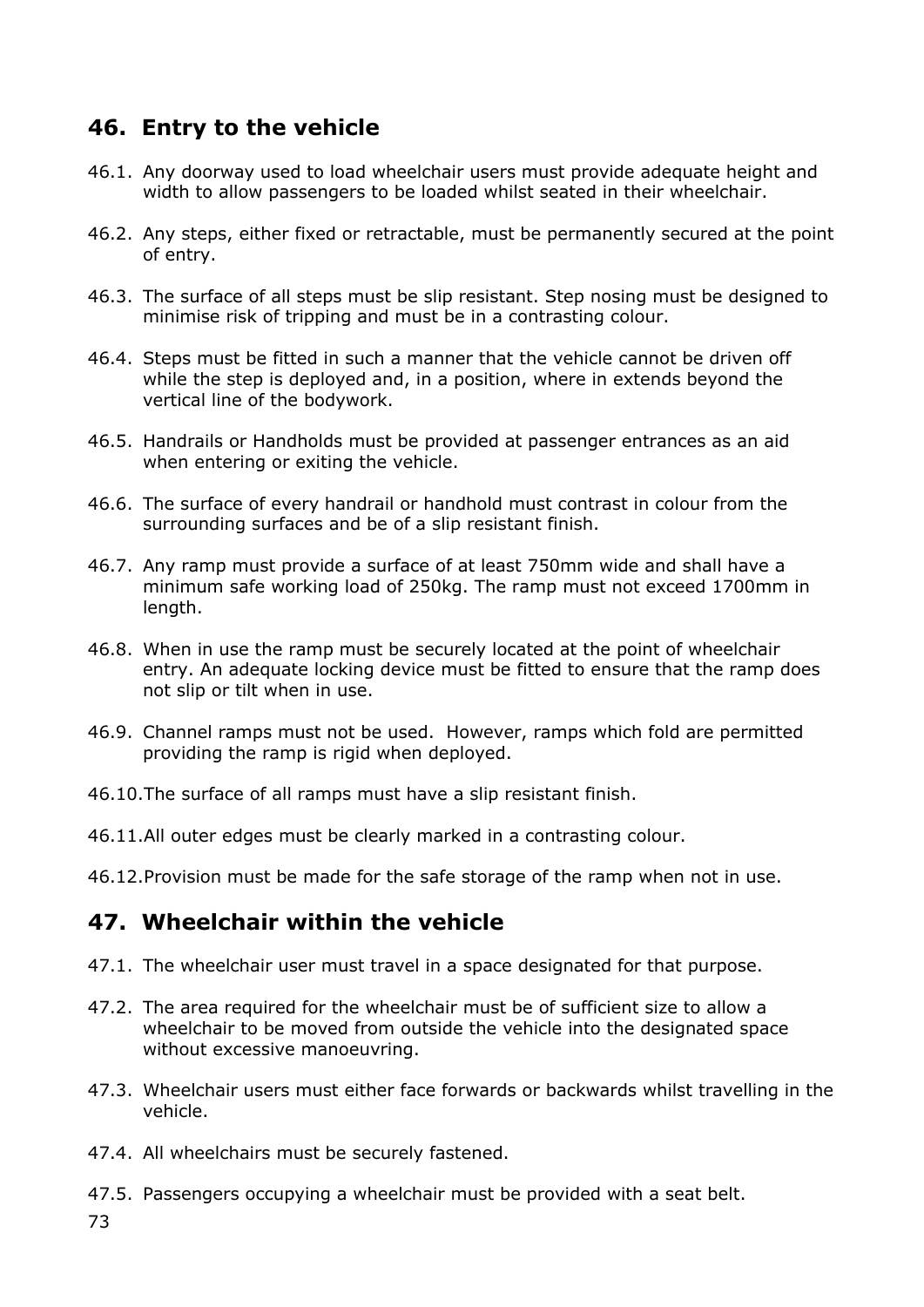#### **46. Entry to the vehicle**

- 46.1. Any doorway used to load wheelchair users must provide adequate height and width to allow passengers to be loaded whilst seated in their wheelchair.
- 46.2. Any steps, either fixed or retractable, must be permanently secured at the point of entry.
- 46.3. The surface of all steps must be slip resistant. Step nosing must be designed to minimise risk of tripping and must be in a contrasting colour.
- 46.4. Steps must be fitted in such a manner that the vehicle cannot be driven off while the step is deployed and, in a position, where in extends beyond the vertical line of the bodywork.
- 46.5. Handrails or Handholds must be provided at passenger entrances as an aid when entering or exiting the vehicle.
- 46.6. The surface of every handrail or handhold must contrast in colour from the surrounding surfaces and be of a slip resistant finish.
- 46.7. Any ramp must provide a surface of at least 750mm wide and shall have a minimum safe working load of 250kg. The ramp must not exceed 1700mm in length.
- 46.8. When in use the ramp must be securely located at the point of wheelchair entry. An adequate locking device must be fitted to ensure that the ramp does not slip or tilt when in use.
- 46.9. Channel ramps must not be used. However, ramps which fold are permitted providing the ramp is rigid when deployed.
- 46.10.The surface of all ramps must have a slip resistant finish.
- 46.11.All outer edges must be clearly marked in a contrasting colour.
- 46.12.Provision must be made for the safe storage of the ramp when not in use.

#### **47. Wheelchair within the vehicle**

- 47.1. The wheelchair user must travel in a space designated for that purpose.
- 47.2. The area required for the wheelchair must be of sufficient size to allow a wheelchair to be moved from outside the vehicle into the designated space without excessive manoeuvring.
- 47.3. Wheelchair users must either face forwards or backwards whilst travelling in the vehicle.
- 47.4. All wheelchairs must be securely fastened.
- 47.5. Passengers occupying a wheelchair must be provided with a seat belt.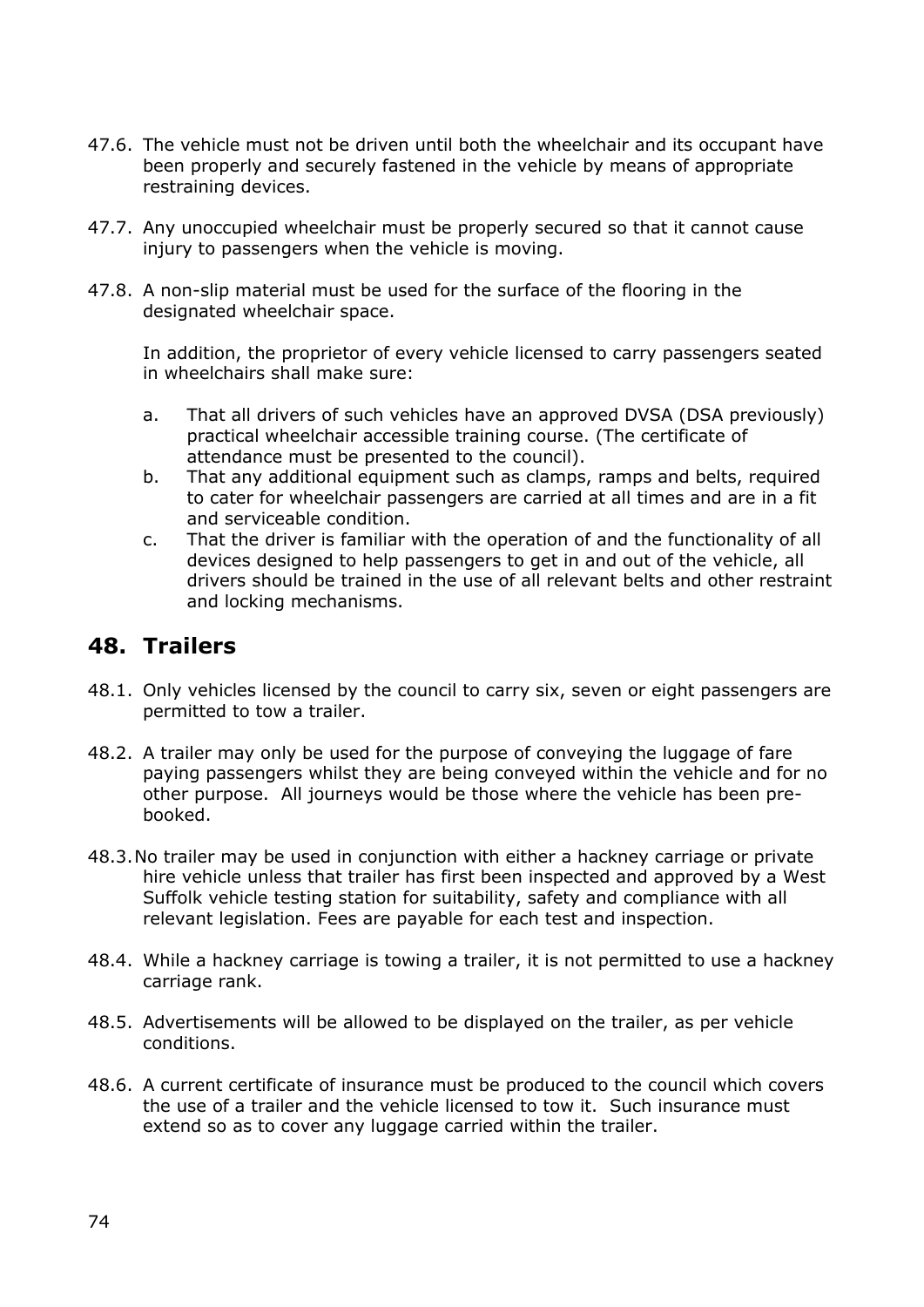- 47.6. The vehicle must not be driven until both the wheelchair and its occupant have been properly and securely fastened in the vehicle by means of appropriate restraining devices.
- 47.7. Any unoccupied wheelchair must be properly secured so that it cannot cause injury to passengers when the vehicle is moving.
- 47.8. A non-slip material must be used for the surface of the flooring in the designated wheelchair space.

In addition, the proprietor of every vehicle licensed to carry passengers seated in wheelchairs shall make sure:

- a. That all drivers of such vehicles have an approved DVSA (DSA previously) practical wheelchair accessible training course. (The certificate of attendance must be presented to the council).
- b. That any additional equipment such as clamps, ramps and belts, required to cater for wheelchair passengers are carried at all times and are in a fit and serviceable condition.
- c. That the driver is familiar with the operation of and the functionality of all devices designed to help passengers to get in and out of the vehicle, all drivers should be trained in the use of all relevant belts and other restraint and locking mechanisms.

#### **48. Trailers**

- 48.1. Only vehicles licensed by the council to carry six, seven or eight passengers are permitted to tow a trailer.
- 48.2. A trailer may only be used for the purpose of conveying the luggage of fare paying passengers whilst they are being conveyed within the vehicle and for no other purpose. All journeys would be those where the vehicle has been prebooked.
- 48.3.No trailer may be used in conjunction with either a hackney carriage or private hire vehicle unless that trailer has first been inspected and approved by a West Suffolk vehicle testing station for suitability, safety and compliance with all relevant legislation. Fees are payable for each test and inspection.
- 48.4. While a hackney carriage is towing a trailer, it is not permitted to use a hackney carriage rank.
- 48.5. Advertisements will be allowed to be displayed on the trailer, as per vehicle conditions.
- 48.6. A current certificate of insurance must be produced to the council which covers the use of a trailer and the vehicle licensed to tow it. Such insurance must extend so as to cover any luggage carried within the trailer.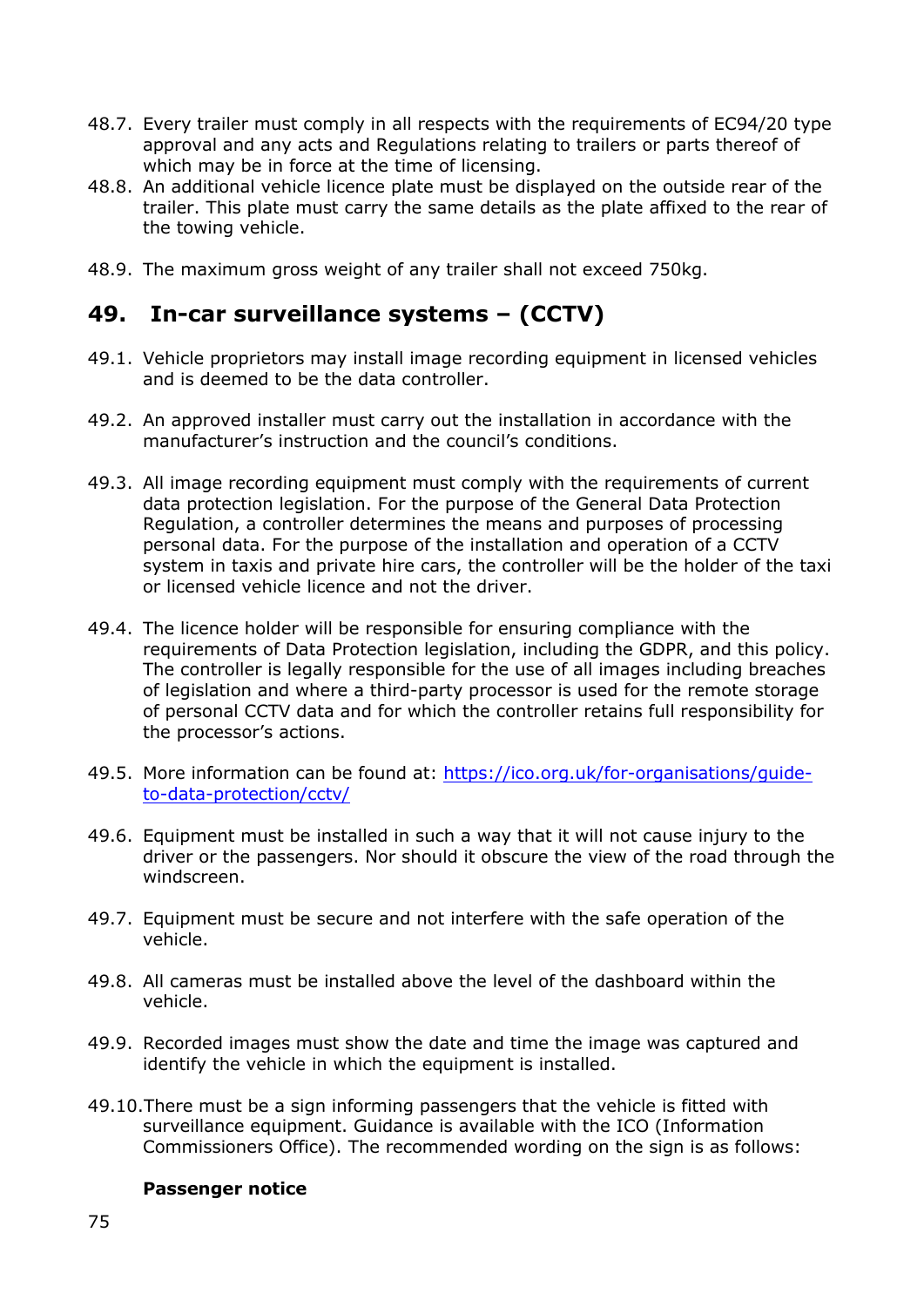- 48.7. Every trailer must comply in all respects with the requirements of EC94/20 type approval and any acts and Regulations relating to trailers or parts thereof of which may be in force at the time of licensing.
- 48.8. An additional vehicle licence plate must be displayed on the outside rear of the trailer. This plate must carry the same details as the plate affixed to the rear of the towing vehicle.
- 48.9. The maximum gross weight of any trailer shall not exceed 750kg.

#### **49. In-car surveillance systems – (CCTV)**

- 49.1. Vehicle proprietors may install image recording equipment in licensed vehicles and is deemed to be the data controller.
- 49.2. An approved installer must carry out the installation in accordance with the manufacturer's instruction and the council's conditions.
- 49.3. All image recording equipment must comply with the requirements of current data protection legislation. For the purpose of the General Data Protection Regulation, a controller determines the means and purposes of processing personal data. For the purpose of the installation and operation of a CCTV system in taxis and private hire cars, the controller will be the holder of the taxi or licensed vehicle licence and not the driver.
- 49.4. The licence holder will be responsible for ensuring compliance with the requirements of Data Protection legislation, including the GDPR, and this policy. The controller is legally responsible for the use of all images including breaches of legislation and where a third-party processor is used for the remote storage of personal CCTV data and for which the controller retains full responsibility for the processor's actions.
- 49.5. More information can be found at: [https://ico.org.uk/for-organisations/guide](https://ico.org.uk/for-organisations/guide-to-data-protection/cctv/)[to-data-protection/cctv/](https://ico.org.uk/for-organisations/guide-to-data-protection/cctv/)
- 49.6. Equipment must be installed in such a way that it will not cause injury to the driver or the passengers. Nor should it obscure the view of the road through the windscreen.
- 49.7. Equipment must be secure and not interfere with the safe operation of the vehicle.
- 49.8. All cameras must be installed above the level of the dashboard within the vehicle.
- 49.9. Recorded images must show the date and time the image was captured and identify the vehicle in which the equipment is installed.
- 49.10.There must be a sign informing passengers that the vehicle is fitted with surveillance equipment. Guidance is available with the ICO (Information Commissioners Office). The recommended wording on the sign is as follows:

#### **Passenger notice**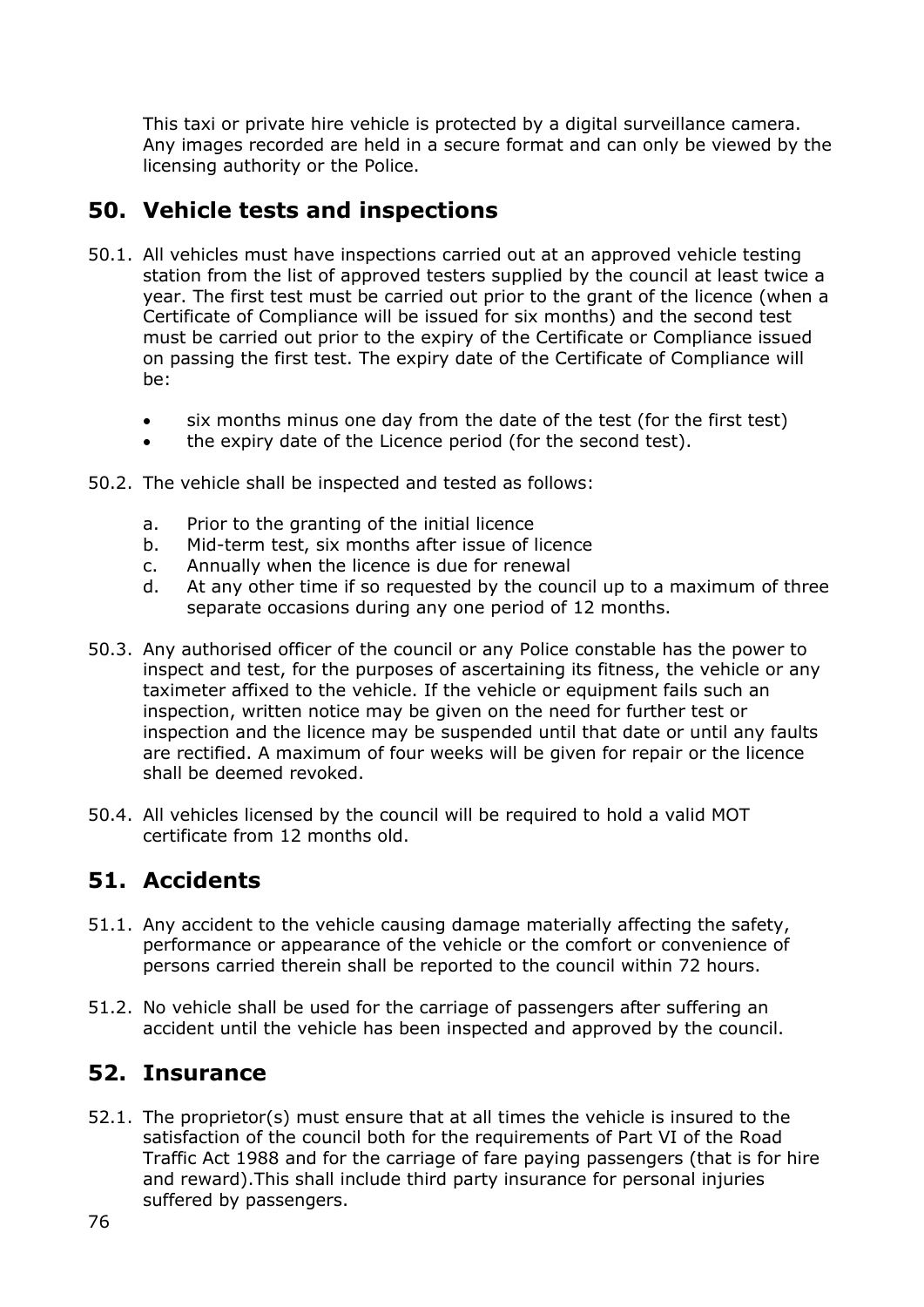This taxi or private hire vehicle is protected by a digital surveillance camera. Any images recorded are held in a secure format and can only be viewed by the licensing authority or the Police.

### **50. Vehicle tests and inspections**

- 50.1. All vehicles must have inspections carried out at an approved vehicle testing station from the list of approved testers supplied by the council at least twice a year. The first test must be carried out prior to the grant of the licence (when a Certificate of Compliance will be issued for six months) and the second test must be carried out prior to the expiry of the Certificate or Compliance issued on passing the first test. The expiry date of the Certificate of Compliance will be:
	- six months minus one day from the date of the test (for the first test)
	- the expiry date of the Licence period (for the second test).
- 50.2. The vehicle shall be inspected and tested as follows:
	- a. Prior to the granting of the initial licence
	- b. Mid-term test, six months after issue of licence
	- c. Annually when the licence is due for renewal
	- d. At any other time if so requested by the council up to a maximum of three separate occasions during any one period of 12 months.
- 50.3. Any authorised officer of the council or any Police constable has the power to inspect and test, for the purposes of ascertaining its fitness, the vehicle or any taximeter affixed to the vehicle. If the vehicle or equipment fails such an inspection, written notice may be given on the need for further test or inspection and the licence may be suspended until that date or until any faults are rectified. A maximum of four weeks will be given for repair or the licence shall be deemed revoked.
- 50.4. All vehicles licensed by the council will be required to hold a valid MOT certificate from 12 months old.

#### **51. Accidents**

- 51.1. Any accident to the vehicle causing damage materially affecting the safety, performance or appearance of the vehicle or the comfort or convenience of persons carried therein shall be reported to the council within 72 hours.
- 51.2. No vehicle shall be used for the carriage of passengers after suffering an accident until the vehicle has been inspected and approved by the council.

#### **52. Insurance**

52.1. The proprietor(s) must ensure that at all times the vehicle is insured to the satisfaction of the council both for the requirements of Part VI of the Road Traffic Act 1988 and for the carriage of fare paying passengers (that is for hire and reward).This shall include third party insurance for personal injuries suffered by passengers.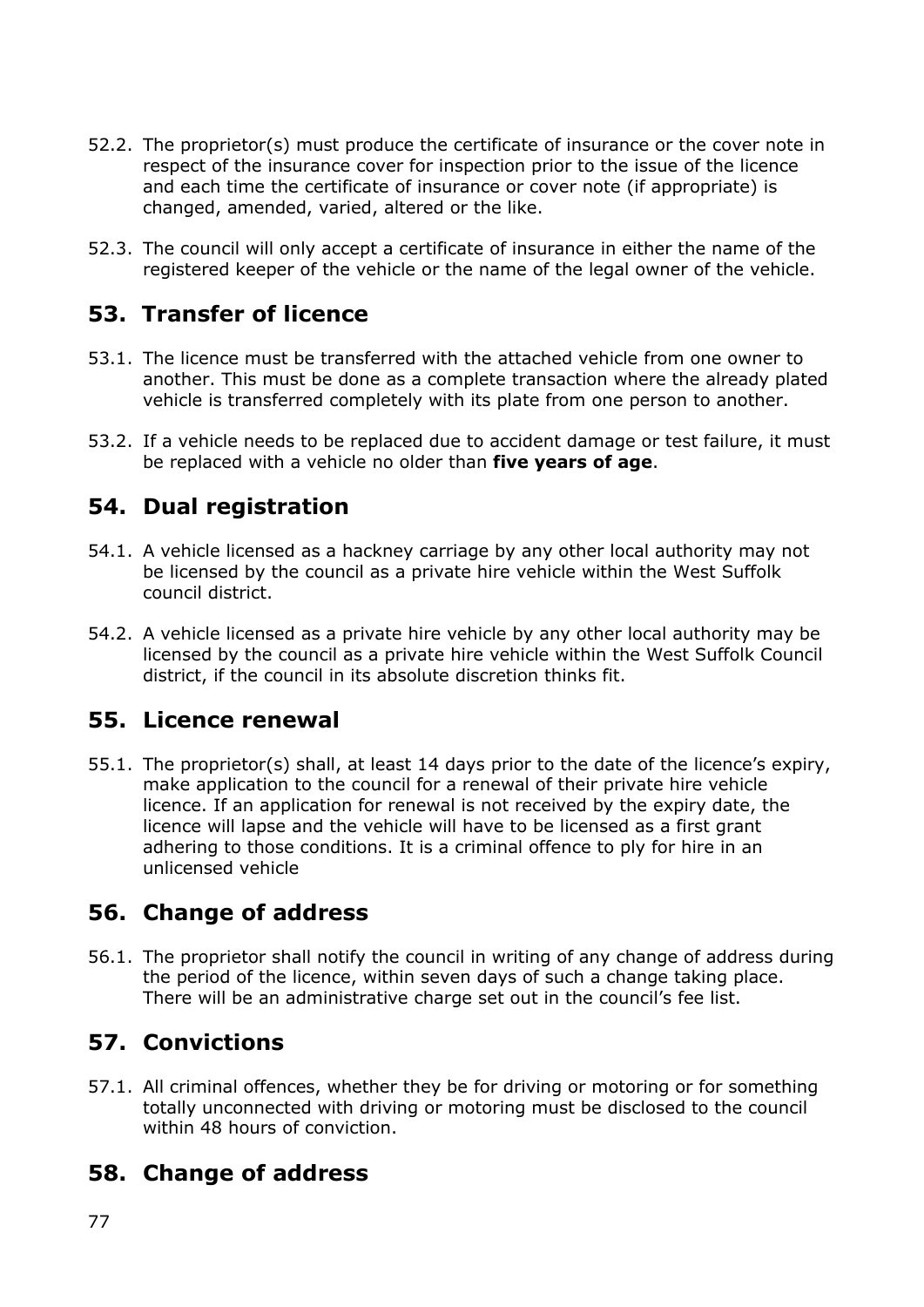- 52.2. The proprietor(s) must produce the certificate of insurance or the cover note in respect of the insurance cover for inspection prior to the issue of the licence and each time the certificate of insurance or cover note (if appropriate) is changed, amended, varied, altered or the like.
- 52.3. The council will only accept a certificate of insurance in either the name of the registered keeper of the vehicle or the name of the legal owner of the vehicle.

### **53. Transfer of licence**

- 53.1. The licence must be transferred with the attached vehicle from one owner to another. This must be done as a complete transaction where the already plated vehicle is transferred completely with its plate from one person to another.
- 53.2. If a vehicle needs to be replaced due to accident damage or test failure, it must be replaced with a vehicle no older than **five years of age**.

### **54. Dual registration**

- 54.1. A vehicle licensed as a hackney carriage by any other local authority may not be licensed by the council as a private hire vehicle within the West Suffolk council district.
- 54.2. A vehicle licensed as a private hire vehicle by any other local authority may be licensed by the council as a private hire vehicle within the West Suffolk Council district, if the council in its absolute discretion thinks fit.

#### **55. Licence renewal**

55.1. The proprietor(s) shall, at least 14 days prior to the date of the licence's expiry, make application to the council for a renewal of their private hire vehicle licence. If an application for renewal is not received by the expiry date, the licence will lapse and the vehicle will have to be licensed as a first grant adhering to those conditions. It is a criminal offence to ply for hire in an unlicensed vehicle

#### **56. Change of address**

56.1. The proprietor shall notify the council in writing of any change of address during the period of the licence, within seven days of such a change taking place. There will be an administrative charge set out in the council's fee list.

#### **57. Convictions**

57.1. All criminal offences, whether they be for driving or motoring or for something totally unconnected with driving or motoring must be disclosed to the council within 48 hours of conviction.

#### **58. Change of address**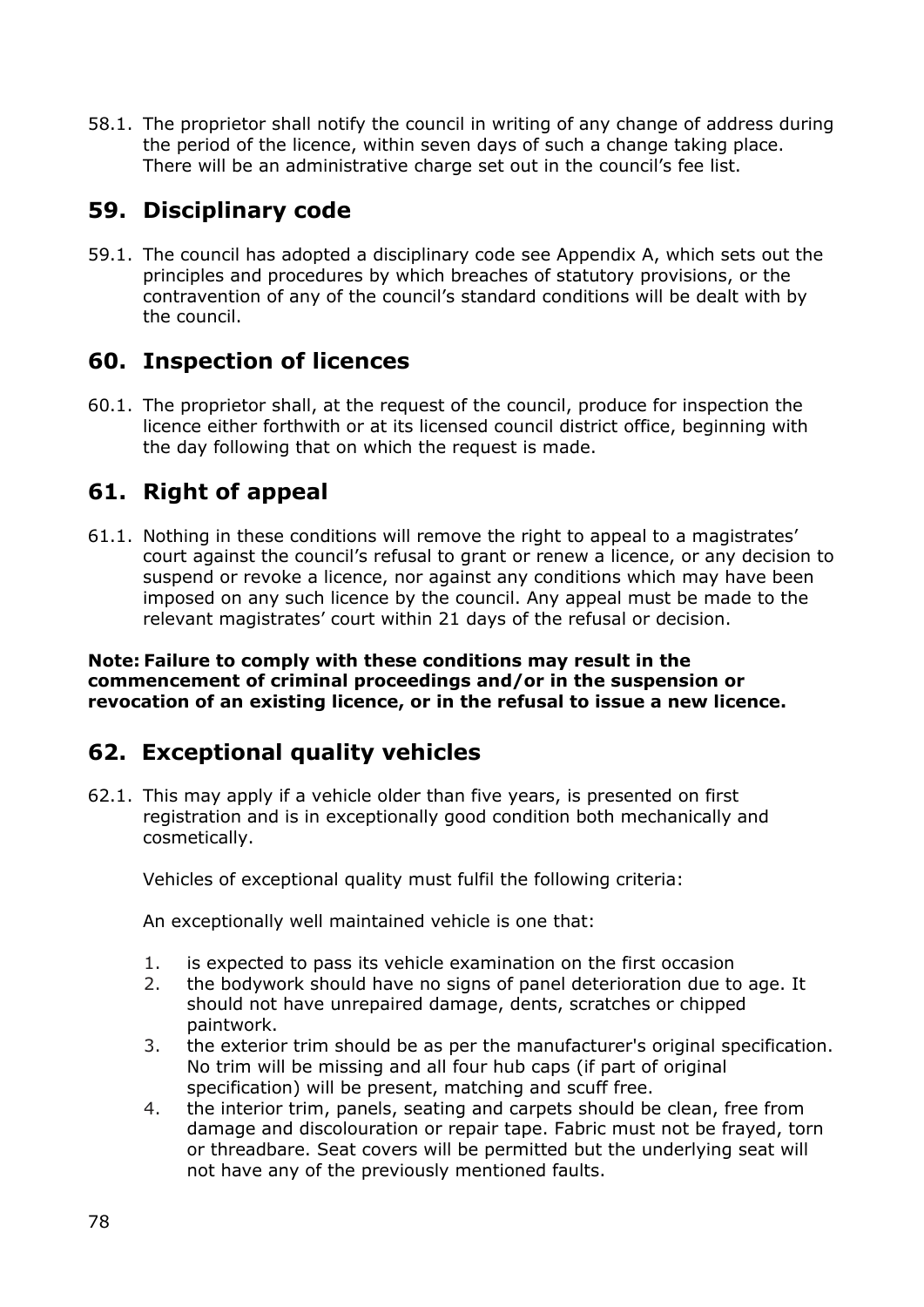58.1. The proprietor shall notify the council in writing of any change of address during the period of the licence, within seven days of such a change taking place. There will be an administrative charge set out in the council's fee list.

# **59. Disciplinary code**

59.1. The council has adopted a disciplinary code see Appendix A, which sets out the principles and procedures by which breaches of statutory provisions, or the contravention of any of the council's standard conditions will be dealt with by the council.

#### **60. Inspection of licences**

60.1. The proprietor shall, at the request of the council, produce for inspection the licence either forthwith or at its licensed council district office, beginning with the day following that on which the request is made.

### **61. Right of appeal**

61.1. Nothing in these conditions will remove the right to appeal to a magistrates' court against the council's refusal to grant or renew a licence, or any decision to suspend or revoke a licence, nor against any conditions which may have been imposed on any such licence by the council. Any appeal must be made to the relevant magistrates' court within 21 days of the refusal or decision.

**Note: Failure to comply with these conditions may result in the commencement of criminal proceedings and/or in the suspension or revocation of an existing licence, or in the refusal to issue a new licence.**

# **62. Exceptional quality vehicles**

62.1. This may apply if a vehicle older than five years, is presented on first registration and is in exceptionally good condition both mechanically and cosmetically.

Vehicles of exceptional quality must fulfil the following criteria:

An exceptionally well maintained vehicle is one that:

- 1. is expected to pass its vehicle examination on the first occasion
- 2. the bodywork should have no signs of panel deterioration due to age. It should not have unrepaired damage, dents, scratches or chipped paintwork.
- 3. the exterior trim should be as per the manufacturer's original specification. No trim will be missing and all four hub caps (if part of original specification) will be present, matching and scuff free.
- 4. the interior trim, panels, seating and carpets should be clean, free from damage and discolouration or repair tape. Fabric must not be frayed, torn or threadbare. Seat covers will be permitted but the underlying seat will not have any of the previously mentioned faults.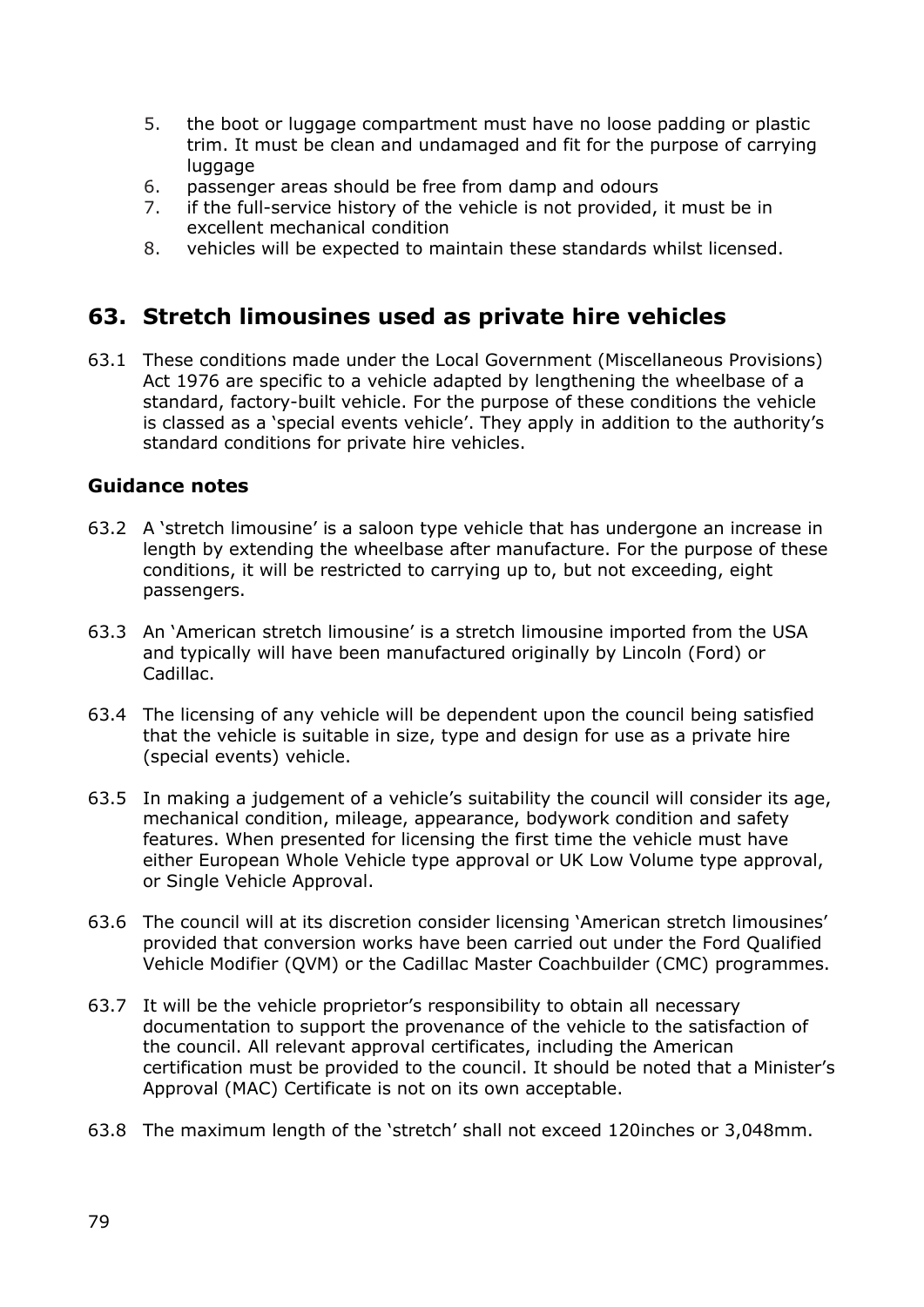- 5. the boot or luggage compartment must have no loose padding or plastic trim. It must be clean and undamaged and fit for the purpose of carrying luggage
- 6. passenger areas should be free from damp and odours
- 7. if the full-service history of the vehicle is not provided, it must be in excellent mechanical condition
- 8. vehicles will be expected to maintain these standards whilst licensed.

#### **63. Stretch limousines used as private hire vehicles**

63.1 These conditions made under the Local Government (Miscellaneous Provisions) Act 1976 are specific to a vehicle adapted by lengthening the wheelbase of a standard, factory-built vehicle. For the purpose of these conditions the vehicle is classed as a 'special events vehicle'. They apply in addition to the authority's standard conditions for private hire vehicles.

#### **Guidance notes**

- 63.2 A 'stretch limousine' is a saloon type vehicle that has undergone an increase in length by extending the wheelbase after manufacture. For the purpose of these conditions, it will be restricted to carrying up to, but not exceeding, eight passengers.
- 63.3 An 'American stretch limousine' is a stretch limousine imported from the USA and typically will have been manufactured originally by Lincoln (Ford) or Cadillac.
- 63.4 The licensing of any vehicle will be dependent upon the council being satisfied that the vehicle is suitable in size, type and design for use as a private hire (special events) vehicle.
- 63.5 In making a judgement of a vehicle's suitability the council will consider its age, mechanical condition, mileage, appearance, bodywork condition and safety features. When presented for licensing the first time the vehicle must have either European Whole Vehicle type approval or UK Low Volume type approval, or Single Vehicle Approval.
- 63.6 The council will at its discretion consider licensing 'American stretch limousines' provided that conversion works have been carried out under the Ford Qualified Vehicle Modifier (QVM) or the Cadillac Master Coachbuilder (CMC) programmes.
- 63.7 It will be the vehicle proprietor's responsibility to obtain all necessary documentation to support the provenance of the vehicle to the satisfaction of the council. All relevant approval certificates, including the American certification must be provided to the council. It should be noted that a Minister's Approval (MAC) Certificate is not on its own acceptable.
- 63.8 The maximum length of the 'stretch' shall not exceed 120inches or 3,048mm.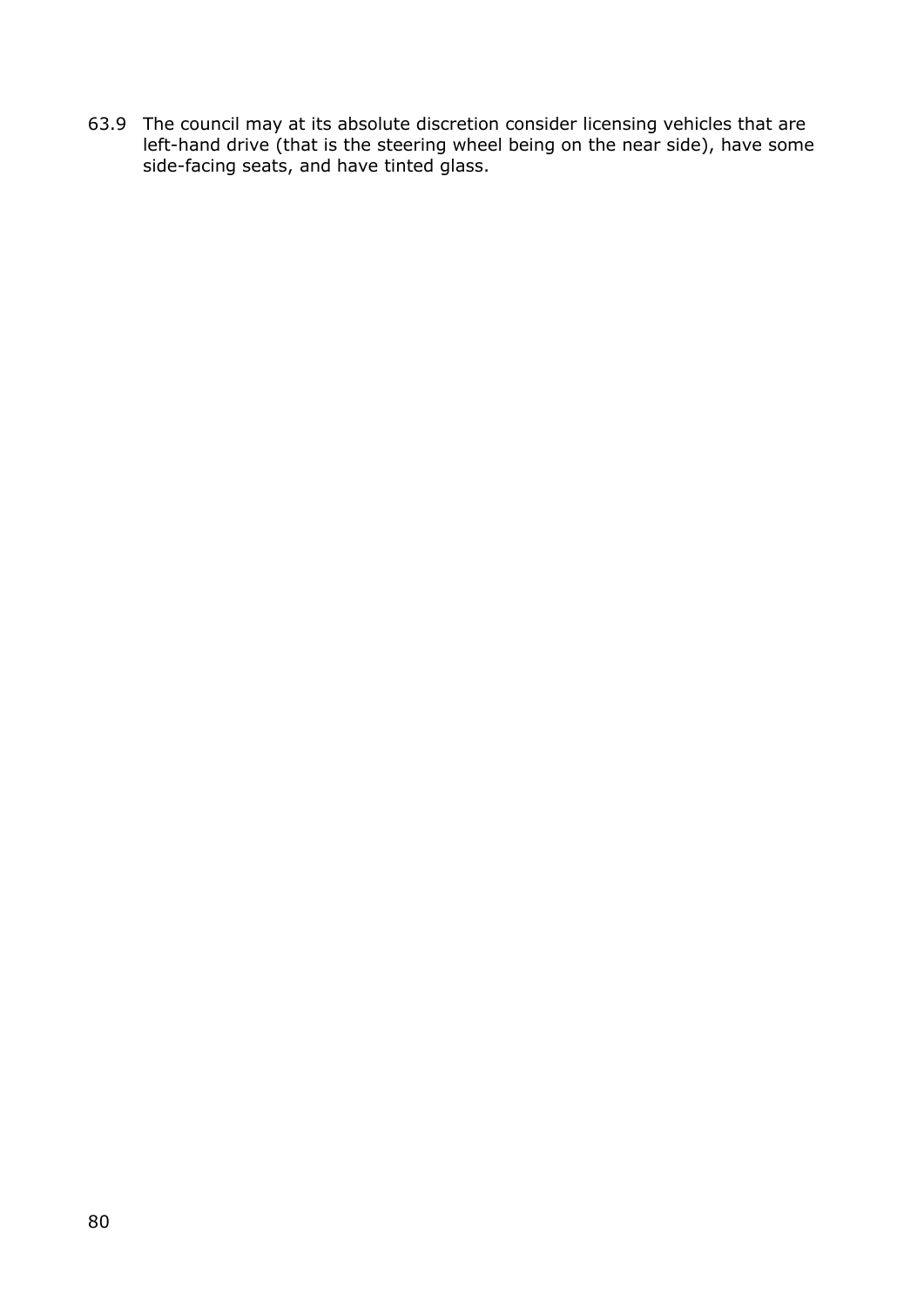63.9 The council may at its absolute discretion consider licensing vehicles that are left-hand drive (that is the steering wheel being on the near side), have some side-facing seats, and have tinted glass.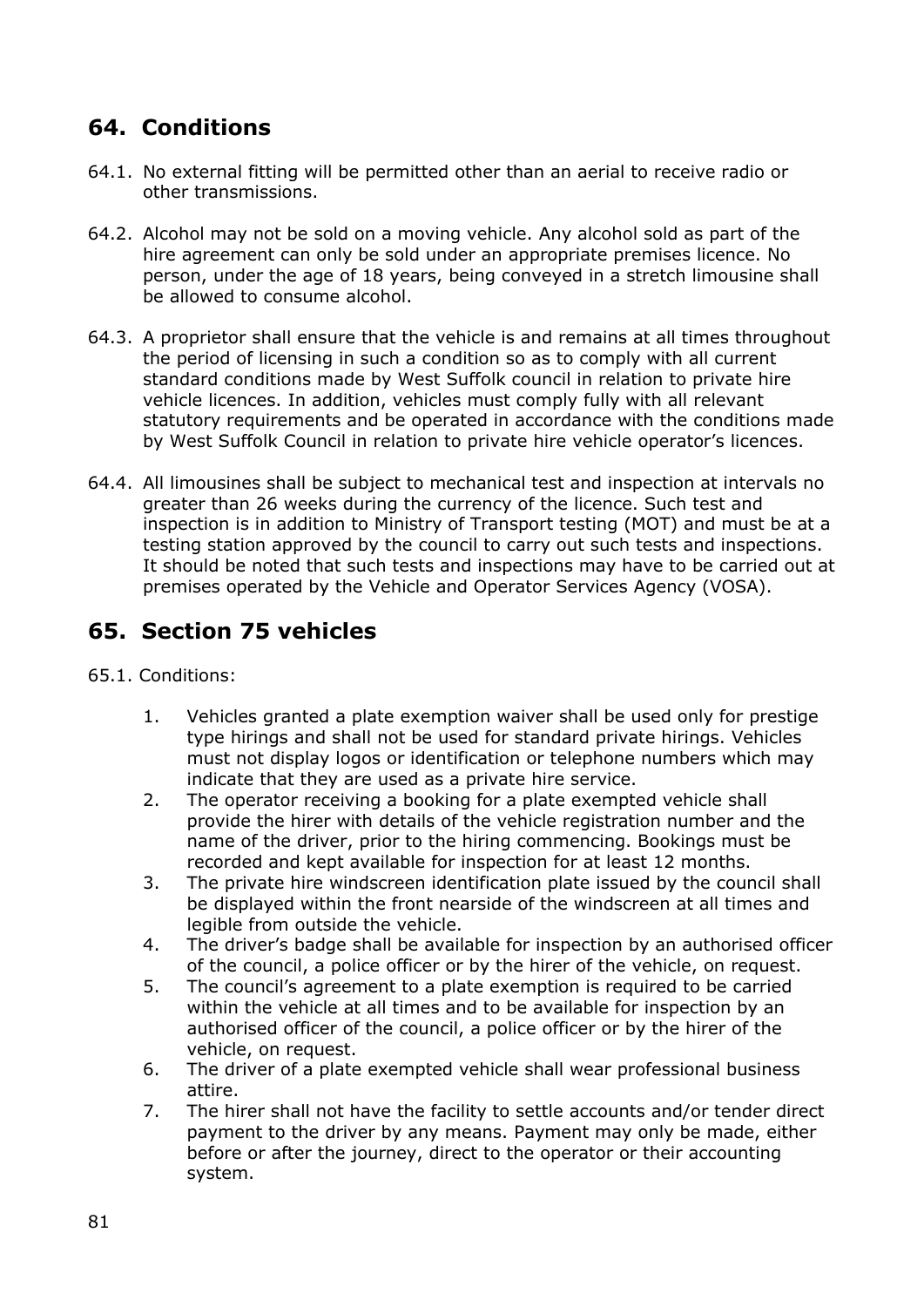### **64. Conditions**

- 64.1. No external fitting will be permitted other than an aerial to receive radio or other transmissions.
- 64.2. Alcohol may not be sold on a moving vehicle. Any alcohol sold as part of the hire agreement can only be sold under an appropriate premises licence. No person, under the age of 18 years, being conveyed in a stretch limousine shall be allowed to consume alcohol.
- 64.3. A proprietor shall ensure that the vehicle is and remains at all times throughout the period of licensing in such a condition so as to comply with all current standard conditions made by West Suffolk council in relation to private hire vehicle licences. In addition, vehicles must comply fully with all relevant statutory requirements and be operated in accordance with the conditions made by West Suffolk Council in relation to private hire vehicle operator's licences.
- 64.4. All limousines shall be subject to mechanical test and inspection at intervals no greater than 26 weeks during the currency of the licence. Such test and inspection is in addition to Ministry of Transport testing (MOT) and must be at a testing station approved by the council to carry out such tests and inspections. It should be noted that such tests and inspections may have to be carried out at premises operated by the Vehicle and Operator Services Agency (VOSA).

# **65. Section 75 vehicles**

- 65.1. Conditions:
	- 1. Vehicles granted a plate exemption waiver shall be used only for prestige type hirings and shall not be used for standard private hirings. Vehicles must not display logos or identification or telephone numbers which may indicate that they are used as a private hire service.
	- 2. The operator receiving a booking for a plate exempted vehicle shall provide the hirer with details of the vehicle registration number and the name of the driver, prior to the hiring commencing. Bookings must be recorded and kept available for inspection for at least 12 months.
	- 3. The private hire windscreen identification plate issued by the council shall be displayed within the front nearside of the windscreen at all times and legible from outside the vehicle.
	- 4. The driver's badge shall be available for inspection by an authorised officer of the council, a police officer or by the hirer of the vehicle, on request.
	- 5. The council's agreement to a plate exemption is required to be carried within the vehicle at all times and to be available for inspection by an authorised officer of the council, a police officer or by the hirer of the vehicle, on request.
	- 6. The driver of a plate exempted vehicle shall wear professional business attire.
	- 7. The hirer shall not have the facility to settle accounts and/or tender direct payment to the driver by any means. Payment may only be made, either before or after the journey, direct to the operator or their accounting system.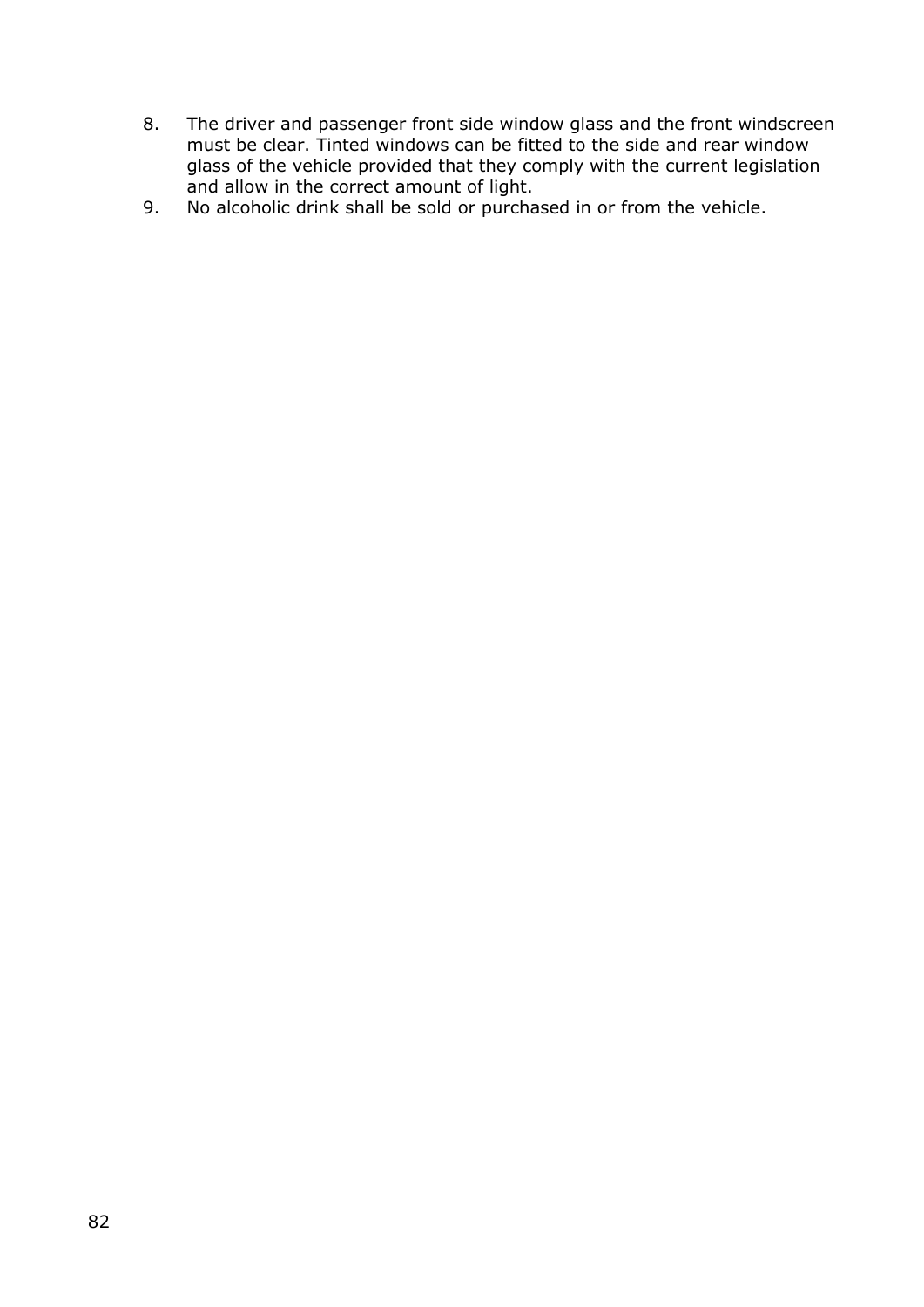- 8. The driver and passenger front side window glass and the front windscreen must be clear. Tinted windows can be fitted to the side and rear window glass of the vehicle provided that they comply with the current legislation and allow in the correct amount of light.
- 9. No alcoholic drink shall be sold or purchased in or from the vehicle.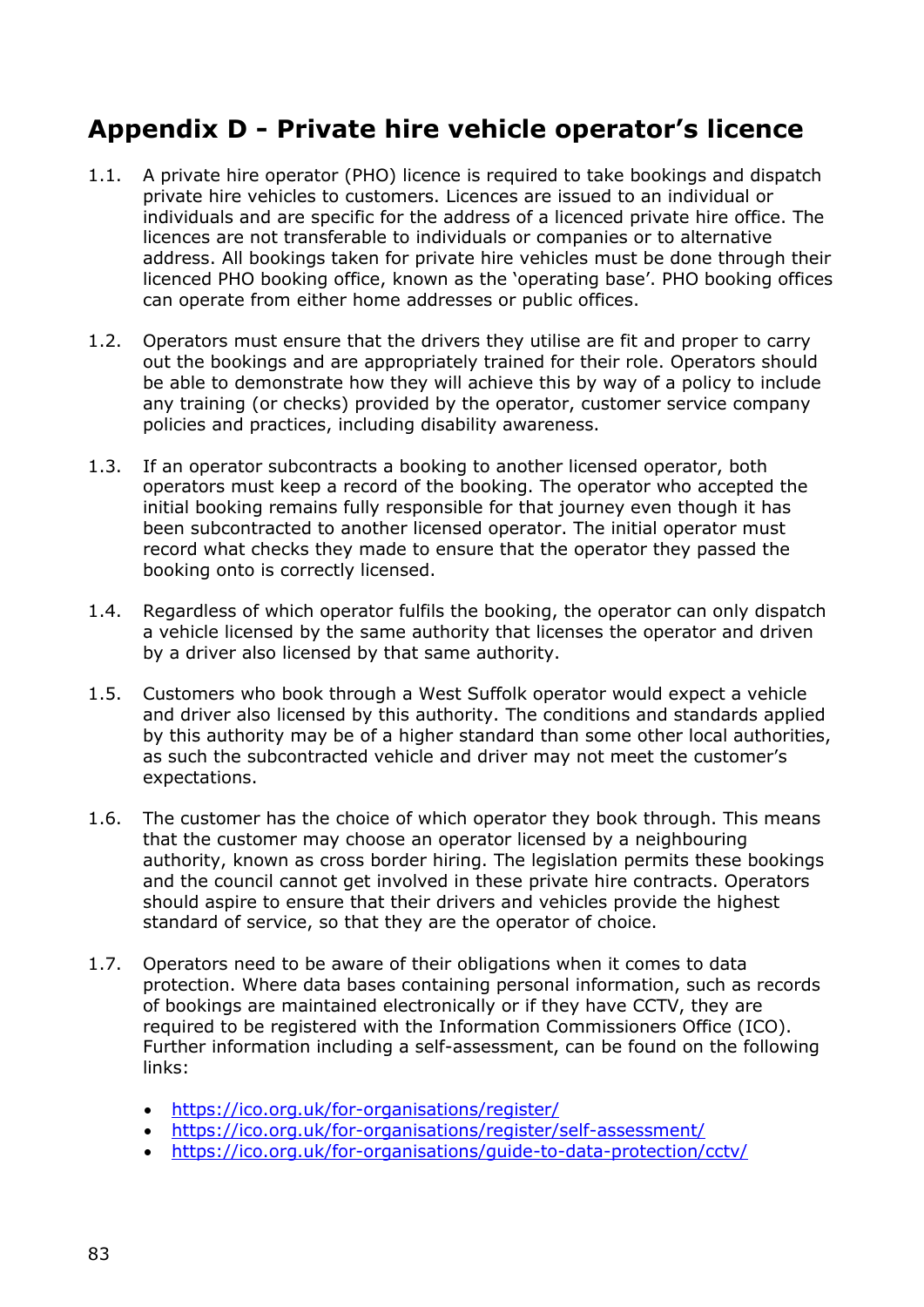# **Appendix D - Private hire vehicle operator's licence**

- 1.1. A private hire operator (PHO) licence is required to take bookings and dispatch private hire vehicles to customers. Licences are issued to an individual or individuals and are specific for the address of a licenced private hire office. The licences are not transferable to individuals or companies or to alternative address. All bookings taken for private hire vehicles must be done through their licenced PHO booking office, known as the 'operating base'. PHO booking offices can operate from either home addresses or public offices.
- 1.2. Operators must ensure that the drivers they utilise are fit and proper to carry out the bookings and are appropriately trained for their role. Operators should be able to demonstrate how they will achieve this by way of a policy to include any training (or checks) provided by the operator, customer service company policies and practices, including disability awareness.
- 1.3. If an operator subcontracts a booking to another licensed operator, both operators must keep a record of the booking. The operator who accepted the initial booking remains fully responsible for that journey even though it has been subcontracted to another licensed operator. The initial operator must record what checks they made to ensure that the operator they passed the booking onto is correctly licensed.
- 1.4. Regardless of which operator fulfils the booking, the operator can only dispatch a vehicle licensed by the same authority that licenses the operator and driven by a driver also licensed by that same authority.
- 1.5. Customers who book through a West Suffolk operator would expect a vehicle and driver also licensed by this authority. The conditions and standards applied by this authority may be of a higher standard than some other local authorities, as such the subcontracted vehicle and driver may not meet the customer's expectations.
- 1.6. The customer has the choice of which operator they book through. This means that the customer may choose an operator licensed by a neighbouring authority, known as cross border hiring. The legislation permits these bookings and the council cannot get involved in these private hire contracts. Operators should aspire to ensure that their drivers and vehicles provide the highest standard of service, so that they are the operator of choice.
- 1.7. Operators need to be aware of their obligations when it comes to data protection. Where data bases containing personal information, such as records of bookings are maintained electronically or if they have CCTV, they are required to be registered with the Information Commissioners Office (ICO). Further information including a self-assessment, can be found on the following links:
	- <https://ico.org.uk/for-organisations/register/>
	- <https://ico.org.uk/for-organisations/register/self-assessment/>
	- <https://ico.org.uk/for-organisations/guide-to-data-protection/cctv/>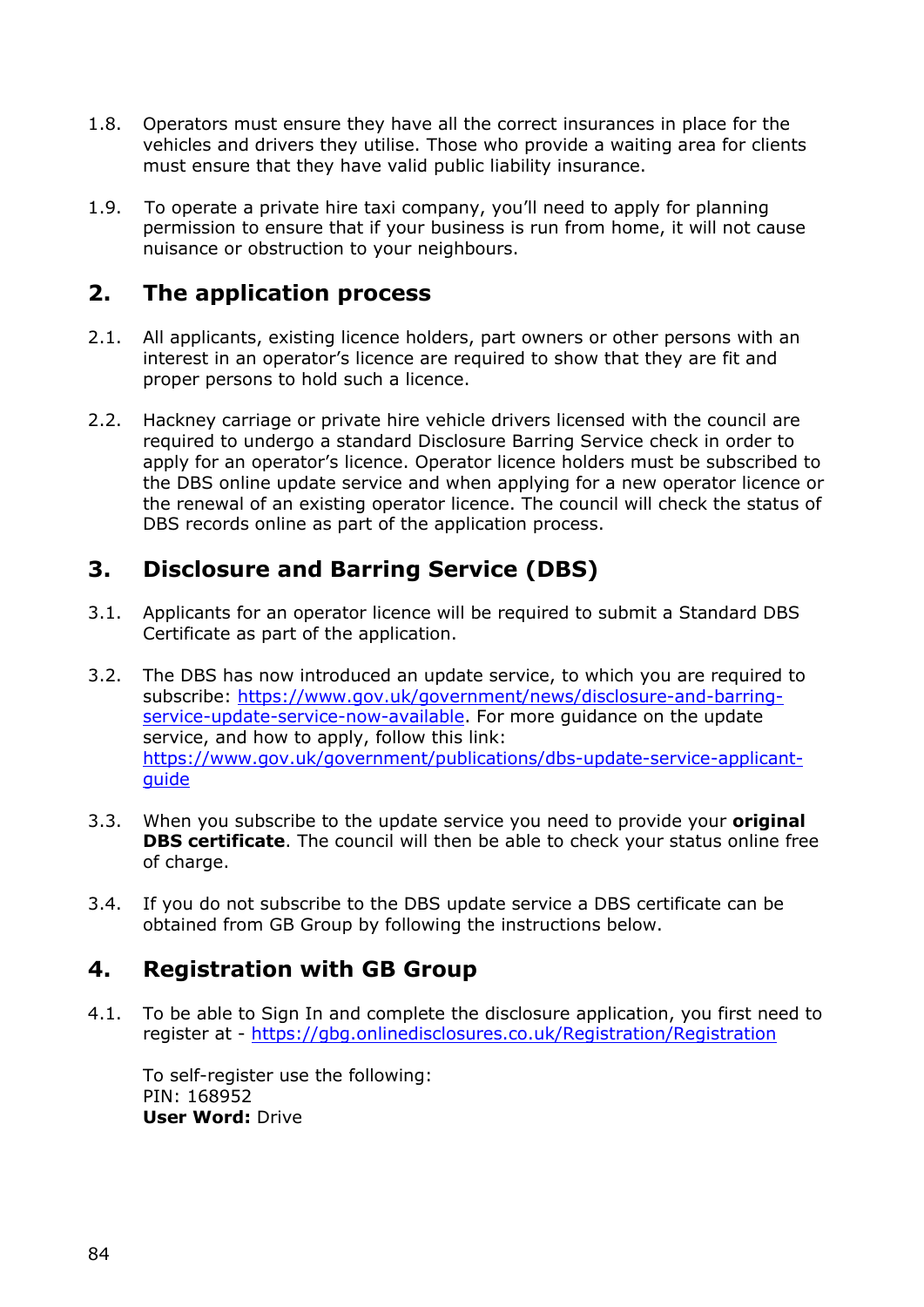- 1.8. Operators must ensure they have all the correct insurances in place for the vehicles and drivers they utilise. Those who provide a waiting area for clients must ensure that they have valid public liability insurance.
- 1.9. To operate a private hire taxi company, you'll need to apply for planning permission to ensure that if your business is run from home, it will not cause nuisance or obstruction to your neighbours.

### **2. The application process**

- 2.1. All applicants, existing licence holders, part owners or other persons with an interest in an operator's licence are required to show that they are fit and proper persons to hold such a licence.
- 2.2. Hackney carriage or private hire vehicle drivers licensed with the council are required to undergo a standard Disclosure Barring Service check in order to apply for an operator's licence. Operator licence holders must be subscribed to the DBS online update service and when applying for a new operator licence or the renewal of an existing operator licence. The council will check the status of DBS records online as part of the application process.

### **3. Disclosure and Barring Service (DBS)**

- 3.1. Applicants for an operator licence will be required to submit a Standard DBS Certificate as part of the application.
- 3.2. The DBS has now introduced an update service, to which you are required to subscribe: [https://www.gov.uk/government/news/disclosure-and-barring](https://www.gov.uk/government/news/disclosure-and-barring-service-update-service-now-available)[service-update-service-now-available.](https://www.gov.uk/government/news/disclosure-and-barring-service-update-service-now-available) For more guidance on the update service, and how to apply, follow this link: [https://www.gov.uk/government/publications/dbs-update-service-applicant](https://www.gov.uk/government/publications/dbs-update-service-applicant-guide)[guide](https://www.gov.uk/government/publications/dbs-update-service-applicant-guide)
- 3.3. When you subscribe to the update service you need to provide your **original DBS certificate**. The council will then be able to check your status online free of charge.
- 3.4. If you do not subscribe to the DBS update service a DBS certificate can be obtained from GB Group by following the instructions below.

# **4. Registration with GB Group**

4.1. To be able to Sign In and complete the disclosure application, you first need to register at - <https://gbg.onlinedisclosures.co.uk/Registration/Registration>

To self-register use the following: PIN: 168952 **User Word:** Drive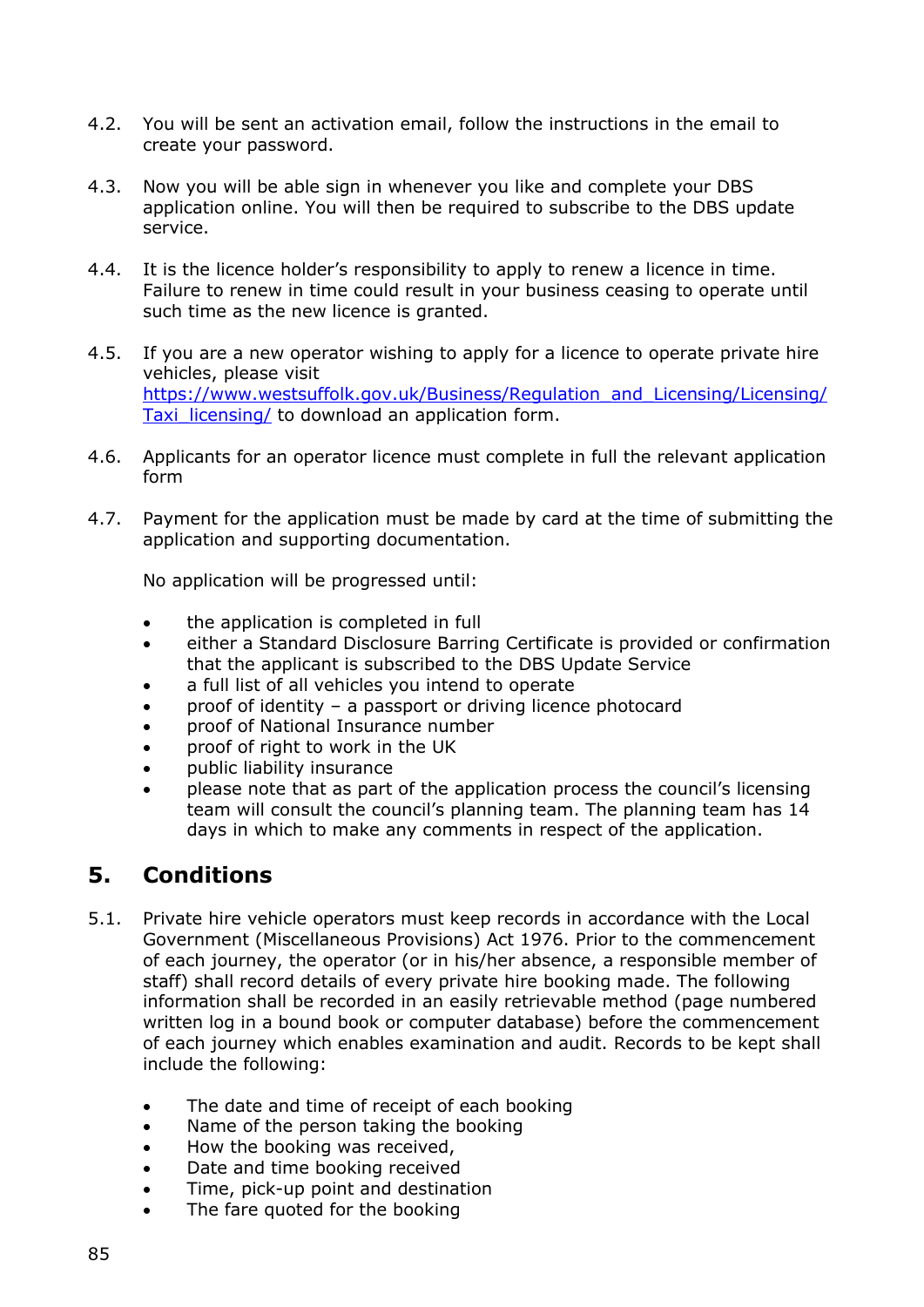- 4.2. You will be sent an activation email, follow the instructions in the email to create your password.
- 4.3. Now you will be able sign in whenever you like and complete your DBS application online. You will then be required to subscribe to the DBS update service.
- 4.4. It is the licence holder's responsibility to apply to renew a licence in time. Failure to renew in time could result in your business ceasing to operate until such time as the new licence is granted.
- 4.5. If you are a new operator wishing to apply for a licence to operate private hire vehicles, please visit [https://www.westsuffolk.gov.uk/Business/Regulation\\_and\\_Licensing/Licensing/](https://www.westsuffolk.gov.uk/Business/Regulation_and_Licensing/Licensing/Taxi_licensing/) Taxi licensing/ to download an application form.
- 4.6. Applicants for an operator licence must complete in full the relevant application form
- 4.7. Payment for the application must be made by card at the time of submitting the application and supporting documentation.

No application will be progressed until:

- the application is completed in full
- either a Standard Disclosure Barring Certificate is provided or confirmation that the applicant is subscribed to the DBS Update Service
- a full list of all vehicles you intend to operate
- proof of identity a passport or driving licence photocard
- proof of National Insurance number
- proof of right to work in the UK
- public liability insurance
- please note that as part of the application process the council's licensing team will consult the council's planning team. The planning team has 14 days in which to make any comments in respect of the application.

#### **5. Conditions**

- 5.1. Private hire vehicle operators must keep records in accordance with the Local Government (Miscellaneous Provisions) Act 1976. Prior to the commencement of each journey, the operator (or in his/her absence, a responsible member of staff) shall record details of every private hire booking made. The following information shall be recorded in an easily retrievable method (page numbered written log in a bound book or computer database) before the commencement of each journey which enables examination and audit. Records to be kept shall include the following:
	- The date and time of receipt of each booking
	- Name of the person taking the booking
	- How the booking was received,
	- Date and time booking received
	- Time, pick-up point and destination
	- The fare quoted for the booking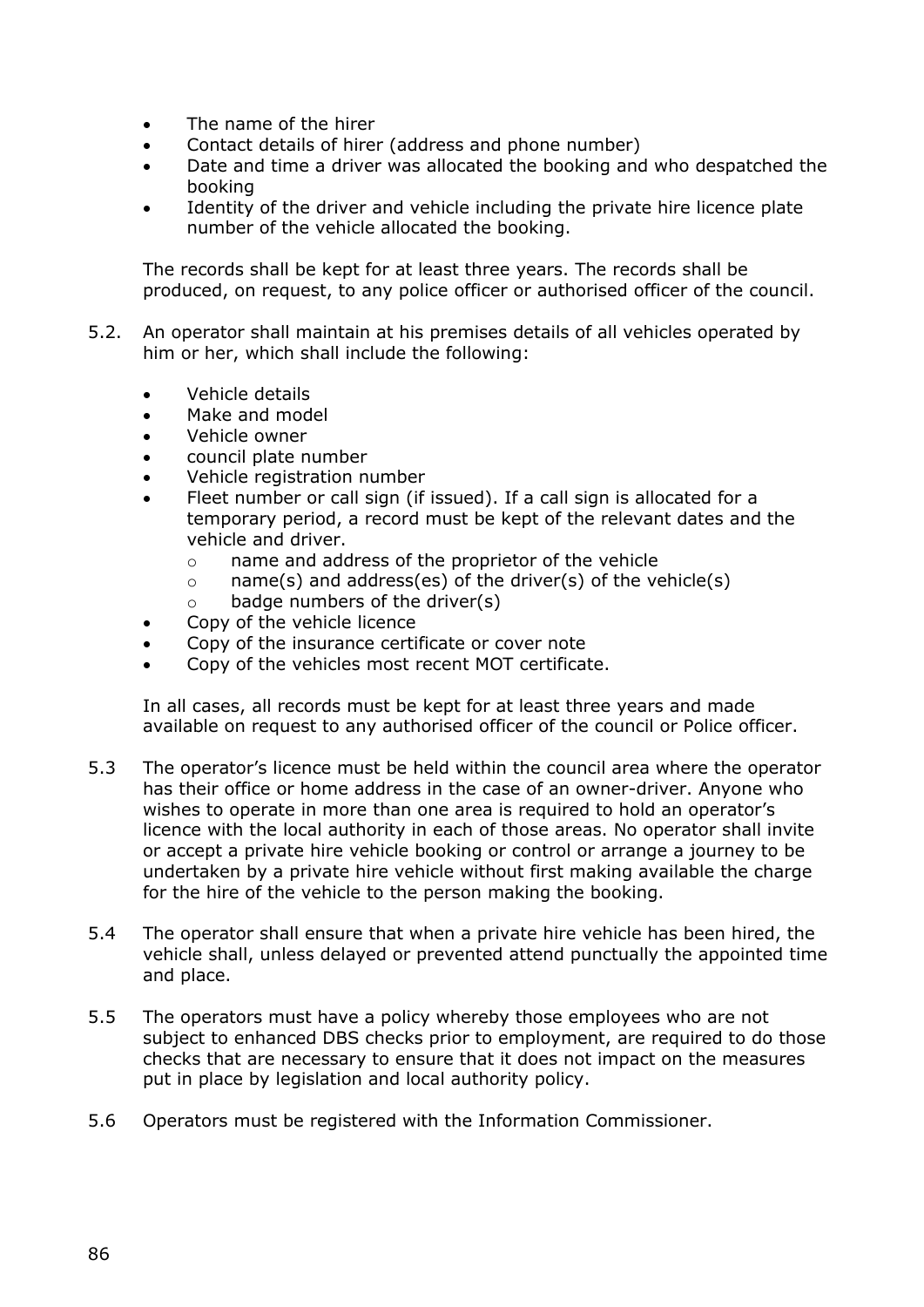- The name of the hirer
- Contact details of hirer (address and phone number)
- Date and time a driver was allocated the booking and who despatched the booking
- Identity of the driver and vehicle including the private hire licence plate number of the vehicle allocated the booking.

The records shall be kept for at least three years. The records shall be produced, on request, to any police officer or authorised officer of the council.

- 5.2. An operator shall maintain at his premises details of all vehicles operated by him or her, which shall include the following:
	- Vehicle details
	- Make and model
	- Vehicle owner
	- council plate number
	- Vehicle registration number
	- Fleet number or call sign (if issued). If a call sign is allocated for a temporary period, a record must be kept of the relevant dates and the vehicle and driver.
		- o name and address of the proprietor of the vehicle
		- $\circ$  name(s) and address(es) of the driver(s) of the vehicle(s)
		- $\circ$  badge numbers of the driver(s)
	- Copy of the vehicle licence
	- Copy of the insurance certificate or cover note
	- Copy of the vehicles most recent MOT certificate.

In all cases, all records must be kept for at least three years and made available on request to any authorised officer of the council or Police officer.

- 5.3 The operator's licence must be held within the council area where the operator has their office or home address in the case of an owner-driver. Anyone who wishes to operate in more than one area is required to hold an operator's licence with the local authority in each of those areas. No operator shall invite or accept a private hire vehicle booking or control or arrange a journey to be undertaken by a private hire vehicle without first making available the charge for the hire of the vehicle to the person making the booking.
- 5.4 The operator shall ensure that when a private hire vehicle has been hired, the vehicle shall, unless delayed or prevented attend punctually the appointed time and place.
- 5.5 The operators must have a policy whereby those employees who are not subject to enhanced DBS checks prior to employment, are required to do those checks that are necessary to ensure that it does not impact on the measures put in place by legislation and local authority policy.
- 5.6 Operators must be registered with the Information Commissioner.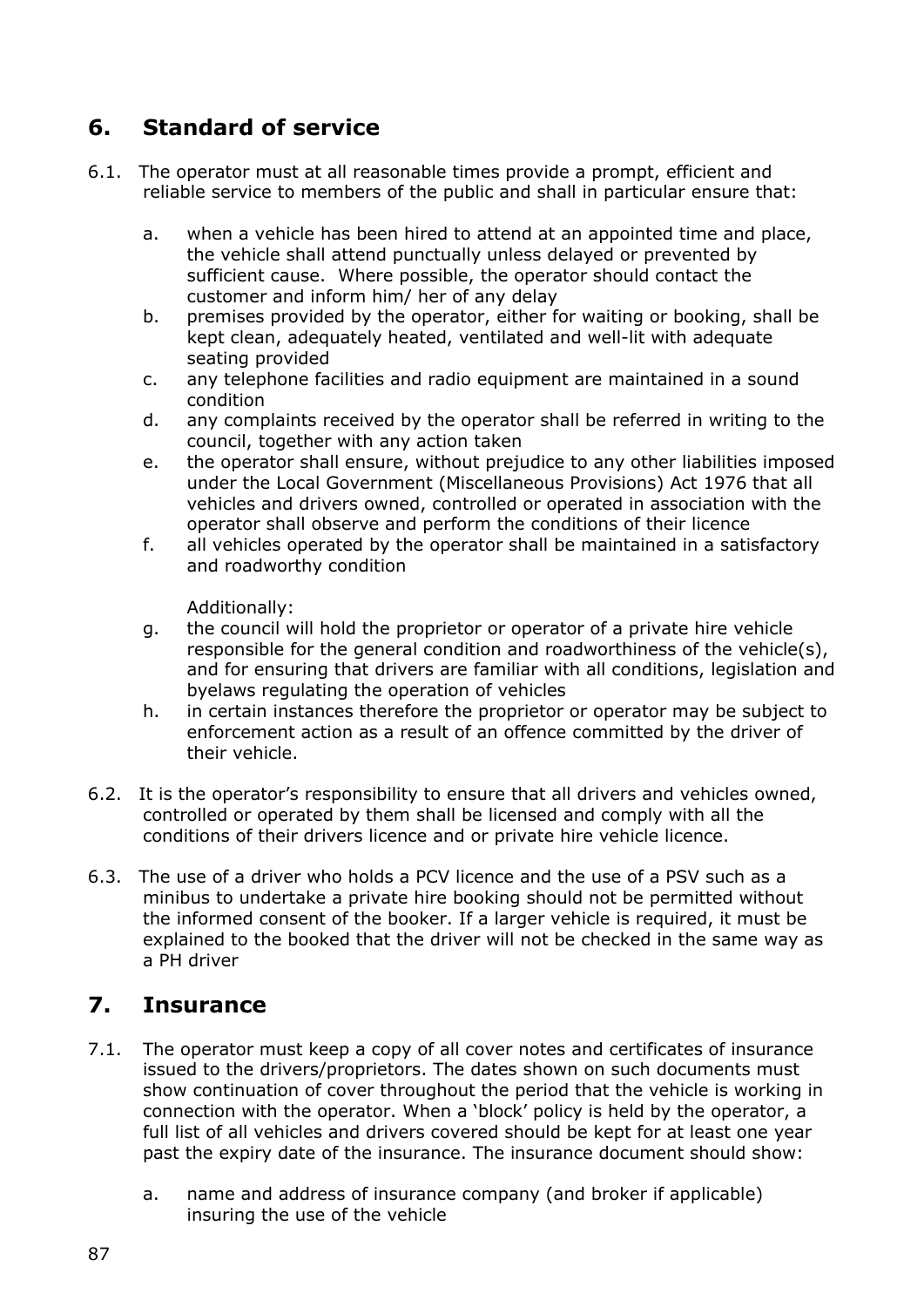# **6. Standard of service**

- 6.1. The operator must at all reasonable times provide a prompt, efficient and reliable service to members of the public and shall in particular ensure that:
	- a. when a vehicle has been hired to attend at an appointed time and place, the vehicle shall attend punctually unless delayed or prevented by sufficient cause. Where possible, the operator should contact the customer and inform him/ her of any delay
	- b. premises provided by the operator, either for waiting or booking, shall be kept clean, adequately heated, ventilated and well-lit with adequate seating provided
	- c. any telephone facilities and radio equipment are maintained in a sound condition
	- d. any complaints received by the operator shall be referred in writing to the council, together with any action taken
	- e. the operator shall ensure, without prejudice to any other liabilities imposed under the Local Government (Miscellaneous Provisions) Act 1976 that all vehicles and drivers owned, controlled or operated in association with the operator shall observe and perform the conditions of their licence
	- f. all vehicles operated by the operator shall be maintained in a satisfactory and roadworthy condition

Additionally:

- g. the council will hold the proprietor or operator of a private hire vehicle responsible for the general condition and roadworthiness of the vehicle(s), and for ensuring that drivers are familiar with all conditions, legislation and byelaws regulating the operation of vehicles
- h. in certain instances therefore the proprietor or operator may be subject to enforcement action as a result of an offence committed by the driver of their vehicle.
- 6.2. It is the operator's responsibility to ensure that all drivers and vehicles owned, controlled or operated by them shall be licensed and comply with all the conditions of their drivers licence and or private hire vehicle licence.
- 6.3. The use of a driver who holds a PCV licence and the use of a PSV such as a minibus to undertake a private hire booking should not be permitted without the informed consent of the booker. If a larger vehicle is required, it must be explained to the booked that the driver will not be checked in the same way as a PH driver

# **7. Insurance**

- 7.1. The operator must keep a copy of all cover notes and certificates of insurance issued to the drivers/proprietors. The dates shown on such documents must show continuation of cover throughout the period that the vehicle is working in connection with the operator. When a 'block' policy is held by the operator, a full list of all vehicles and drivers covered should be kept for at least one year past the expiry date of the insurance. The insurance document should show:
	- a. name and address of insurance company (and broker if applicable) insuring the use of the vehicle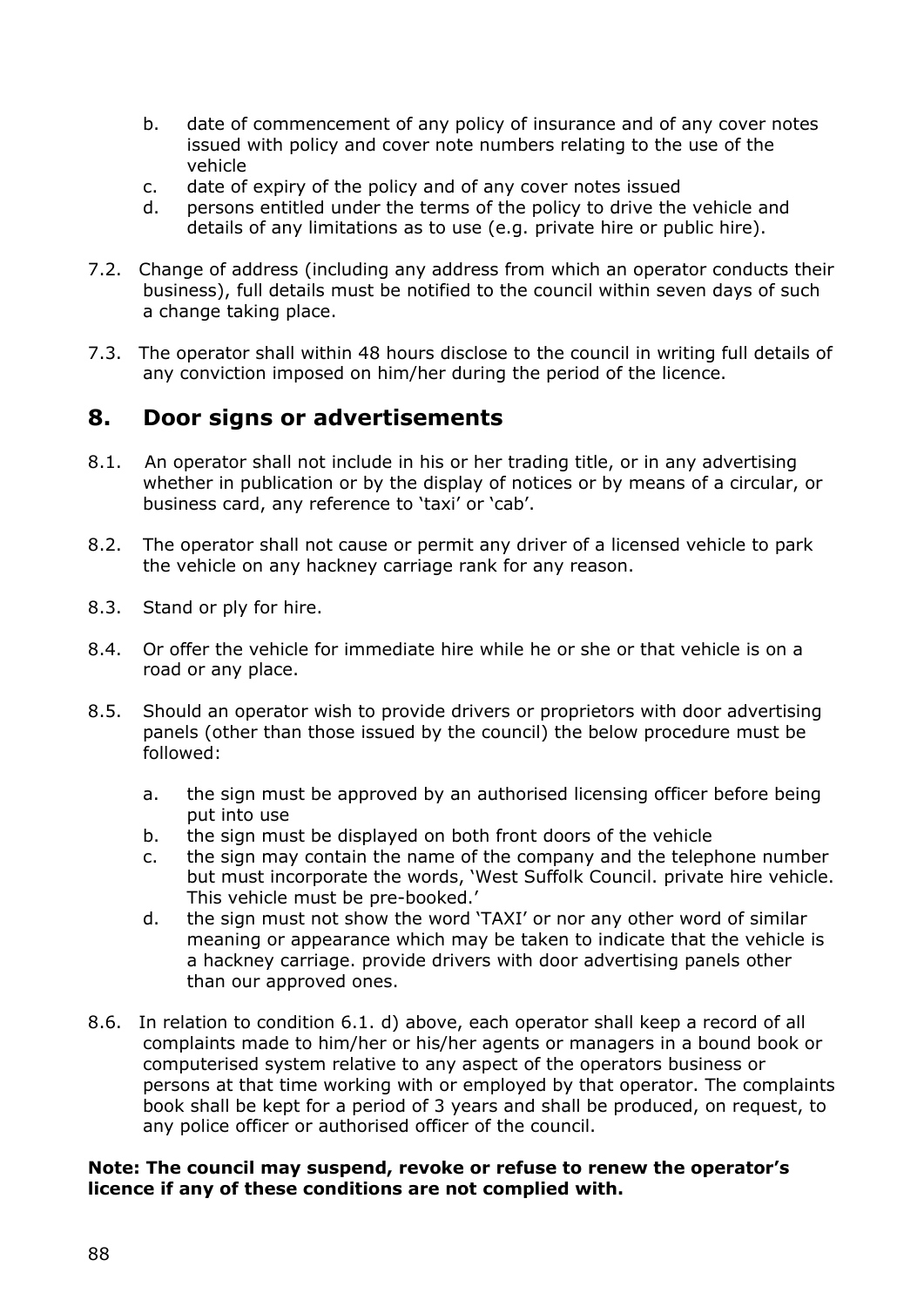- b. date of commencement of any policy of insurance and of any cover notes issued with policy and cover note numbers relating to the use of the vehicle
- c. date of expiry of the policy and of any cover notes issued
- d. persons entitled under the terms of the policy to drive the vehicle and details of any limitations as to use (e.g. private hire or public hire).
- 7.2. Change of address (including any address from which an operator conducts their business), full details must be notified to the council within seven days of such a change taking place.
- 7.3. The operator shall within 48 hours disclose to the council in writing full details of any conviction imposed on him/her during the period of the licence.

#### **8. Door signs or advertisements**

- 8.1. An operator shall not include in his or her trading title, or in any advertising whether in publication or by the display of notices or by means of a circular, or business card, any reference to 'taxi' or 'cab'.
- 8.2. The operator shall not cause or permit any driver of a licensed vehicle to park the vehicle on any hackney carriage rank for any reason.
- 8.3. Stand or ply for hire.
- 8.4. Or offer the vehicle for immediate hire while he or she or that vehicle is on a road or any place.
- 8.5. Should an operator wish to provide drivers or proprietors with door advertising panels (other than those issued by the council) the below procedure must be followed:
	- a. the sign must be approved by an authorised licensing officer before being put into use
	- b. the sign must be displayed on both front doors of the vehicle
	- c. the sign may contain the name of the company and the telephone number but must incorporate the words, 'West Suffolk Council. private hire vehicle. This vehicle must be pre-booked.'
	- d. the sign must not show the word 'TAXI' or nor any other word of similar meaning or appearance which may be taken to indicate that the vehicle is a hackney carriage. provide drivers with door advertising panels other than our approved ones.
- 8.6. In relation to condition 6.1. d) above, each operator shall keep a record of all complaints made to him/her or his/her agents or managers in a bound book or computerised system relative to any aspect of the operators business or persons at that time working with or employed by that operator. The complaints book shall be kept for a period of 3 years and shall be produced, on request, to any police officer or authorised officer of the council.

#### **Note: The council may suspend, revoke or refuse to renew the operator's licence if any of these conditions are not complied with.**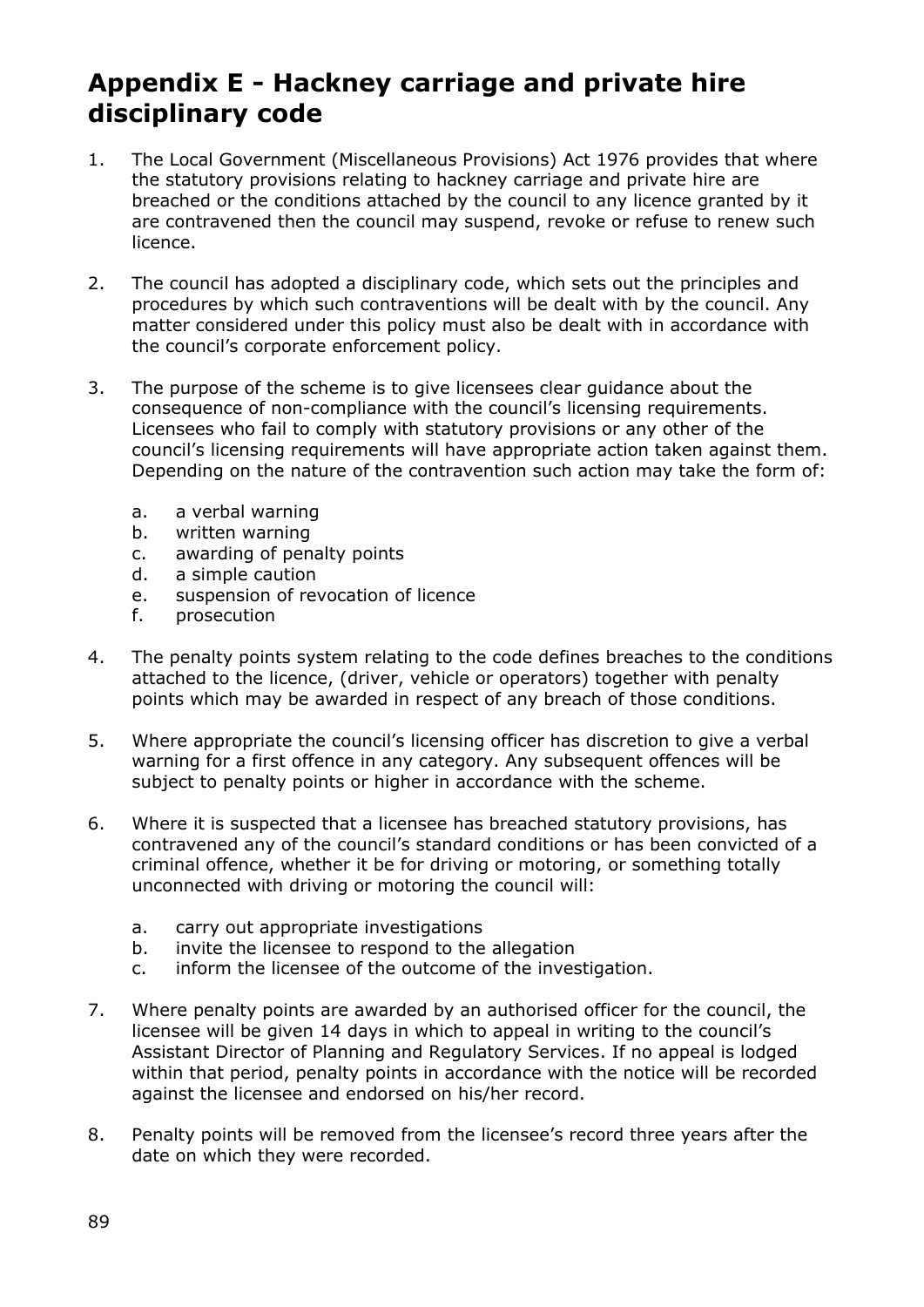# **Appendix E - Hackney carriage and private hire disciplinary code**

- 1. The Local Government (Miscellaneous Provisions) Act 1976 provides that where the statutory provisions relating to hackney carriage and private hire are breached or the conditions attached by the council to any licence granted by it are contravened then the council may suspend, revoke or refuse to renew such licence.
- 2. The council has adopted a disciplinary code, which sets out the principles and procedures by which such contraventions will be dealt with by the council. Any matter considered under this policy must also be dealt with in accordance with the council's corporate enforcement policy.
- 3. The purpose of the scheme is to give licensees clear guidance about the consequence of non-compliance with the council's licensing requirements. Licensees who fail to comply with statutory provisions or any other of the council's licensing requirements will have appropriate action taken against them. Depending on the nature of the contravention such action may take the form of:
	- a. a verbal warning
	- b. written warning
	- c. awarding of penalty points
	- d. a simple caution
	- e. suspension of revocation of licence
	- f. prosecution
- 4. The penalty points system relating to the code defines breaches to the conditions attached to the licence, (driver, vehicle or operators) together with penalty points which may be awarded in respect of any breach of those conditions.
- 5. Where appropriate the council's licensing officer has discretion to give a verbal warning for a first offence in any category. Any subsequent offences will be subject to penalty points or higher in accordance with the scheme.
- 6. Where it is suspected that a licensee has breached statutory provisions, has contravened any of the council's standard conditions or has been convicted of a criminal offence, whether it be for driving or motoring, or something totally unconnected with driving or motoring the council will:
	- a. carry out appropriate investigations
	- b. invite the licensee to respond to the allegation
	- c. inform the licensee of the outcome of the investigation.
- 7. Where penalty points are awarded by an authorised officer for the council, the licensee will be given 14 days in which to appeal in writing to the council's Assistant Director of Planning and Regulatory Services. If no appeal is lodged within that period, penalty points in accordance with the notice will be recorded against the licensee and endorsed on his/her record.
- 8. Penalty points will be removed from the licensee's record three years after the date on which they were recorded.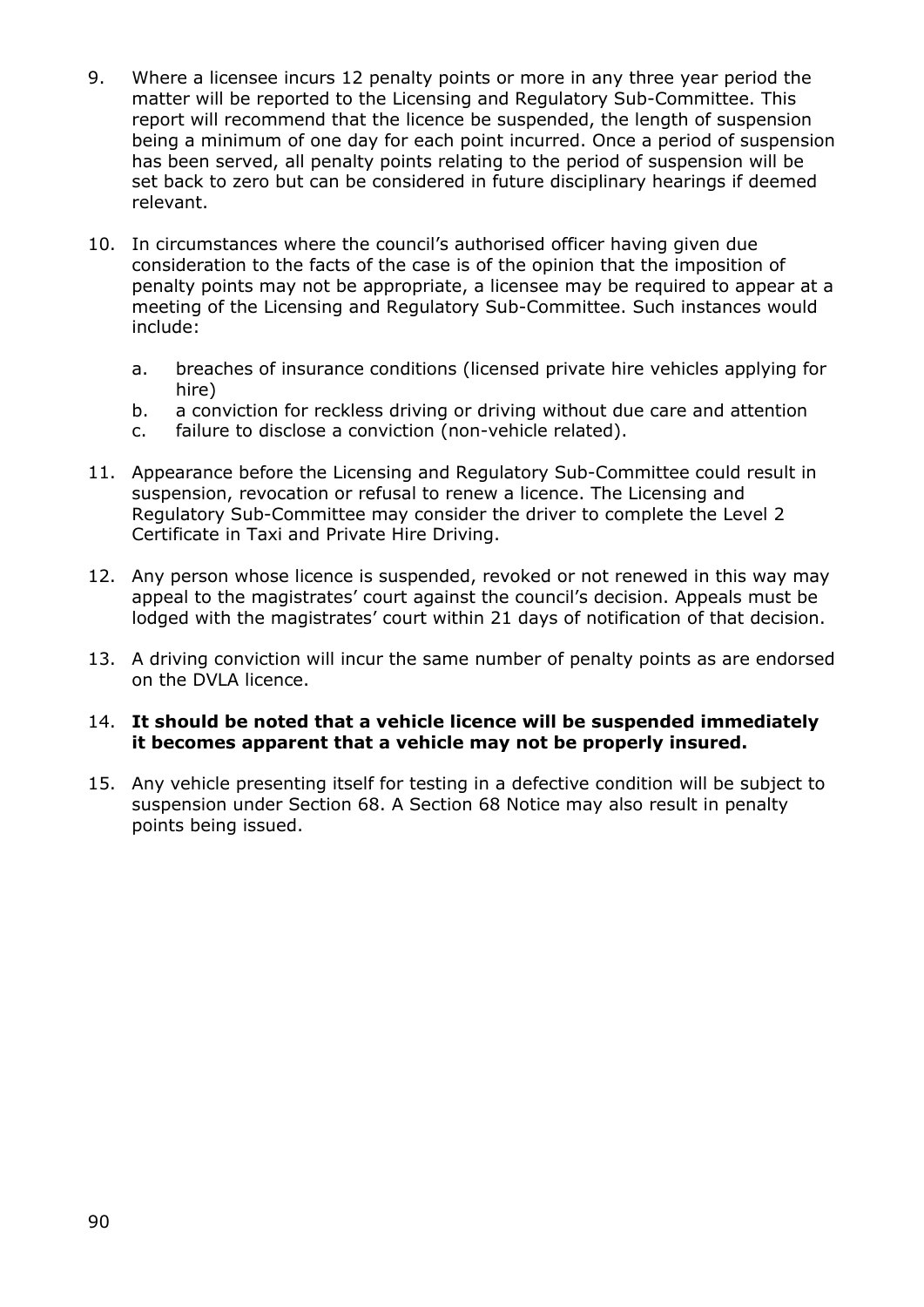- 9. Where a licensee incurs 12 penalty points or more in any three year period the matter will be reported to the Licensing and Regulatory Sub-Committee. This report will recommend that the licence be suspended, the length of suspension being a minimum of one day for each point incurred. Once a period of suspension has been served, all penalty points relating to the period of suspension will be set back to zero but can be considered in future disciplinary hearings if deemed relevant.
- 10. In circumstances where the council's authorised officer having given due consideration to the facts of the case is of the opinion that the imposition of penalty points may not be appropriate, a licensee may be required to appear at a meeting of the Licensing and Regulatory Sub-Committee. Such instances would include:
	- a. breaches of insurance conditions (licensed private hire vehicles applying for hire)
	- b. a conviction for reckless driving or driving without due care and attention
	- c. failure to disclose a conviction (non-vehicle related).
- 11. Appearance before the Licensing and Regulatory Sub-Committee could result in suspension, revocation or refusal to renew a licence. The Licensing and Regulatory Sub-Committee may consider the driver to complete the Level 2 Certificate in Taxi and Private Hire Driving.
- 12. Any person whose licence is suspended, revoked or not renewed in this way may appeal to the magistrates' court against the council's decision. Appeals must be lodged with the magistrates' court within 21 days of notification of that decision.
- 13. A driving conviction will incur the same number of penalty points as are endorsed on the DVLA licence.

#### 14. **It should be noted that a vehicle licence will be suspended immediately it becomes apparent that a vehicle may not be properly insured.**

15. Any vehicle presenting itself for testing in a defective condition will be subject to suspension under Section 68. A Section 68 Notice may also result in penalty points being issued.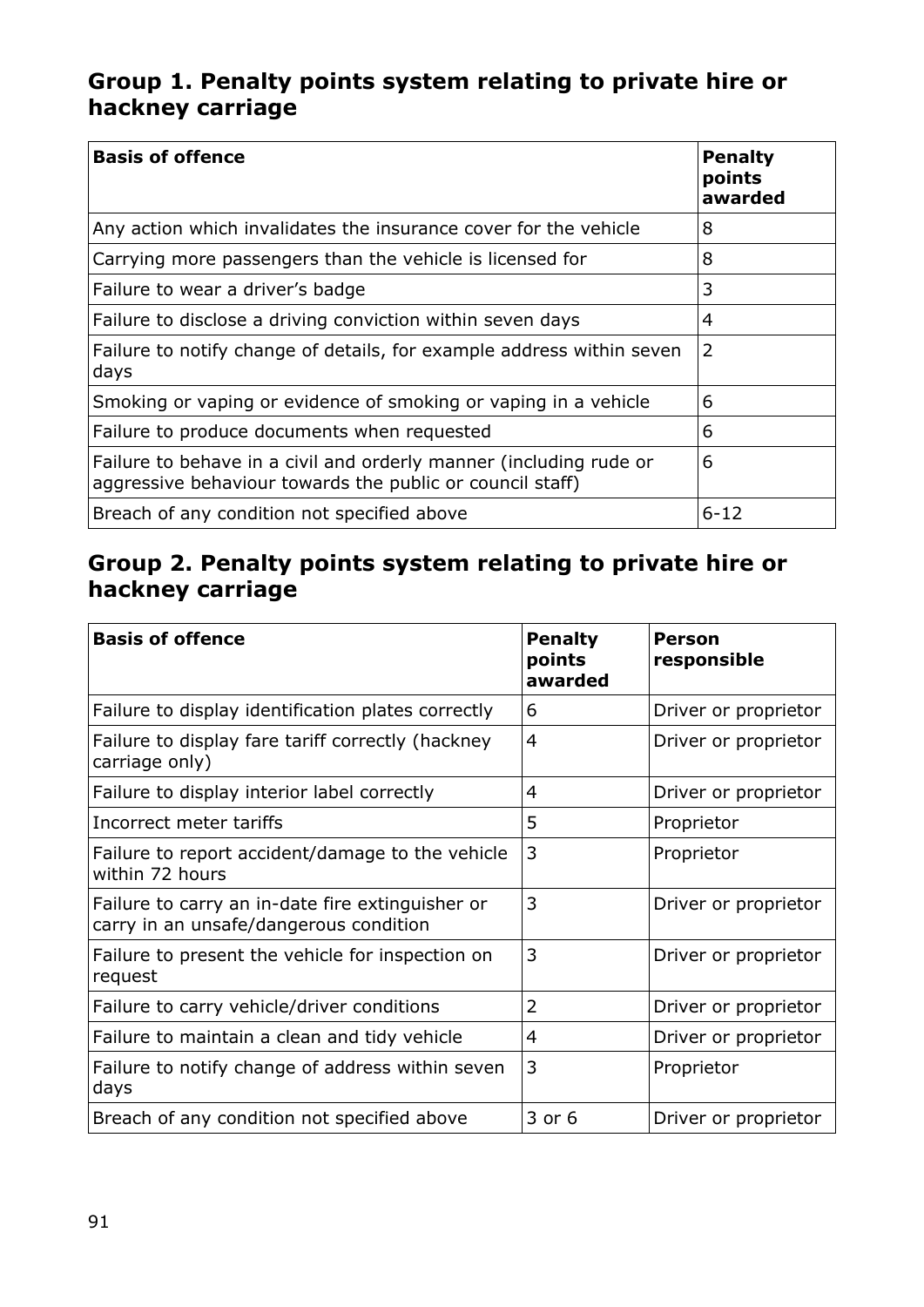### **Group 1. Penalty points system relating to private hire or hackney carriage**

| <b>Basis of offence</b>                                                                                                         | <b>Penalty</b><br>points<br>awarded |
|---------------------------------------------------------------------------------------------------------------------------------|-------------------------------------|
| Any action which invalidates the insurance cover for the vehicle                                                                | 8                                   |
| Carrying more passengers than the vehicle is licensed for                                                                       | 8                                   |
| Failure to wear a driver's badge                                                                                                | 3                                   |
| Failure to disclose a driving conviction within seven days                                                                      | 4                                   |
| Failure to notify change of details, for example address within seven<br>days                                                   | $\overline{2}$                      |
| Smoking or vaping or evidence of smoking or vaping in a vehicle                                                                 | 6                                   |
| Failure to produce documents when requested                                                                                     | 6                                   |
| Failure to behave in a civil and orderly manner (including rude or<br>aggressive behaviour towards the public or council staff) | 6                                   |
| Breach of any condition not specified above                                                                                     | $6 - 12$                            |

# **Group 2. Penalty points system relating to private hire or hackney carriage**

| <b>Basis of offence</b>                                                                    | <b>Penalty</b><br>points<br>awarded | Person<br>responsible |
|--------------------------------------------------------------------------------------------|-------------------------------------|-----------------------|
| Failure to display identification plates correctly                                         | 6                                   | Driver or proprietor  |
| Failure to display fare tariff correctly (hackney<br>carriage only)                        | $\overline{4}$                      | Driver or proprietor  |
| Failure to display interior label correctly                                                | 4                                   | Driver or proprietor  |
| Incorrect meter tariffs                                                                    | 5                                   | Proprietor            |
| Failure to report accident/damage to the vehicle<br>within 72 hours                        | 3                                   | Proprietor            |
| Failure to carry an in-date fire extinguisher or<br>carry in an unsafe/dangerous condition | 3                                   | Driver or proprietor  |
| Failure to present the vehicle for inspection on<br>request                                | 3                                   | Driver or proprietor  |
| Failure to carry vehicle/driver conditions                                                 | $\overline{2}$                      | Driver or proprietor  |
| Failure to maintain a clean and tidy vehicle                                               | 4                                   | Driver or proprietor  |
| Failure to notify change of address within seven<br>days                                   | 3                                   | Proprietor            |
| Breach of any condition not specified above                                                | 3 or 6                              | Driver or proprietor  |